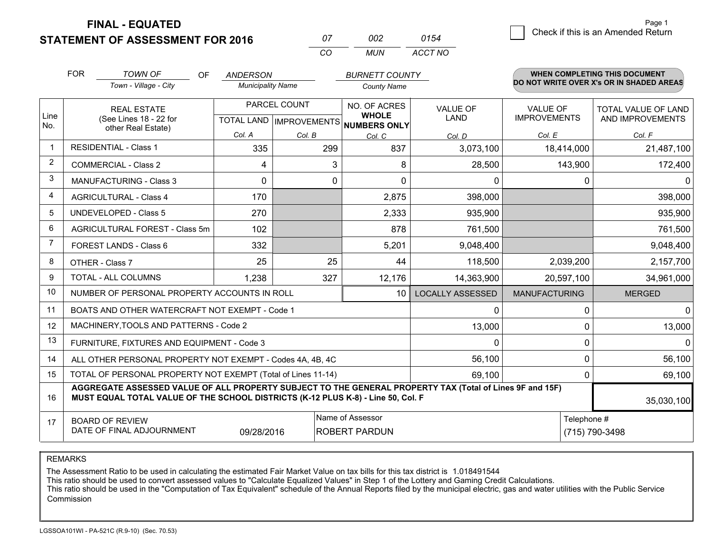**STATEMENT OF ASSESSMENT FOR 2016** 

**FINAL - EQUATED**

| 07       | nnə | 0154    |
|----------|-----|---------|
| $\alpha$ | MUN | ACCT NO |

|                | <b>FOR</b>                                                                                                                                                                                   | <b>TOWN OF</b><br><b>OF</b>                               | <b>ANDERSON</b>          |                                           | <b>BURNETT COUNTY</b>                        |                                |                                        | <b>WHEN COMPLETING THIS DOCUMENT</b>           |
|----------------|----------------------------------------------------------------------------------------------------------------------------------------------------------------------------------------------|-----------------------------------------------------------|--------------------------|-------------------------------------------|----------------------------------------------|--------------------------------|----------------------------------------|------------------------------------------------|
|                |                                                                                                                                                                                              | Town - Village - City                                     | <b>Municipality Name</b> |                                           | <b>County Name</b>                           |                                |                                        | DO NOT WRITE OVER X's OR IN SHADED AREAS       |
| Line<br>No.    |                                                                                                                                                                                              | <b>REAL ESTATE</b><br>(See Lines 18 - 22 for              |                          | PARCEL COUNT<br>TOTAL LAND   IMPROVEMENTS | NO. OF ACRES<br><b>WHOLE</b><br>NUMBERS ONLY | <b>VALUE OF</b><br><b>LAND</b> | <b>VALUE OF</b><br><b>IMPROVEMENTS</b> | <b>TOTAL VALUE OF LAND</b><br>AND IMPROVEMENTS |
|                |                                                                                                                                                                                              | other Real Estate)                                        | Col. A                   | Col. B                                    | Col. C                                       | Col. D                         | Col. E                                 | Col. F                                         |
| $\mathbf 1$    |                                                                                                                                                                                              | <b>RESIDENTIAL - Class 1</b>                              | 335                      | 299                                       | 837                                          | 3,073,100                      | 18,414,000                             | 21,487,100                                     |
| 2              |                                                                                                                                                                                              | <b>COMMERCIAL - Class 2</b>                               | 4                        | 3                                         | 8                                            | 28,500                         | 143,900                                | 172,400                                        |
| 3              |                                                                                                                                                                                              | <b>MANUFACTURING - Class 3</b>                            | $\mathbf 0$              | 0                                         | 0                                            | 0                              | 0                                      | $\mathbf{0}$                                   |
| 4              |                                                                                                                                                                                              | <b>AGRICULTURAL - Class 4</b>                             | 170                      |                                           | 2,875                                        | 398,000                        |                                        | 398,000                                        |
| 5              |                                                                                                                                                                                              | <b>UNDEVELOPED - Class 5</b>                              | 270                      |                                           | 2,333                                        | 935,900                        |                                        | 935,900                                        |
| 6              |                                                                                                                                                                                              | AGRICULTURAL FOREST - Class 5m                            | 102                      |                                           | 878                                          | 761,500                        |                                        | 761,500                                        |
| $\overline{7}$ |                                                                                                                                                                                              | FOREST LANDS - Class 6                                    | 332                      |                                           | 5,201                                        | 9,048,400                      |                                        | 9,048,400                                      |
| 8              |                                                                                                                                                                                              | OTHER - Class 7                                           | 25                       | 25                                        | 44                                           | 118,500                        | 2,039,200                              | 2,157,700                                      |
| 9              |                                                                                                                                                                                              | TOTAL - ALL COLUMNS                                       | 1,238                    | 327                                       | 12,176                                       | 14,363,900                     | 20,597,100                             | 34,961,000                                     |
| 10             |                                                                                                                                                                                              | NUMBER OF PERSONAL PROPERTY ACCOUNTS IN ROLL              |                          |                                           | 10                                           | <b>LOCALLY ASSESSED</b>        | <b>MANUFACTURING</b>                   | <b>MERGED</b>                                  |
| 11             |                                                                                                                                                                                              | BOATS AND OTHER WATERCRAFT NOT EXEMPT - Code 1            |                          |                                           |                                              | 0                              | $\Omega$                               | 0                                              |
| 12             |                                                                                                                                                                                              | MACHINERY, TOOLS AND PATTERNS - Code 2                    |                          |                                           |                                              | 13,000                         | $\Omega$                               | 13,000                                         |
| 13             |                                                                                                                                                                                              | FURNITURE, FIXTURES AND EQUIPMENT - Code 3                |                          |                                           |                                              | $\Omega$                       | $\Omega$                               | $\Omega$                                       |
| 14             |                                                                                                                                                                                              | ALL OTHER PERSONAL PROPERTY NOT EXEMPT - Codes 4A, 4B, 4C |                          |                                           |                                              | 56,100                         | 0                                      | 56,100                                         |
| 15             | TOTAL OF PERSONAL PROPERTY NOT EXEMPT (Total of Lines 11-14)<br>69,100                                                                                                                       |                                                           |                          |                                           |                                              |                                |                                        | 69,100                                         |
| 16             | AGGREGATE ASSESSED VALUE OF ALL PROPERTY SUBJECT TO THE GENERAL PROPERTY TAX (Total of Lines 9F and 15F)<br>MUST EQUAL TOTAL VALUE OF THE SCHOOL DISTRICTS (K-12 PLUS K-8) - Line 50, Col. F |                                                           |                          |                                           |                                              |                                |                                        | 35,030,100                                     |
| 17             | Name of Assessor<br>Telephone #<br><b>BOARD OF REVIEW</b><br>DATE OF FINAL ADJOURNMENT<br>09/28/2016<br><b>ROBERT PARDUN</b><br>(715) 790-3498                                               |                                                           |                          |                                           |                                              |                                |                                        |                                                |

REMARKS

The Assessment Ratio to be used in calculating the estimated Fair Market Value on tax bills for this tax district is 1.018491544<br>This ratio should be used to convert assessed values to "Calculate Equalized Values" in Step Commission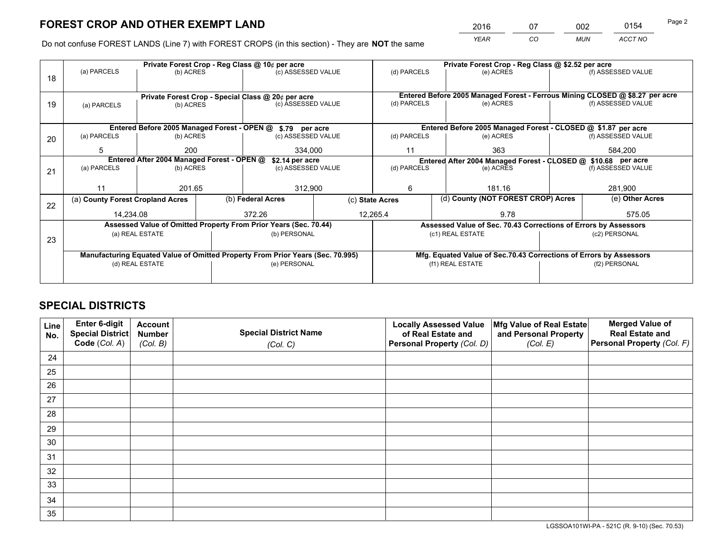*YEAR CO MUN ACCT NO* 2016 07 002 0154

Do not confuse FOREST LANDS (Line 7) with FOREST CROPS (in this section) - They are **NOT** the same

|    |                                                                                |                 |  | Private Forest Crop - Reg Class @ 10¢ per acre                   |                 | Private Forest Crop - Reg Class @ \$2.52 per acre |                                                                    |                                                                              |                    |  |
|----|--------------------------------------------------------------------------------|-----------------|--|------------------------------------------------------------------|-----------------|---------------------------------------------------|--------------------------------------------------------------------|------------------------------------------------------------------------------|--------------------|--|
| 18 | (a) PARCELS                                                                    | (b) ACRES       |  | (c) ASSESSED VALUE                                               |                 | (d) PARCELS                                       | (e) ACRES                                                          |                                                                              | (f) ASSESSED VALUE |  |
|    |                                                                                |                 |  |                                                                  |                 |                                                   |                                                                    |                                                                              |                    |  |
|    | Private Forest Crop - Special Class @ 20¢ per acre                             |                 |  |                                                                  |                 |                                                   |                                                                    | Entered Before 2005 Managed Forest - Ferrous Mining CLOSED @ \$8.27 per acre |                    |  |
| 19 | (a) PARCELS                                                                    | (b) ACRES       |  | (c) ASSESSED VALUE                                               |                 | (d) PARCELS                                       | (e) ACRES                                                          |                                                                              | (f) ASSESSED VALUE |  |
|    |                                                                                |                 |  |                                                                  |                 |                                                   |                                                                    |                                                                              |                    |  |
|    |                                                                                |                 |  | Entered Before 2005 Managed Forest - OPEN @ \$.79 per acre       |                 |                                                   | Entered Before 2005 Managed Forest - CLOSED @ \$1.87 per acre      |                                                                              |                    |  |
| 20 | (a) PARCELS                                                                    | (b) ACRES       |  | (c) ASSESSED VALUE                                               |                 | (d) PARCELS                                       | (e) ACRES                                                          |                                                                              | (f) ASSESSED VALUE |  |
|    | 5                                                                              | 200             |  | 334.000                                                          |                 | 363<br>11                                         |                                                                    |                                                                              | 584,200            |  |
|    | Entered After 2004 Managed Forest - OPEN @                                     |                 |  |                                                                  | \$2.14 per acre |                                                   | Entered After 2004 Managed Forest - CLOSED @ \$10.68 per acre      |                                                                              |                    |  |
| 21 | (a) PARCELS                                                                    | (b) ACRES       |  | (c) ASSESSED VALUE                                               |                 | (d) PARCELS<br>(e) ACRES                          |                                                                    | (f) ASSESSED VALUE                                                           |                    |  |
|    |                                                                                |                 |  |                                                                  |                 |                                                   |                                                                    |                                                                              |                    |  |
|    | 11                                                                             | 201.65          |  | 312,900                                                          |                 | 181.16<br>6                                       |                                                                    |                                                                              | 281,900            |  |
| 22 | (a) County Forest Cropland Acres                                               |                 |  | (b) Federal Acres                                                | (c) State Acres |                                                   | (d) County (NOT FOREST CROP) Acres                                 |                                                                              | (e) Other Acres    |  |
|    | 14,234.08                                                                      |                 |  | 372.26<br>12,265.4                                               |                 |                                                   | 9.78                                                               |                                                                              | 575.05             |  |
|    |                                                                                |                 |  | Assessed Value of Omitted Property From Prior Years (Sec. 70.44) |                 |                                                   | Assessed Value of Sec. 70.43 Corrections of Errors by Assessors    |                                                                              |                    |  |
| 23 |                                                                                | (a) REAL ESTATE |  | (b) PERSONAL                                                     |                 |                                                   | (c1) REAL ESTATE                                                   |                                                                              | (c2) PERSONAL      |  |
|    |                                                                                |                 |  |                                                                  |                 |                                                   |                                                                    |                                                                              |                    |  |
|    | Manufacturing Equated Value of Omitted Property From Prior Years (Sec. 70.995) |                 |  |                                                                  |                 |                                                   | Mfg. Equated Value of Sec.70.43 Corrections of Errors by Assessors |                                                                              |                    |  |
|    | (d) REAL ESTATE                                                                |                 |  | (e) PERSONAL                                                     |                 | (f1) REAL ESTATE                                  |                                                                    |                                                                              | (f2) PERSONAL      |  |
|    |                                                                                |                 |  |                                                                  |                 |                                                   |                                                                    |                                                                              |                    |  |

## **SPECIAL DISTRICTS**

| Line<br>No. | Enter 6-digit<br>Special District<br>Code (Col. A) | <b>Account</b><br><b>Number</b> | <b>Special District Name</b> | <b>Locally Assessed Value</b><br>of Real Estate and | Mfg Value of Real Estate<br>and Personal Property | <b>Merged Value of</b><br><b>Real Estate and</b><br>Personal Property (Col. F) |
|-------------|----------------------------------------------------|---------------------------------|------------------------------|-----------------------------------------------------|---------------------------------------------------|--------------------------------------------------------------------------------|
|             |                                                    | (Col. B)                        | (Col. C)                     | Personal Property (Col. D)                          | (Col. E)                                          |                                                                                |
| 24          |                                                    |                                 |                              |                                                     |                                                   |                                                                                |
| 25          |                                                    |                                 |                              |                                                     |                                                   |                                                                                |
| 26          |                                                    |                                 |                              |                                                     |                                                   |                                                                                |
| 27          |                                                    |                                 |                              |                                                     |                                                   |                                                                                |
| 28          |                                                    |                                 |                              |                                                     |                                                   |                                                                                |
| 29          |                                                    |                                 |                              |                                                     |                                                   |                                                                                |
| 30          |                                                    |                                 |                              |                                                     |                                                   |                                                                                |
| 31          |                                                    |                                 |                              |                                                     |                                                   |                                                                                |
| 32          |                                                    |                                 |                              |                                                     |                                                   |                                                                                |
| 33          |                                                    |                                 |                              |                                                     |                                                   |                                                                                |
| 34          |                                                    |                                 |                              |                                                     |                                                   |                                                                                |
| 35          |                                                    |                                 |                              |                                                     |                                                   |                                                                                |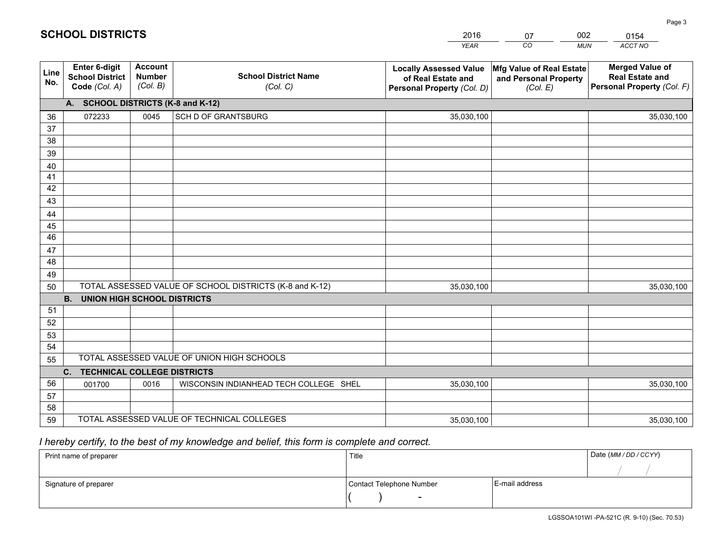|             |                                                                 |                                             |                                                         | <b>YEAR</b>                                                                       | CO<br><b>MUN</b>                                              | ACCT NO                                                                        |
|-------------|-----------------------------------------------------------------|---------------------------------------------|---------------------------------------------------------|-----------------------------------------------------------------------------------|---------------------------------------------------------------|--------------------------------------------------------------------------------|
| Line<br>No. | <b>Enter 6-digit</b><br><b>School District</b><br>Code (Col. A) | <b>Account</b><br><b>Number</b><br>(Col. B) | <b>School District Name</b><br>(Col. C)                 | <b>Locally Assessed Value</b><br>of Real Estate and<br>Personal Property (Col. D) | Mfg Value of Real Estate<br>and Personal Property<br>(Col. E) | <b>Merged Value of</b><br><b>Real Estate and</b><br>Personal Property (Col. F) |
|             | A. SCHOOL DISTRICTS (K-8 and K-12)                              |                                             |                                                         |                                                                                   |                                                               |                                                                                |
| 36          | 072233                                                          | 0045                                        | SCH D OF GRANTSBURG                                     | 35,030,100                                                                        |                                                               | 35,030,100                                                                     |
| 37          |                                                                 |                                             |                                                         |                                                                                   |                                                               |                                                                                |
| 38          |                                                                 |                                             |                                                         |                                                                                   |                                                               |                                                                                |
| 39          |                                                                 |                                             |                                                         |                                                                                   |                                                               |                                                                                |
| 40          |                                                                 |                                             |                                                         |                                                                                   |                                                               |                                                                                |
| 41<br>42    |                                                                 |                                             |                                                         |                                                                                   |                                                               |                                                                                |
| 43          |                                                                 |                                             |                                                         |                                                                                   |                                                               |                                                                                |
| 44          |                                                                 |                                             |                                                         |                                                                                   |                                                               |                                                                                |
| 45          |                                                                 |                                             |                                                         |                                                                                   |                                                               |                                                                                |
| 46          |                                                                 |                                             |                                                         |                                                                                   |                                                               |                                                                                |
| 47          |                                                                 |                                             |                                                         |                                                                                   |                                                               |                                                                                |
| 48          |                                                                 |                                             |                                                         |                                                                                   |                                                               |                                                                                |
| 49          |                                                                 |                                             |                                                         |                                                                                   |                                                               |                                                                                |
| 50          |                                                                 |                                             | TOTAL ASSESSED VALUE OF SCHOOL DISTRICTS (K-8 and K-12) | 35,030,100                                                                        |                                                               | 35,030,100                                                                     |
|             | <b>B.</b><br><b>UNION HIGH SCHOOL DISTRICTS</b>                 |                                             |                                                         |                                                                                   |                                                               |                                                                                |
| 51          |                                                                 |                                             |                                                         |                                                                                   |                                                               |                                                                                |
| 52          |                                                                 |                                             |                                                         |                                                                                   |                                                               |                                                                                |
| 53          |                                                                 |                                             |                                                         |                                                                                   |                                                               |                                                                                |
| 54          |                                                                 |                                             | TOTAL ASSESSED VALUE OF UNION HIGH SCHOOLS              |                                                                                   |                                                               |                                                                                |
| 55          |                                                                 |                                             |                                                         |                                                                                   |                                                               |                                                                                |
| 56          | <b>TECHNICAL COLLEGE DISTRICTS</b><br>C.                        |                                             |                                                         |                                                                                   |                                                               |                                                                                |
| 57          | 001700                                                          | 0016                                        | WISCONSIN INDIANHEAD TECH COLLEGE SHEL                  | 35,030,100                                                                        |                                                               | 35,030,100                                                                     |
| 58          |                                                                 |                                             |                                                         |                                                                                   |                                                               |                                                                                |
| 59          |                                                                 |                                             | TOTAL ASSESSED VALUE OF TECHNICAL COLLEGES              | 35,030,100                                                                        |                                                               | 35,030,100                                                                     |

07

002

## *I hereby certify, to the best of my knowledge and belief, this form is complete and correct.*

**SCHOOL DISTRICTS**

| Print name of preparer | Title                    |                | Date (MM / DD / CCYY) |
|------------------------|--------------------------|----------------|-----------------------|
|                        |                          |                |                       |
| Signature of preparer  | Contact Telephone Number | E-mail address |                       |
|                        | $\sim$                   |                |                       |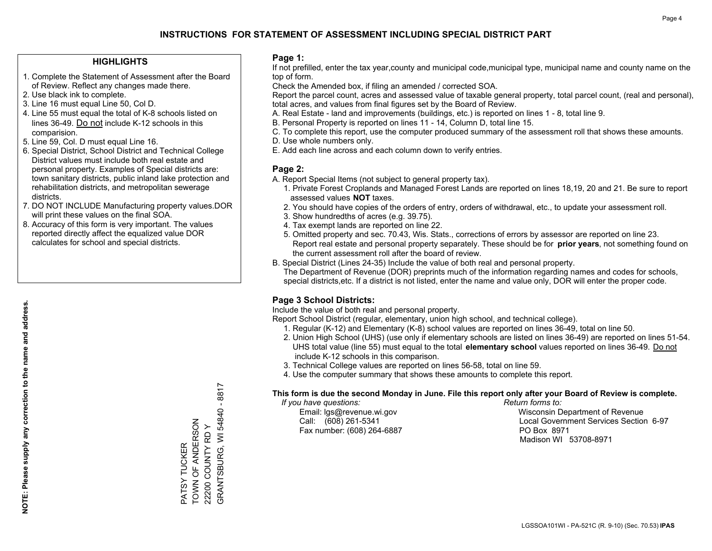#### **HIGHLIGHTS**

- 1. Complete the Statement of Assessment after the Board of Review. Reflect any changes made there.
- 2. Use black ink to complete.
- 3. Line 16 must equal Line 50, Col D.
- 4. Line 55 must equal the total of K-8 schools listed on lines 36-49. Do not include K-12 schools in this comparision.
- 5. Line 59, Col. D must equal Line 16.
- 6. Special District, School District and Technical College District values must include both real estate and personal property. Examples of Special districts are: town sanitary districts, public inland lake protection and rehabilitation districts, and metropolitan sewerage districts.
- 7. DO NOT INCLUDE Manufacturing property values.DOR will print these values on the final SOA.

PATSY TUCKER TOWN OF ANDERSON 22200 COUNTY RD Y

PATSY TUCKER

TOWN OF ANDERSON 22200 COUNTY RD Y GRANTSBURG, WI 54840 - 8817

GRANTSBURG, WI 54840 - 8817

 8. Accuracy of this form is very important. The values reported directly affect the equalized value DOR calculates for school and special districts.

#### **Page 1:**

 If not prefilled, enter the tax year,county and municipal code,municipal type, municipal name and county name on the top of form.

Check the Amended box, if filing an amended / corrected SOA.

 Report the parcel count, acres and assessed value of taxable general property, total parcel count, (real and personal), total acres, and values from final figures set by the Board of Review.

- A. Real Estate land and improvements (buildings, etc.) is reported on lines 1 8, total line 9.
- B. Personal Property is reported on lines 11 14, Column D, total line 15.
- C. To complete this report, use the computer produced summary of the assessment roll that shows these amounts.
- D. Use whole numbers only.
- E. Add each line across and each column down to verify entries.

#### **Page 2:**

- A. Report Special Items (not subject to general property tax).
- 1. Private Forest Croplands and Managed Forest Lands are reported on lines 18,19, 20 and 21. Be sure to report assessed values **NOT** taxes.
- 2. You should have copies of the orders of entry, orders of withdrawal, etc., to update your assessment roll.
	- 3. Show hundredths of acres (e.g. 39.75).
- 4. Tax exempt lands are reported on line 22.
- 5. Omitted property and sec. 70.43, Wis. Stats., corrections of errors by assessor are reported on line 23. Report real estate and personal property separately. These should be for **prior years**, not something found on the current assessment roll after the board of review.
- B. Special District (Lines 24-35) Include the value of both real and personal property.
- The Department of Revenue (DOR) preprints much of the information regarding names and codes for schools, special districts,etc. If a district is not listed, enter the name and value only, DOR will enter the proper code.

### **Page 3 School Districts:**

Include the value of both real and personal property.

Report School District (regular, elementary, union high school, and technical college).

- 1. Regular (K-12) and Elementary (K-8) school values are reported on lines 36-49, total on line 50.
- 2. Union High School (UHS) (use only if elementary schools are listed on lines 36-49) are reported on lines 51-54. UHS total value (line 55) must equal to the total **elementary school** values reported on lines 36-49. Do notinclude K-12 schools in this comparison.
- 3. Technical College values are reported on lines 56-58, total on line 59.
- 4. Use the computer summary that shows these amounts to complete this report.

#### **This form is due the second Monday in June. File this report only after your Board of Review is complete.**

 *If you have questions: Return forms to:*

Fax number: (608) 264-6887 PO Box 8971

 Email: lgs@revenue.wi.gov Wisconsin Department of Revenue Call: (608) 261-5341 Local Government Services Section 6-97Madison WI 53708-8971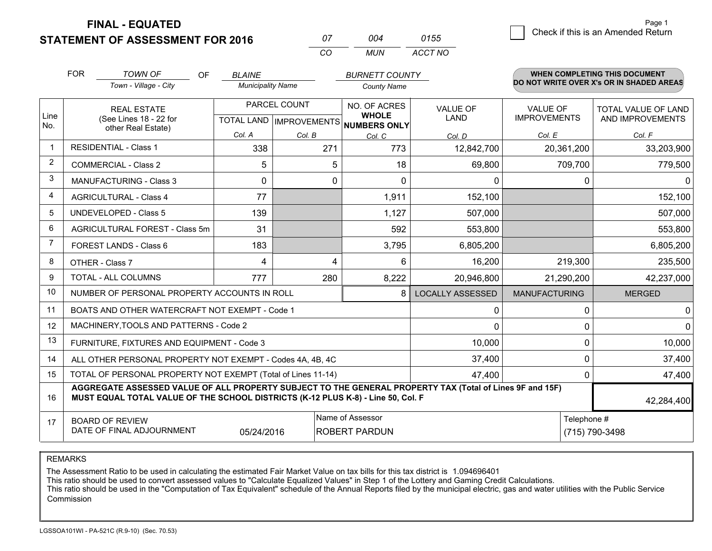**STATEMENT OF ASSESSMENT FOR 2016** 

**FINAL - EQUATED**

| 07  | በበ4 | 0155    |
|-----|-----|---------|
| -CO | MUN | ACCT NO |

|                | <b>FOR</b>                                                                                                                                                                                   | <b>TOWN OF</b><br><b>OF</b>                                  | <b>BLAINE</b>                                            |        | <b>BURNETT COUNTY</b>        |                                |                                        | WHEN COMPLETING THIS DOCUMENT<br>DO NOT WRITE OVER X's OR IN SHADED AREAS |
|----------------|----------------------------------------------------------------------------------------------------------------------------------------------------------------------------------------------|--------------------------------------------------------------|----------------------------------------------------------|--------|------------------------------|--------------------------------|----------------------------------------|---------------------------------------------------------------------------|
|                |                                                                                                                                                                                              | Town - Village - City                                        | <b>Municipality Name</b>                                 |        | <b>County Name</b>           |                                |                                        |                                                                           |
| Line           |                                                                                                                                                                                              | <b>REAL ESTATE</b><br>(See Lines 18 - 22 for                 | PARCEL COUNT<br>TOTAL LAND   IMPROVEMENTS   NUMBERS ONLY |        | NO. OF ACRES<br><b>WHOLE</b> | <b>VALUE OF</b><br><b>LAND</b> | <b>VALUE OF</b><br><b>IMPROVEMENTS</b> | TOTAL VALUE OF LAND<br>AND IMPROVEMENTS                                   |
| No.            |                                                                                                                                                                                              | other Real Estate)                                           | Col. A                                                   | Col. B | Col. C                       | Col. D                         | Col. E                                 | Col. F                                                                    |
|                | <b>RESIDENTIAL - Class 1</b>                                                                                                                                                                 |                                                              | 338                                                      | 271    | 773                          | 12,842,700                     | 20,361,200                             | 33,203,900                                                                |
| 2              |                                                                                                                                                                                              | <b>COMMERCIAL - Class 2</b>                                  | 5                                                        | 5      | 18                           | 69,800                         | 709,700                                | 779,500                                                                   |
| 3              |                                                                                                                                                                                              | <b>MANUFACTURING - Class 3</b>                               | 0                                                        | 0      | $\Omega$                     | 0                              | 0                                      | 0                                                                         |
| 4              |                                                                                                                                                                                              | <b>AGRICULTURAL - Class 4</b>                                | 77                                                       |        | 1,911                        | 152,100                        |                                        | 152,100                                                                   |
| 5              |                                                                                                                                                                                              | <b>UNDEVELOPED - Class 5</b>                                 | 139                                                      |        | 1,127                        | 507,000                        |                                        | 507,000                                                                   |
| 6              | AGRICULTURAL FOREST - Class 5m                                                                                                                                                               |                                                              | 31                                                       |        | 592                          | 553,800                        |                                        | 553,800                                                                   |
| $\overline{7}$ |                                                                                                                                                                                              | FOREST LANDS - Class 6                                       | 183                                                      |        | 3,795                        | 6,805,200                      |                                        | 6,805,200                                                                 |
| 8              |                                                                                                                                                                                              | OTHER - Class 7                                              | 4                                                        | 4      | 6                            | 16,200                         | 219,300                                | 235,500                                                                   |
| 9              |                                                                                                                                                                                              | TOTAL - ALL COLUMNS                                          | 777                                                      | 280    | 8,222                        | 20,946,800                     | 21,290,200                             | 42,237,000                                                                |
| 10             |                                                                                                                                                                                              | NUMBER OF PERSONAL PROPERTY ACCOUNTS IN ROLL                 |                                                          |        | 8                            | <b>LOCALLY ASSESSED</b>        | <b>MANUFACTURING</b>                   | <b>MERGED</b>                                                             |
| 11             |                                                                                                                                                                                              | BOATS AND OTHER WATERCRAFT NOT EXEMPT - Code 1               |                                                          |        |                              | 0                              | 0                                      | 0                                                                         |
| 12             |                                                                                                                                                                                              | MACHINERY, TOOLS AND PATTERNS - Code 2                       |                                                          |        |                              | $\Omega$                       | $\Omega$                               | $\mathbf{0}$                                                              |
| 13             |                                                                                                                                                                                              | FURNITURE, FIXTURES AND EQUIPMENT - Code 3                   |                                                          |        |                              | 10,000                         | $\Omega$                               | 10,000                                                                    |
| 14             |                                                                                                                                                                                              | ALL OTHER PERSONAL PROPERTY NOT EXEMPT - Codes 4A, 4B, 4C    |                                                          |        |                              | 37,400                         | 0                                      | 37,400                                                                    |
| 15             |                                                                                                                                                                                              | TOTAL OF PERSONAL PROPERTY NOT EXEMPT (Total of Lines 11-14) |                                                          | 47,400 | $\Omega$                     | 47,400                         |                                        |                                                                           |
| 16             | AGGREGATE ASSESSED VALUE OF ALL PROPERTY SUBJECT TO THE GENERAL PROPERTY TAX (Total of Lines 9F and 15F)<br>MUST EQUAL TOTAL VALUE OF THE SCHOOL DISTRICTS (K-12 PLUS K-8) - Line 50, Col. F |                                                              |                                                          |        |                              |                                |                                        | 42,284,400                                                                |
| 17             | Name of Assessor<br>Telephone #<br><b>BOARD OF REVIEW</b><br>DATE OF FINAL ADJOURNMENT<br><b>ROBERT PARDUN</b><br>05/24/2016                                                                 |                                                              |                                                          |        |                              | (715) 790-3498                 |                                        |                                                                           |

REMARKS

The Assessment Ratio to be used in calculating the estimated Fair Market Value on tax bills for this tax district is 1.094696401

This ratio should be used to convert assessed values to "Calculate Equalized Values" in Step 1 of the Lottery and Gaming Credit Calculations.<br>This ratio should be used in the "Computation of Tax Equivalent" schedule of the Commission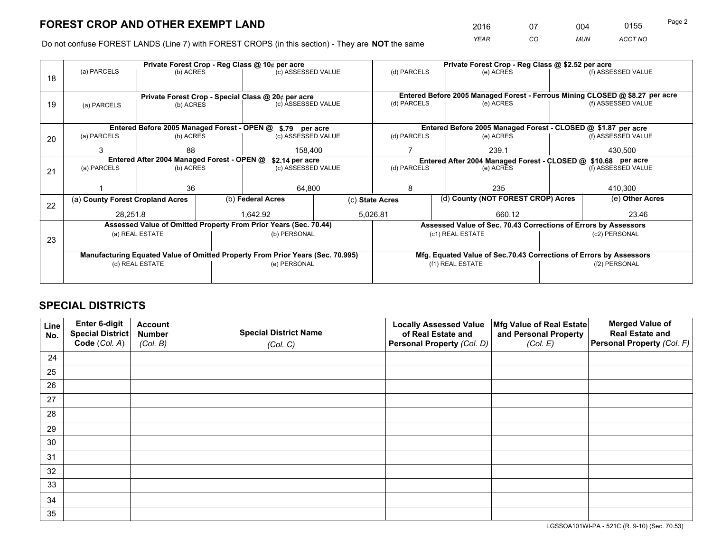*YEAR CO MUN ACCT NO* <sup>2016</sup> <sup>07</sup> <sup>004</sup> <sup>0155</sup>

Do not confuse FOREST LANDS (Line 7) with FOREST CROPS (in this section) - They are **NOT** the same

|    |                                                                                |                 |  | Private Forest Crop - Reg Class @ 10¢ per acre                   |                 | Private Forest Crop - Reg Class @ \$2.52 per acre                            |                                                                    |                                                               |                    |  |
|----|--------------------------------------------------------------------------------|-----------------|--|------------------------------------------------------------------|-----------------|------------------------------------------------------------------------------|--------------------------------------------------------------------|---------------------------------------------------------------|--------------------|--|
| 18 | (a) PARCELS                                                                    | (b) ACRES       |  | (c) ASSESSED VALUE                                               |                 | (d) PARCELS                                                                  | (e) ACRES                                                          |                                                               | (f) ASSESSED VALUE |  |
|    |                                                                                |                 |  |                                                                  |                 |                                                                              |                                                                    |                                                               |                    |  |
|    | Private Forest Crop - Special Class @ 20¢ per acre                             |                 |  |                                                                  |                 | Entered Before 2005 Managed Forest - Ferrous Mining CLOSED @ \$8.27 per acre |                                                                    |                                                               |                    |  |
| 19 | (a) PARCELS                                                                    | (b) ACRES       |  | (c) ASSESSED VALUE                                               |                 | (d) PARCELS                                                                  | (e) ACRES                                                          |                                                               | (f) ASSESSED VALUE |  |
|    |                                                                                |                 |  |                                                                  |                 |                                                                              |                                                                    |                                                               |                    |  |
|    |                                                                                |                 |  | Entered Before 2005 Managed Forest - OPEN @ \$.79 per acre       |                 |                                                                              | Entered Before 2005 Managed Forest - CLOSED @ \$1.87 per acre      |                                                               |                    |  |
| 20 | (a) PARCELS                                                                    | (b) ACRES       |  | (c) ASSESSED VALUE                                               |                 | (d) PARCELS                                                                  | (e) ACRES                                                          |                                                               | (f) ASSESSED VALUE |  |
|    | 3                                                                              | 88<br>158.400   |  |                                                                  |                 | 239.1                                                                        |                                                                    | 430,500                                                       |                    |  |
|    | Entered After 2004 Managed Forest - OPEN @<br>\$2.14 per acre                  |                 |  |                                                                  |                 |                                                                              |                                                                    | Entered After 2004 Managed Forest - CLOSED @ \$10.68 per acre |                    |  |
| 21 | (a) PARCELS                                                                    | (b) ACRES       |  | (c) ASSESSED VALUE                                               |                 | (d) PARCELS<br>(e) ACRES                                                     |                                                                    |                                                               | (f) ASSESSED VALUE |  |
|    |                                                                                |                 |  |                                                                  |                 |                                                                              |                                                                    |                                                               | 410,300            |  |
|    |                                                                                | 36              |  | 64,800                                                           |                 | 8                                                                            | 235                                                                |                                                               |                    |  |
| 22 | (a) County Forest Cropland Acres                                               |                 |  | (b) Federal Acres                                                | (c) State Acres |                                                                              | (d) County (NOT FOREST CROP) Acres                                 |                                                               | (e) Other Acres    |  |
|    | 28,251.8                                                                       |                 |  | 1.642.92                                                         |                 | 5,026.81                                                                     | 660.12                                                             |                                                               | 23.46              |  |
|    |                                                                                |                 |  | Assessed Value of Omitted Property From Prior Years (Sec. 70.44) |                 |                                                                              | Assessed Value of Sec. 70.43 Corrections of Errors by Assessors    |                                                               |                    |  |
| 23 |                                                                                | (a) REAL ESTATE |  | (b) PERSONAL                                                     |                 |                                                                              | (c1) REAL ESTATE                                                   |                                                               | (c2) PERSONAL      |  |
|    |                                                                                |                 |  |                                                                  |                 |                                                                              |                                                                    |                                                               |                    |  |
|    | Manufacturing Equated Value of Omitted Property From Prior Years (Sec. 70.995) |                 |  |                                                                  |                 |                                                                              | Mfg. Equated Value of Sec.70.43 Corrections of Errors by Assessors |                                                               |                    |  |
|    |                                                                                | (d) REAL ESTATE |  | (e) PERSONAL                                                     |                 |                                                                              | (f1) REAL ESTATE                                                   |                                                               | (f2) PERSONAL      |  |
|    |                                                                                |                 |  |                                                                  |                 |                                                                              |                                                                    |                                                               |                    |  |

## **SPECIAL DISTRICTS**

| Line<br>No. | Enter 6-digit<br><b>Special District</b> | <b>Account</b><br><b>Number</b> | <b>Special District Name</b> | <b>Locally Assessed Value</b><br>of Real Estate and | Mfg Value of Real Estate<br>and Personal Property | <b>Merged Value of</b><br><b>Real Estate and</b> |
|-------------|------------------------------------------|---------------------------------|------------------------------|-----------------------------------------------------|---------------------------------------------------|--------------------------------------------------|
|             | Code (Col. A)                            | (Col. B)                        | (Col. C)                     | Personal Property (Col. D)                          | (Col. E)                                          | Personal Property (Col. F)                       |
| 24          |                                          |                                 |                              |                                                     |                                                   |                                                  |
| 25          |                                          |                                 |                              |                                                     |                                                   |                                                  |
| 26          |                                          |                                 |                              |                                                     |                                                   |                                                  |
| 27          |                                          |                                 |                              |                                                     |                                                   |                                                  |
| 28          |                                          |                                 |                              |                                                     |                                                   |                                                  |
| 29          |                                          |                                 |                              |                                                     |                                                   |                                                  |
| 30          |                                          |                                 |                              |                                                     |                                                   |                                                  |
| 31          |                                          |                                 |                              |                                                     |                                                   |                                                  |
| 32          |                                          |                                 |                              |                                                     |                                                   |                                                  |
| 33          |                                          |                                 |                              |                                                     |                                                   |                                                  |
| 34          |                                          |                                 |                              |                                                     |                                                   |                                                  |
| 35          |                                          |                                 |                              |                                                     |                                                   |                                                  |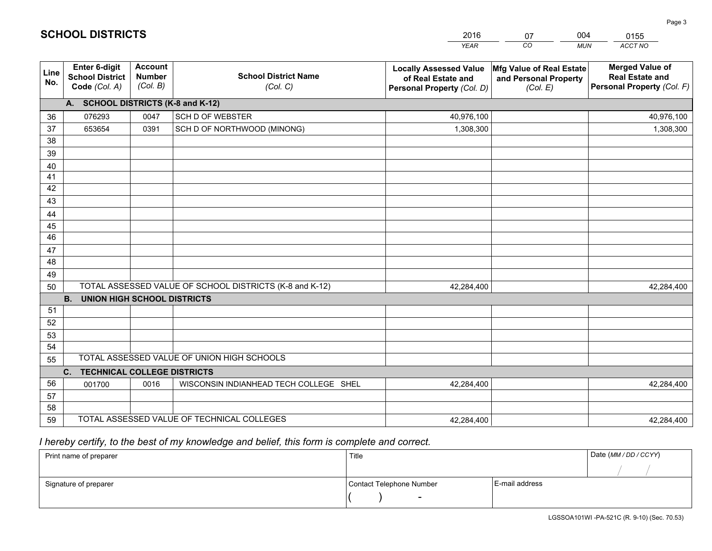|             |                                                                 |                                             |                                                         | <b>YEAR</b>                                                                       | CO<br><b>MUN</b>                                              | ACCT NO                                                                        |
|-------------|-----------------------------------------------------------------|---------------------------------------------|---------------------------------------------------------|-----------------------------------------------------------------------------------|---------------------------------------------------------------|--------------------------------------------------------------------------------|
| Line<br>No. | <b>Enter 6-digit</b><br><b>School District</b><br>Code (Col. A) | <b>Account</b><br><b>Number</b><br>(Col. B) | <b>School District Name</b><br>(Col. C)                 | <b>Locally Assessed Value</b><br>of Real Estate and<br>Personal Property (Col. D) | Mfg Value of Real Estate<br>and Personal Property<br>(Col. E) | <b>Merged Value of</b><br><b>Real Estate and</b><br>Personal Property (Col. F) |
|             | A. SCHOOL DISTRICTS (K-8 and K-12)                              |                                             |                                                         |                                                                                   |                                                               |                                                                                |
| 36          | 076293                                                          | 0047                                        | <b>SCH D OF WEBSTER</b>                                 | 40,976,100                                                                        |                                                               | 40,976,100                                                                     |
| 37          | 653654                                                          | 0391                                        | SCH D OF NORTHWOOD (MINONG)                             | 1,308,300                                                                         |                                                               | 1,308,300                                                                      |
| 38          |                                                                 |                                             |                                                         |                                                                                   |                                                               |                                                                                |
| 39          |                                                                 |                                             |                                                         |                                                                                   |                                                               |                                                                                |
| 40          |                                                                 |                                             |                                                         |                                                                                   |                                                               |                                                                                |
| 41          |                                                                 |                                             |                                                         |                                                                                   |                                                               |                                                                                |
| 42          |                                                                 |                                             |                                                         |                                                                                   |                                                               |                                                                                |
| 43          |                                                                 |                                             |                                                         |                                                                                   |                                                               |                                                                                |
| 44          |                                                                 |                                             |                                                         |                                                                                   |                                                               |                                                                                |
| 45<br>46    |                                                                 |                                             |                                                         |                                                                                   |                                                               |                                                                                |
| 47          |                                                                 |                                             |                                                         |                                                                                   |                                                               |                                                                                |
| 48          |                                                                 |                                             |                                                         |                                                                                   |                                                               |                                                                                |
| 49          |                                                                 |                                             |                                                         |                                                                                   |                                                               |                                                                                |
| 50          |                                                                 |                                             | TOTAL ASSESSED VALUE OF SCHOOL DISTRICTS (K-8 and K-12) | 42,284,400                                                                        |                                                               | 42,284,400                                                                     |
|             | <b>B.</b><br><b>UNION HIGH SCHOOL DISTRICTS</b>                 |                                             |                                                         |                                                                                   |                                                               |                                                                                |
| 51          |                                                                 |                                             |                                                         |                                                                                   |                                                               |                                                                                |
| 52          |                                                                 |                                             |                                                         |                                                                                   |                                                               |                                                                                |
| 53          |                                                                 |                                             |                                                         |                                                                                   |                                                               |                                                                                |
| 54          |                                                                 |                                             |                                                         |                                                                                   |                                                               |                                                                                |
| 55          |                                                                 |                                             | TOTAL ASSESSED VALUE OF UNION HIGH SCHOOLS              |                                                                                   |                                                               |                                                                                |
|             | <b>TECHNICAL COLLEGE DISTRICTS</b><br>C.                        |                                             |                                                         |                                                                                   |                                                               |                                                                                |
| 56          | 001700                                                          | 0016                                        | WISCONSIN INDIANHEAD TECH COLLEGE SHEL                  | 42,284,400                                                                        |                                                               | 42,284,400                                                                     |
| 57          |                                                                 |                                             |                                                         |                                                                                   |                                                               |                                                                                |
| 58          |                                                                 |                                             |                                                         |                                                                                   |                                                               |                                                                                |
| 59          |                                                                 |                                             | TOTAL ASSESSED VALUE OF TECHNICAL COLLEGES              | 42,284,400                                                                        |                                                               | 42,284,400                                                                     |

07

004

 *I hereby certify, to the best of my knowledge and belief, this form is complete and correct.*

**SCHOOL DISTRICTS**

| Print name of preparer | Title                    |                | Date (MM / DD / CCYY) |
|------------------------|--------------------------|----------------|-----------------------|
|                        |                          |                |                       |
| Signature of preparer  | Contact Telephone Number | E-mail address |                       |
|                        | $\sim$                   |                |                       |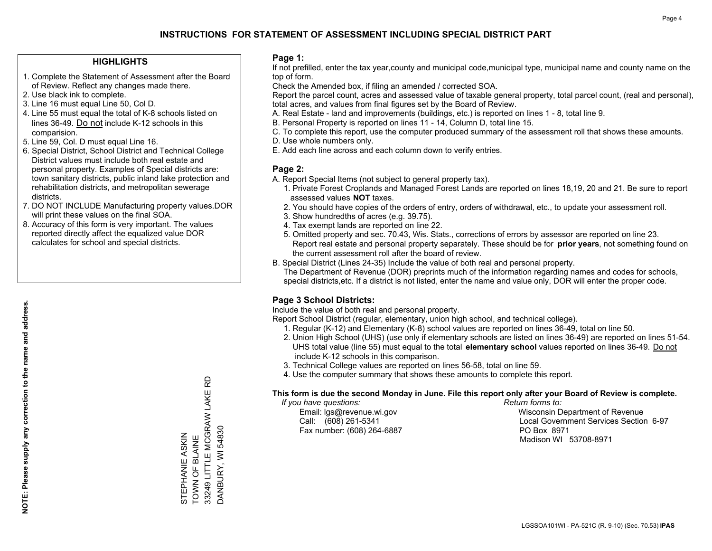#### **HIGHLIGHTS**

- 1. Complete the Statement of Assessment after the Board of Review. Reflect any changes made there.
- 2. Use black ink to complete.
- 3. Line 16 must equal Line 50, Col D.
- 4. Line 55 must equal the total of K-8 schools listed on lines 36-49. Do not include K-12 schools in this comparision.
- 5. Line 59, Col. D must equal Line 16.
- 6. Special District, School District and Technical College District values must include both real estate and personal property. Examples of Special districts are: town sanitary districts, public inland lake protection and rehabilitation districts, and metropolitan sewerage districts.
- 7. DO NOT INCLUDE Manufacturing property values.DOR will print these values on the final SOA.

STEPHANIE ASKIN TOWN OF BLAINE

STEPHANIE ASKIN<br>TOWN OF BLAINE

33249 LITTLE MCGRAW LAKE RD

33249 LITTLE MCGRAW LAKE RD

DANBURY, WI 54830

DANBURY, WI 54830

 8. Accuracy of this form is very important. The values reported directly affect the equalized value DOR calculates for school and special districts.

#### **Page 1:**

 If not prefilled, enter the tax year,county and municipal code,municipal type, municipal name and county name on the top of form.

Check the Amended box, if filing an amended / corrected SOA.

 Report the parcel count, acres and assessed value of taxable general property, total parcel count, (real and personal), total acres, and values from final figures set by the Board of Review.

- A. Real Estate land and improvements (buildings, etc.) is reported on lines 1 8, total line 9.
- B. Personal Property is reported on lines 11 14, Column D, total line 15.
- C. To complete this report, use the computer produced summary of the assessment roll that shows these amounts.
- D. Use whole numbers only.
- E. Add each line across and each column down to verify entries.

#### **Page 2:**

- A. Report Special Items (not subject to general property tax).
- 1. Private Forest Croplands and Managed Forest Lands are reported on lines 18,19, 20 and 21. Be sure to report assessed values **NOT** taxes.
- 2. You should have copies of the orders of entry, orders of withdrawal, etc., to update your assessment roll.
	- 3. Show hundredths of acres (e.g. 39.75).
- 4. Tax exempt lands are reported on line 22.
- 5. Omitted property and sec. 70.43, Wis. Stats., corrections of errors by assessor are reported on line 23. Report real estate and personal property separately. These should be for **prior years**, not something found on the current assessment roll after the board of review.
- B. Special District (Lines 24-35) Include the value of both real and personal property.
- The Department of Revenue (DOR) preprints much of the information regarding names and codes for schools, special districts,etc. If a district is not listed, enter the name and value only, DOR will enter the proper code.

### **Page 3 School Districts:**

Include the value of both real and personal property.

Report School District (regular, elementary, union high school, and technical college).

- 1. Regular (K-12) and Elementary (K-8) school values are reported on lines 36-49, total on line 50.
- 2. Union High School (UHS) (use only if elementary schools are listed on lines 36-49) are reported on lines 51-54. UHS total value (line 55) must equal to the total **elementary school** values reported on lines 36-49. Do notinclude K-12 schools in this comparison.
- 3. Technical College values are reported on lines 56-58, total on line 59.
- 4. Use the computer summary that shows these amounts to complete this report.

#### **This form is due the second Monday in June. File this report only after your Board of Review is complete.**

 *If you have questions: Return forms to:*

Fax number: (608) 264-6887 PO Box 8971

 Email: lgs@revenue.wi.gov Wisconsin Department of Revenue Call: (608) 261-5341 Local Government Services Section 6-97Madison WI 53708-8971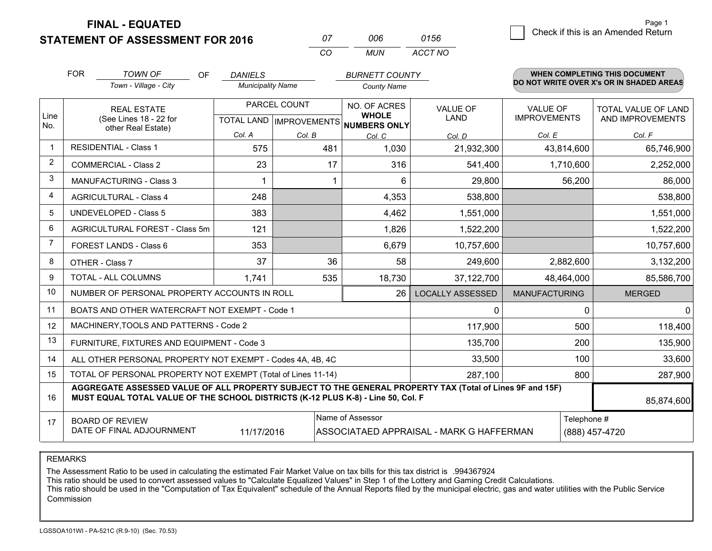**STATEMENT OF ASSESSMENT FOR 2016** 

**FINAL - EQUATED**

|                         | <b>FOR</b> | <b>TOWN OF</b><br>OF                                                                                                                                                                         | <b>DANIELS</b>           |              | <b>BURNETT COUNTY</b>                                      |                         |                                        |             | <b>WHEN COMPLETING THIS DOCUMENT</b>     |
|-------------------------|------------|----------------------------------------------------------------------------------------------------------------------------------------------------------------------------------------------|--------------------------|--------------|------------------------------------------------------------|-------------------------|----------------------------------------|-------------|------------------------------------------|
|                         |            | Town - Village - City                                                                                                                                                                        | <b>Municipality Name</b> |              | <b>County Name</b>                                         |                         |                                        |             | DO NOT WRITE OVER X's OR IN SHADED AREAS |
| Line                    |            | <b>REAL ESTATE</b><br>(See Lines 18 - 22 for                                                                                                                                                 |                          | PARCEL COUNT | NO. OF ACRES<br><b>WHOLE</b>                               | VALUE OF<br><b>LAND</b> | <b>VALUE OF</b><br><b>IMPROVEMENTS</b> |             | TOTAL VALUE OF LAND<br>AND IMPROVEMENTS  |
| No.                     |            | other Real Estate)                                                                                                                                                                           | Col. A                   | Col. B       | TOTAL LAND IMPROVEMENTS NUMBERS ONLY<br>Col. C             | Col. D                  | Col. E                                 |             | Col. F                                   |
| -1                      |            | <b>RESIDENTIAL - Class 1</b>                                                                                                                                                                 | 575                      | 481          | 1,030                                                      | 21,932,300              | 43,814,600                             |             | 65,746,900                               |
| 2                       |            | <b>COMMERCIAL - Class 2</b>                                                                                                                                                                  | 23                       |              | 316<br>17                                                  | 541,400                 | 1,710,600                              |             | 2,252,000                                |
| 3                       |            | <b>MANUFACTURING - Class 3</b>                                                                                                                                                               |                          |              | 6                                                          | 29,800                  |                                        | 56,200      | 86,000                                   |
| $\overline{\mathbf{4}}$ |            | <b>AGRICULTURAL - Class 4</b>                                                                                                                                                                | 248                      |              | 4,353                                                      | 538,800                 |                                        |             | 538,800                                  |
| 5                       |            | <b>UNDEVELOPED - Class 5</b>                                                                                                                                                                 | 383                      |              | 4,462                                                      | 1,551,000               |                                        |             | 1,551,000                                |
| 6                       |            | AGRICULTURAL FOREST - Class 5m                                                                                                                                                               | 121                      |              | 1,826                                                      | 1,522,200               |                                        |             | 1,522,200                                |
| $\overline{7}$          |            | FOREST LANDS - Class 6                                                                                                                                                                       | 353                      |              | 6,679                                                      | 10,757,600              |                                        |             | 10,757,600                               |
| 8                       |            | OTHER - Class 7                                                                                                                                                                              | 37                       |              | 36<br>58                                                   | 249,600                 | 2,882,600                              |             | 3,132,200                                |
| $\mathbf{Q}$            |            | TOTAL - ALL COLUMNS                                                                                                                                                                          | 1,741                    | 535          | 18,730                                                     | 37,122,700              | 48,464,000                             |             | 85,586,700                               |
| 10                      |            | NUMBER OF PERSONAL PROPERTY ACCOUNTS IN ROLL                                                                                                                                                 |                          |              | 26                                                         | <b>LOCALLY ASSESSED</b> | <b>MANUFACTURING</b>                   |             | <b>MERGED</b>                            |
| 11                      |            | BOATS AND OTHER WATERCRAFT NOT EXEMPT - Code 1                                                                                                                                               |                          |              |                                                            | $\Omega$                |                                        | 0           | $\Omega$                                 |
| 12                      |            | MACHINERY, TOOLS AND PATTERNS - Code 2                                                                                                                                                       |                          |              |                                                            | 117,900                 |                                        | 500         | 118,400                                  |
| 13                      |            | FURNITURE, FIXTURES AND EQUIPMENT - Code 3                                                                                                                                                   |                          |              |                                                            | 135,700                 |                                        | 200         | 135,900                                  |
| 14                      |            | ALL OTHER PERSONAL PROPERTY NOT EXEMPT - Codes 4A, 4B, 4C                                                                                                                                    |                          |              |                                                            | 33,500                  |                                        | 100         | 33,600                                   |
| 15                      |            | TOTAL OF PERSONAL PROPERTY NOT EXEMPT (Total of Lines 11-14)                                                                                                                                 |                          | 287,100      |                                                            | 800                     | 287,900                                |             |                                          |
| 16                      |            | AGGREGATE ASSESSED VALUE OF ALL PROPERTY SUBJECT TO THE GENERAL PROPERTY TAX (Total of Lines 9F and 15F)<br>MUST EQUAL TOTAL VALUE OF THE SCHOOL DISTRICTS (K-12 PLUS K-8) - Line 50, Col. F |                          |              |                                                            |                         |                                        |             | 85,874,600                               |
| 17                      |            | <b>BOARD OF REVIEW</b>                                                                                                                                                                       |                          |              | Name of Assessor                                           |                         |                                        | Telephone # |                                          |
|                         |            | DATE OF FINAL ADJOURNMENT                                                                                                                                                                    | 11/17/2016               |              | (888) 457-4720<br>ASSOCIATAED APPRAISAL - MARK G HAFFERMAN |                         |                                        |             |                                          |

*CO*

*MUN*

*ACCT NO0156*

*<sup>07</sup> <sup>006</sup>*

REMARKS

The Assessment Ratio to be used in calculating the estimated Fair Market Value on tax bills for this tax district is .994367924<br>This ratio should be used to convert assessed values to "Calculate Equalized Values" in Step 1 Commission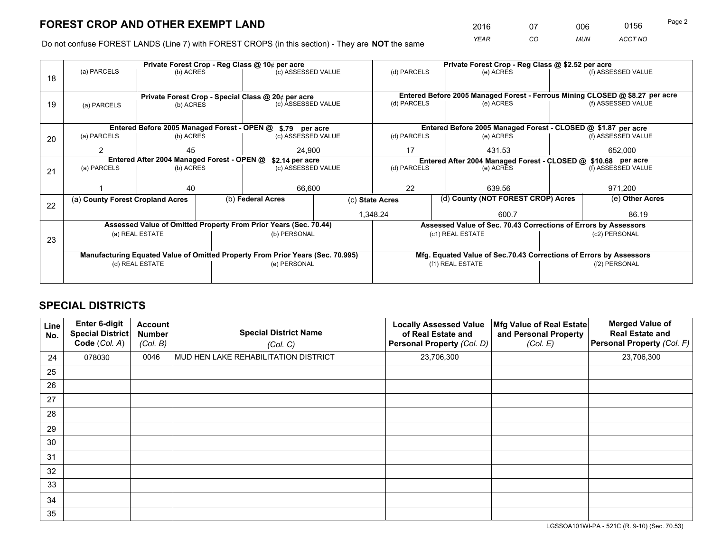*YEAR CO MUN ACCT NO* <sup>2016</sup> <sup>07</sup> <sup>006</sup> <sup>0156</sup>

Do not confuse FOREST LANDS (Line 7) with FOREST CROPS (in this section) - They are **NOT** the same

|    |                                                                                |                                                               |  | Private Forest Crop - Reg Class @ 10¢ per acre                   |  | Private Forest Crop - Reg Class @ \$2.52 per acre                            |                                                                    |                    |                    |  |
|----|--------------------------------------------------------------------------------|---------------------------------------------------------------|--|------------------------------------------------------------------|--|------------------------------------------------------------------------------|--------------------------------------------------------------------|--------------------|--------------------|--|
| 18 | (a) PARCELS                                                                    | (b) ACRES                                                     |  | (c) ASSESSED VALUE                                               |  | (d) PARCELS                                                                  | (e) ACRES                                                          |                    | (f) ASSESSED VALUE |  |
|    |                                                                                |                                                               |  |                                                                  |  |                                                                              |                                                                    |                    |                    |  |
|    |                                                                                |                                                               |  | Private Forest Crop - Special Class @ 20¢ per acre               |  | Entered Before 2005 Managed Forest - Ferrous Mining CLOSED @ \$8.27 per acre |                                                                    |                    |                    |  |
| 19 | (a) PARCELS                                                                    | (b) ACRES                                                     |  | (c) ASSESSED VALUE                                               |  | (d) PARCELS                                                                  | (e) ACRES                                                          |                    | (f) ASSESSED VALUE |  |
|    |                                                                                |                                                               |  |                                                                  |  |                                                                              |                                                                    |                    |                    |  |
|    | Entered Before 2005 Managed Forest - OPEN @ \$.79 per acre                     |                                                               |  |                                                                  |  | Entered Before 2005 Managed Forest - CLOSED @ \$1.87 per acre                |                                                                    |                    |                    |  |
| 20 | (a) PARCELS                                                                    | (b) ACRES                                                     |  | (c) ASSESSED VALUE                                               |  | (d) PARCELS                                                                  | (e) ACRES                                                          |                    | (f) ASSESSED VALUE |  |
|    | 2                                                                              | 45                                                            |  | 24.900                                                           |  | 17                                                                           | 431.53                                                             |                    | 652.000            |  |
|    |                                                                                | Entered After 2004 Managed Forest - OPEN @<br>\$2.14 per acre |  |                                                                  |  |                                                                              | Entered After 2004 Managed Forest - CLOSED @ \$10.68 per acre      |                    |                    |  |
| 21 | (a) PARCELS                                                                    | (b) ACRES                                                     |  | (c) ASSESSED VALUE                                               |  | (d) PARCELS<br>(e) ACRES                                                     |                                                                    | (f) ASSESSED VALUE |                    |  |
|    |                                                                                |                                                               |  |                                                                  |  |                                                                              |                                                                    |                    |                    |  |
|    |                                                                                | 40                                                            |  | 66,600                                                           |  | 22<br>639.56                                                                 |                                                                    |                    | 971,200            |  |
|    | (a) County Forest Cropland Acres                                               |                                                               |  | (b) Federal Acres                                                |  | (d) County (NOT FOREST CROP) Acres<br>(c) State Acres                        |                                                                    | (e) Other Acres    |                    |  |
| 22 |                                                                                |                                                               |  |                                                                  |  |                                                                              |                                                                    |                    |                    |  |
|    |                                                                                |                                                               |  |                                                                  |  | 1,348.24                                                                     | 600.7                                                              |                    | 86.19              |  |
|    |                                                                                |                                                               |  | Assessed Value of Omitted Property From Prior Years (Sec. 70.44) |  |                                                                              | Assessed Value of Sec. 70.43 Corrections of Errors by Assessors    |                    |                    |  |
| 23 |                                                                                | (a) REAL ESTATE                                               |  | (b) PERSONAL                                                     |  |                                                                              | (c1) REAL ESTATE                                                   |                    | (c2) PERSONAL      |  |
|    |                                                                                |                                                               |  |                                                                  |  |                                                                              |                                                                    |                    |                    |  |
|    | Manufacturing Equated Value of Omitted Property From Prior Years (Sec. 70.995) |                                                               |  |                                                                  |  |                                                                              | Mfg. Equated Value of Sec.70.43 Corrections of Errors by Assessors |                    |                    |  |
|    |                                                                                | (d) REAL ESTATE                                               |  | (e) PERSONAL                                                     |  | (f1) REAL ESTATE                                                             |                                                                    |                    | (f2) PERSONAL      |  |
|    |                                                                                |                                                               |  |                                                                  |  |                                                                              |                                                                    |                    |                    |  |
|    |                                                                                |                                                               |  |                                                                  |  |                                                                              |                                                                    |                    |                    |  |

## **SPECIAL DISTRICTS**

| Line<br>No. | Enter 6-digit<br><b>Special District</b><br>Code (Col. A) | <b>Account</b><br><b>Number</b><br>(Col. B) | <b>Special District Name</b><br>(Col. C) | <b>Locally Assessed Value</b><br>of Real Estate and<br>Personal Property (Col. D) | Mfg Value of Real Estate<br>and Personal Property<br>(Col. E) | <b>Merged Value of</b><br><b>Real Estate and</b><br>Personal Property (Col. F) |
|-------------|-----------------------------------------------------------|---------------------------------------------|------------------------------------------|-----------------------------------------------------------------------------------|---------------------------------------------------------------|--------------------------------------------------------------------------------|
| 24          | 078030                                                    | 0046                                        | MUD HEN LAKE REHABILITATION DISTRICT     | 23,706,300                                                                        |                                                               | 23,706,300                                                                     |
| 25          |                                                           |                                             |                                          |                                                                                   |                                                               |                                                                                |
| 26          |                                                           |                                             |                                          |                                                                                   |                                                               |                                                                                |
| 27          |                                                           |                                             |                                          |                                                                                   |                                                               |                                                                                |
| 28          |                                                           |                                             |                                          |                                                                                   |                                                               |                                                                                |
| 29          |                                                           |                                             |                                          |                                                                                   |                                                               |                                                                                |
| 30          |                                                           |                                             |                                          |                                                                                   |                                                               |                                                                                |
| 31          |                                                           |                                             |                                          |                                                                                   |                                                               |                                                                                |
| 32          |                                                           |                                             |                                          |                                                                                   |                                                               |                                                                                |
| 33          |                                                           |                                             |                                          |                                                                                   |                                                               |                                                                                |
| 34          |                                                           |                                             |                                          |                                                                                   |                                                               |                                                                                |
| 35          |                                                           |                                             |                                          |                                                                                   |                                                               |                                                                                |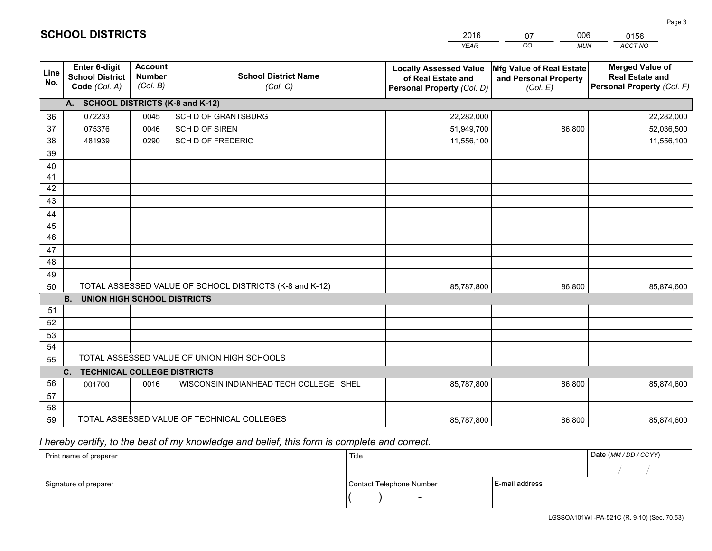|             |                                                          |                                             |                                                         | <b>YEAR</b>                                                                       | CO<br><b>MUN</b>                                              | ACCT NO                                                                        |
|-------------|----------------------------------------------------------|---------------------------------------------|---------------------------------------------------------|-----------------------------------------------------------------------------------|---------------------------------------------------------------|--------------------------------------------------------------------------------|
| Line<br>No. | Enter 6-digit<br><b>School District</b><br>Code (Col. A) | <b>Account</b><br><b>Number</b><br>(Col. B) | <b>School District Name</b><br>(Col. C)                 | <b>Locally Assessed Value</b><br>of Real Estate and<br>Personal Property (Col. D) | Mfg Value of Real Estate<br>and Personal Property<br>(Col. E) | <b>Merged Value of</b><br><b>Real Estate and</b><br>Personal Property (Col. F) |
|             | A. SCHOOL DISTRICTS (K-8 and K-12)                       |                                             |                                                         |                                                                                   |                                                               |                                                                                |
| 36          | 072233                                                   | 0045                                        | SCH D OF GRANTSBURG                                     | 22,282,000                                                                        |                                                               | 22,282,000                                                                     |
| 37          | 075376                                                   | 0046                                        | SCH D OF SIREN                                          | 51,949,700                                                                        | 86,800                                                        | 52,036,500                                                                     |
| 38          | 481939                                                   | 0290                                        | <b>SCH D OF FREDERIC</b>                                | 11,556,100                                                                        |                                                               | 11,556,100                                                                     |
| 39          |                                                          |                                             |                                                         |                                                                                   |                                                               |                                                                                |
| 40          |                                                          |                                             |                                                         |                                                                                   |                                                               |                                                                                |
| 41          |                                                          |                                             |                                                         |                                                                                   |                                                               |                                                                                |
| 42          |                                                          |                                             |                                                         |                                                                                   |                                                               |                                                                                |
| 43          |                                                          |                                             |                                                         |                                                                                   |                                                               |                                                                                |
| 44          |                                                          |                                             |                                                         |                                                                                   |                                                               |                                                                                |
| 45<br>46    |                                                          |                                             |                                                         |                                                                                   |                                                               |                                                                                |
|             |                                                          |                                             |                                                         |                                                                                   |                                                               |                                                                                |
| 47<br>48    |                                                          |                                             |                                                         |                                                                                   |                                                               |                                                                                |
| 49          |                                                          |                                             |                                                         |                                                                                   |                                                               |                                                                                |
| 50          |                                                          |                                             | TOTAL ASSESSED VALUE OF SCHOOL DISTRICTS (K-8 and K-12) | 85,787,800                                                                        | 86,800                                                        | 85,874,600                                                                     |
|             | <b>B.</b><br><b>UNION HIGH SCHOOL DISTRICTS</b>          |                                             |                                                         |                                                                                   |                                                               |                                                                                |
| 51          |                                                          |                                             |                                                         |                                                                                   |                                                               |                                                                                |
| 52          |                                                          |                                             |                                                         |                                                                                   |                                                               |                                                                                |
| 53          |                                                          |                                             |                                                         |                                                                                   |                                                               |                                                                                |
| 54          |                                                          |                                             |                                                         |                                                                                   |                                                               |                                                                                |
| 55          |                                                          |                                             | TOTAL ASSESSED VALUE OF UNION HIGH SCHOOLS              |                                                                                   |                                                               |                                                                                |
|             | C.<br><b>TECHNICAL COLLEGE DISTRICTS</b>                 |                                             |                                                         |                                                                                   |                                                               |                                                                                |
| 56          | 001700                                                   | 0016                                        | WISCONSIN INDIANHEAD TECH COLLEGE SHEL                  | 85,787,800                                                                        | 86,800                                                        | 85,874,600                                                                     |
| 57          |                                                          |                                             |                                                         |                                                                                   |                                                               |                                                                                |
| 58          |                                                          |                                             |                                                         |                                                                                   |                                                               |                                                                                |
| 59          |                                                          |                                             | TOTAL ASSESSED VALUE OF TECHNICAL COLLEGES              | 85,787,800                                                                        | 86,800                                                        | 85,874,600                                                                     |

07

006

 *I hereby certify, to the best of my knowledge and belief, this form is complete and correct.*

**SCHOOL DISTRICTS**

| Print name of preparer | Title                    |                | Date (MM / DD / CCYY) |
|------------------------|--------------------------|----------------|-----------------------|
|                        |                          |                |                       |
| Signature of preparer  | Contact Telephone Number | E-mail address |                       |
|                        |                          |                |                       |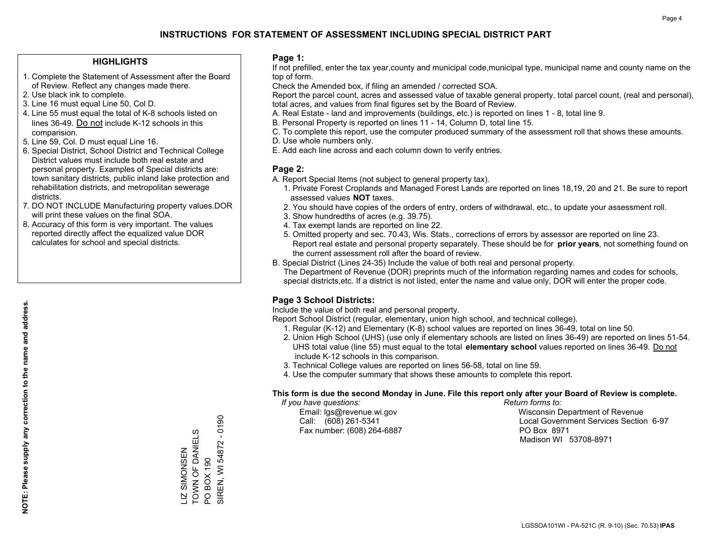#### **HIGHLIGHTS**

- 1. Complete the Statement of Assessment after the Board of Review. Reflect any changes made there.
- 2. Use black ink to complete.
- 3. Line 16 must equal Line 50, Col D.
- 4. Line 55 must equal the total of K-8 schools listed on lines 36-49. Do not include K-12 schools in this comparision.
- 5. Line 59, Col. D must equal Line 16.
- 6. Special District, School District and Technical College District values must include both real estate and personal property. Examples of Special districts are: town sanitary districts, public inland lake protection and rehabilitation districts, and metropolitan sewerage districts.
- 7. DO NOT INCLUDE Manufacturing property values.DOR will print these values on the final SOA.

LIZ SIMONSEN TOWN OF DANIELS

LIZ SIMONSEN<br>TOWN OF DANIE

ELS

PO BOX 190

PO BOX 190

SIREN, WI 54872 - 0190

SIREN, WI 54872

 $-0190$ 

 8. Accuracy of this form is very important. The values reported directly affect the equalized value DOR calculates for school and special districts.

#### **Page 1:**

 If not prefilled, enter the tax year,county and municipal code,municipal type, municipal name and county name on the top of form.

Check the Amended box, if filing an amended / corrected SOA.

 Report the parcel count, acres and assessed value of taxable general property, total parcel count, (real and personal), total acres, and values from final figures set by the Board of Review.

- A. Real Estate land and improvements (buildings, etc.) is reported on lines 1 8, total line 9.
- B. Personal Property is reported on lines 11 14, Column D, total line 15.
- C. To complete this report, use the computer produced summary of the assessment roll that shows these amounts.
- D. Use whole numbers only.
- E. Add each line across and each column down to verify entries.

#### **Page 2:**

- A. Report Special Items (not subject to general property tax).
- 1. Private Forest Croplands and Managed Forest Lands are reported on lines 18,19, 20 and 21. Be sure to report assessed values **NOT** taxes.
- 2. You should have copies of the orders of entry, orders of withdrawal, etc., to update your assessment roll.
	- 3. Show hundredths of acres (e.g. 39.75).
- 4. Tax exempt lands are reported on line 22.
- 5. Omitted property and sec. 70.43, Wis. Stats., corrections of errors by assessor are reported on line 23. Report real estate and personal property separately. These should be for **prior years**, not something found on the current assessment roll after the board of review.
- B. Special District (Lines 24-35) Include the value of both real and personal property.
- The Department of Revenue (DOR) preprints much of the information regarding names and codes for schools, special districts,etc. If a district is not listed, enter the name and value only, DOR will enter the proper code.

### **Page 3 School Districts:**

Include the value of both real and personal property.

Report School District (regular, elementary, union high school, and technical college).

- 1. Regular (K-12) and Elementary (K-8) school values are reported on lines 36-49, total on line 50.
- 2. Union High School (UHS) (use only if elementary schools are listed on lines 36-49) are reported on lines 51-54. UHS total value (line 55) must equal to the total **elementary school** values reported on lines 36-49. Do notinclude K-12 schools in this comparison.
- 3. Technical College values are reported on lines 56-58, total on line 59.
- 4. Use the computer summary that shows these amounts to complete this report.

#### **This form is due the second Monday in June. File this report only after your Board of Review is complete.**

 *If you have questions: Return forms to:*

Fax number: (608) 264-6887 PO Box 8971

 Email: lgs@revenue.wi.gov Wisconsin Department of Revenue Call: (608) 261-5341 Local Government Services Section 6-97Madison WI 53708-8971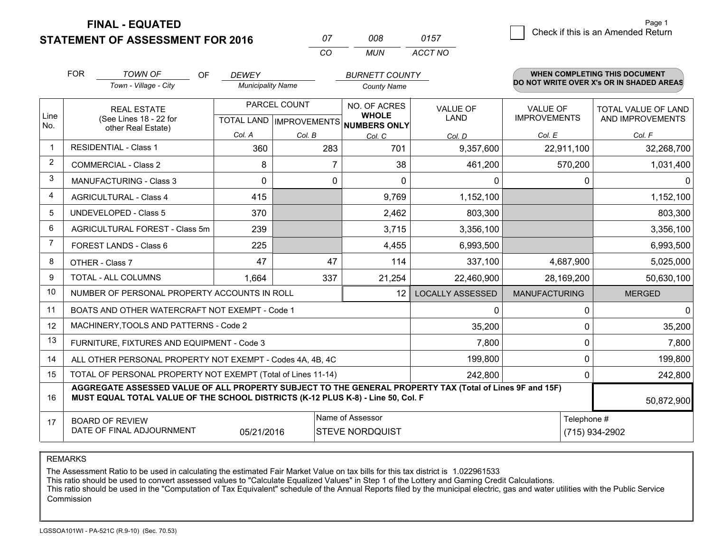**STATEMENT OF ASSESSMENT FOR 2016** 

**FINAL - EQUATED**

| 07 | nnr   | 0157    |
|----|-------|---------|
| cо | MI IN | ACCT NO |

|                | <b>FOR</b>                                                                                                                                                                                   | <b>TOWN OF</b><br><b>OF</b>                                  | <b>DEWEY</b>             |                                           | <b>BURNETT COUNTY</b>        |                                |                                        | WHEN COMPLETING THIS DOCUMENT                  |
|----------------|----------------------------------------------------------------------------------------------------------------------------------------------------------------------------------------------|--------------------------------------------------------------|--------------------------|-------------------------------------------|------------------------------|--------------------------------|----------------------------------------|------------------------------------------------|
|                |                                                                                                                                                                                              | Town - Village - City                                        | <b>Municipality Name</b> |                                           | <b>County Name</b>           |                                |                                        | DO NOT WRITE OVER X's OR IN SHADED AREAS       |
| Line           |                                                                                                                                                                                              | <b>REAL ESTATE</b><br>(See Lines 18 - 22 for                 |                          | PARCEL COUNT<br>TOTAL LAND   IMPROVEMENTS | NO. OF ACRES<br><b>WHOLE</b> | <b>VALUE OF</b><br><b>LAND</b> | <b>VALUE OF</b><br><b>IMPROVEMENTS</b> | <b>TOTAL VALUE OF LAND</b><br>AND IMPROVEMENTS |
| No.            |                                                                                                                                                                                              | other Real Estate)                                           | Col. A                   | Col. B                                    | NUMBERS ONLY                 | Col. D                         | Col. E                                 | Col. F                                         |
| $\mathbf{1}$   |                                                                                                                                                                                              | <b>RESIDENTIAL - Class 1</b>                                 | 360                      | 283                                       | Col. C<br>701                | 9,357,600                      | 22,911,100                             | 32,268,700                                     |
| 2              |                                                                                                                                                                                              | <b>COMMERCIAL - Class 2</b>                                  | 8                        |                                           | 38                           | 461,200                        | 570,200                                | 1,031,400                                      |
| 3              |                                                                                                                                                                                              | <b>MANUFACTURING - Class 3</b>                               | 0                        | 0                                         | $\mathbf{0}$                 | 0                              | 0                                      | $\mathbf{0}$                                   |
| 4              |                                                                                                                                                                                              | <b>AGRICULTURAL - Class 4</b>                                | 415                      |                                           | 9,769                        | 1,152,100                      |                                        | 1,152,100                                      |
| 5              |                                                                                                                                                                                              | <b>UNDEVELOPED - Class 5</b>                                 | 370                      |                                           | 2,462                        | 803,300                        |                                        | 803,300                                        |
| 6              |                                                                                                                                                                                              | AGRICULTURAL FOREST - Class 5m                               | 239                      |                                           | 3,715                        | 3,356,100                      |                                        | 3,356,100                                      |
| $\overline{7}$ |                                                                                                                                                                                              | FOREST LANDS - Class 6                                       | 225                      |                                           | 4,455                        | 6,993,500                      |                                        | 6,993,500                                      |
| 8              |                                                                                                                                                                                              | OTHER - Class 7                                              | 47                       | 47                                        | 114                          | 337,100                        | 4,687,900                              | 5,025,000                                      |
| 9              |                                                                                                                                                                                              | TOTAL - ALL COLUMNS                                          | 1,664                    | 337                                       | 21,254                       | 22,460,900                     | 28,169,200                             | 50,630,100                                     |
| 10             |                                                                                                                                                                                              | NUMBER OF PERSONAL PROPERTY ACCOUNTS IN ROLL                 |                          |                                           | 12                           | <b>LOCALLY ASSESSED</b>        | <b>MANUFACTURING</b>                   | <b>MERGED</b>                                  |
| 11             |                                                                                                                                                                                              | BOATS AND OTHER WATERCRAFT NOT EXEMPT - Code 1               |                          |                                           |                              | 0                              | $\Omega$                               | 0                                              |
| 12             |                                                                                                                                                                                              | MACHINERY, TOOLS AND PATTERNS - Code 2                       |                          |                                           |                              | 35,200                         | $\Omega$                               | 35,200                                         |
| 13             |                                                                                                                                                                                              | FURNITURE, FIXTURES AND EQUIPMENT - Code 3                   |                          |                                           |                              | 7,800                          | $\Omega$                               | 7,800                                          |
| 14             |                                                                                                                                                                                              | ALL OTHER PERSONAL PROPERTY NOT EXEMPT - Codes 4A, 4B, 4C    |                          |                                           | 199,800                      | 0                              | 199,800                                |                                                |
| 15             |                                                                                                                                                                                              | TOTAL OF PERSONAL PROPERTY NOT EXEMPT (Total of Lines 11-14) |                          | 242,800                                   | $\Omega$                     | 242,800                        |                                        |                                                |
| 16             | AGGREGATE ASSESSED VALUE OF ALL PROPERTY SUBJECT TO THE GENERAL PROPERTY TAX (Total of Lines 9F and 15F)<br>MUST EQUAL TOTAL VALUE OF THE SCHOOL DISTRICTS (K-12 PLUS K-8) - Line 50, Col. F |                                                              |                          |                                           |                              |                                |                                        | 50,872,900                                     |
| 17             |                                                                                                                                                                                              | <b>BOARD OF REVIEW</b>                                       |                          |                                           | Name of Assessor             |                                | Telephone #                            |                                                |
|                | DATE OF FINAL ADJOURNMENT<br>05/21/2016<br><b>STEVE NORDQUIST</b>                                                                                                                            |                                                              |                          |                                           |                              |                                |                                        | (715) 934-2902                                 |

REMARKS

The Assessment Ratio to be used in calculating the estimated Fair Market Value on tax bills for this tax district is 1.022961533<br>This ratio should be used to convert assessed values to "Calculate Equalized Values" in Step Commission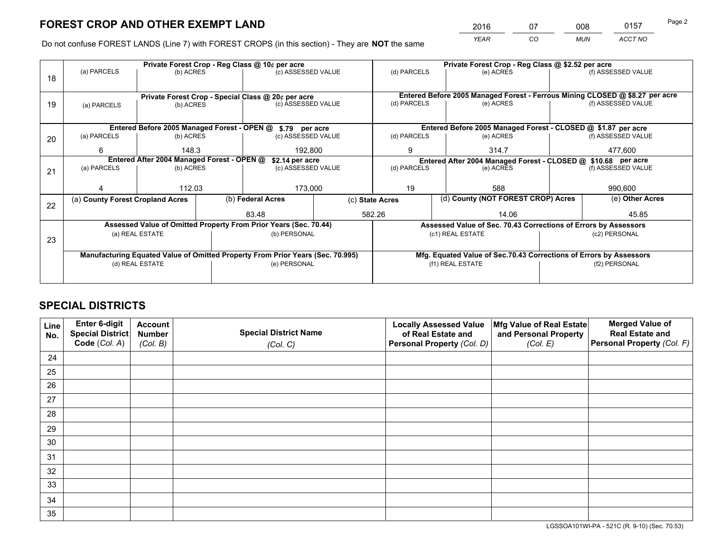*YEAR CO MUN ACCT NO* <sup>2016</sup> <sup>07</sup> <sup>008</sup> <sup>0157</sup>

Do not confuse FOREST LANDS (Line 7) with FOREST CROPS (in this section) - They are **NOT** the same

|    | Private Forest Crop - Reg Class @ 10¢ per acre                                 |                                                                                       |  |                                                                  |                                                                    | Private Forest Crop - Reg Class @ \$2.52 per acre                        |                                                                              |                    |                    |  |
|----|--------------------------------------------------------------------------------|---------------------------------------------------------------------------------------|--|------------------------------------------------------------------|--------------------------------------------------------------------|--------------------------------------------------------------------------|------------------------------------------------------------------------------|--------------------|--------------------|--|
| 18 | (a) PARCELS                                                                    | (b) ACRES                                                                             |  | (c) ASSESSED VALUE                                               |                                                                    | (d) PARCELS                                                              | (e) ACRES                                                                    |                    | (f) ASSESSED VALUE |  |
|    |                                                                                |                                                                                       |  |                                                                  |                                                                    |                                                                          | Entered Before 2005 Managed Forest - Ferrous Mining CLOSED @ \$8.27 per acre |                    |                    |  |
| 19 | (a) PARCELS                                                                    | Private Forest Crop - Special Class @ 20¢ per acre<br>(c) ASSESSED VALUE<br>(b) ACRES |  |                                                                  | (d) PARCELS<br>(e) ACRES                                           |                                                                          |                                                                              | (f) ASSESSED VALUE |                    |  |
|    |                                                                                |                                                                                       |  |                                                                  |                                                                    |                                                                          |                                                                              |                    |                    |  |
|    |                                                                                |                                                                                       |  |                                                                  |                                                                    |                                                                          |                                                                              |                    |                    |  |
|    | Entered Before 2005 Managed Forest - OPEN @ \$.79 per acre                     |                                                                                       |  |                                                                  | Entered Before 2005 Managed Forest - CLOSED @ \$1.87 per acre      |                                                                          |                                                                              |                    |                    |  |
| 20 | (a) PARCELS                                                                    | (b) ACRES                                                                             |  | (c) ASSESSED VALUE                                               |                                                                    | (d) PARCELS                                                              | (e) ACRES                                                                    |                    | (f) ASSESSED VALUE |  |
|    | 6                                                                              | 148.3                                                                                 |  | 192,800                                                          |                                                                    | 9                                                                        | 314.7                                                                        |                    | 477.600            |  |
|    |                                                                                | Entered After 2004 Managed Forest - OPEN @<br>\$2.14 per acre                         |  |                                                                  |                                                                    | Entered After 2004 Managed Forest - CLOSED @ \$10.68 per acre            |                                                                              |                    |                    |  |
| 21 | (a) PARCELS                                                                    | (b) ACRES                                                                             |  | (c) ASSESSED VALUE                                               |                                                                    | (d) PARCELS<br>(e) ACRES                                                 |                                                                              |                    | (f) ASSESSED VALUE |  |
|    |                                                                                |                                                                                       |  |                                                                  |                                                                    |                                                                          |                                                                              |                    |                    |  |
|    |                                                                                | 112.03                                                                                |  | 173,000                                                          |                                                                    | 19<br>588                                                                |                                                                              |                    | 990,600            |  |
|    | (a) County Forest Cropland Acres                                               |                                                                                       |  | (b) Federal Acres                                                |                                                                    | (d) County (NOT FOREST CROP) Acres<br>(e) Other Acres<br>(c) State Acres |                                                                              |                    |                    |  |
| 22 |                                                                                |                                                                                       |  |                                                                  |                                                                    |                                                                          |                                                                              |                    |                    |  |
|    |                                                                                |                                                                                       |  | 83.48                                                            |                                                                    | 582.26                                                                   | 14.06                                                                        |                    | 45.85              |  |
|    |                                                                                |                                                                                       |  | Assessed Value of Omitted Property From Prior Years (Sec. 70.44) |                                                                    | Assessed Value of Sec. 70.43 Corrections of Errors by Assessors          |                                                                              |                    |                    |  |
| 23 |                                                                                | (a) REAL ESTATE                                                                       |  | (b) PERSONAL                                                     |                                                                    |                                                                          | (c1) REAL ESTATE<br>(c2) PERSONAL                                            |                    |                    |  |
|    |                                                                                |                                                                                       |  |                                                                  |                                                                    |                                                                          |                                                                              |                    |                    |  |
|    | Manufacturing Equated Value of Omitted Property From Prior Years (Sec. 70.995) |                                                                                       |  |                                                                  | Mfg. Equated Value of Sec.70.43 Corrections of Errors by Assessors |                                                                          |                                                                              |                    |                    |  |
|    | (d) REAL ESTATE                                                                |                                                                                       |  | (e) PERSONAL                                                     |                                                                    | (f1) REAL ESTATE                                                         |                                                                              |                    | (f2) PERSONAL      |  |
|    |                                                                                |                                                                                       |  |                                                                  |                                                                    |                                                                          |                                                                              |                    |                    |  |
|    |                                                                                |                                                                                       |  |                                                                  |                                                                    |                                                                          |                                                                              |                    |                    |  |

## **SPECIAL DISTRICTS**

| Line<br>No. | Enter 6-digit<br>Special District<br>Code (Col. A) | <b>Account</b><br><b>Number</b> | <b>Special District Name</b> | <b>Locally Assessed Value</b><br>of Real Estate and | Mfg Value of Real Estate<br>and Personal Property | <b>Merged Value of</b><br><b>Real Estate and</b><br>Personal Property (Col. F) |
|-------------|----------------------------------------------------|---------------------------------|------------------------------|-----------------------------------------------------|---------------------------------------------------|--------------------------------------------------------------------------------|
|             |                                                    | (Col. B)                        | (Col. C)                     | Personal Property (Col. D)                          | (Col. E)                                          |                                                                                |
| 24          |                                                    |                                 |                              |                                                     |                                                   |                                                                                |
| 25          |                                                    |                                 |                              |                                                     |                                                   |                                                                                |
| 26          |                                                    |                                 |                              |                                                     |                                                   |                                                                                |
| 27          |                                                    |                                 |                              |                                                     |                                                   |                                                                                |
| 28          |                                                    |                                 |                              |                                                     |                                                   |                                                                                |
| 29          |                                                    |                                 |                              |                                                     |                                                   |                                                                                |
| 30          |                                                    |                                 |                              |                                                     |                                                   |                                                                                |
| 31          |                                                    |                                 |                              |                                                     |                                                   |                                                                                |
| 32          |                                                    |                                 |                              |                                                     |                                                   |                                                                                |
| 33          |                                                    |                                 |                              |                                                     |                                                   |                                                                                |
| 34          |                                                    |                                 |                              |                                                     |                                                   |                                                                                |
| 35          |                                                    |                                 |                              |                                                     |                                                   |                                                                                |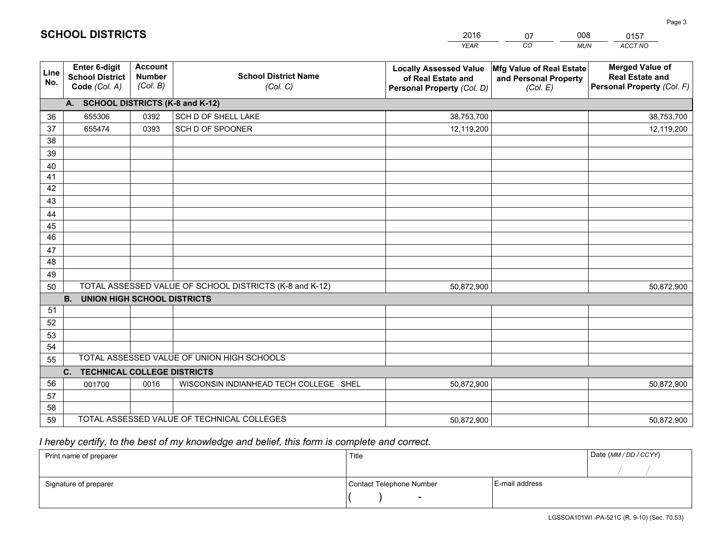|             |                                                          |                                             |                                                         | <b>YEAR</b>                                                                       | CO<br><b>MUN</b>                                              | ACCT NO                                                                        |
|-------------|----------------------------------------------------------|---------------------------------------------|---------------------------------------------------------|-----------------------------------------------------------------------------------|---------------------------------------------------------------|--------------------------------------------------------------------------------|
| Line<br>No. | Enter 6-digit<br><b>School District</b><br>Code (Col. A) | <b>Account</b><br><b>Number</b><br>(Col. B) | <b>School District Name</b><br>(Col. C)                 | <b>Locally Assessed Value</b><br>of Real Estate and<br>Personal Property (Col. D) | Mfg Value of Real Estate<br>and Personal Property<br>(Col. E) | <b>Merged Value of</b><br><b>Real Estate and</b><br>Personal Property (Col. F) |
|             | A. SCHOOL DISTRICTS (K-8 and K-12)                       |                                             |                                                         |                                                                                   |                                                               |                                                                                |
| 36          | 655306                                                   | 0392                                        | SCH D OF SHELL LAKE                                     | 38,753,700                                                                        |                                                               | 38,753,700                                                                     |
| 37          | 655474                                                   | 0393                                        | SCH D OF SPOONER                                        | 12,119,200                                                                        |                                                               | 12,119,200                                                                     |
| 38          |                                                          |                                             |                                                         |                                                                                   |                                                               |                                                                                |
| 39          |                                                          |                                             |                                                         |                                                                                   |                                                               |                                                                                |
| 40          |                                                          |                                             |                                                         |                                                                                   |                                                               |                                                                                |
| 41          |                                                          |                                             |                                                         |                                                                                   |                                                               |                                                                                |
| 42          |                                                          |                                             |                                                         |                                                                                   |                                                               |                                                                                |
| 43          |                                                          |                                             |                                                         |                                                                                   |                                                               |                                                                                |
| 44          |                                                          |                                             |                                                         |                                                                                   |                                                               |                                                                                |
| 45          |                                                          |                                             |                                                         |                                                                                   |                                                               |                                                                                |
| 46          |                                                          |                                             |                                                         |                                                                                   |                                                               |                                                                                |
| 47          |                                                          |                                             |                                                         |                                                                                   |                                                               |                                                                                |
| 48          |                                                          |                                             |                                                         |                                                                                   |                                                               |                                                                                |
| 49          |                                                          |                                             | TOTAL ASSESSED VALUE OF SCHOOL DISTRICTS (K-8 and K-12) |                                                                                   |                                                               |                                                                                |
| 50          | <b>B.</b><br><b>UNION HIGH SCHOOL DISTRICTS</b>          |                                             |                                                         | 50,872,900                                                                        |                                                               | 50,872,900                                                                     |
| 51          |                                                          |                                             |                                                         |                                                                                   |                                                               |                                                                                |
| 52          |                                                          |                                             |                                                         |                                                                                   |                                                               |                                                                                |
| 53          |                                                          |                                             |                                                         |                                                                                   |                                                               |                                                                                |
| 54          |                                                          |                                             |                                                         |                                                                                   |                                                               |                                                                                |
| 55          |                                                          |                                             | TOTAL ASSESSED VALUE OF UNION HIGH SCHOOLS              |                                                                                   |                                                               |                                                                                |
|             | C. TECHNICAL COLLEGE DISTRICTS                           |                                             |                                                         |                                                                                   |                                                               |                                                                                |
| 56          | 001700                                                   | 0016                                        | WISCONSIN INDIANHEAD TECH COLLEGE SHEL                  | 50,872,900                                                                        |                                                               | 50,872,900                                                                     |
| 57          |                                                          |                                             |                                                         |                                                                                   |                                                               |                                                                                |
| 58          |                                                          |                                             |                                                         |                                                                                   |                                                               |                                                                                |
| 59          |                                                          |                                             | TOTAL ASSESSED VALUE OF TECHNICAL COLLEGES              | 50,872,900                                                                        |                                                               | 50,872,900                                                                     |

07

008

 *I hereby certify, to the best of my knowledge and belief, this form is complete and correct.*

**SCHOOL DISTRICTS**

| Print name of preparer | Title                    |                | Date (MM / DD / CCYY) |
|------------------------|--------------------------|----------------|-----------------------|
|                        |                          |                |                       |
| Signature of preparer  | Contact Telephone Number | E-mail address |                       |
|                        | $\sim$                   |                |                       |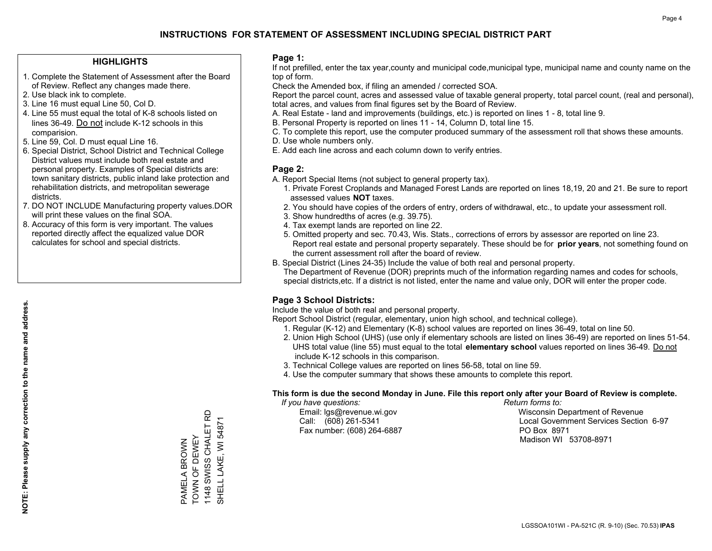#### **HIGHLIGHTS**

- 1. Complete the Statement of Assessment after the Board of Review. Reflect any changes made there.
- 2. Use black ink to complete.
- 3. Line 16 must equal Line 50, Col D.
- 4. Line 55 must equal the total of K-8 schools listed on lines 36-49. Do not include K-12 schools in this comparision.
- 5. Line 59, Col. D must equal Line 16.
- 6. Special District, School District and Technical College District values must include both real estate and personal property. Examples of Special districts are: town sanitary districts, public inland lake protection and rehabilitation districts, and metropolitan sewerage districts.
- 7. DO NOT INCLUDE Manufacturing property values.DOR will print these values on the final SOA.

PAMELA BROWN TOWN OF DEWEY 1148 SWISS CHALET RD SHELL LAKE, WI 54871

PAMELA BROWN<br>TOWN OF DEWEY

1148 SWISS CHALET RD SHELL LAKE, WI 54871

 8. Accuracy of this form is very important. The values reported directly affect the equalized value DOR calculates for school and special districts.

#### **Page 1:**

 If not prefilled, enter the tax year,county and municipal code,municipal type, municipal name and county name on the top of form.

Check the Amended box, if filing an amended / corrected SOA.

 Report the parcel count, acres and assessed value of taxable general property, total parcel count, (real and personal), total acres, and values from final figures set by the Board of Review.

- A. Real Estate land and improvements (buildings, etc.) is reported on lines 1 8, total line 9.
- B. Personal Property is reported on lines 11 14, Column D, total line 15.
- C. To complete this report, use the computer produced summary of the assessment roll that shows these amounts.
- D. Use whole numbers only.
- E. Add each line across and each column down to verify entries.

#### **Page 2:**

- A. Report Special Items (not subject to general property tax).
- 1. Private Forest Croplands and Managed Forest Lands are reported on lines 18,19, 20 and 21. Be sure to report assessed values **NOT** taxes.
- 2. You should have copies of the orders of entry, orders of withdrawal, etc., to update your assessment roll.
	- 3. Show hundredths of acres (e.g. 39.75).
- 4. Tax exempt lands are reported on line 22.
- 5. Omitted property and sec. 70.43, Wis. Stats., corrections of errors by assessor are reported on line 23. Report real estate and personal property separately. These should be for **prior years**, not something found on the current assessment roll after the board of review.
- B. Special District (Lines 24-35) Include the value of both real and personal property.
- The Department of Revenue (DOR) preprints much of the information regarding names and codes for schools, special districts,etc. If a district is not listed, enter the name and value only, DOR will enter the proper code.

### **Page 3 School Districts:**

Include the value of both real and personal property.

Report School District (regular, elementary, union high school, and technical college).

- 1. Regular (K-12) and Elementary (K-8) school values are reported on lines 36-49, total on line 50.
- 2. Union High School (UHS) (use only if elementary schools are listed on lines 36-49) are reported on lines 51-54. UHS total value (line 55) must equal to the total **elementary school** values reported on lines 36-49. Do notinclude K-12 schools in this comparison.
- 3. Technical College values are reported on lines 56-58, total on line 59.
- 4. Use the computer summary that shows these amounts to complete this report.

#### **This form is due the second Monday in June. File this report only after your Board of Review is complete.**

 *If you have questions: Return forms to:*

Fax number: (608) 264-6887 PO Box 8971

 Email: lgs@revenue.wi.gov Wisconsin Department of Revenue Call: (608) 261-5341 Local Government Services Section 6-97Madison WI 53708-8971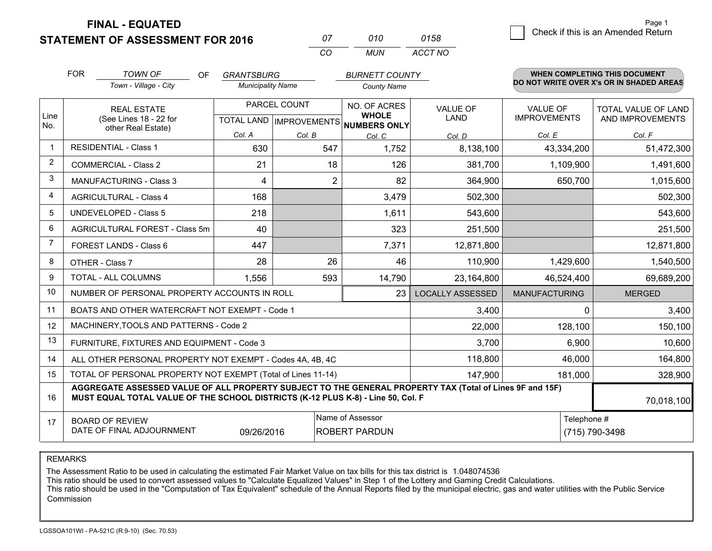**STATEMENT OF ASSESSMENT FOR 2016** 

**FINAL - EQUATED**

| 07  | 010   | 0158    |
|-----|-------|---------|
| -CO | MI IN | ACCT NO |

|                | <b>FOR</b>                                                   | <b>TOWN OF</b><br>OF<br>Town - Village - City                                                                                                                                                | <b>GRANTSBURG</b><br><b>Municipality Name</b> |              | <b>BURNETT COUNTY</b><br><b>County Name</b> |                                |                                        | WHEN COMPLETING THIS DOCUMENT<br>DO NOT WRITE OVER X's OR IN SHADED AREAS |
|----------------|--------------------------------------------------------------|----------------------------------------------------------------------------------------------------------------------------------------------------------------------------------------------|-----------------------------------------------|--------------|---------------------------------------------|--------------------------------|----------------------------------------|---------------------------------------------------------------------------|
|                |                                                              |                                                                                                                                                                                              |                                               |              |                                             |                                |                                        |                                                                           |
| Line           |                                                              | <b>REAL ESTATE</b>                                                                                                                                                                           |                                               | PARCEL COUNT | NO. OF ACRES<br><b>WHOLE</b>                | <b>VALUE OF</b><br><b>LAND</b> | <b>VALUE OF</b><br><b>IMPROVEMENTS</b> | TOTAL VALUE OF LAND                                                       |
| No.            |                                                              | (See Lines 18 - 22 for<br>other Real Estate)                                                                                                                                                 |                                               |              | TOTAL LAND IMPROVEMENTS NUMBERS ONLY        |                                |                                        | AND IMPROVEMENTS                                                          |
| $\mathbf 1$    |                                                              |                                                                                                                                                                                              | Col. A                                        | Col. B       | Col. C                                      | Col. D                         | Col. E                                 | Col. F                                                                    |
|                | <b>RESIDENTIAL - Class 1</b>                                 |                                                                                                                                                                                              | 630                                           | 547          | 1,752                                       | 8,138,100                      | 43,334,200                             | 51,472,300                                                                |
| $\overline{2}$ |                                                              | <b>COMMERCIAL - Class 2</b>                                                                                                                                                                  | 21                                            | 18           | 126                                         | 381,700                        | 1,109,900                              | 1,491,600                                                                 |
| 3              |                                                              | <b>MANUFACTURING - Class 3</b>                                                                                                                                                               | 4                                             | 2            | 82                                          | 364,900                        | 650,700                                | 1,015,600                                                                 |
| $\overline{4}$ |                                                              | <b>AGRICULTURAL - Class 4</b>                                                                                                                                                                | 168                                           |              | 3,479                                       | 502,300                        |                                        | 502,300                                                                   |
| 5              |                                                              | <b>UNDEVELOPED - Class 5</b>                                                                                                                                                                 | 218                                           |              | 1,611                                       | 543,600                        |                                        | 543,600                                                                   |
| 6              |                                                              | AGRICULTURAL FOREST - Class 5m                                                                                                                                                               | 40                                            |              | 323                                         | 251,500                        |                                        | 251,500                                                                   |
| 7              |                                                              | <b>FOREST LANDS - Class 6</b>                                                                                                                                                                | 447                                           |              | 7,371                                       | 12,871,800                     |                                        | 12,871,800                                                                |
| 8              |                                                              | OTHER - Class 7                                                                                                                                                                              | 28                                            | 26           | 46                                          | 110,900                        | 1,429,600                              | 1,540,500                                                                 |
| 9              |                                                              | TOTAL - ALL COLUMNS                                                                                                                                                                          | 1,556                                         | 593          | 14,790                                      | 23,164,800                     | 46,524,400                             | 69,689,200                                                                |
| 10             |                                                              | NUMBER OF PERSONAL PROPERTY ACCOUNTS IN ROLL                                                                                                                                                 |                                               |              | 23                                          | <b>LOCALLY ASSESSED</b>        | <b>MANUFACTURING</b>                   | <b>MERGED</b>                                                             |
| 11             |                                                              | BOATS AND OTHER WATERCRAFT NOT EXEMPT - Code 1                                                                                                                                               |                                               |              |                                             | 3,400                          | 0                                      | 3,400                                                                     |
| 12             |                                                              | MACHINERY, TOOLS AND PATTERNS - Code 2                                                                                                                                                       |                                               |              |                                             | 22,000                         | 128,100                                | 150,100                                                                   |
| 13             |                                                              | FURNITURE, FIXTURES AND EQUIPMENT - Code 3                                                                                                                                                   |                                               |              |                                             | 3,700                          | 6,900                                  | 10,600                                                                    |
| 14             |                                                              | ALL OTHER PERSONAL PROPERTY NOT EXEMPT - Codes 4A, 4B, 4C                                                                                                                                    |                                               |              |                                             | 118,800                        | 46,000                                 | 164,800                                                                   |
| 15             | TOTAL OF PERSONAL PROPERTY NOT EXEMPT (Total of Lines 11-14) |                                                                                                                                                                                              |                                               |              |                                             | 147,900                        | 181,000                                | 328,900                                                                   |
| 16             |                                                              | AGGREGATE ASSESSED VALUE OF ALL PROPERTY SUBJECT TO THE GENERAL PROPERTY TAX (Total of Lines 9F and 15F)<br>MUST EQUAL TOTAL VALUE OF THE SCHOOL DISTRICTS (K-12 PLUS K-8) - Line 50, Col. F |                                               |              |                                             |                                |                                        | 70,018,100                                                                |
| 17             |                                                              | <b>BOARD OF REVIEW</b>                                                                                                                                                                       |                                               |              | Name of Assessor                            |                                | Telephone #                            |                                                                           |
|                |                                                              | DATE OF FINAL ADJOURNMENT                                                                                                                                                                    | 09/26/2016                                    |              | <b>ROBERT PARDUN</b>                        |                                |                                        | (715) 790-3498                                                            |

REMARKS

The Assessment Ratio to be used in calculating the estimated Fair Market Value on tax bills for this tax district is 1.048074536

This ratio should be used to convert assessed values to "Calculate Equalized Values" in Step 1 of the Lottery and Gaming Credit Calculations.

 This ratio should be used in the "Computation of Tax Equivalent" schedule of the Annual Reports filed by the municipal electric, gas and water utilities with the Public Service Commission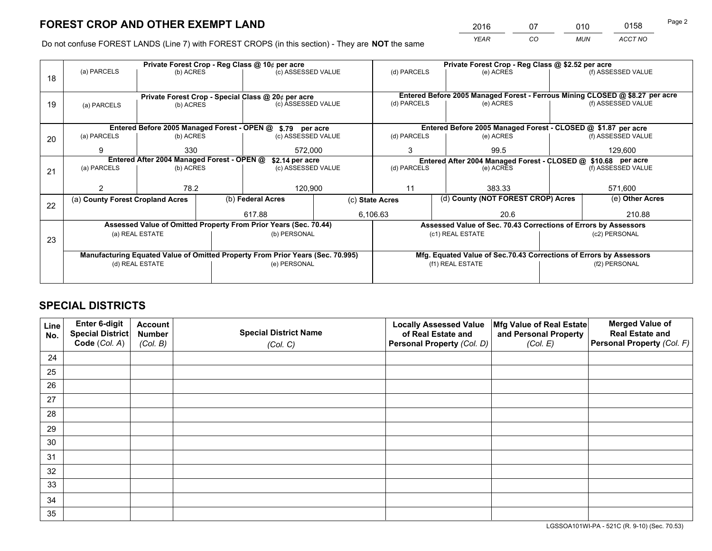*YEAR CO MUN ACCT NO* <sup>2016</sup> <sup>07</sup> <sup>010</sup> <sup>0158</sup>

Do not confuse FOREST LANDS (Line 7) with FOREST CROPS (in this section) - They are **NOT** the same

|    |                                  |                                                               |  | Private Forest Crop - Reg Class @ 10¢ per acre                                 |              | Private Forest Crop - Reg Class @ \$2.52 per acre                            |                                                                    |  |                    |  |
|----|----------------------------------|---------------------------------------------------------------|--|--------------------------------------------------------------------------------|--------------|------------------------------------------------------------------------------|--------------------------------------------------------------------|--|--------------------|--|
| 18 | (a) PARCELS                      | (b) ACRES                                                     |  | (c) ASSESSED VALUE                                                             |              | (d) PARCELS                                                                  | (e) ACRES                                                          |  | (f) ASSESSED VALUE |  |
|    |                                  |                                                               |  |                                                                                |              |                                                                              |                                                                    |  |                    |  |
|    |                                  |                                                               |  | Private Forest Crop - Special Class @ 20¢ per acre                             |              | Entered Before 2005 Managed Forest - Ferrous Mining CLOSED @ \$8.27 per acre |                                                                    |  |                    |  |
| 19 | (a) PARCELS                      | (b) ACRES                                                     |  | (c) ASSESSED VALUE                                                             |              | (d) PARCELS                                                                  | (e) ACRES                                                          |  | (f) ASSESSED VALUE |  |
|    |                                  |                                                               |  |                                                                                |              |                                                                              |                                                                    |  |                    |  |
|    |                                  |                                                               |  | Entered Before 2005 Managed Forest - OPEN @ \$.79 per acre                     |              |                                                                              | Entered Before 2005 Managed Forest - CLOSED @ \$1.87 per acre      |  |                    |  |
| 20 | (a) PARCELS                      | (b) ACRES                                                     |  | (c) ASSESSED VALUE                                                             |              | (d) PARCELS                                                                  | (e) ACRES                                                          |  | (f) ASSESSED VALUE |  |
|    | 9                                | 330                                                           |  | 572,000                                                                        |              | 3                                                                            | 99.5                                                               |  | 129.600            |  |
|    |                                  | Entered After 2004 Managed Forest - OPEN @<br>\$2.14 per acre |  |                                                                                |              | Entered After 2004 Managed Forest - CLOSED @ \$10.68 per acre                |                                                                    |  |                    |  |
| 21 | (a) PARCELS                      | (b) ACRES                                                     |  | (c) ASSESSED VALUE                                                             |              | (d) PARCELS<br>(e) ACRES                                                     |                                                                    |  | (f) ASSESSED VALUE |  |
|    |                                  |                                                               |  |                                                                                |              |                                                                              |                                                                    |  |                    |  |
|    |                                  | 78.2                                                          |  | 120,900                                                                        |              | 11                                                                           | 383.33                                                             |  | 571,600            |  |
|    | (a) County Forest Cropland Acres |                                                               |  | (b) Federal Acres                                                              |              | (d) County (NOT FOREST CROP) Acres<br>(c) State Acres                        |                                                                    |  | (e) Other Acres    |  |
| 22 |                                  |                                                               |  |                                                                                |              |                                                                              |                                                                    |  |                    |  |
|    |                                  |                                                               |  | 617.88                                                                         |              | 6.106.63                                                                     | 20.6                                                               |  | 210.88             |  |
|    |                                  |                                                               |  | Assessed Value of Omitted Property From Prior Years (Sec. 70.44)               |              |                                                                              | Assessed Value of Sec. 70.43 Corrections of Errors by Assessors    |  |                    |  |
| 23 |                                  | (a) REAL ESTATE                                               |  |                                                                                | (b) PERSONAL |                                                                              | (c1) REAL ESTATE                                                   |  | (c2) PERSONAL      |  |
|    |                                  |                                                               |  |                                                                                |              |                                                                              |                                                                    |  |                    |  |
|    |                                  |                                                               |  | Manufacturing Equated Value of Omitted Property From Prior Years (Sec. 70.995) |              |                                                                              | Mfg. Equated Value of Sec.70.43 Corrections of Errors by Assessors |  |                    |  |
|    |                                  | (d) REAL ESTATE                                               |  | (e) PERSONAL                                                                   |              |                                                                              | (f1) REAL ESTATE                                                   |  | (f2) PERSONAL      |  |
|    |                                  |                                                               |  |                                                                                |              |                                                                              |                                                                    |  |                    |  |
|    |                                  |                                                               |  |                                                                                |              |                                                                              |                                                                    |  |                    |  |

## **SPECIAL DISTRICTS**

| Line<br>No. | Enter 6-digit<br><b>Special District</b> | <b>Account</b><br><b>Number</b> | <b>Special District Name</b> | <b>Locally Assessed Value</b><br>of Real Estate and | Mfg Value of Real Estate<br>and Personal Property | <b>Merged Value of</b><br><b>Real Estate and</b> |
|-------------|------------------------------------------|---------------------------------|------------------------------|-----------------------------------------------------|---------------------------------------------------|--------------------------------------------------|
|             | Code (Col. A)                            | (Col. B)                        | (Col. C)                     | Personal Property (Col. D)                          | (Col. E)                                          | Personal Property (Col. F)                       |
| 24          |                                          |                                 |                              |                                                     |                                                   |                                                  |
| 25          |                                          |                                 |                              |                                                     |                                                   |                                                  |
| 26          |                                          |                                 |                              |                                                     |                                                   |                                                  |
| 27          |                                          |                                 |                              |                                                     |                                                   |                                                  |
| 28          |                                          |                                 |                              |                                                     |                                                   |                                                  |
| 29          |                                          |                                 |                              |                                                     |                                                   |                                                  |
| 30          |                                          |                                 |                              |                                                     |                                                   |                                                  |
| 31          |                                          |                                 |                              |                                                     |                                                   |                                                  |
| 32          |                                          |                                 |                              |                                                     |                                                   |                                                  |
| 33          |                                          |                                 |                              |                                                     |                                                   |                                                  |
| 34          |                                          |                                 |                              |                                                     |                                                   |                                                  |
| 35          |                                          |                                 |                              |                                                     |                                                   |                                                  |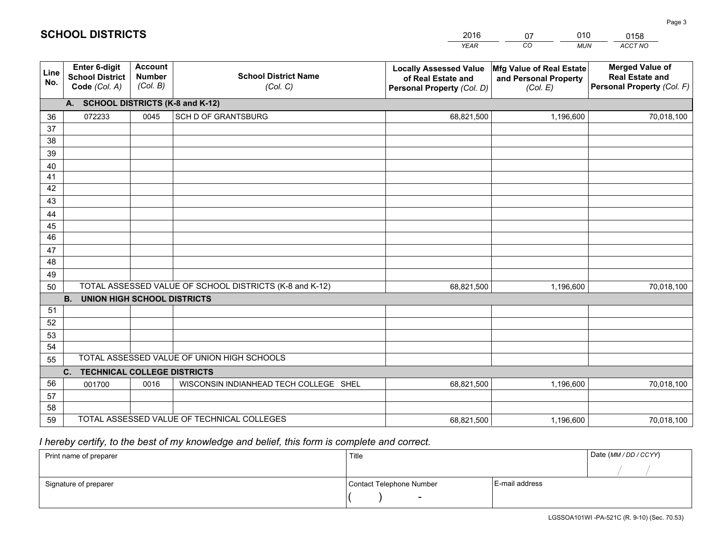|             |                                                                 |                                             |                                                         | <b>YEAR</b>                                                                       | CO<br><b>MUN</b>                                              | ACCT NO                                                                        |
|-------------|-----------------------------------------------------------------|---------------------------------------------|---------------------------------------------------------|-----------------------------------------------------------------------------------|---------------------------------------------------------------|--------------------------------------------------------------------------------|
| Line<br>No. | <b>Enter 6-digit</b><br><b>School District</b><br>Code (Col. A) | <b>Account</b><br><b>Number</b><br>(Col. B) | <b>School District Name</b><br>(Col. C)                 | <b>Locally Assessed Value</b><br>of Real Estate and<br>Personal Property (Col. D) | Mfg Value of Real Estate<br>and Personal Property<br>(Col. E) | <b>Merged Value of</b><br><b>Real Estate and</b><br>Personal Property (Col. F) |
|             | A. SCHOOL DISTRICTS (K-8 and K-12)                              |                                             |                                                         |                                                                                   |                                                               |                                                                                |
| 36          | 072233                                                          | 0045                                        | SCH D OF GRANTSBURG                                     | 68,821,500                                                                        | 1,196,600                                                     | 70,018,100                                                                     |
| 37          |                                                                 |                                             |                                                         |                                                                                   |                                                               |                                                                                |
| 38          |                                                                 |                                             |                                                         |                                                                                   |                                                               |                                                                                |
| 39          |                                                                 |                                             |                                                         |                                                                                   |                                                               |                                                                                |
| 40          |                                                                 |                                             |                                                         |                                                                                   |                                                               |                                                                                |
| 41          |                                                                 |                                             |                                                         |                                                                                   |                                                               |                                                                                |
| 42          |                                                                 |                                             |                                                         |                                                                                   |                                                               |                                                                                |
| 43          |                                                                 |                                             |                                                         |                                                                                   |                                                               |                                                                                |
| 44          |                                                                 |                                             |                                                         |                                                                                   |                                                               |                                                                                |
| 45<br>46    |                                                                 |                                             |                                                         |                                                                                   |                                                               |                                                                                |
|             |                                                                 |                                             |                                                         |                                                                                   |                                                               |                                                                                |
| 47<br>48    |                                                                 |                                             |                                                         |                                                                                   |                                                               |                                                                                |
| 49          |                                                                 |                                             |                                                         |                                                                                   |                                                               |                                                                                |
| 50          |                                                                 |                                             | TOTAL ASSESSED VALUE OF SCHOOL DISTRICTS (K-8 and K-12) | 68,821,500                                                                        | 1,196,600                                                     | 70,018,100                                                                     |
|             | <b>B.</b><br><b>UNION HIGH SCHOOL DISTRICTS</b>                 |                                             |                                                         |                                                                                   |                                                               |                                                                                |
| 51          |                                                                 |                                             |                                                         |                                                                                   |                                                               |                                                                                |
| 52          |                                                                 |                                             |                                                         |                                                                                   |                                                               |                                                                                |
| 53          |                                                                 |                                             |                                                         |                                                                                   |                                                               |                                                                                |
| 54          |                                                                 |                                             |                                                         |                                                                                   |                                                               |                                                                                |
| 55          |                                                                 |                                             | TOTAL ASSESSED VALUE OF UNION HIGH SCHOOLS              |                                                                                   |                                                               |                                                                                |
|             | C.<br><b>TECHNICAL COLLEGE DISTRICTS</b>                        |                                             |                                                         |                                                                                   |                                                               |                                                                                |
| 56          | 001700                                                          | 0016                                        | WISCONSIN INDIANHEAD TECH COLLEGE SHEL                  | 68,821,500                                                                        | 1,196,600                                                     | 70,018,100                                                                     |
| 57          |                                                                 |                                             |                                                         |                                                                                   |                                                               |                                                                                |
| 58          |                                                                 |                                             |                                                         |                                                                                   |                                                               |                                                                                |
| 59          |                                                                 |                                             | TOTAL ASSESSED VALUE OF TECHNICAL COLLEGES              | 68,821,500                                                                        | 1,196,600                                                     | 70,018,100                                                                     |

07

010

## *I hereby certify, to the best of my knowledge and belief, this form is complete and correct.*

**SCHOOL DISTRICTS**

| Print name of preparer | Title                    |                | Date (MM / DD / CCYY) |
|------------------------|--------------------------|----------------|-----------------------|
|                        |                          |                |                       |
| Signature of preparer  | Contact Telephone Number | E-mail address |                       |
|                        | $\sim$                   |                |                       |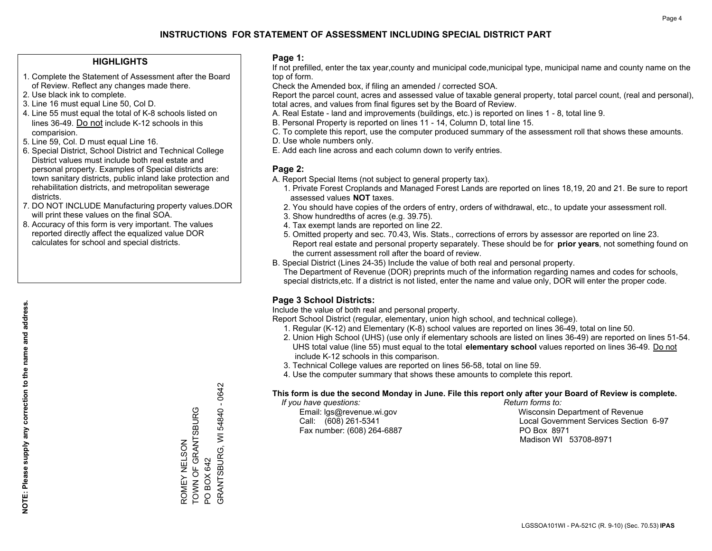#### **HIGHLIGHTS**

- 1. Complete the Statement of Assessment after the Board of Review. Reflect any changes made there.
- 2. Use black ink to complete.
- 3. Line 16 must equal Line 50, Col D.
- 4. Line 55 must equal the total of K-8 schools listed on lines 36-49. Do not include K-12 schools in this comparision.
- 5. Line 59, Col. D must equal Line 16.
- 6. Special District, School District and Technical College District values must include both real estate and personal property. Examples of Special districts are: town sanitary districts, public inland lake protection and rehabilitation districts, and metropolitan sewerage districts.
- 7. DO NOT INCLUDE Manufacturing property values.DOR will print these values on the final SOA.

ROMEY NELSON

TOWN OF GRANTSBURG

ROMEY NELSON<br>TOWN OF GRANTSBURG

PO BOX 642

PO BOX 642

GRANTSBURG, WI 54840 - 0642

GRANTSBURG, WI 54840 - 0642

 8. Accuracy of this form is very important. The values reported directly affect the equalized value DOR calculates for school and special districts.

#### **Page 1:**

 If not prefilled, enter the tax year,county and municipal code,municipal type, municipal name and county name on the top of form.

Check the Amended box, if filing an amended / corrected SOA.

 Report the parcel count, acres and assessed value of taxable general property, total parcel count, (real and personal), total acres, and values from final figures set by the Board of Review.

- A. Real Estate land and improvements (buildings, etc.) is reported on lines 1 8, total line 9.
- B. Personal Property is reported on lines 11 14, Column D, total line 15.
- C. To complete this report, use the computer produced summary of the assessment roll that shows these amounts.
- D. Use whole numbers only.
- E. Add each line across and each column down to verify entries.

#### **Page 2:**

- A. Report Special Items (not subject to general property tax).
- 1. Private Forest Croplands and Managed Forest Lands are reported on lines 18,19, 20 and 21. Be sure to report assessed values **NOT** taxes.
- 2. You should have copies of the orders of entry, orders of withdrawal, etc., to update your assessment roll.
	- 3. Show hundredths of acres (e.g. 39.75).
- 4. Tax exempt lands are reported on line 22.
- 5. Omitted property and sec. 70.43, Wis. Stats., corrections of errors by assessor are reported on line 23. Report real estate and personal property separately. These should be for **prior years**, not something found on the current assessment roll after the board of review.
- B. Special District (Lines 24-35) Include the value of both real and personal property.
- The Department of Revenue (DOR) preprints much of the information regarding names and codes for schools, special districts,etc. If a district is not listed, enter the name and value only, DOR will enter the proper code.

### **Page 3 School Districts:**

Include the value of both real and personal property.

Report School District (regular, elementary, union high school, and technical college).

- 1. Regular (K-12) and Elementary (K-8) school values are reported on lines 36-49, total on line 50.
- 2. Union High School (UHS) (use only if elementary schools are listed on lines 36-49) are reported on lines 51-54. UHS total value (line 55) must equal to the total **elementary school** values reported on lines 36-49. Do notinclude K-12 schools in this comparison.
- 3. Technical College values are reported on lines 56-58, total on line 59.
- 4. Use the computer summary that shows these amounts to complete this report.

#### **This form is due the second Monday in June. File this report only after your Board of Review is complete.**

 *If you have questions: Return forms to:*

Fax number: (608) 264-6887 PO Box 8971

 Email: lgs@revenue.wi.gov Wisconsin Department of Revenue Call: (608) 261-5341 Local Government Services Section 6-97Madison WI 53708-8971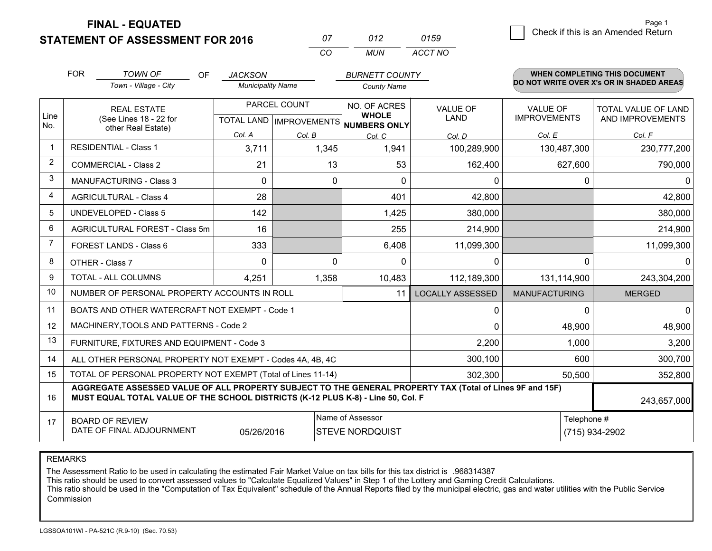**FINAL - EQUATED**

**STATEMENT OF ASSESSMENT FOR 2016** 

| $^{\prime\prime}$ | N12   | 0159    |
|-------------------|-------|---------|
| $\cdots$          | MI IN | ACCT NO |

|                | <b>FOR</b> | <b>TOWN OF</b><br>OF                                                                                                                                                                         | <b>JACKSON</b>           |              | <b>BURNETT COUNTY</b>                                                |                         |                                        | <b>WHEN COMPLETING THIS DOCUMENT</b>     |
|----------------|------------|----------------------------------------------------------------------------------------------------------------------------------------------------------------------------------------------|--------------------------|--------------|----------------------------------------------------------------------|-------------------------|----------------------------------------|------------------------------------------|
|                |            | Town - Village - City                                                                                                                                                                        | <b>Municipality Name</b> |              | <b>County Name</b>                                                   |                         |                                        | DO NOT WRITE OVER X's OR IN SHADED AREAS |
| Line<br>No.    |            | <b>REAL ESTATE</b><br>(See Lines 18 - 22 for                                                                                                                                                 |                          | PARCEL COUNT | NO. OF ACRES<br><b>WHOLE</b><br>TOTAL LAND IMPROVEMENTS NUMBERS ONLY | VALUE OF<br>LAND        | <b>VALUE OF</b><br><b>IMPROVEMENTS</b> | TOTAL VALUE OF LAND<br>AND IMPROVEMENTS  |
|                |            | other Real Estate)                                                                                                                                                                           | Col. A                   | Col. B       | Col. C                                                               | Col. D                  | Col. E                                 | Col. F                                   |
| $\mathbf 1$    |            | <b>RESIDENTIAL - Class 1</b>                                                                                                                                                                 | 3,711                    | 1,345        | 1,941                                                                | 100,289,900             | 130,487,300                            | 230,777,200                              |
| 2              |            | <b>COMMERCIAL - Class 2</b>                                                                                                                                                                  | 21                       | 13           | 53                                                                   | 162,400                 | 627,600                                | 790,000                                  |
| 3              |            | MANUFACTURING - Class 3                                                                                                                                                                      | $\Omega$                 | 0            | $\Omega$                                                             | 0                       | 0                                      | $\Omega$                                 |
| 4              |            | <b>AGRICULTURAL - Class 4</b>                                                                                                                                                                | 28                       |              | 401                                                                  | 42,800                  |                                        | 42,800                                   |
| 5              |            | <b>UNDEVELOPED - Class 5</b>                                                                                                                                                                 | 142                      |              | 1,425                                                                | 380,000                 |                                        | 380,000                                  |
| 6              |            | AGRICULTURAL FOREST - Class 5m                                                                                                                                                               | 16                       |              | 255                                                                  | 214,900                 |                                        | 214,900                                  |
| $\overline{7}$ |            | FOREST LANDS - Class 6                                                                                                                                                                       | 333                      |              | 6,408                                                                | 11,099,300              |                                        | 11,099,300                               |
| 8              |            | OTHER - Class 7                                                                                                                                                                              | $\Omega$                 | $\Omega$     | 0                                                                    | $\mathbf{0}$            | $\Omega$                               | 0                                        |
| 9              |            | TOTAL - ALL COLUMNS                                                                                                                                                                          | 4,251                    | 1,358        | 10,483                                                               | 112,189,300             | 131,114,900                            | 243,304,200                              |
| 10             |            | NUMBER OF PERSONAL PROPERTY ACCOUNTS IN ROLL                                                                                                                                                 |                          |              | 11                                                                   | <b>LOCALLY ASSESSED</b> | <b>MANUFACTURING</b>                   | <b>MERGED</b>                            |
| 11             |            | BOATS AND OTHER WATERCRAFT NOT EXEMPT - Code 1                                                                                                                                               |                          |              |                                                                      | $\mathbf 0$             | 0                                      | $\Omega$                                 |
| 12             |            | MACHINERY, TOOLS AND PATTERNS - Code 2                                                                                                                                                       |                          |              |                                                                      | $\Omega$                | 48,900                                 | 48,900                                   |
| 13             |            | FURNITURE, FIXTURES AND EQUIPMENT - Code 3                                                                                                                                                   |                          |              |                                                                      | 2,200                   | 1,000                                  | 3,200                                    |
| 14             |            | ALL OTHER PERSONAL PROPERTY NOT EXEMPT - Codes 4A, 4B, 4C                                                                                                                                    |                          |              |                                                                      | 300,100                 | 600                                    | 300,700                                  |
| 15             |            | TOTAL OF PERSONAL PROPERTY NOT EXEMPT (Total of Lines 11-14)                                                                                                                                 |                          |              |                                                                      | 302,300                 | 50,500                                 | 352,800                                  |
| 16             |            | AGGREGATE ASSESSED VALUE OF ALL PROPERTY SUBJECT TO THE GENERAL PROPERTY TAX (Total of Lines 9F and 15F)<br>MUST EQUAL TOTAL VALUE OF THE SCHOOL DISTRICTS (K-12 PLUS K-8) - Line 50, Col. F |                          |              |                                                                      |                         |                                        | 243,657,000                              |
| 17             |            | <b>BOARD OF REVIEW</b><br>DATE OF FINAL ADJOURNMENT                                                                                                                                          | 05/26/2016               |              | Name of Assessor<br><b>STEVE NORDQUIST</b>                           |                         | Telephone #                            | (715) 934-2902                           |

REMARKS

The Assessment Ratio to be used in calculating the estimated Fair Market Value on tax bills for this tax district is .968314387<br>This ratio should be used to convert assessed values to "Calculate Equalized Values" in Step 1 Commission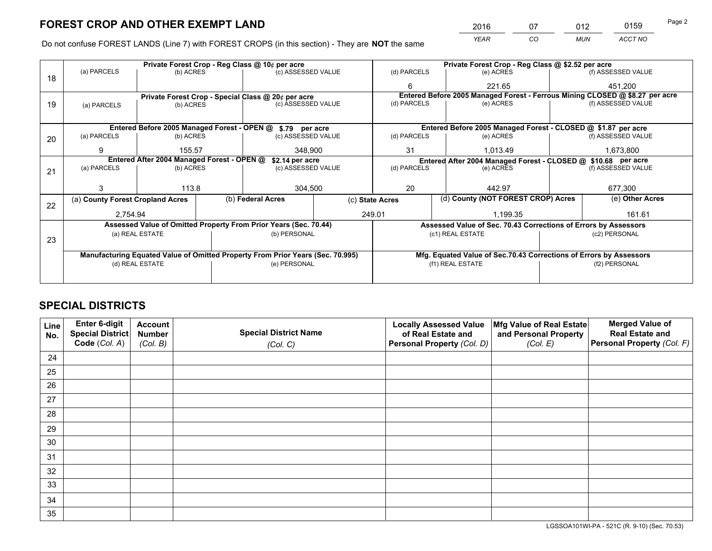*YEAR CO MUN ACCT NO* <sup>2016</sup> <sup>07</sup> <sup>012</sup> <sup>0159</sup>

Do not confuse FOREST LANDS (Line 7) with FOREST CROPS (in this section) - They are **NOT** the same

|    |                                                               |                 |  | Private Forest Crop - Reg Class @ 10¢ per acre                                 |                                                                              |                  | Private Forest Crop - Reg Class @ \$2.52 per acre               |         |                                                                    |  |
|----|---------------------------------------------------------------|-----------------|--|--------------------------------------------------------------------------------|------------------------------------------------------------------------------|------------------|-----------------------------------------------------------------|---------|--------------------------------------------------------------------|--|
| 18 | (a) PARCELS                                                   | (b) ACRES       |  | (c) ASSESSED VALUE                                                             | (d) PARCELS                                                                  |                  | (e) ACRES                                                       |         | (f) ASSESSED VALUE                                                 |  |
|    |                                                               |                 |  |                                                                                | 6                                                                            |                  | 221.65                                                          |         | 451,200                                                            |  |
|    |                                                               |                 |  | Private Forest Crop - Special Class @ 20¢ per acre                             | Entered Before 2005 Managed Forest - Ferrous Mining CLOSED @ \$8.27 per acre |                  |                                                                 |         |                                                                    |  |
| 19 | (a) PARCELS                                                   | (b) ACRES       |  | (c) ASSESSED VALUE                                                             | (d) PARCELS                                                                  |                  | (e) ACRES                                                       |         | (f) ASSESSED VALUE                                                 |  |
|    |                                                               |                 |  |                                                                                |                                                                              |                  |                                                                 |         |                                                                    |  |
|    |                                                               |                 |  | Entered Before 2005 Managed Forest - OPEN @ \$.79 per acre                     |                                                                              |                  | Entered Before 2005 Managed Forest - CLOSED @ \$1.87 per acre   |         |                                                                    |  |
| 20 | (a) PARCELS                                                   | (b) ACRES       |  | (c) ASSESSED VALUE                                                             | (d) PARCELS                                                                  |                  | (e) ACRES                                                       |         | (f) ASSESSED VALUE                                                 |  |
|    | 9                                                             | 155.57          |  | 348.900                                                                        | 31                                                                           |                  | 1,013.49                                                        |         | 1,673,800                                                          |  |
|    | Entered After 2004 Managed Forest - OPEN @<br>\$2.14 per acre |                 |  | Entered After 2004 Managed Forest - CLOSED @ \$10.68 per acre                  |                                                                              |                  |                                                                 |         |                                                                    |  |
| 21 | (a) PARCELS                                                   | (b) ACRES       |  | (c) ASSESSED VALUE                                                             | (d) PARCELS<br>(e) ACRES                                                     |                  | (f) ASSESSED VALUE                                              |         |                                                                    |  |
|    |                                                               |                 |  |                                                                                |                                                                              |                  |                                                                 |         |                                                                    |  |
|    | 3                                                             | 113.8           |  | 304,500                                                                        | 20                                                                           |                  | 442.97                                                          | 677,300 |                                                                    |  |
| 22 | (a) County Forest Cropland Acres                              |                 |  | (b) Federal Acres                                                              | (c) State Acres                                                              |                  | (d) County (NOT FOREST CROP) Acres                              |         | (e) Other Acres                                                    |  |
|    | 2.754.94                                                      |                 |  |                                                                                | 249.01                                                                       |                  | 1.199.35                                                        |         | 161.61                                                             |  |
|    |                                                               |                 |  | Assessed Value of Omitted Property From Prior Years (Sec. 70.44)               |                                                                              |                  | Assessed Value of Sec. 70.43 Corrections of Errors by Assessors |         |                                                                    |  |
|    |                                                               | (a) REAL ESTATE |  | (b) PERSONAL                                                                   | (c1) REAL ESTATE                                                             |                  |                                                                 |         | (c2) PERSONAL                                                      |  |
| 23 |                                                               |                 |  |                                                                                |                                                                              |                  |                                                                 |         |                                                                    |  |
|    |                                                               |                 |  | Manufacturing Equated Value of Omitted Property From Prior Years (Sec. 70.995) |                                                                              |                  |                                                                 |         | Mfg. Equated Value of Sec.70.43 Corrections of Errors by Assessors |  |
|    |                                                               | (d) REAL ESTATE |  | (e) PERSONAL                                                                   |                                                                              | (f1) REAL ESTATE |                                                                 |         | (f2) PERSONAL                                                      |  |
|    |                                                               |                 |  |                                                                                |                                                                              |                  |                                                                 |         |                                                                    |  |

## **SPECIAL DISTRICTS**

| Line<br>No. | Enter 6-digit<br>Special District<br>Code (Col. A) | <b>Account</b><br><b>Number</b> | <b>Special District Name</b> | <b>Locally Assessed Value</b><br>of Real Estate and | Mfg Value of Real Estate<br>and Personal Property | <b>Merged Value of</b><br><b>Real Estate and</b><br>Personal Property (Col. F) |
|-------------|----------------------------------------------------|---------------------------------|------------------------------|-----------------------------------------------------|---------------------------------------------------|--------------------------------------------------------------------------------|
|             |                                                    | (Col. B)                        | (Col. C)                     | Personal Property (Col. D)                          | (Col. E)                                          |                                                                                |
| 24          |                                                    |                                 |                              |                                                     |                                                   |                                                                                |
| 25          |                                                    |                                 |                              |                                                     |                                                   |                                                                                |
| 26          |                                                    |                                 |                              |                                                     |                                                   |                                                                                |
| 27          |                                                    |                                 |                              |                                                     |                                                   |                                                                                |
| 28          |                                                    |                                 |                              |                                                     |                                                   |                                                                                |
| 29          |                                                    |                                 |                              |                                                     |                                                   |                                                                                |
| 30          |                                                    |                                 |                              |                                                     |                                                   |                                                                                |
| 31          |                                                    |                                 |                              |                                                     |                                                   |                                                                                |
| 32          |                                                    |                                 |                              |                                                     |                                                   |                                                                                |
| 33          |                                                    |                                 |                              |                                                     |                                                   |                                                                                |
| 34          |                                                    |                                 |                              |                                                     |                                                   |                                                                                |
| 35          |                                                    |                                 |                              |                                                     |                                                   |                                                                                |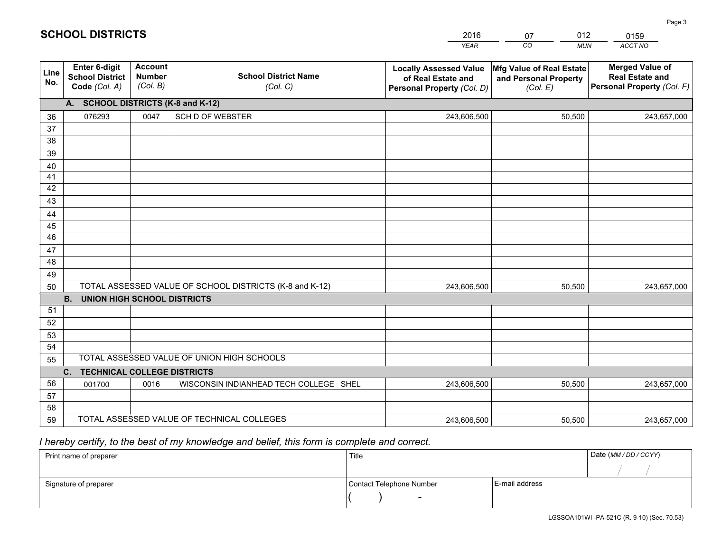|                 |                                                                 |                                             |                                                         | <b>YEAR</b>                                                                       | CO<br><b>MUN</b>                                              | ACCT NO                                                                        |
|-----------------|-----------------------------------------------------------------|---------------------------------------------|---------------------------------------------------------|-----------------------------------------------------------------------------------|---------------------------------------------------------------|--------------------------------------------------------------------------------|
| Line<br>No.     | <b>Enter 6-digit</b><br><b>School District</b><br>Code (Col. A) | <b>Account</b><br><b>Number</b><br>(Col. B) | <b>School District Name</b><br>(Col. C)                 | <b>Locally Assessed Value</b><br>of Real Estate and<br>Personal Property (Col. D) | Mfg Value of Real Estate<br>and Personal Property<br>(Col. E) | <b>Merged Value of</b><br><b>Real Estate and</b><br>Personal Property (Col. F) |
|                 | A. SCHOOL DISTRICTS (K-8 and K-12)                              |                                             |                                                         |                                                                                   |                                                               |                                                                                |
| 36              | 076293                                                          | 0047                                        | <b>SCH D OF WEBSTER</b>                                 | 243,606,500                                                                       | 50,500                                                        | 243,657,000                                                                    |
| 37              |                                                                 |                                             |                                                         |                                                                                   |                                                               |                                                                                |
| 38              |                                                                 |                                             |                                                         |                                                                                   |                                                               |                                                                                |
| 39              |                                                                 |                                             |                                                         |                                                                                   |                                                               |                                                                                |
| 40              |                                                                 |                                             |                                                         |                                                                                   |                                                               |                                                                                |
| 41              |                                                                 |                                             |                                                         |                                                                                   |                                                               |                                                                                |
| 42              |                                                                 |                                             |                                                         |                                                                                   |                                                               |                                                                                |
| 43              |                                                                 |                                             |                                                         |                                                                                   |                                                               |                                                                                |
| 44<br>45        |                                                                 |                                             |                                                         |                                                                                   |                                                               |                                                                                |
| $\overline{46}$ |                                                                 |                                             |                                                         |                                                                                   |                                                               |                                                                                |
| 47              |                                                                 |                                             |                                                         |                                                                                   |                                                               |                                                                                |
| 48              |                                                                 |                                             |                                                         |                                                                                   |                                                               |                                                                                |
| 49              |                                                                 |                                             |                                                         |                                                                                   |                                                               |                                                                                |
| 50              |                                                                 |                                             | TOTAL ASSESSED VALUE OF SCHOOL DISTRICTS (K-8 and K-12) | 243,606,500                                                                       | 50,500                                                        | 243,657,000                                                                    |
|                 | <b>B.</b><br><b>UNION HIGH SCHOOL DISTRICTS</b>                 |                                             |                                                         |                                                                                   |                                                               |                                                                                |
| 51              |                                                                 |                                             |                                                         |                                                                                   |                                                               |                                                                                |
| 52              |                                                                 |                                             |                                                         |                                                                                   |                                                               |                                                                                |
| 53              |                                                                 |                                             |                                                         |                                                                                   |                                                               |                                                                                |
| 54              |                                                                 |                                             |                                                         |                                                                                   |                                                               |                                                                                |
| 55              |                                                                 |                                             | TOTAL ASSESSED VALUE OF UNION HIGH SCHOOLS              |                                                                                   |                                                               |                                                                                |
|                 | C.<br><b>TECHNICAL COLLEGE DISTRICTS</b>                        |                                             |                                                         |                                                                                   |                                                               |                                                                                |
| 56              | 001700                                                          | 0016                                        | WISCONSIN INDIANHEAD TECH COLLEGE SHEL                  | 243,606,500                                                                       | 50,500                                                        | 243,657,000                                                                    |
| 57              |                                                                 |                                             |                                                         |                                                                                   |                                                               |                                                                                |
| 58              |                                                                 |                                             |                                                         |                                                                                   |                                                               |                                                                                |
| 59              |                                                                 |                                             | TOTAL ASSESSED VALUE OF TECHNICAL COLLEGES              | 243,606,500                                                                       | 50,500                                                        | 243,657,000                                                                    |

07

012

## *I hereby certify, to the best of my knowledge and belief, this form is complete and correct.*

**SCHOOL DISTRICTS**

| Print name of preparer | Title                    |                | Date (MM / DD / CCYY) |
|------------------------|--------------------------|----------------|-----------------------|
|                        |                          |                |                       |
| Signature of preparer  | Contact Telephone Number | E-mail address |                       |
|                        | $\sim$                   |                |                       |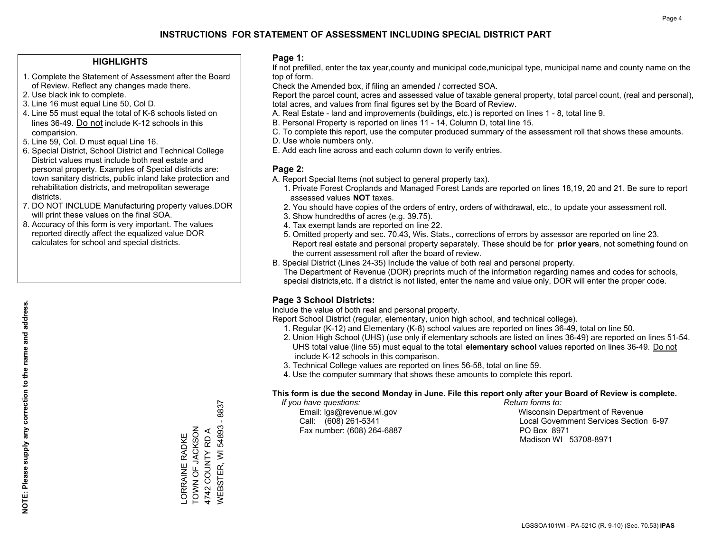#### **HIGHLIGHTS**

- 1. Complete the Statement of Assessment after the Board of Review. Reflect any changes made there.
- 2. Use black ink to complete.
- 3. Line 16 must equal Line 50, Col D.
- 4. Line 55 must equal the total of K-8 schools listed on lines 36-49. Do not include K-12 schools in this comparision.
- 5. Line 59, Col. D must equal Line 16.
- 6. Special District, School District and Technical College District values must include both real estate and personal property. Examples of Special districts are: town sanitary districts, public inland lake protection and rehabilitation districts, and metropolitan sewerage districts.
- 7. DO NOT INCLUDE Manufacturing property values.DOR will print these values on the final SOA.
- 8. Accuracy of this form is very important. The values reported directly affect the equalized value DOR calculates for school and special districts.

#### **Page 1:**

 If not prefilled, enter the tax year,county and municipal code,municipal type, municipal name and county name on the top of form.

Check the Amended box, if filing an amended / corrected SOA.

 Report the parcel count, acres and assessed value of taxable general property, total parcel count, (real and personal), total acres, and values from final figures set by the Board of Review.

- A. Real Estate land and improvements (buildings, etc.) is reported on lines 1 8, total line 9.
- B. Personal Property is reported on lines 11 14, Column D, total line 15.
- C. To complete this report, use the computer produced summary of the assessment roll that shows these amounts.
- D. Use whole numbers only.
- E. Add each line across and each column down to verify entries.

#### **Page 2:**

- A. Report Special Items (not subject to general property tax).
- 1. Private Forest Croplands and Managed Forest Lands are reported on lines 18,19, 20 and 21. Be sure to report assessed values **NOT** taxes.
- 2. You should have copies of the orders of entry, orders of withdrawal, etc., to update your assessment roll.
	- 3. Show hundredths of acres (e.g. 39.75).
- 4. Tax exempt lands are reported on line 22.
- 5. Omitted property and sec. 70.43, Wis. Stats., corrections of errors by assessor are reported on line 23. Report real estate and personal property separately. These should be for **prior years**, not something found on the current assessment roll after the board of review.
- B. Special District (Lines 24-35) Include the value of both real and personal property.
- The Department of Revenue (DOR) preprints much of the information regarding names and codes for schools, special districts,etc. If a district is not listed, enter the name and value only, DOR will enter the proper code.

### **Page 3 School Districts:**

Include the value of both real and personal property.

Report School District (regular, elementary, union high school, and technical college).

- 1. Regular (K-12) and Elementary (K-8) school values are reported on lines 36-49, total on line 50.
- 2. Union High School (UHS) (use only if elementary schools are listed on lines 36-49) are reported on lines 51-54. UHS total value (line 55) must equal to the total **elementary school** values reported on lines 36-49. Do notinclude K-12 schools in this comparison.
- 3. Technical College values are reported on lines 56-58, total on line 59.
- 4. Use the computer summary that shows these amounts to complete this report.

#### **This form is due the second Monday in June. File this report only after your Board of Review is complete.**

 *If you have questions: Return forms to:*

Fax number: (608) 264-6887 PO Box 8971

 Email: lgs@revenue.wi.gov Wisconsin Department of Revenue Call: (608) 261-5341 Local Government Services Section 6-97Madison WI 53708-8971

 $-8837$ WEBSTER, WI 54893 - 8837 TOWN OF JACKSON WEBSTER, WI 54893 -ORRAINE RADKE<br>TOWN OF JACKSON 4742 COUNTY RD A 4742 COUNTY RD A LORRAINE RADKE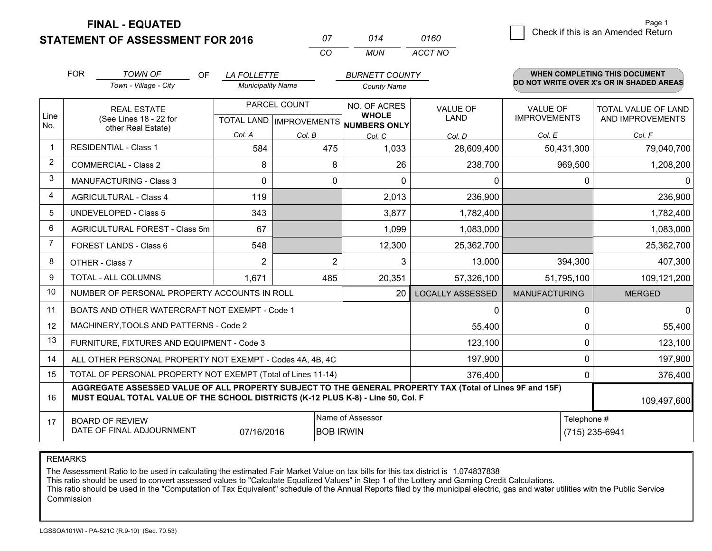**STATEMENT OF ASSESSMENT FOR 2016 FINAL - EQUATED**

| .<br>Check if this is an Amended Return<br>0160 |
|-------------------------------------------------|
|-------------------------------------------------|

|                         | <b>FOR</b>                                                                                                               | <b>TOWN OF</b><br><b>OF</b><br>Town - Village - City                                                                                                                                         | <b>LA FOLLETTE</b><br><b>Municipality Name</b> |                | <b>BURNETT COUNTY</b><br><b>County Name</b>                         |                                |                                        | <b>WHEN COMPLETING THIS DOCUMENT</b><br>DO NOT WRITE OVER X's OR IN SHADED AREAS |
|-------------------------|--------------------------------------------------------------------------------------------------------------------------|----------------------------------------------------------------------------------------------------------------------------------------------------------------------------------------------|------------------------------------------------|----------------|---------------------------------------------------------------------|--------------------------------|----------------------------------------|----------------------------------------------------------------------------------|
| Line<br>No.             |                                                                                                                          | <b>REAL ESTATE</b><br>(See Lines 18 - 22 for<br>other Real Estate)<br>Col. A                                                                                                                 |                                                | PARCEL COUNT   | NO. OF ACRES<br><b>WHOLE</b><br>TOTAL LAND MPROVEMENTS NUMBERS ONLY | <b>VALUE OF</b><br><b>LAND</b> | <b>VALUE OF</b><br><b>IMPROVEMENTS</b> | <b>TOTAL VALUE OF LAND</b><br>AND IMPROVEMENTS                                   |
| $\mathbf{1}$            |                                                                                                                          | <b>RESIDENTIAL - Class 1</b>                                                                                                                                                                 | 584                                            | Col. B<br>475  | Col. C<br>1,033                                                     | Col. D<br>28,609,400           | Col. E<br>50,431,300                   | Col. F<br>79,040,700                                                             |
| $\overline{2}$          |                                                                                                                          | <b>COMMERCIAL - Class 2</b>                                                                                                                                                                  | 8                                              | 8              | 26                                                                  | 238,700                        | 969,500                                | 1,208,200                                                                        |
| 3                       |                                                                                                                          | <b>MANUFACTURING - Class 3</b>                                                                                                                                                               | $\Omega$                                       | 0              | $\Omega$                                                            | 0                              | 0                                      | 0                                                                                |
| $\overline{\mathbf{4}}$ |                                                                                                                          | <b>AGRICULTURAL - Class 4</b>                                                                                                                                                                | 119                                            |                | 2,013                                                               | 236,900                        |                                        | 236,900                                                                          |
| 5                       |                                                                                                                          | <b>UNDEVELOPED - Class 5</b>                                                                                                                                                                 | 343                                            |                | 3,877                                                               | 1,782,400                      |                                        | 1,782,400                                                                        |
| 6                       |                                                                                                                          | AGRICULTURAL FOREST - Class 5m                                                                                                                                                               | 67                                             |                | 1,099                                                               | 1,083,000                      |                                        | 1,083,000                                                                        |
| 7                       |                                                                                                                          | FOREST LANDS - Class 6                                                                                                                                                                       | 548                                            |                | 12,300                                                              | 25,362,700                     |                                        | 25,362,700                                                                       |
| 8                       |                                                                                                                          | OTHER - Class 7                                                                                                                                                                              | $\overline{2}$                                 | $\overline{2}$ | 3                                                                   | 13,000                         | 394,300                                | 407,300                                                                          |
| 9                       |                                                                                                                          | TOTAL - ALL COLUMNS                                                                                                                                                                          | 1,671                                          | 485            | 20,351                                                              | 57,326,100                     | 51,795,100                             | 109,121,200                                                                      |
| 10                      |                                                                                                                          | NUMBER OF PERSONAL PROPERTY ACCOUNTS IN ROLL                                                                                                                                                 |                                                |                | 20                                                                  | <b>LOCALLY ASSESSED</b>        | <b>MANUFACTURING</b>                   | <b>MERGED</b>                                                                    |
| 11                      |                                                                                                                          | BOATS AND OTHER WATERCRAFT NOT EXEMPT - Code 1                                                                                                                                               |                                                |                |                                                                     | 0                              | 0                                      | $\mathbf 0$                                                                      |
| 12                      |                                                                                                                          | MACHINERY, TOOLS AND PATTERNS - Code 2                                                                                                                                                       |                                                |                |                                                                     | 55,400                         | $\mathbf 0$                            | 55,400                                                                           |
| 13                      |                                                                                                                          | FURNITURE, FIXTURES AND EQUIPMENT - Code 3                                                                                                                                                   |                                                |                |                                                                     | 123,100                        | $\mathbf 0$                            | 123,100                                                                          |
| 14                      |                                                                                                                          | ALL OTHER PERSONAL PROPERTY NOT EXEMPT - Codes 4A, 4B, 4C                                                                                                                                    |                                                |                |                                                                     | 197,900                        | $\mathbf 0$                            | 197,900                                                                          |
| 15                      |                                                                                                                          | TOTAL OF PERSONAL PROPERTY NOT EXEMPT (Total of Lines 11-14)                                                                                                                                 |                                                |                |                                                                     | 376,400                        | 0                                      | 376,400                                                                          |
| 16                      |                                                                                                                          | AGGREGATE ASSESSED VALUE OF ALL PROPERTY SUBJECT TO THE GENERAL PROPERTY TAX (Total of Lines 9F and 15F)<br>MUST EQUAL TOTAL VALUE OF THE SCHOOL DISTRICTS (K-12 PLUS K-8) - Line 50, Col. F |                                                |                |                                                                     |                                |                                        | 109,497,600                                                                      |
| 17                      | Name of Assessor<br>Telephone #<br><b>BOARD OF REVIEW</b><br>DATE OF FINAL ADJOURNMENT<br><b>BOB IRWIN</b><br>07/16/2016 |                                                                                                                                                                                              |                                                |                |                                                                     | (715) 235-6941                 |                                        |                                                                                  |

*CO*

*MUN*

*ACCT NO*

*<sup>07</sup> <sup>014</sup>*

REMARKS

The Assessment Ratio to be used in calculating the estimated Fair Market Value on tax bills for this tax district is 1.074837838<br>This ratio should be used to convert assessed values to "Calculate Equalized Values" in Step Commission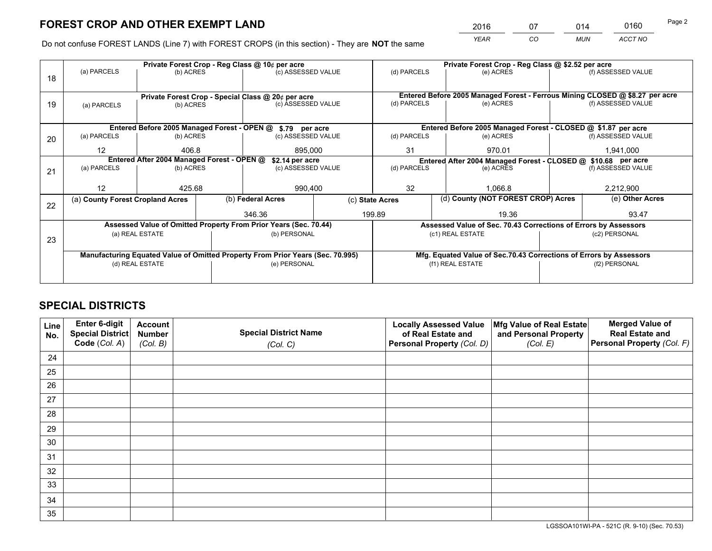*YEAR CO MUN ACCT NO* <sup>2016</sup> <sup>07</sup> <sup>014</sup> <sup>0160</sup>

Do not confuse FOREST LANDS (Line 7) with FOREST CROPS (in this section) - They are **NOT** the same

|    |                                                               |                 |  | Private Forest Crop - Reg Class @ 10¢ per acre                                 |                    |                                                                              |                          | Private Forest Crop - Reg Class @ \$2.52 per acre                  |                 |                    |
|----|---------------------------------------------------------------|-----------------|--|--------------------------------------------------------------------------------|--------------------|------------------------------------------------------------------------------|--------------------------|--------------------------------------------------------------------|-----------------|--------------------|
| 18 | (a) PARCELS                                                   | (b) ACRES       |  | (c) ASSESSED VALUE                                                             |                    | (d) PARCELS                                                                  |                          | (e) ACRES                                                          |                 | (f) ASSESSED VALUE |
|    |                                                               |                 |  |                                                                                |                    |                                                                              |                          |                                                                    |                 |                    |
|    |                                                               |                 |  | Private Forest Crop - Special Class @ 20¢ per acre                             |                    | Entered Before 2005 Managed Forest - Ferrous Mining CLOSED @ \$8.27 per acre |                          |                                                                    |                 |                    |
| 19 | (c) ASSESSED VALUE<br>(b) ACRES<br>(a) PARCELS                |                 |  | (d) PARCELS                                                                    |                    | (e) ACRES                                                                    |                          | (f) ASSESSED VALUE                                                 |                 |                    |
|    |                                                               |                 |  |                                                                                |                    |                                                                              |                          |                                                                    |                 |                    |
|    |                                                               |                 |  | Entered Before 2005 Managed Forest - OPEN @ \$.79 per acre                     |                    |                                                                              |                          | Entered Before 2005 Managed Forest - CLOSED @ \$1.87 per acre      |                 |                    |
| 20 | (a) PARCELS<br>(b) ACRES                                      |                 |  | (c) ASSESSED VALUE                                                             |                    | (d) PARCELS                                                                  |                          | (e) ACRES                                                          |                 | (f) ASSESSED VALUE |
|    | 12                                                            | 406.8           |  | 895,000                                                                        |                    | 31<br>970.01                                                                 |                          | 1,941,000                                                          |                 |                    |
|    | Entered After 2004 Managed Forest - OPEN @<br>\$2.14 per acre |                 |  |                                                                                |                    |                                                                              |                          | Entered After 2004 Managed Forest - CLOSED @ \$10.68 per acre      |                 |                    |
| 21 | (a) PARCELS                                                   | (b) ACRES       |  |                                                                                | (c) ASSESSED VALUE |                                                                              | (d) PARCELS<br>(e) ACRES |                                                                    |                 | (f) ASSESSED VALUE |
|    |                                                               |                 |  |                                                                                |                    |                                                                              |                          |                                                                    |                 |                    |
|    | 12                                                            | 425.68          |  | 990,400                                                                        |                    | 32                                                                           |                          | 1.066.8                                                            |                 | 2,212,900          |
|    | (a) County Forest Cropland Acres                              |                 |  | (b) Federal Acres                                                              |                    | (d) County (NOT FOREST CROP) Acres<br>(c) State Acres                        |                          |                                                                    | (e) Other Acres |                    |
| 22 |                                                               |                 |  | 346.36                                                                         |                    | 199.89                                                                       |                          | 19.36                                                              |                 | 93.47              |
|    |                                                               |                 |  | Assessed Value of Omitted Property From Prior Years (Sec. 70.44)               |                    |                                                                              |                          | Assessed Value of Sec. 70.43 Corrections of Errors by Assessors    |                 |                    |
|    |                                                               | (a) REAL ESTATE |  | (b) PERSONAL                                                                   |                    |                                                                              |                          | (c1) REAL ESTATE                                                   |                 | (c2) PERSONAL      |
| 23 |                                                               |                 |  |                                                                                |                    |                                                                              |                          |                                                                    |                 |                    |
|    |                                                               |                 |  | Manufacturing Equated Value of Omitted Property From Prior Years (Sec. 70.995) |                    |                                                                              |                          | Mfg. Equated Value of Sec.70.43 Corrections of Errors by Assessors |                 |                    |
|    |                                                               | (d) REAL ESTATE |  | (e) PERSONAL                                                                   |                    | (f1) REAL ESTATE                                                             |                          |                                                                    | (f2) PERSONAL   |                    |
|    |                                                               |                 |  |                                                                                |                    |                                                                              |                          |                                                                    |                 |                    |

## **SPECIAL DISTRICTS**

| Line<br>No. | Enter 6-digit<br><b>Special District</b> | <b>Account</b><br><b>Number</b> | <b>Special District Name</b> | <b>Locally Assessed Value</b><br>of Real Estate and | Mfg Value of Real Estate<br>and Personal Property | <b>Merged Value of</b><br><b>Real Estate and</b> |
|-------------|------------------------------------------|---------------------------------|------------------------------|-----------------------------------------------------|---------------------------------------------------|--------------------------------------------------|
|             | Code (Col. A)                            | (Col. B)                        | (Col. C)                     | Personal Property (Col. D)                          | (Col. E)                                          | Personal Property (Col. F)                       |
| 24          |                                          |                                 |                              |                                                     |                                                   |                                                  |
| 25          |                                          |                                 |                              |                                                     |                                                   |                                                  |
| 26          |                                          |                                 |                              |                                                     |                                                   |                                                  |
| 27          |                                          |                                 |                              |                                                     |                                                   |                                                  |
| 28          |                                          |                                 |                              |                                                     |                                                   |                                                  |
| 29          |                                          |                                 |                              |                                                     |                                                   |                                                  |
| 30          |                                          |                                 |                              |                                                     |                                                   |                                                  |
| 31          |                                          |                                 |                              |                                                     |                                                   |                                                  |
| 32          |                                          |                                 |                              |                                                     |                                                   |                                                  |
| 33          |                                          |                                 |                              |                                                     |                                                   |                                                  |
| 34          |                                          |                                 |                              |                                                     |                                                   |                                                  |
| 35          |                                          |                                 |                              |                                                     |                                                   |                                                  |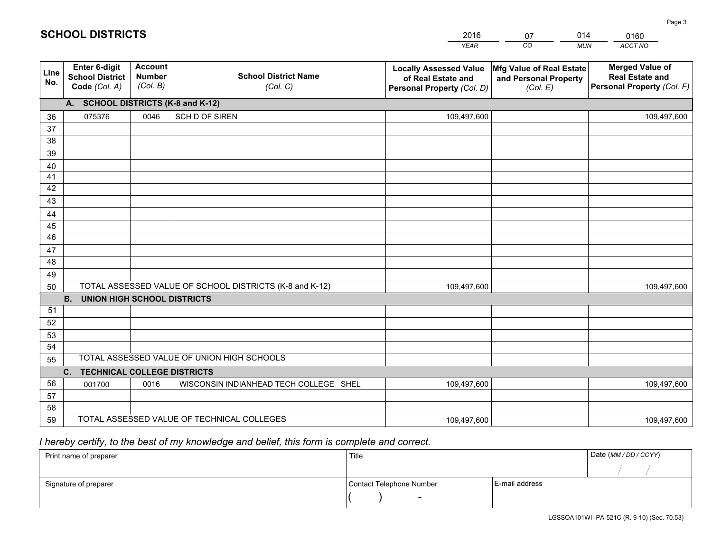|             |                                                          |                                             |                                                         | <b>YEAR</b>                                                                       | CO<br><b>MUN</b>                                              | <b>ACCT NO</b>                                                                 |
|-------------|----------------------------------------------------------|---------------------------------------------|---------------------------------------------------------|-----------------------------------------------------------------------------------|---------------------------------------------------------------|--------------------------------------------------------------------------------|
| Line<br>No. | Enter 6-digit<br><b>School District</b><br>Code (Col. A) | <b>Account</b><br><b>Number</b><br>(Col. B) | <b>School District Name</b><br>(Col. C)                 | <b>Locally Assessed Value</b><br>of Real Estate and<br>Personal Property (Col. D) | Mfg Value of Real Estate<br>and Personal Property<br>(Col. E) | <b>Merged Value of</b><br><b>Real Estate and</b><br>Personal Property (Col. F) |
|             | A. SCHOOL DISTRICTS (K-8 and K-12)                       |                                             |                                                         |                                                                                   |                                                               |                                                                                |
| 36          | 075376                                                   | 0046                                        | SCH D OF SIREN                                          | 109,497,600                                                                       |                                                               | 109,497,600                                                                    |
| 37          |                                                          |                                             |                                                         |                                                                                   |                                                               |                                                                                |
| 38          |                                                          |                                             |                                                         |                                                                                   |                                                               |                                                                                |
| 39          |                                                          |                                             |                                                         |                                                                                   |                                                               |                                                                                |
| 40          |                                                          |                                             |                                                         |                                                                                   |                                                               |                                                                                |
| 41          |                                                          |                                             |                                                         |                                                                                   |                                                               |                                                                                |
| 42<br>43    |                                                          |                                             |                                                         |                                                                                   |                                                               |                                                                                |
|             |                                                          |                                             |                                                         |                                                                                   |                                                               |                                                                                |
| 44<br>45    |                                                          |                                             |                                                         |                                                                                   |                                                               |                                                                                |
| 46          |                                                          |                                             |                                                         |                                                                                   |                                                               |                                                                                |
| 47          |                                                          |                                             |                                                         |                                                                                   |                                                               |                                                                                |
| 48          |                                                          |                                             |                                                         |                                                                                   |                                                               |                                                                                |
| 49          |                                                          |                                             |                                                         |                                                                                   |                                                               |                                                                                |
| 50          |                                                          |                                             | TOTAL ASSESSED VALUE OF SCHOOL DISTRICTS (K-8 and K-12) | 109,497,600                                                                       |                                                               | 109,497,600                                                                    |
|             | <b>B.</b><br><b>UNION HIGH SCHOOL DISTRICTS</b>          |                                             |                                                         |                                                                                   |                                                               |                                                                                |
| 51          |                                                          |                                             |                                                         |                                                                                   |                                                               |                                                                                |
| 52          |                                                          |                                             |                                                         |                                                                                   |                                                               |                                                                                |
| 53          |                                                          |                                             |                                                         |                                                                                   |                                                               |                                                                                |
| 54          |                                                          |                                             |                                                         |                                                                                   |                                                               |                                                                                |
| 55          |                                                          |                                             | TOTAL ASSESSED VALUE OF UNION HIGH SCHOOLS              |                                                                                   |                                                               |                                                                                |
|             | C. TECHNICAL COLLEGE DISTRICTS                           |                                             |                                                         |                                                                                   |                                                               |                                                                                |
| 56          | 001700                                                   | 0016                                        | WISCONSIN INDIANHEAD TECH COLLEGE SHEL                  | 109,497,600                                                                       |                                                               | 109,497,600                                                                    |
| 57          |                                                          |                                             |                                                         |                                                                                   |                                                               |                                                                                |
| 58<br>59    |                                                          |                                             | TOTAL ASSESSED VALUE OF TECHNICAL COLLEGES              |                                                                                   |                                                               |                                                                                |
|             |                                                          |                                             |                                                         | 109,497,600                                                                       |                                                               | 109,497,600                                                                    |

07

014

 *I hereby certify, to the best of my knowledge and belief, this form is complete and correct.*

**SCHOOL DISTRICTS**

| Print name of preparer | Title                    |                | Date (MM / DD / CCYY) |
|------------------------|--------------------------|----------------|-----------------------|
|                        |                          |                |                       |
| Signature of preparer  | Contact Telephone Number | E-mail address |                       |
|                        | $\overline{\phantom{0}}$ |                |                       |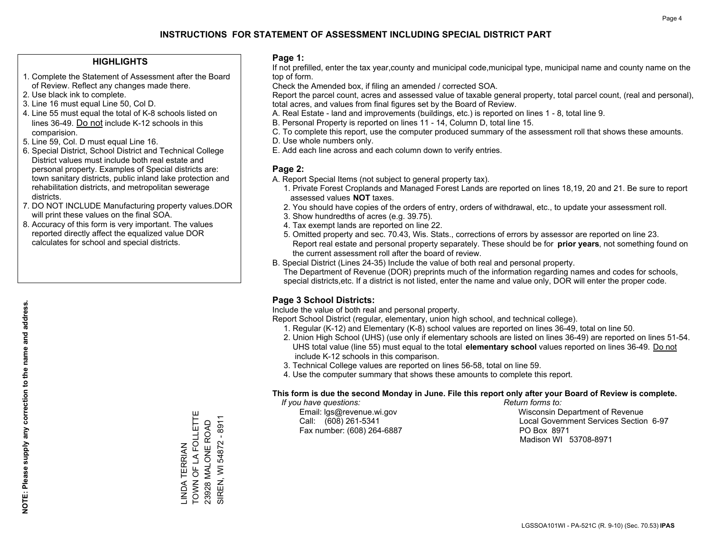#### **HIGHLIGHTS**

- 1. Complete the Statement of Assessment after the Board of Review. Reflect any changes made there.
- 2. Use black ink to complete.
- 3. Line 16 must equal Line 50, Col D.
- 4. Line 55 must equal the total of K-8 schools listed on lines 36-49. Do not include K-12 schools in this comparision.
- 5. Line 59, Col. D must equal Line 16.
- 6. Special District, School District and Technical College District values must include both real estate and personal property. Examples of Special districts are: town sanitary districts, public inland lake protection and rehabilitation districts, and metropolitan sewerage districts.
- 7. DO NOT INCLUDE Manufacturing property values.DOR will print these values on the final SOA.

LINDA TERRIAN

TOWN OF LA FOLLETTE 23928 MALONE ROAD SIREN, WI 54872 - 8911

SIREN, WI 54872 - 8911 23928 MALONE ROAD

-INDA TERRIAN<br>TOWN OF LA FOLLETTE

 8. Accuracy of this form is very important. The values reported directly affect the equalized value DOR calculates for school and special districts.

#### **Page 1:**

 If not prefilled, enter the tax year,county and municipal code,municipal type, municipal name and county name on the top of form.

Check the Amended box, if filing an amended / corrected SOA.

 Report the parcel count, acres and assessed value of taxable general property, total parcel count, (real and personal), total acres, and values from final figures set by the Board of Review.

- A. Real Estate land and improvements (buildings, etc.) is reported on lines 1 8, total line 9.
- B. Personal Property is reported on lines 11 14, Column D, total line 15.
- C. To complete this report, use the computer produced summary of the assessment roll that shows these amounts.
- D. Use whole numbers only.
- E. Add each line across and each column down to verify entries.

#### **Page 2:**

- A. Report Special Items (not subject to general property tax).
- 1. Private Forest Croplands and Managed Forest Lands are reported on lines 18,19, 20 and 21. Be sure to report assessed values **NOT** taxes.
- 2. You should have copies of the orders of entry, orders of withdrawal, etc., to update your assessment roll.
	- 3. Show hundredths of acres (e.g. 39.75).
- 4. Tax exempt lands are reported on line 22.
- 5. Omitted property and sec. 70.43, Wis. Stats., corrections of errors by assessor are reported on line 23. Report real estate and personal property separately. These should be for **prior years**, not something found on the current assessment roll after the board of review.
- B. Special District (Lines 24-35) Include the value of both real and personal property.
- The Department of Revenue (DOR) preprints much of the information regarding names and codes for schools, special districts,etc. If a district is not listed, enter the name and value only, DOR will enter the proper code.

### **Page 3 School Districts:**

Include the value of both real and personal property.

Report School District (regular, elementary, union high school, and technical college).

- 1. Regular (K-12) and Elementary (K-8) school values are reported on lines 36-49, total on line 50.
- 2. Union High School (UHS) (use only if elementary schools are listed on lines 36-49) are reported on lines 51-54. UHS total value (line 55) must equal to the total **elementary school** values reported on lines 36-49. Do notinclude K-12 schools in this comparison.
- 3. Technical College values are reported on lines 56-58, total on line 59.
- 4. Use the computer summary that shows these amounts to complete this report.

#### **This form is due the second Monday in June. File this report only after your Board of Review is complete.**

 *If you have questions: Return forms to:*

Fax number: (608) 264-6887 PO Box 8971

 Email: lgs@revenue.wi.gov Wisconsin Department of Revenue Call: (608) 261-5341 Local Government Services Section 6-97Madison WI 53708-8971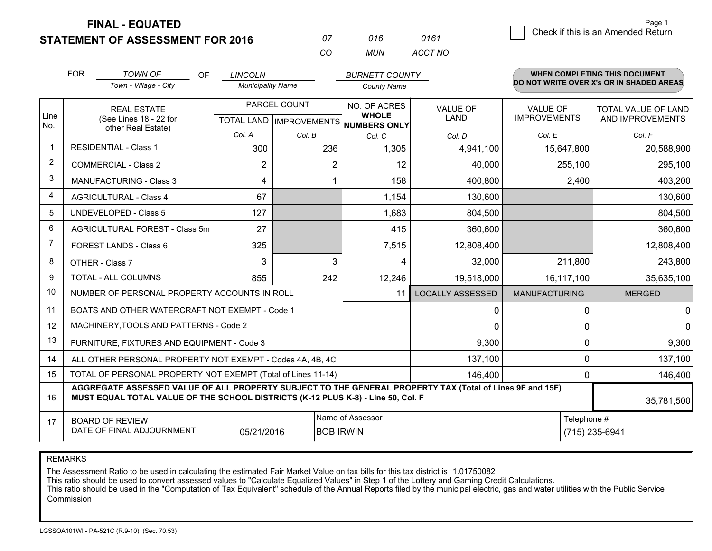**STATEMENT OF ASSESSMENT FOR 2016 FINAL - EQUATED**

*0161*1 Check if this is an Amended Return

|                | <b>FOR</b>                                 | <b>TOWN OF</b><br><b>OF</b>                                                                                                                                                                  | <b>LINCOLN</b>           |              | <b>BURNETT COUNTY</b>                                    |                         |                      | <b>WHEN COMPLETING THIS DOCUMENT</b><br>DO NOT WRITE OVER X's OR IN SHADED AREAS |
|----------------|--------------------------------------------|----------------------------------------------------------------------------------------------------------------------------------------------------------------------------------------------|--------------------------|--------------|----------------------------------------------------------|-------------------------|----------------------|----------------------------------------------------------------------------------|
|                |                                            | Town - Village - City                                                                                                                                                                        | <b>Municipality Name</b> |              | <b>County Name</b>                                       |                         |                      |                                                                                  |
|                |                                            | <b>REAL ESTATE</b>                                                                                                                                                                           |                          | PARCEL COUNT | NO. OF ACRES                                             | <b>VALUE OF</b>         | <b>VALUE OF</b>      | <b>TOTAL VALUE OF LAND</b>                                                       |
| Line<br>No.    |                                            | (See Lines 18 - 22 for<br>other Real Estate)                                                                                                                                                 |                          |              | <b>WHOLE</b><br>TOTAL LAND   IMPROVEMENTS   NUMBERS ONLY | <b>LAND</b>             | <b>IMPROVEMENTS</b>  | AND IMPROVEMENTS                                                                 |
|                |                                            |                                                                                                                                                                                              | Col. A                   | Col. B       | Col. C                                                   | Col. D                  | Col. E               | Col. F                                                                           |
| $\mathbf 1$    |                                            | <b>RESIDENTIAL - Class 1</b>                                                                                                                                                                 | 300                      | 236          | 1,305                                                    | 4,941,100               | 15,647,800           | 20,588,900                                                                       |
| 2              |                                            | <b>COMMERCIAL - Class 2</b>                                                                                                                                                                  | 2                        | 2            | 12                                                       | 40,000                  | 255,100              | 295,100                                                                          |
| 3              |                                            | MANUFACTURING - Class 3                                                                                                                                                                      | 4                        |              | 158                                                      | 400,800                 | 2,400                | 403,200                                                                          |
| $\overline{4}$ |                                            | <b>AGRICULTURAL - Class 4</b>                                                                                                                                                                | 67                       |              | 1,154                                                    | 130,600                 |                      | 130,600                                                                          |
| 5              |                                            | <b>UNDEVELOPED - Class 5</b>                                                                                                                                                                 | 127                      |              | 1,683                                                    | 804,500                 |                      | 804,500                                                                          |
| 6              | AGRICULTURAL FOREST - Class 5m             |                                                                                                                                                                                              | 27                       |              | 415                                                      | 360,600                 |                      | 360,600                                                                          |
| $\overline{7}$ |                                            | FOREST LANDS - Class 6                                                                                                                                                                       | 325                      |              | 7,515                                                    | 12,808,400              |                      | 12,808,400                                                                       |
| 8              |                                            | OTHER - Class 7                                                                                                                                                                              | 3                        | 3            | 4                                                        | 32,000                  | 211,800              | 243,800                                                                          |
| 9              |                                            | TOTAL - ALL COLUMNS                                                                                                                                                                          | 855                      | 242          | 12,246                                                   | 19,518,000              | 16,117,100           | 35,635,100                                                                       |
| 10             |                                            | NUMBER OF PERSONAL PROPERTY ACCOUNTS IN ROLL                                                                                                                                                 |                          |              | 11                                                       | <b>LOCALLY ASSESSED</b> | <b>MANUFACTURING</b> | <b>MERGED</b>                                                                    |
| 11             |                                            | BOATS AND OTHER WATERCRAFT NOT EXEMPT - Code 1                                                                                                                                               |                          |              |                                                          | 0                       | 0                    | 0                                                                                |
| 12             |                                            | MACHINERY, TOOLS AND PATTERNS - Code 2                                                                                                                                                       |                          |              |                                                          | $\mathbf 0$             | 0                    | $\mathbf 0$                                                                      |
| 13             |                                            | FURNITURE, FIXTURES AND EQUIPMENT - Code 3                                                                                                                                                   |                          |              |                                                          | 9,300                   | 0                    | 9,300                                                                            |
| 14             |                                            | ALL OTHER PERSONAL PROPERTY NOT EXEMPT - Codes 4A, 4B, 4C                                                                                                                                    |                          |              |                                                          | 137,100                 | 0                    | 137,100                                                                          |
| 15             |                                            | TOTAL OF PERSONAL PROPERTY NOT EXEMPT (Total of Lines 11-14)                                                                                                                                 |                          |              |                                                          | 146,400                 | 0                    | 146,400                                                                          |
| 16             |                                            | AGGREGATE ASSESSED VALUE OF ALL PROPERTY SUBJECT TO THE GENERAL PROPERTY TAX (Total of Lines 9F and 15F)<br>MUST EQUAL TOTAL VALUE OF THE SCHOOL DISTRICTS (K-12 PLUS K-8) - Line 50, Col. F |                          |              |                                                          |                         |                      | 35,781,500                                                                       |
| 17             | Name of Assessor<br><b>BOARD OF REVIEW</b> |                                                                                                                                                                                              |                          |              |                                                          |                         | Telephone #          |                                                                                  |
|                |                                            | DATE OF FINAL ADJOURNMENT                                                                                                                                                                    | 05/21/2016               |              | <b>BOB IRWIN</b>                                         |                         |                      | (715) 235-6941                                                                   |

*CO*

*MUN*

*ACCT NO*

*<sup>07</sup> <sup>016</sup>*

REMARKS

The Assessment Ratio to be used in calculating the estimated Fair Market Value on tax bills for this tax district is 1.01750082<br>This ratio should be used to convert assessed values to "Calculate Equalized Values" in Step 1 Commission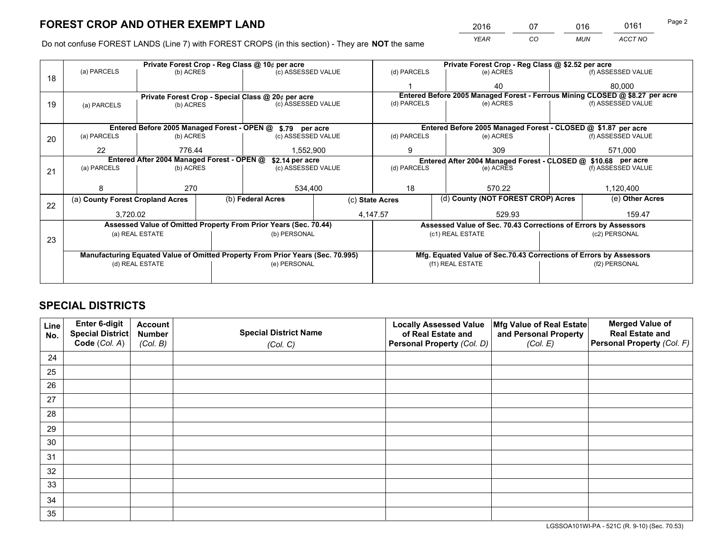*YEAR CO MUN ACCT NO* <sup>2016</sup> <sup>07</sup> <sup>016</sup> <sup>0161</sup>

Do not confuse FOREST LANDS (Line 7) with FOREST CROPS (in this section) - They are **NOT** the same

|    |                                                               |                 |  | Private Forest Crop - Reg Class @ 10¢ per acre                                 |                    |                                                               | Private Forest Crop - Reg Class @ \$2.52 per acre                            |  |                    |  |
|----|---------------------------------------------------------------|-----------------|--|--------------------------------------------------------------------------------|--------------------|---------------------------------------------------------------|------------------------------------------------------------------------------|--|--------------------|--|
| 18 | (a) PARCELS                                                   | (b) ACRES       |  | (c) ASSESSED VALUE                                                             |                    | (d) PARCELS                                                   | (e) ACRES                                                                    |  | (f) ASSESSED VALUE |  |
|    |                                                               |                 |  |                                                                                |                    |                                                               | 40                                                                           |  | 80.000             |  |
|    |                                                               |                 |  | Private Forest Crop - Special Class @ 20¢ per acre                             |                    |                                                               | Entered Before 2005 Managed Forest - Ferrous Mining CLOSED @ \$8.27 per acre |  |                    |  |
| 19 | (a) PARCELS                                                   | (b) ACRES       |  | (c) ASSESSED VALUE                                                             |                    | (d) PARCELS                                                   | (e) ACRES                                                                    |  | (f) ASSESSED VALUE |  |
|    |                                                               |                 |  |                                                                                |                    |                                                               |                                                                              |  |                    |  |
|    |                                                               |                 |  | Entered Before 2005 Managed Forest - OPEN @ \$.79 per acre                     |                    |                                                               | Entered Before 2005 Managed Forest - CLOSED @ \$1.87 per acre                |  |                    |  |
| 20 | (a) PARCELS                                                   | (b) ACRES       |  | (c) ASSESSED VALUE                                                             |                    | (d) PARCELS                                                   | (e) ACRES                                                                    |  | (f) ASSESSED VALUE |  |
|    | 22                                                            | 776.44          |  | 1,552,900                                                                      |                    | 9<br>309                                                      |                                                                              |  | 571,000            |  |
|    | Entered After 2004 Managed Forest - OPEN @<br>\$2.14 per acre |                 |  |                                                                                |                    | Entered After 2004 Managed Forest - CLOSED @ \$10.68 per acre |                                                                              |  |                    |  |
| 21 | (a) PARCELS                                                   | (b) ACRES       |  |                                                                                | (c) ASSESSED VALUE |                                                               | (d) PARCELS<br>(e) ACRES                                                     |  | (f) ASSESSED VALUE |  |
|    |                                                               |                 |  |                                                                                |                    |                                                               |                                                                              |  |                    |  |
|    | 8                                                             | 270             |  | 534,400                                                                        |                    | 18                                                            | 570.22                                                                       |  | 1,120,400          |  |
| 22 | (a) County Forest Cropland Acres                              |                 |  | (b) Federal Acres                                                              |                    | (d) County (NOT FOREST CROP) Acres<br>(c) State Acres         |                                                                              |  | (e) Other Acres    |  |
|    | 3,720.02                                                      |                 |  |                                                                                |                    | 4,147.57                                                      | 529.93                                                                       |  | 159.47             |  |
|    |                                                               |                 |  | Assessed Value of Omitted Property From Prior Years (Sec. 70.44)               |                    |                                                               | Assessed Value of Sec. 70.43 Corrections of Errors by Assessors              |  |                    |  |
| 23 |                                                               | (a) REAL ESTATE |  | (b) PERSONAL                                                                   |                    |                                                               | (c1) REAL ESTATE                                                             |  | (c2) PERSONAL      |  |
|    |                                                               |                 |  |                                                                                |                    |                                                               |                                                                              |  |                    |  |
|    |                                                               |                 |  | Manufacturing Equated Value of Omitted Property From Prior Years (Sec. 70.995) |                    |                                                               | Mfg. Equated Value of Sec.70.43 Corrections of Errors by Assessors           |  |                    |  |
|    | (d) REAL ESTATE                                               |                 |  | (e) PERSONAL                                                                   |                    |                                                               | (f1) REAL ESTATE                                                             |  | (f2) PERSONAL      |  |
|    |                                                               |                 |  |                                                                                |                    |                                                               |                                                                              |  |                    |  |

## **SPECIAL DISTRICTS**

| Line<br>No. | Enter 6-digit<br>Special District | <b>Account</b><br><b>Number</b> | <b>Special District Name</b> | <b>Locally Assessed Value</b><br>of Real Estate and | Mfg Value of Real Estate<br>and Personal Property | <b>Merged Value of</b><br><b>Real Estate and</b> |
|-------------|-----------------------------------|---------------------------------|------------------------------|-----------------------------------------------------|---------------------------------------------------|--------------------------------------------------|
|             | Code (Col. A)                     | (Col. B)                        | (Col. C)                     | Personal Property (Col. D)                          | (Col. E)                                          | Personal Property (Col. F)                       |
| 24          |                                   |                                 |                              |                                                     |                                                   |                                                  |
| 25          |                                   |                                 |                              |                                                     |                                                   |                                                  |
| 26          |                                   |                                 |                              |                                                     |                                                   |                                                  |
| 27          |                                   |                                 |                              |                                                     |                                                   |                                                  |
| 28          |                                   |                                 |                              |                                                     |                                                   |                                                  |
| 29          |                                   |                                 |                              |                                                     |                                                   |                                                  |
| 30          |                                   |                                 |                              |                                                     |                                                   |                                                  |
| 31          |                                   |                                 |                              |                                                     |                                                   |                                                  |
| 32          |                                   |                                 |                              |                                                     |                                                   |                                                  |
| 33          |                                   |                                 |                              |                                                     |                                                   |                                                  |
| 34          |                                   |                                 |                              |                                                     |                                                   |                                                  |
| 35          |                                   |                                 |                              |                                                     |                                                   |                                                  |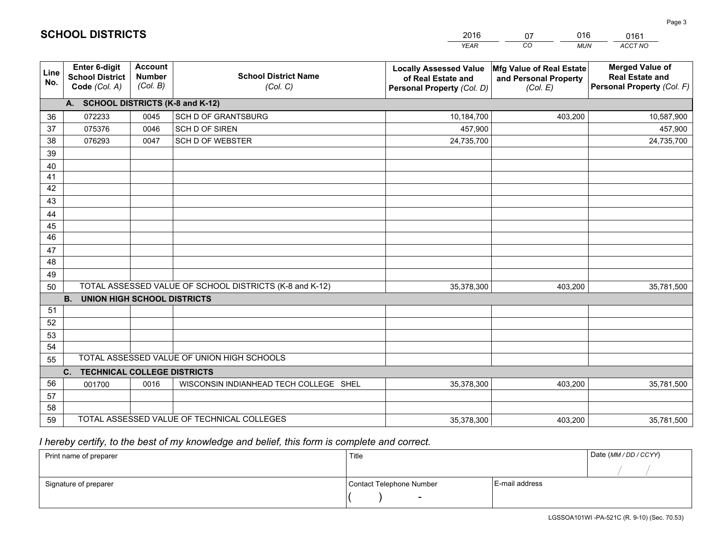|             |                                                                 |                                             |                                                         | <b>YEAR</b>                                                                       | CO<br><b>MUN</b>                                              | ACCT NO                                                                        |
|-------------|-----------------------------------------------------------------|---------------------------------------------|---------------------------------------------------------|-----------------------------------------------------------------------------------|---------------------------------------------------------------|--------------------------------------------------------------------------------|
| Line<br>No. | <b>Enter 6-digit</b><br><b>School District</b><br>Code (Col. A) | <b>Account</b><br><b>Number</b><br>(Col. B) | <b>School District Name</b><br>(Col. C)                 | <b>Locally Assessed Value</b><br>of Real Estate and<br>Personal Property (Col. D) | Mfg Value of Real Estate<br>and Personal Property<br>(Col. E) | <b>Merged Value of</b><br><b>Real Estate and</b><br>Personal Property (Col. F) |
|             | A. SCHOOL DISTRICTS (K-8 and K-12)                              |                                             |                                                         |                                                                                   |                                                               |                                                                                |
| 36          | 072233                                                          | 0045                                        | SCH D OF GRANTSBURG                                     | 10,184,700                                                                        | 403,200                                                       | 10,587,900                                                                     |
| 37          | 075376                                                          | 0046                                        | SCH D OF SIREN                                          | 457,900                                                                           |                                                               | 457,900                                                                        |
| 38          | 076293                                                          | 0047                                        | <b>SCH D OF WEBSTER</b>                                 | 24,735,700                                                                        |                                                               | 24,735,700                                                                     |
| 39          |                                                                 |                                             |                                                         |                                                                                   |                                                               |                                                                                |
| 40          |                                                                 |                                             |                                                         |                                                                                   |                                                               |                                                                                |
| 41          |                                                                 |                                             |                                                         |                                                                                   |                                                               |                                                                                |
| 42          |                                                                 |                                             |                                                         |                                                                                   |                                                               |                                                                                |
| 43          |                                                                 |                                             |                                                         |                                                                                   |                                                               |                                                                                |
| 44          |                                                                 |                                             |                                                         |                                                                                   |                                                               |                                                                                |
| 45<br>46    |                                                                 |                                             |                                                         |                                                                                   |                                                               |                                                                                |
|             |                                                                 |                                             |                                                         |                                                                                   |                                                               |                                                                                |
| 47<br>48    |                                                                 |                                             |                                                         |                                                                                   |                                                               |                                                                                |
| 49          |                                                                 |                                             |                                                         |                                                                                   |                                                               |                                                                                |
| 50          |                                                                 |                                             | TOTAL ASSESSED VALUE OF SCHOOL DISTRICTS (K-8 and K-12) | 35,378,300                                                                        | 403,200                                                       | 35,781,500                                                                     |
|             | <b>B.</b><br><b>UNION HIGH SCHOOL DISTRICTS</b>                 |                                             |                                                         |                                                                                   |                                                               |                                                                                |
| 51          |                                                                 |                                             |                                                         |                                                                                   |                                                               |                                                                                |
| 52          |                                                                 |                                             |                                                         |                                                                                   |                                                               |                                                                                |
| 53          |                                                                 |                                             |                                                         |                                                                                   |                                                               |                                                                                |
| 54          |                                                                 |                                             |                                                         |                                                                                   |                                                               |                                                                                |
| 55          |                                                                 |                                             | TOTAL ASSESSED VALUE OF UNION HIGH SCHOOLS              |                                                                                   |                                                               |                                                                                |
|             | C.<br><b>TECHNICAL COLLEGE DISTRICTS</b>                        |                                             |                                                         |                                                                                   |                                                               |                                                                                |
| 56          | 001700                                                          | 0016                                        | WISCONSIN INDIANHEAD TECH COLLEGE SHEL                  | 35,378,300                                                                        | 403,200                                                       | 35,781,500                                                                     |
| 57          |                                                                 |                                             |                                                         |                                                                                   |                                                               |                                                                                |
| 58          |                                                                 |                                             |                                                         |                                                                                   |                                                               |                                                                                |
| 59          |                                                                 |                                             | TOTAL ASSESSED VALUE OF TECHNICAL COLLEGES              | 35,378,300                                                                        | 403,200                                                       | 35,781,500                                                                     |

07

016

 *I hereby certify, to the best of my knowledge and belief, this form is complete and correct.*

**SCHOOL DISTRICTS**

| Print name of preparer | Title                    | Date (MM / DD / CCYY) |  |
|------------------------|--------------------------|-----------------------|--|
|                        |                          |                       |  |
| Signature of preparer  | Contact Telephone Number | E-mail address        |  |
|                        | $\overline{\phantom{0}}$ |                       |  |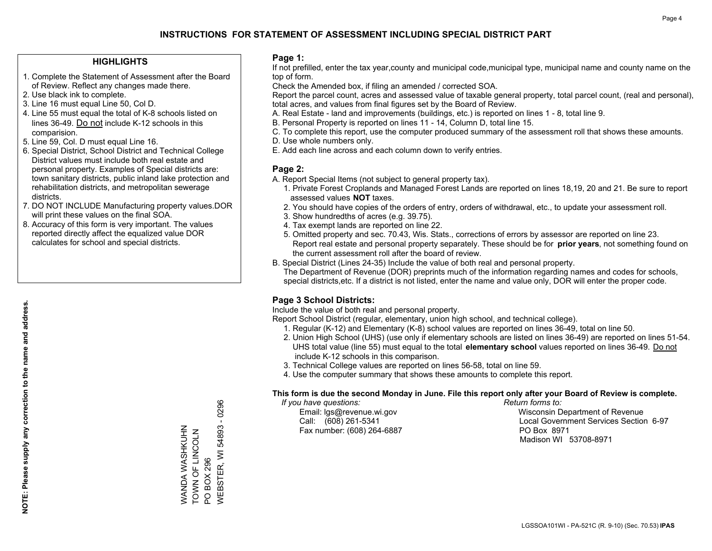#### **HIGHLIGHTS**

- 1. Complete the Statement of Assessment after the Board of Review. Reflect any changes made there.
- 2. Use black ink to complete.
- 3. Line 16 must equal Line 50, Col D.
- 4. Line 55 must equal the total of K-8 schools listed on lines 36-49. Do not include K-12 schools in this comparision.
- 5. Line 59, Col. D must equal Line 16.
- 6. Special District, School District and Technical College District values must include both real estate and personal property. Examples of Special districts are: town sanitary districts, public inland lake protection and rehabilitation districts, and metropolitan sewerage districts.
- 7. DO NOT INCLUDE Manufacturing property values.DOR will print these values on the final SOA.

WANDA WASHKUHN TOWN OF LINCOLN

WANDA WASHKUHN<br>TOWN OF LINCOLN

PO BOX 296

**PO BOX 296** 

WEBSTER, WI 54893 - 0296

**WEBSTER, WI 54893 - 0296** 

 8. Accuracy of this form is very important. The values reported directly affect the equalized value DOR calculates for school and special districts.

#### **Page 1:**

 If not prefilled, enter the tax year,county and municipal code,municipal type, municipal name and county name on the top of form.

Check the Amended box, if filing an amended / corrected SOA.

 Report the parcel count, acres and assessed value of taxable general property, total parcel count, (real and personal), total acres, and values from final figures set by the Board of Review.

- A. Real Estate land and improvements (buildings, etc.) is reported on lines 1 8, total line 9.
- B. Personal Property is reported on lines 11 14, Column D, total line 15.
- C. To complete this report, use the computer produced summary of the assessment roll that shows these amounts.
- D. Use whole numbers only.
- E. Add each line across and each column down to verify entries.

#### **Page 2:**

- A. Report Special Items (not subject to general property tax).
- 1. Private Forest Croplands and Managed Forest Lands are reported on lines 18,19, 20 and 21. Be sure to report assessed values **NOT** taxes.
- 2. You should have copies of the orders of entry, orders of withdrawal, etc., to update your assessment roll.
	- 3. Show hundredths of acres (e.g. 39.75).
- 4. Tax exempt lands are reported on line 22.
- 5. Omitted property and sec. 70.43, Wis. Stats., corrections of errors by assessor are reported on line 23. Report real estate and personal property separately. These should be for **prior years**, not something found on the current assessment roll after the board of review.
- B. Special District (Lines 24-35) Include the value of both real and personal property.
- The Department of Revenue (DOR) preprints much of the information regarding names and codes for schools, special districts,etc. If a district is not listed, enter the name and value only, DOR will enter the proper code.

### **Page 3 School Districts:**

Include the value of both real and personal property.

Report School District (regular, elementary, union high school, and technical college).

- 1. Regular (K-12) and Elementary (K-8) school values are reported on lines 36-49, total on line 50.
- 2. Union High School (UHS) (use only if elementary schools are listed on lines 36-49) are reported on lines 51-54. UHS total value (line 55) must equal to the total **elementary school** values reported on lines 36-49. Do notinclude K-12 schools in this comparison.
- 3. Technical College values are reported on lines 56-58, total on line 59.
- 4. Use the computer summary that shows these amounts to complete this report.

#### **This form is due the second Monday in June. File this report only after your Board of Review is complete.**

 *If you have questions: Return forms to:*

Fax number: (608) 264-6887 PO Box 8971

 Email: lgs@revenue.wi.gov Wisconsin Department of Revenue Call: (608) 261-5341 Local Government Services Section 6-97Madison WI 53708-8971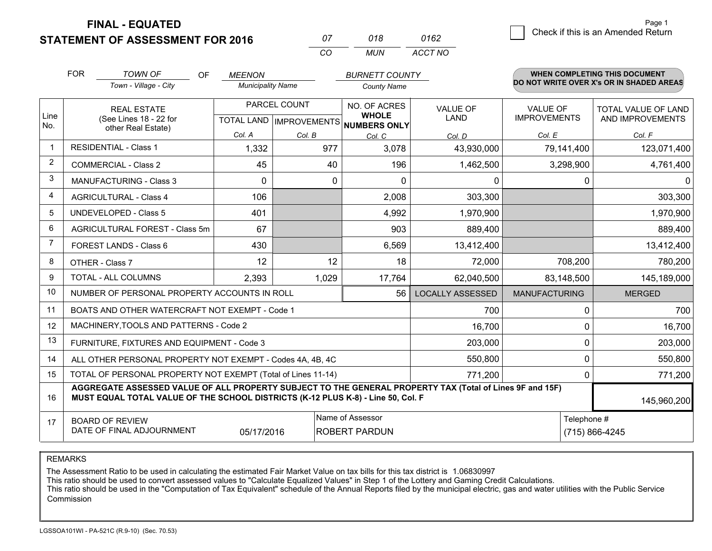**FINAL - EQUATED**

**STATEMENT OF ASSESSMENT FOR 2016** 

| $^{\prime\prime}$ | ก18 | ก162    |
|-------------------|-----|---------|
| $\cdots$          | MUN | ACCT NO |

|                | <b>FOR</b>                                                                                                                                                                                                  | <b>TOWN OF</b><br><b>OF</b>                                  | <b>MEENON</b>                                  |        | <b>BURNETT COUNTY</b>                    |                                |                                        | <b>WHEN COMPLETING THIS DOCUMENT</b>           |  |
|----------------|-------------------------------------------------------------------------------------------------------------------------------------------------------------------------------------------------------------|--------------------------------------------------------------|------------------------------------------------|--------|------------------------------------------|--------------------------------|----------------------------------------|------------------------------------------------|--|
|                |                                                                                                                                                                                                             | Town - Village - City                                        | <b>Municipality Name</b>                       |        | <b>County Name</b>                       |                                |                                        | DO NOT WRITE OVER X's OR IN SHADED AREAS       |  |
| Line           |                                                                                                                                                                                                             | <b>REAL ESTATE</b><br>(See Lines 18 - 22 for                 | PARCEL COUNT<br><b>TOTAL LAND IMPROVEMENTS</b> |        | NO. OF ACRES<br><b>WHOLE</b>             | <b>VALUE OF</b><br><b>LAND</b> | <b>VALUE OF</b><br><b>IMPROVEMENTS</b> | <b>TOTAL VALUE OF LAND</b><br>AND IMPROVEMENTS |  |
| No.            |                                                                                                                                                                                                             | other Real Estate)                                           | Col. A                                         | Col. B | <b>NUMBERS ONLY</b><br>Col. C            | Col. D                         | Col. E                                 | Col. F                                         |  |
| -1             |                                                                                                                                                                                                             | <b>RESIDENTIAL - Class 1</b>                                 | 1,332                                          | 977    | 3,078                                    | 43,930,000                     | 79,141,400                             | 123,071,400                                    |  |
| 2              |                                                                                                                                                                                                             | <b>COMMERCIAL - Class 2</b>                                  | 45                                             | 40     | 196                                      | 1,462,500                      | 3,298,900                              | 4,761,400                                      |  |
| 3              |                                                                                                                                                                                                             | <b>MANUFACTURING - Class 3</b>                               | $\Omega$                                       | 0      | $\Omega$                                 | 0                              | 0                                      | $\Omega$                                       |  |
| 4              |                                                                                                                                                                                                             | <b>AGRICULTURAL - Class 4</b>                                | 106                                            |        | 2,008                                    | 303,300                        |                                        | 303,300                                        |  |
| 5              |                                                                                                                                                                                                             | <b>UNDEVELOPED - Class 5</b>                                 | 401                                            |        | 4,992                                    | 1,970,900                      |                                        | 1,970,900                                      |  |
| 6              |                                                                                                                                                                                                             | AGRICULTURAL FOREST - Class 5m                               | 67                                             |        | 903                                      | 889,400                        |                                        | 889,400                                        |  |
| $\overline{7}$ |                                                                                                                                                                                                             | FOREST LANDS - Class 6                                       | 430                                            |        | 6,569                                    | 13,412,400                     |                                        | 13,412,400                                     |  |
| 8              |                                                                                                                                                                                                             | OTHER - Class 7                                              | 12                                             | 12     | 18                                       | 72,000                         | 708,200                                | 780,200                                        |  |
| 9              |                                                                                                                                                                                                             | TOTAL - ALL COLUMNS                                          | 2,393                                          | 1,029  | 17,764                                   | 62,040,500                     | 83,148,500                             | 145,189,000                                    |  |
| 10             |                                                                                                                                                                                                             | NUMBER OF PERSONAL PROPERTY ACCOUNTS IN ROLL                 |                                                |        | 56                                       | <b>LOCALLY ASSESSED</b>        | <b>MANUFACTURING</b>                   | <b>MERGED</b>                                  |  |
| 11             |                                                                                                                                                                                                             | BOATS AND OTHER WATERCRAFT NOT EXEMPT - Code 1               |                                                |        |                                          | 700                            | $\Omega$                               | 700                                            |  |
| 12             |                                                                                                                                                                                                             | MACHINERY, TOOLS AND PATTERNS - Code 2                       |                                                |        |                                          | 16,700                         | 0                                      | 16,700                                         |  |
| 13             |                                                                                                                                                                                                             | FURNITURE, FIXTURES AND EQUIPMENT - Code 3                   |                                                |        |                                          | 203,000                        | 0                                      | 203,000                                        |  |
| 14             |                                                                                                                                                                                                             | ALL OTHER PERSONAL PROPERTY NOT EXEMPT - Codes 4A, 4B, 4C    |                                                |        |                                          | 550,800                        | 0                                      | 550,800                                        |  |
| 15             |                                                                                                                                                                                                             | TOTAL OF PERSONAL PROPERTY NOT EXEMPT (Total of Lines 11-14) |                                                |        |                                          | 771,200                        | $\Omega$                               | 771,200                                        |  |
| 16             | AGGREGATE ASSESSED VALUE OF ALL PROPERTY SUBJECT TO THE GENERAL PROPERTY TAX (Total of Lines 9F and 15F)<br>MUST EQUAL TOTAL VALUE OF THE SCHOOL DISTRICTS (K-12 PLUS K-8) - Line 50, Col. F<br>145,960,200 |                                                              |                                                |        |                                          |                                |                                        |                                                |  |
| 17             |                                                                                                                                                                                                             | <b>BOARD OF REVIEW</b><br>DATE OF FINAL ADJOURNMENT          | 05/17/2016                                     |        | Name of Assessor<br><b>ROBERT PARDUN</b> | Telephone #<br>(715) 866-4245  |                                        |                                                |  |

REMARKS

The Assessment Ratio to be used in calculating the estimated Fair Market Value on tax bills for this tax district is 1.06830997<br>This ratio should be used to convert assessed values to "Calculate Equalized Values" in Step 1 Commission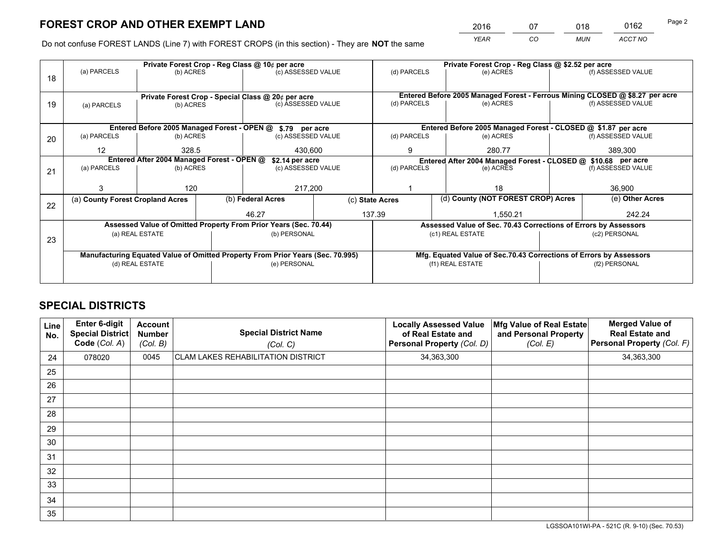*YEAR CO MUN ACCT NO* <sup>2016</sup> <sup>07</sup> <sup>018</sup> <sup>0162</sup>

Do not confuse FOREST LANDS (Line 7) with FOREST CROPS (in this section) - They are **NOT** the same

|    | Private Forest Crop - Reg Class @ 10¢ per acre                                 |                                                   |                    |                    |                                                                    | Private Forest Crop - Reg Class @ \$2.52 per acre                                                    |             |               |                    |                    |
|----|--------------------------------------------------------------------------------|---------------------------------------------------|--------------------|--------------------|--------------------------------------------------------------------|------------------------------------------------------------------------------------------------------|-------------|---------------|--------------------|--------------------|
| 18 | (a) PARCELS<br>(b) ACRES                                                       |                                                   | (c) ASSESSED VALUE |                    | (d) PARCELS                                                        |                                                                                                      | (e) ACRES   |               | (f) ASSESSED VALUE |                    |
|    |                                                                                |                                                   |                    |                    |                                                                    |                                                                                                      |             |               |                    |                    |
|    | Private Forest Crop - Special Class @ 20¢ per acre                             |                                                   |                    |                    |                                                                    | Entered Before 2005 Managed Forest - Ferrous Mining CLOSED @ \$8.27 per acre                         |             |               |                    |                    |
| 19 | (a) PARCELS                                                                    | (b) ACRES                                         |                    | (c) ASSESSED VALUE |                                                                    | (d) PARCELS                                                                                          |             | (e) ACRES     |                    | (f) ASSESSED VALUE |
|    |                                                                                |                                                   |                    |                    |                                                                    |                                                                                                      |             |               |                    |                    |
|    | Entered Before 2005 Managed Forest - OPEN @ \$.79 per acre                     |                                                   |                    |                    |                                                                    | Entered Before 2005 Managed Forest - CLOSED @ \$1.87 per acre                                        |             |               |                    |                    |
| 20 | (a) PARCELS                                                                    | (b) ACRES                                         |                    | (c) ASSESSED VALUE |                                                                    | (d) PARCELS                                                                                          |             | (e) ACRES     |                    | (f) ASSESSED VALUE |
|    | 12                                                                             | 328.5                                             |                    | 430,600            |                                                                    | 9                                                                                                    |             | 280.77        |                    | 389,300            |
|    | Entered After 2004 Managed Forest - OPEN @<br>\$2.14 per acre                  |                                                   |                    |                    | Entered After 2004 Managed Forest - CLOSED @ \$10.68 per acre      |                                                                                                      |             |               |                    |                    |
| 21 | (a) PARCELS                                                                    | (c) ASSESSED VALUE<br>(b) ACRES<br>120<br>217,200 |                    |                    |                                                                    |                                                                                                      | (d) PARCELS | (e) ACRES     |                    | (f) ASSESSED VALUE |
|    |                                                                                |                                                   |                    |                    |                                                                    |                                                                                                      |             |               |                    |                    |
|    |                                                                                |                                                   |                    |                    |                                                                    |                                                                                                      |             | 18            |                    | 36,900             |
|    | (a) County Forest Cropland Acres                                               |                                                   |                    | (b) Federal Acres  |                                                                    | (d) County (NOT FOREST CROP) Acres<br>(c) State Acres                                                |             |               | (e) Other Acres    |                    |
| 22 |                                                                                |                                                   |                    | 46.27              |                                                                    | 137.39<br>1.550.21                                                                                   |             |               | 242.24             |                    |
|    | Assessed Value of Omitted Property From Prior Years (Sec. 70.44)               |                                                   |                    |                    |                                                                    |                                                                                                      |             |               |                    |                    |
|    | (a) REAL ESTATE                                                                |                                                   |                    |                    |                                                                    | Assessed Value of Sec. 70.43 Corrections of Errors by Assessors<br>(c1) REAL ESTATE<br>(c2) PERSONAL |             |               |                    |                    |
| 23 |                                                                                |                                                   |                    | (b) PERSONAL       |                                                                    |                                                                                                      |             |               |                    |                    |
|    |                                                                                |                                                   |                    |                    |                                                                    |                                                                                                      |             |               |                    |                    |
|    | Manufacturing Equated Value of Omitted Property From Prior Years (Sec. 70.995) |                                                   |                    |                    | Mfg. Equated Value of Sec.70.43 Corrections of Errors by Assessors |                                                                                                      |             |               |                    |                    |
|    | (d) REAL ESTATE                                                                |                                                   |                    | (e) PERSONAL       |                                                                    | (f1) REAL ESTATE                                                                                     |             | (f2) PERSONAL |                    |                    |
|    |                                                                                |                                                   |                    |                    |                                                                    |                                                                                                      |             |               |                    |                    |

## **SPECIAL DISTRICTS**

| Line<br>No. | Enter 6-digit<br><b>Special District</b><br>Code (Col. A) | <b>Account</b><br><b>Number</b><br>(Col. B) | <b>Special District Name</b><br>(Col. C)  | <b>Locally Assessed Value</b><br>of Real Estate and<br>Personal Property (Col. D) | Mfg Value of Real Estate<br>and Personal Property<br>(Col. E) | <b>Merged Value of</b><br><b>Real Estate and</b><br>Personal Property (Col. F) |
|-------------|-----------------------------------------------------------|---------------------------------------------|-------------------------------------------|-----------------------------------------------------------------------------------|---------------------------------------------------------------|--------------------------------------------------------------------------------|
| 24          | 078020                                                    | 0045                                        | <b>CLAM LAKES REHABILITATION DISTRICT</b> | 34,363,300                                                                        |                                                               | 34,363,300                                                                     |
| 25          |                                                           |                                             |                                           |                                                                                   |                                                               |                                                                                |
| 26          |                                                           |                                             |                                           |                                                                                   |                                                               |                                                                                |
| 27          |                                                           |                                             |                                           |                                                                                   |                                                               |                                                                                |
| 28          |                                                           |                                             |                                           |                                                                                   |                                                               |                                                                                |
| 29          |                                                           |                                             |                                           |                                                                                   |                                                               |                                                                                |
| 30          |                                                           |                                             |                                           |                                                                                   |                                                               |                                                                                |
| 31          |                                                           |                                             |                                           |                                                                                   |                                                               |                                                                                |
| 32          |                                                           |                                             |                                           |                                                                                   |                                                               |                                                                                |
| 33          |                                                           |                                             |                                           |                                                                                   |                                                               |                                                                                |
| 34          |                                                           |                                             |                                           |                                                                                   |                                                               |                                                                                |
| 35          |                                                           |                                             |                                           |                                                                                   |                                                               |                                                                                |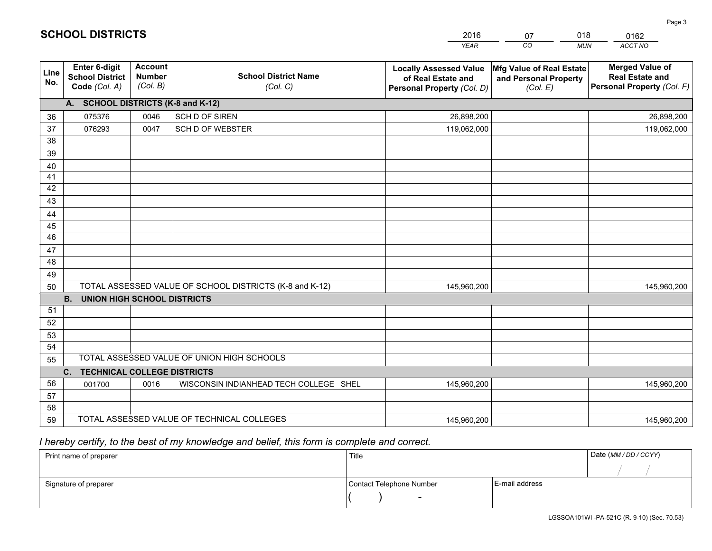|             |                                                                                                            |                                             |                                            | <b>YEAR</b>                                                                       | CO<br><b>MUN</b>                                              | ACCT NO                                                                        |  |  |
|-------------|------------------------------------------------------------------------------------------------------------|---------------------------------------------|--------------------------------------------|-----------------------------------------------------------------------------------|---------------------------------------------------------------|--------------------------------------------------------------------------------|--|--|
| Line<br>No. | <b>Enter 6-digit</b><br><b>School District</b><br>Code (Col. A)                                            | <b>Account</b><br><b>Number</b><br>(Col. B) | <b>School District Name</b><br>(Col. C)    | <b>Locally Assessed Value</b><br>of Real Estate and<br>Personal Property (Col. D) | Mfg Value of Real Estate<br>and Personal Property<br>(Col. E) | <b>Merged Value of</b><br><b>Real Estate and</b><br>Personal Property (Col. F) |  |  |
|             | A. SCHOOL DISTRICTS (K-8 and K-12)                                                                         |                                             |                                            |                                                                                   |                                                               |                                                                                |  |  |
| 36          | 075376                                                                                                     | 0046                                        | SCH D OF SIREN                             | 26,898,200                                                                        |                                                               | 26,898,200                                                                     |  |  |
| 37          | 076293                                                                                                     | 0047                                        | <b>SCH D OF WEBSTER</b>                    | 119,062,000                                                                       |                                                               | 119,062,000                                                                    |  |  |
| 38          |                                                                                                            |                                             |                                            |                                                                                   |                                                               |                                                                                |  |  |
| 39          |                                                                                                            |                                             |                                            |                                                                                   |                                                               |                                                                                |  |  |
| 40          |                                                                                                            |                                             |                                            |                                                                                   |                                                               |                                                                                |  |  |
| 41          |                                                                                                            |                                             |                                            |                                                                                   |                                                               |                                                                                |  |  |
| 42          |                                                                                                            |                                             |                                            |                                                                                   |                                                               |                                                                                |  |  |
| 43          |                                                                                                            |                                             |                                            |                                                                                   |                                                               |                                                                                |  |  |
| 44          |                                                                                                            |                                             |                                            |                                                                                   |                                                               |                                                                                |  |  |
| 45<br>46    |                                                                                                            |                                             |                                            |                                                                                   |                                                               |                                                                                |  |  |
|             |                                                                                                            |                                             |                                            |                                                                                   |                                                               |                                                                                |  |  |
| 47<br>48    |                                                                                                            |                                             |                                            |                                                                                   |                                                               |                                                                                |  |  |
| 49          |                                                                                                            |                                             |                                            |                                                                                   |                                                               |                                                                                |  |  |
| 50          |                                                                                                            |                                             |                                            | 145,960,200                                                                       |                                                               | 145,960,200                                                                    |  |  |
|             | TOTAL ASSESSED VALUE OF SCHOOL DISTRICTS (K-8 and K-12)<br><b>B.</b><br><b>UNION HIGH SCHOOL DISTRICTS</b> |                                             |                                            |                                                                                   |                                                               |                                                                                |  |  |
| 51          |                                                                                                            |                                             |                                            |                                                                                   |                                                               |                                                                                |  |  |
| 52          |                                                                                                            |                                             |                                            |                                                                                   |                                                               |                                                                                |  |  |
| 53          |                                                                                                            |                                             |                                            |                                                                                   |                                                               |                                                                                |  |  |
| 54          |                                                                                                            |                                             |                                            |                                                                                   |                                                               |                                                                                |  |  |
| 55          |                                                                                                            |                                             | TOTAL ASSESSED VALUE OF UNION HIGH SCHOOLS |                                                                                   |                                                               |                                                                                |  |  |
|             | <b>TECHNICAL COLLEGE DISTRICTS</b><br>C.                                                                   |                                             |                                            |                                                                                   |                                                               |                                                                                |  |  |
| 56          | 001700                                                                                                     | 0016                                        | WISCONSIN INDIANHEAD TECH COLLEGE SHEL     | 145,960,200                                                                       |                                                               | 145,960,200                                                                    |  |  |
| 57          |                                                                                                            |                                             |                                            |                                                                                   |                                                               |                                                                                |  |  |
| 58          |                                                                                                            |                                             |                                            |                                                                                   |                                                               |                                                                                |  |  |
| 59          |                                                                                                            |                                             | TOTAL ASSESSED VALUE OF TECHNICAL COLLEGES | 145,960,200                                                                       |                                                               | 145,960,200                                                                    |  |  |

07

018

 *I hereby certify, to the best of my knowledge and belief, this form is complete and correct.*

**SCHOOL DISTRICTS**

| Print name of preparer | Title                    | Date (MM / DD / CCYY) |  |
|------------------------|--------------------------|-----------------------|--|
|                        |                          |                       |  |
| Signature of preparer  | Contact Telephone Number | E-mail address        |  |
|                        | $\overline{\phantom{0}}$ |                       |  |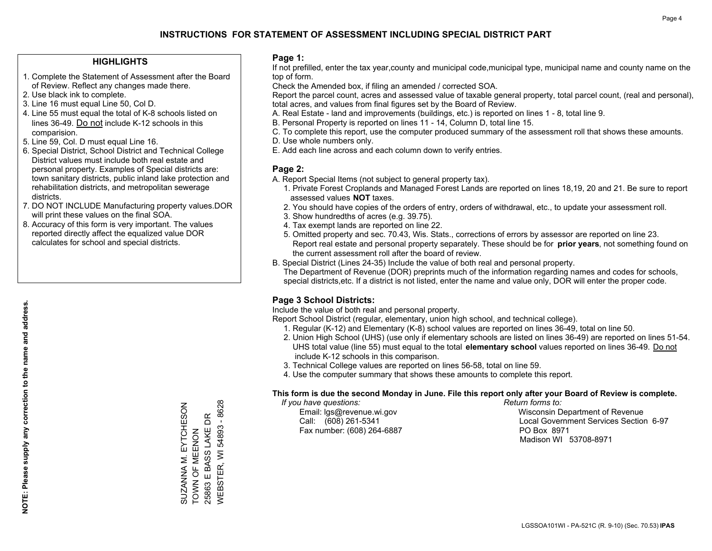#### **HIGHLIGHTS**

- 1. Complete the Statement of Assessment after the Board of Review. Reflect any changes made there.
- 2. Use black ink to complete.
- 3. Line 16 must equal Line 50, Col D.
- 4. Line 55 must equal the total of K-8 schools listed on lines 36-49. Do not include K-12 schools in this comparision.
- 5. Line 59, Col. D must equal Line 16.
- 6. Special District, School District and Technical College District values must include both real estate and personal property. Examples of Special districts are: town sanitary districts, public inland lake protection and rehabilitation districts, and metropolitan sewerage districts.
- 7. DO NOT INCLUDE Manufacturing property values.DOR will print these values on the final SOA.
- 8. Accuracy of this form is very important. The values reported directly affect the equalized value DOR calculates for school and special districts.

#### **Page 1:**

 If not prefilled, enter the tax year,county and municipal code,municipal type, municipal name and county name on the top of form.

Check the Amended box, if filing an amended / corrected SOA.

 Report the parcel count, acres and assessed value of taxable general property, total parcel count, (real and personal), total acres, and values from final figures set by the Board of Review.

- A. Real Estate land and improvements (buildings, etc.) is reported on lines 1 8, total line 9.
- B. Personal Property is reported on lines 11 14, Column D, total line 15.
- C. To complete this report, use the computer produced summary of the assessment roll that shows these amounts.
- D. Use whole numbers only.
- E. Add each line across and each column down to verify entries.

### **Page 2:**

- A. Report Special Items (not subject to general property tax).
- 1. Private Forest Croplands and Managed Forest Lands are reported on lines 18,19, 20 and 21. Be sure to report assessed values **NOT** taxes.
- 2. You should have copies of the orders of entry, orders of withdrawal, etc., to update your assessment roll.
	- 3. Show hundredths of acres (e.g. 39.75).
- 4. Tax exempt lands are reported on line 22.
- 5. Omitted property and sec. 70.43, Wis. Stats., corrections of errors by assessor are reported on line 23. Report real estate and personal property separately. These should be for **prior years**, not something found on the current assessment roll after the board of review.
- B. Special District (Lines 24-35) Include the value of both real and personal property.

 The Department of Revenue (DOR) preprints much of the information regarding names and codes for schools, special districts,etc. If a district is not listed, enter the name and value only, DOR will enter the proper code.

### **Page 3 School Districts:**

Include the value of both real and personal property.

Report School District (regular, elementary, union high school, and technical college).

- 1. Regular (K-12) and Elementary (K-8) school values are reported on lines 36-49, total on line 50.
- 2. Union High School (UHS) (use only if elementary schools are listed on lines 36-49) are reported on lines 51-54. UHS total value (line 55) must equal to the total **elementary school** values reported on lines 36-49. Do notinclude K-12 schools in this comparison.
- 3. Technical College values are reported on lines 56-58, total on line 59.
- 4. Use the computer summary that shows these amounts to complete this report.

#### **This form is due the second Monday in June. File this report only after your Board of Review is complete.**

 *If you have questions: Return forms to:*

Fax number: (608) 264-6887 PO Box 8971

 Email: lgs@revenue.wi.gov Wisconsin Department of Revenue Call: (608) 261-5341 Local Government Services Section 6-97Madison WI 53708-8971

SUZANNA M. EYTCHESON TOWN OF MEENON 25863 E BASS LAKE DR WEBSTER, WI 54893 - 8628

SUZANNA M. EYTCHESON<br>TOWN OF MEENON

25863 E BASS LAKE DR

54893 - 8628

**WEBSTER, WI**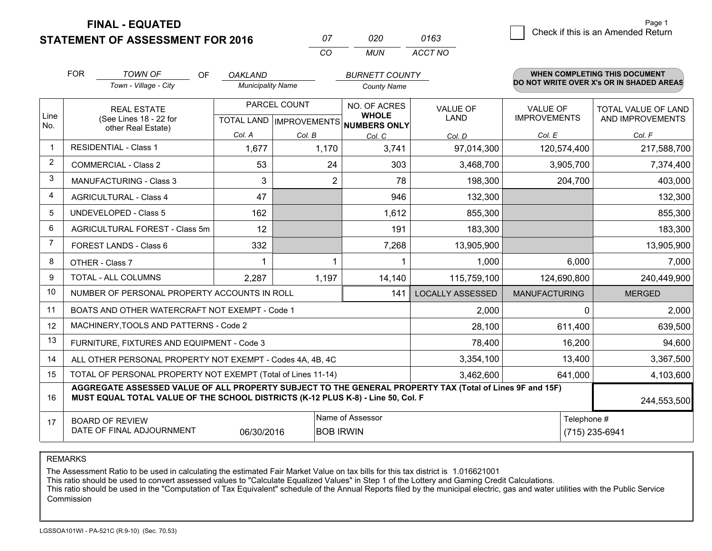**STATEMENT OF ASSESSMENT FOR 2016** 

**FINAL - EQUATED**

|                | <b>FOR</b>             | <b>TOWN OF</b><br>OF                                                                                                                                                                         | <b>OAKLAND</b>           |                                      | <b>BURNETT COUNTY</b>                                |                         |                      | WHEN COMPLETING THIS DOCUMENT            |
|----------------|------------------------|----------------------------------------------------------------------------------------------------------------------------------------------------------------------------------------------|--------------------------|--------------------------------------|------------------------------------------------------|-------------------------|----------------------|------------------------------------------|
|                |                        | Town - Village - City                                                                                                                                                                        | <b>Municipality Name</b> |                                      | <b>County Name</b>                                   |                         |                      | DO NOT WRITE OVER X's OR IN SHADED AREAS |
|                |                        | <b>REAL ESTATE</b>                                                                                                                                                                           |                          | PARCEL COUNT                         |                                                      | VALUE OF                | <b>VALUE OF</b>      | TOTAL VALUE OF LAND                      |
| Line<br>No.    |                        | (See Lines 18 - 22 for<br>other Real Estate)                                                                                                                                                 |                          |                                      | <b>WHOLE</b><br>TOTAL LAND IMPROVEMENTS NUMBERS ONLY | <b>LAND</b>             | <b>IMPROVEMENTS</b>  | AND IMPROVEMENTS                         |
|                |                        |                                                                                                                                                                                              | Col. A                   | Col. B                               | Col. C                                               | Col. D                  | Col. E               | Col. F                                   |
| $\mathbf 1$    |                        | <b>RESIDENTIAL - Class 1</b>                                                                                                                                                                 | 1,677                    | 1,170                                | 3,741                                                | 97,014,300              | 120,574,400          | 217,588,700                              |
| $\overline{2}$ |                        | <b>COMMERCIAL - Class 2</b>                                                                                                                                                                  | 53                       | 24                                   | 303                                                  | 3,468,700               | 3,905,700            | 7,374,400                                |
| 3              |                        | <b>MANUFACTURING - Class 3</b>                                                                                                                                                               | 3                        | 2                                    | 78                                                   | 198,300                 | 204,700              | 403,000                                  |
| 4              |                        | <b>AGRICULTURAL - Class 4</b>                                                                                                                                                                | 47                       |                                      | 946                                                  | 132,300                 |                      | 132,300                                  |
| 5              |                        | <b>UNDEVELOPED - Class 5</b>                                                                                                                                                                 | 162                      |                                      | 1,612                                                | 855,300                 |                      | 855,300                                  |
| 6              |                        | AGRICULTURAL FOREST - Class 5m                                                                                                                                                               | 12                       |                                      | 191                                                  | 183,300                 |                      | 183,300                                  |
| 7              | FOREST LANDS - Class 6 |                                                                                                                                                                                              | 332                      |                                      | 7,268                                                | 13,905,900              |                      | 13,905,900                               |
| 8              |                        | OTHER - Class 7                                                                                                                                                                              |                          |                                      |                                                      | 1,000                   | 6,000                | 7,000                                    |
| <sub>9</sub>   |                        | TOTAL - ALL COLUMNS                                                                                                                                                                          | 2,287                    | 1,197                                | 14,140                                               | 115,759,100             | 124,690,800          | 240,449,900                              |
| 10             |                        | NUMBER OF PERSONAL PROPERTY ACCOUNTS IN ROLL                                                                                                                                                 |                          |                                      | 141                                                  | <b>LOCALLY ASSESSED</b> | <b>MANUFACTURING</b> | <b>MERGED</b>                            |
| 11             |                        | BOATS AND OTHER WATERCRAFT NOT EXEMPT - Code 1                                                                                                                                               |                          |                                      |                                                      | 2,000                   | 0                    | 2,000                                    |
| 12             |                        | MACHINERY, TOOLS AND PATTERNS - Code 2                                                                                                                                                       |                          |                                      |                                                      | 28,100                  | 611,400              | 639,500                                  |
| 13             |                        | FURNITURE, FIXTURES AND EQUIPMENT - Code 3                                                                                                                                                   |                          |                                      |                                                      | 78,400                  | 16,200               | 94,600                                   |
| 14             |                        | ALL OTHER PERSONAL PROPERTY NOT EXEMPT - Codes 4A, 4B, 4C                                                                                                                                    |                          |                                      |                                                      | 3,354,100               | 13,400               | 3,367,500                                |
| 15             |                        | TOTAL OF PERSONAL PROPERTY NOT EXEMPT (Total of Lines 11-14)                                                                                                                                 |                          |                                      |                                                      | 3,462,600               | 641,000              | 4,103,600                                |
| 16             |                        | AGGREGATE ASSESSED VALUE OF ALL PROPERTY SUBJECT TO THE GENERAL PROPERTY TAX (Total of Lines 9F and 15F)<br>MUST EQUAL TOTAL VALUE OF THE SCHOOL DISTRICTS (K-12 PLUS K-8) - Line 50, Col. F |                          |                                      |                                                      |                         |                      | 244,553,500                              |
| 17             |                        | <b>BOARD OF REVIEW</b><br>DATE OF FINAL ADJOURNMENT                                                                                                                                          | 06/30/2016               | Name of Assessor<br><b>BOB IRWIN</b> |                                                      | Telephone #             | (715) 235-6941       |                                          |

*CO*

*MUN*

*ACCT NO0163*

*<sup>07</sup> <sup>020</sup>*

REMARKS

The Assessment Ratio to be used in calculating the estimated Fair Market Value on tax bills for this tax district is 1.016621001<br>This ratio should be used to convert assessed values to "Calculate Equalized Values" in Step Commission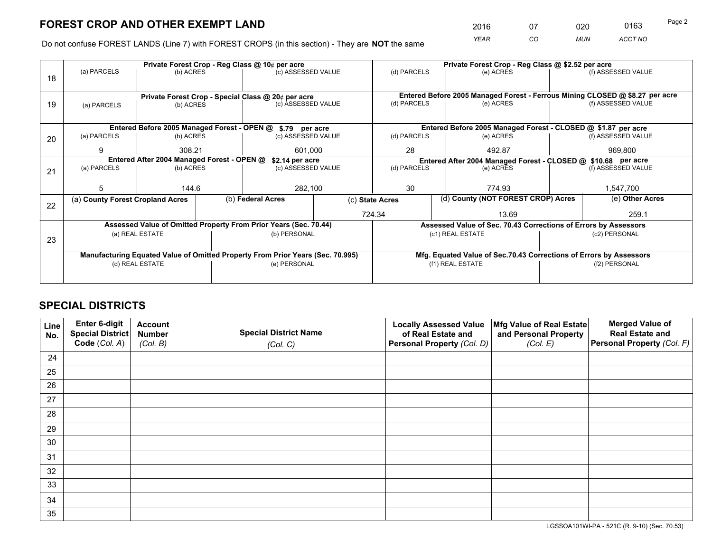*YEAR CO MUN ACCT NO* <sup>2016</sup> <sup>07</sup> <sup>020</sup> <sup>0163</sup>

Do not confuse FOREST LANDS (Line 7) with FOREST CROPS (in this section) - They are **NOT** the same

|    |                                                               |                 |                                                    | Private Forest Crop - Reg Class @ 10¢ per acre                                 |             | Private Forest Crop - Reg Class @ \$2.52 per acre               |           |                                    |                    |                                                                                                                                                                                                                                                 |  |
|----|---------------------------------------------------------------|-----------------|----------------------------------------------------|--------------------------------------------------------------------------------|-------------|-----------------------------------------------------------------|-----------|------------------------------------|--------------------|-------------------------------------------------------------------------------------------------------------------------------------------------------------------------------------------------------------------------------------------------|--|
| 18 | (a) PARCELS                                                   | (b) ACRES       |                                                    | (c) ASSESSED VALUE                                                             |             | (d) PARCELS                                                     |           | (e) ACRES                          |                    | (f) ASSESSED VALUE                                                                                                                                                                                                                              |  |
|    |                                                               |                 |                                                    |                                                                                |             |                                                                 |           |                                    |                    |                                                                                                                                                                                                                                                 |  |
|    |                                                               |                 | Private Forest Crop - Special Class @ 20¢ per acre |                                                                                |             |                                                                 |           |                                    |                    |                                                                                                                                                                                                                                                 |  |
| 19 | (a) PARCELS                                                   | (b) ACRES       |                                                    | (c) ASSESSED VALUE                                                             |             | (d) PARCELS                                                     |           | (e) ACRES                          |                    | (f) ASSESSED VALUE                                                                                                                                                                                                                              |  |
|    |                                                               |                 |                                                    |                                                                                |             |                                                                 |           |                                    |                    |                                                                                                                                                                                                                                                 |  |
|    |                                                               |                 |                                                    | Entered Before 2005 Managed Forest - OPEN @ \$.79 per acre                     |             | Entered Before 2005 Managed Forest - CLOSED @ \$1.87 per acre   |           |                                    |                    |                                                                                                                                                                                                                                                 |  |
| 20 | (a) PARCELS                                                   | (b) ACRES       | (c) ASSESSED VALUE                                 |                                                                                | (d) PARCELS |                                                                 | (e) ACRES |                                    | (f) ASSESSED VALUE |                                                                                                                                                                                                                                                 |  |
|    | 9                                                             | 308.21          |                                                    | 601,000                                                                        |             | 28<br>492.87                                                    |           |                                    |                    |                                                                                                                                                                                                                                                 |  |
|    | Entered After 2004 Managed Forest - OPEN @<br>\$2.14 per acre |                 |                                                    |                                                                                |             |                                                                 |           |                                    |                    |                                                                                                                                                                                                                                                 |  |
| 21 | (a) PARCELS                                                   | (b) ACRES       |                                                    | (c) ASSESSED VALUE                                                             |             | (d) PARCELS<br>(e) ACRES                                        |           |                                    | (f) ASSESSED VALUE |                                                                                                                                                                                                                                                 |  |
|    |                                                               |                 |                                                    |                                                                                |             |                                                                 |           |                                    |                    |                                                                                                                                                                                                                                                 |  |
|    | 5                                                             | 144.6           |                                                    | 282,100                                                                        |             | 30                                                              |           | 774.93                             |                    | 1,547,700                                                                                                                                                                                                                                       |  |
|    | (a) County Forest Cropland Acres                              |                 |                                                    | (b) Federal Acres                                                              |             | (c) State Acres                                                 |           | (d) County (NOT FOREST CROP) Acres |                    | (e) Other Acres                                                                                                                                                                                                                                 |  |
| 22 |                                                               |                 |                                                    |                                                                                |             | 724.34                                                          |           | 13.69                              |                    | 259.1                                                                                                                                                                                                                                           |  |
|    |                                                               |                 |                                                    | Assessed Value of Omitted Property From Prior Years (Sec. 70.44)               |             | Assessed Value of Sec. 70.43 Corrections of Errors by Assessors |           |                                    |                    |                                                                                                                                                                                                                                                 |  |
|    |                                                               | (a) REAL ESTATE |                                                    | (b) PERSONAL                                                                   |             |                                                                 |           | (c1) REAL ESTATE                   |                    | (c2) PERSONAL                                                                                                                                                                                                                                   |  |
| 23 |                                                               |                 |                                                    |                                                                                |             |                                                                 |           |                                    |                    | Entered Before 2005 Managed Forest - Ferrous Mining CLOSED @ \$8.27 per acre<br>969,800<br>Entered After 2004 Managed Forest - CLOSED @ \$10.68 per acre<br>Mfg. Equated Value of Sec.70.43 Corrections of Errors by Assessors<br>(f2) PERSONAL |  |
|    |                                                               |                 |                                                    | Manufacturing Equated Value of Omitted Property From Prior Years (Sec. 70.995) |             |                                                                 |           |                                    |                    |                                                                                                                                                                                                                                                 |  |
|    |                                                               | (d) REAL ESTATE |                                                    | (e) PERSONAL                                                                   |             |                                                                 |           | (f1) REAL ESTATE                   |                    |                                                                                                                                                                                                                                                 |  |
|    |                                                               |                 |                                                    |                                                                                |             |                                                                 |           |                                    |                    |                                                                                                                                                                                                                                                 |  |

# **SPECIAL DISTRICTS**

| Line<br>No. | Enter 6-digit<br>Special District<br>Code (Col. A) | <b>Account</b><br><b>Number</b> | <b>Special District Name</b> | <b>Locally Assessed Value</b><br>of Real Estate and | Mfg Value of Real Estate<br>and Personal Property | <b>Merged Value of</b><br><b>Real Estate and</b><br>Personal Property (Col. F) |
|-------------|----------------------------------------------------|---------------------------------|------------------------------|-----------------------------------------------------|---------------------------------------------------|--------------------------------------------------------------------------------|
|             |                                                    | (Col. B)                        | (Col. C)                     | Personal Property (Col. D)                          | (Col. E)                                          |                                                                                |
| 24          |                                                    |                                 |                              |                                                     |                                                   |                                                                                |
| 25          |                                                    |                                 |                              |                                                     |                                                   |                                                                                |
| 26          |                                                    |                                 |                              |                                                     |                                                   |                                                                                |
| 27          |                                                    |                                 |                              |                                                     |                                                   |                                                                                |
| 28          |                                                    |                                 |                              |                                                     |                                                   |                                                                                |
| 29          |                                                    |                                 |                              |                                                     |                                                   |                                                                                |
| 30          |                                                    |                                 |                              |                                                     |                                                   |                                                                                |
| 31          |                                                    |                                 |                              |                                                     |                                                   |                                                                                |
| 32          |                                                    |                                 |                              |                                                     |                                                   |                                                                                |
| 33          |                                                    |                                 |                              |                                                     |                                                   |                                                                                |
| 34          |                                                    |                                 |                              |                                                     |                                                   |                                                                                |
| 35          |                                                    |                                 |                              |                                                     |                                                   |                                                                                |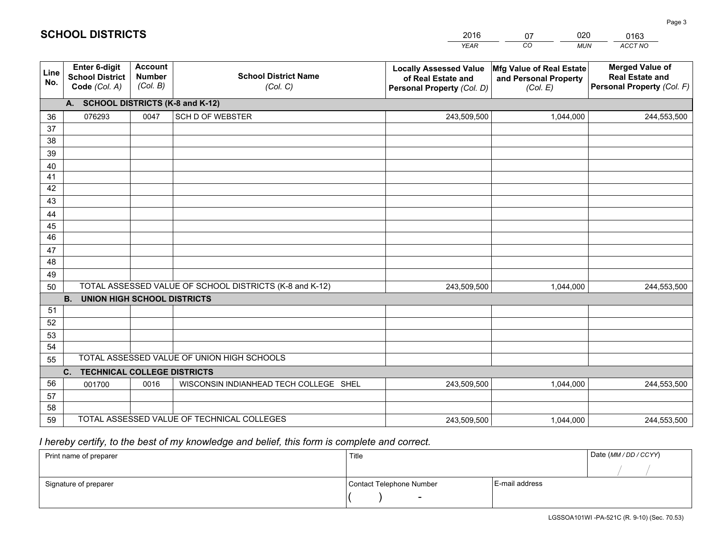| <b>Account</b><br><b>Merged Value of</b><br><b>Enter 6-digit</b><br>Mfg Value of Real Estate<br><b>Locally Assessed Value</b><br>Line<br><b>School District Name</b><br><b>Number</b><br><b>School District</b><br><b>Real Estate and</b><br>of Real Estate and<br>and Personal Property<br>No.<br>(Col. B)<br>Code (Col. A)<br>Personal Property (Col. F)<br>(Col. C)<br>Personal Property (Col. D)<br>(Col. E)<br>A. SCHOOL DISTRICTS (K-8 and K-12)<br><b>SCH D OF WEBSTER</b><br>076293<br>0047<br>243,509,500<br>1,044,000<br>36<br>244,553,500<br>37<br>38<br>39<br>40<br>41<br>42<br>43<br>44<br>45<br>46<br>47<br>48<br>49<br>TOTAL ASSESSED VALUE OF SCHOOL DISTRICTS (K-8 and K-12)<br>50<br>243,509,500<br>1,044,000<br>244,553,500<br><b>B.</b><br><b>UNION HIGH SCHOOL DISTRICTS</b><br>51<br>52<br>53<br>54<br>TOTAL ASSESSED VALUE OF UNION HIGH SCHOOLS<br>55<br>C.<br><b>TECHNICAL COLLEGE DISTRICTS</b><br>56<br>WISCONSIN INDIANHEAD TECH COLLEGE SHEL<br>001700<br>0016<br>243,509,500<br>1,044,000<br>244,553,500<br>57<br>58<br>TOTAL ASSESSED VALUE OF TECHNICAL COLLEGES<br>59<br>243,509,500<br>1,044,000<br>244,553,500 |  |  | <b>YEAR</b> | CO<br><b>MUN</b> | <b>ACCT NO</b> |
|---------------------------------------------------------------------------------------------------------------------------------------------------------------------------------------------------------------------------------------------------------------------------------------------------------------------------------------------------------------------------------------------------------------------------------------------------------------------------------------------------------------------------------------------------------------------------------------------------------------------------------------------------------------------------------------------------------------------------------------------------------------------------------------------------------------------------------------------------------------------------------------------------------------------------------------------------------------------------------------------------------------------------------------------------------------------------------------------------------------------------------------------------|--|--|-------------|------------------|----------------|
|                                                                                                                                                                                                                                                                                                                                                                                                                                                                                                                                                                                                                                                                                                                                                                                                                                                                                                                                                                                                                                                                                                                                                   |  |  |             |                  |                |
|                                                                                                                                                                                                                                                                                                                                                                                                                                                                                                                                                                                                                                                                                                                                                                                                                                                                                                                                                                                                                                                                                                                                                   |  |  |             |                  |                |
|                                                                                                                                                                                                                                                                                                                                                                                                                                                                                                                                                                                                                                                                                                                                                                                                                                                                                                                                                                                                                                                                                                                                                   |  |  |             |                  |                |
|                                                                                                                                                                                                                                                                                                                                                                                                                                                                                                                                                                                                                                                                                                                                                                                                                                                                                                                                                                                                                                                                                                                                                   |  |  |             |                  |                |
|                                                                                                                                                                                                                                                                                                                                                                                                                                                                                                                                                                                                                                                                                                                                                                                                                                                                                                                                                                                                                                                                                                                                                   |  |  |             |                  |                |
|                                                                                                                                                                                                                                                                                                                                                                                                                                                                                                                                                                                                                                                                                                                                                                                                                                                                                                                                                                                                                                                                                                                                                   |  |  |             |                  |                |
|                                                                                                                                                                                                                                                                                                                                                                                                                                                                                                                                                                                                                                                                                                                                                                                                                                                                                                                                                                                                                                                                                                                                                   |  |  |             |                  |                |
|                                                                                                                                                                                                                                                                                                                                                                                                                                                                                                                                                                                                                                                                                                                                                                                                                                                                                                                                                                                                                                                                                                                                                   |  |  |             |                  |                |
|                                                                                                                                                                                                                                                                                                                                                                                                                                                                                                                                                                                                                                                                                                                                                                                                                                                                                                                                                                                                                                                                                                                                                   |  |  |             |                  |                |
|                                                                                                                                                                                                                                                                                                                                                                                                                                                                                                                                                                                                                                                                                                                                                                                                                                                                                                                                                                                                                                                                                                                                                   |  |  |             |                  |                |
|                                                                                                                                                                                                                                                                                                                                                                                                                                                                                                                                                                                                                                                                                                                                                                                                                                                                                                                                                                                                                                                                                                                                                   |  |  |             |                  |                |
|                                                                                                                                                                                                                                                                                                                                                                                                                                                                                                                                                                                                                                                                                                                                                                                                                                                                                                                                                                                                                                                                                                                                                   |  |  |             |                  |                |
|                                                                                                                                                                                                                                                                                                                                                                                                                                                                                                                                                                                                                                                                                                                                                                                                                                                                                                                                                                                                                                                                                                                                                   |  |  |             |                  |                |
|                                                                                                                                                                                                                                                                                                                                                                                                                                                                                                                                                                                                                                                                                                                                                                                                                                                                                                                                                                                                                                                                                                                                                   |  |  |             |                  |                |
|                                                                                                                                                                                                                                                                                                                                                                                                                                                                                                                                                                                                                                                                                                                                                                                                                                                                                                                                                                                                                                                                                                                                                   |  |  |             |                  |                |
|                                                                                                                                                                                                                                                                                                                                                                                                                                                                                                                                                                                                                                                                                                                                                                                                                                                                                                                                                                                                                                                                                                                                                   |  |  |             |                  |                |
|                                                                                                                                                                                                                                                                                                                                                                                                                                                                                                                                                                                                                                                                                                                                                                                                                                                                                                                                                                                                                                                                                                                                                   |  |  |             |                  |                |
|                                                                                                                                                                                                                                                                                                                                                                                                                                                                                                                                                                                                                                                                                                                                                                                                                                                                                                                                                                                                                                                                                                                                                   |  |  |             |                  |                |
|                                                                                                                                                                                                                                                                                                                                                                                                                                                                                                                                                                                                                                                                                                                                                                                                                                                                                                                                                                                                                                                                                                                                                   |  |  |             |                  |                |
|                                                                                                                                                                                                                                                                                                                                                                                                                                                                                                                                                                                                                                                                                                                                                                                                                                                                                                                                                                                                                                                                                                                                                   |  |  |             |                  |                |
|                                                                                                                                                                                                                                                                                                                                                                                                                                                                                                                                                                                                                                                                                                                                                                                                                                                                                                                                                                                                                                                                                                                                                   |  |  |             |                  |                |
|                                                                                                                                                                                                                                                                                                                                                                                                                                                                                                                                                                                                                                                                                                                                                                                                                                                                                                                                                                                                                                                                                                                                                   |  |  |             |                  |                |
|                                                                                                                                                                                                                                                                                                                                                                                                                                                                                                                                                                                                                                                                                                                                                                                                                                                                                                                                                                                                                                                                                                                                                   |  |  |             |                  |                |
|                                                                                                                                                                                                                                                                                                                                                                                                                                                                                                                                                                                                                                                                                                                                                                                                                                                                                                                                                                                                                                                                                                                                                   |  |  |             |                  |                |
|                                                                                                                                                                                                                                                                                                                                                                                                                                                                                                                                                                                                                                                                                                                                                                                                                                                                                                                                                                                                                                                                                                                                                   |  |  |             |                  |                |
|                                                                                                                                                                                                                                                                                                                                                                                                                                                                                                                                                                                                                                                                                                                                                                                                                                                                                                                                                                                                                                                                                                                                                   |  |  |             |                  |                |

07

020

# *I hereby certify, to the best of my knowledge and belief, this form is complete and correct.*

**SCHOOL DISTRICTS**

| Print name of preparer | Title                    |                | Date (MM / DD / CCYY) |
|------------------------|--------------------------|----------------|-----------------------|
|                        |                          |                |                       |
| Signature of preparer  | Contact Telephone Number | E-mail address |                       |
|                        | $\overline{\phantom{0}}$ |                |                       |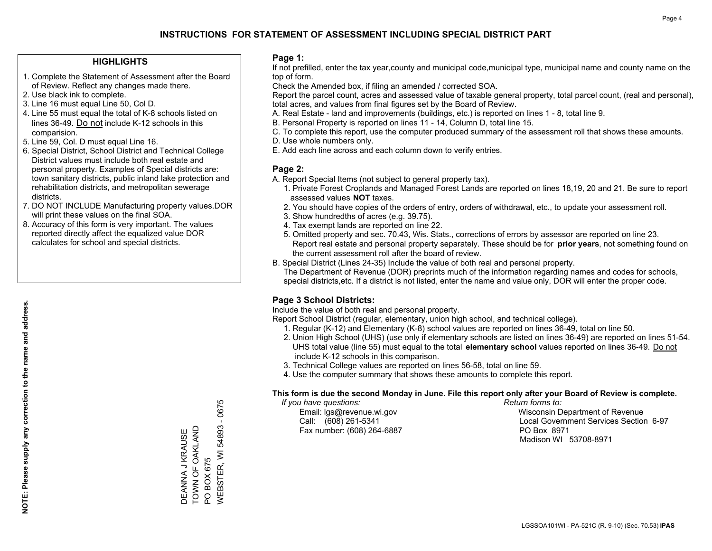### **HIGHLIGHTS**

- 1. Complete the Statement of Assessment after the Board of Review. Reflect any changes made there.
- 2. Use black ink to complete.
- 3. Line 16 must equal Line 50, Col D.
- 4. Line 55 must equal the total of K-8 schools listed on lines 36-49. Do not include K-12 schools in this comparision.
- 5. Line 59, Col. D must equal Line 16.
- 6. Special District, School District and Technical College District values must include both real estate and personal property. Examples of Special districts are: town sanitary districts, public inland lake protection and rehabilitation districts, and metropolitan sewerage districts.
- 7. DO NOT INCLUDE Manufacturing property values.DOR will print these values on the final SOA.

DEANNA J KRAUSE TOWN OF OAKLAND

DEANNA J KRAUSE<br>TOWN OF OAKLAND

PO BOX 675

PO BOX 675

WEBSTER, WI 54893 - 0675

/VEBSTER, WI 54893 - 0675

 8. Accuracy of this form is very important. The values reported directly affect the equalized value DOR calculates for school and special districts.

### **Page 1:**

 If not prefilled, enter the tax year,county and municipal code,municipal type, municipal name and county name on the top of form.

Check the Amended box, if filing an amended / corrected SOA.

 Report the parcel count, acres and assessed value of taxable general property, total parcel count, (real and personal), total acres, and values from final figures set by the Board of Review.

- A. Real Estate land and improvements (buildings, etc.) is reported on lines 1 8, total line 9.
- B. Personal Property is reported on lines 11 14, Column D, total line 15.
- C. To complete this report, use the computer produced summary of the assessment roll that shows these amounts.
- D. Use whole numbers only.
- E. Add each line across and each column down to verify entries.

### **Page 2:**

- A. Report Special Items (not subject to general property tax).
- 1. Private Forest Croplands and Managed Forest Lands are reported on lines 18,19, 20 and 21. Be sure to report assessed values **NOT** taxes.
- 2. You should have copies of the orders of entry, orders of withdrawal, etc., to update your assessment roll.
	- 3. Show hundredths of acres (e.g. 39.75).
- 4. Tax exempt lands are reported on line 22.
- 5. Omitted property and sec. 70.43, Wis. Stats., corrections of errors by assessor are reported on line 23. Report real estate and personal property separately. These should be for **prior years**, not something found on the current assessment roll after the board of review.
- B. Special District (Lines 24-35) Include the value of both real and personal property.
- The Department of Revenue (DOR) preprints much of the information regarding names and codes for schools, special districts,etc. If a district is not listed, enter the name and value only, DOR will enter the proper code.

## **Page 3 School Districts:**

Include the value of both real and personal property.

Report School District (regular, elementary, union high school, and technical college).

- 1. Regular (K-12) and Elementary (K-8) school values are reported on lines 36-49, total on line 50.
- 2. Union High School (UHS) (use only if elementary schools are listed on lines 36-49) are reported on lines 51-54. UHS total value (line 55) must equal to the total **elementary school** values reported on lines 36-49. Do notinclude K-12 schools in this comparison.
- 3. Technical College values are reported on lines 56-58, total on line 59.
- 4. Use the computer summary that shows these amounts to complete this report.

#### **This form is due the second Monday in June. File this report only after your Board of Review is complete.**

 *If you have questions: Return forms to:*

Fax number: (608) 264-6887 PO Box 8971

 Email: lgs@revenue.wi.gov Wisconsin Department of Revenue Call: (608) 261-5341 Local Government Services Section 6-97Madison WI 53708-8971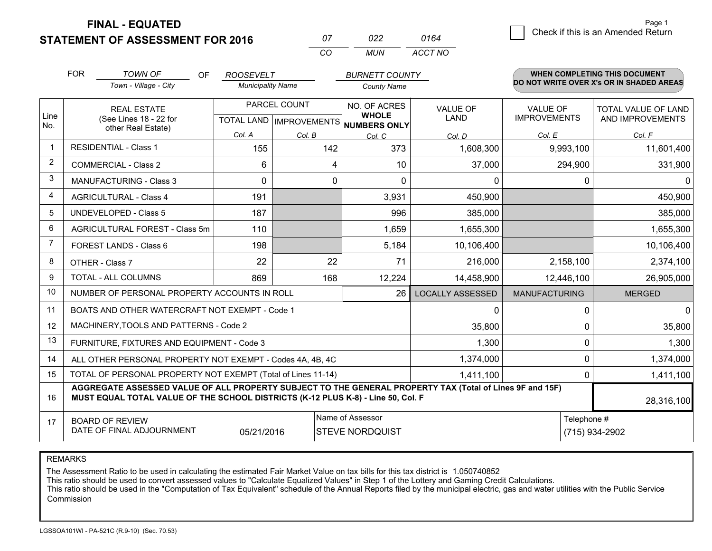**STATEMENT OF ASSESSMENT FOR 2016** 

**FINAL - EQUATED**

| 07   | 022 | 0164    |
|------|-----|---------|
| -CO. | MUN | ACCT NO |

|                | <b>FOR</b>                                   | <b>TOWN OF</b><br><b>OF</b><br>Town - Village - City                                                                                                                                         | <b>ROOSEVELT</b><br><b>Municipality Name</b> |        |                                      | <b>BURNETT COUNTY</b>   | <b>WHEN COMPLETING THIS DOCUMENT</b><br>DO NOT WRITE OVER X's OR IN SHADED AREAS |                     |  |
|----------------|----------------------------------------------|----------------------------------------------------------------------------------------------------------------------------------------------------------------------------------------------|----------------------------------------------|--------|--------------------------------------|-------------------------|----------------------------------------------------------------------------------|---------------------|--|
|                |                                              |                                                                                                                                                                                              |                                              |        | <b>County Name</b>                   |                         |                                                                                  |                     |  |
| Line           |                                              | <b>REAL ESTATE</b>                                                                                                                                                                           | PARCEL COUNT                                 |        | NO. OF ACRES<br><b>WHOLE</b>         | <b>VALUE OF</b>         | <b>VALUE OF</b>                                                                  | TOTAL VALUE OF LAND |  |
| No.            | (See Lines 18 - 22 for<br>other Real Estate) |                                                                                                                                                                                              |                                              |        | TOTAL LAND IMPROVEMENTS NUMBERS ONLY | <b>LAND</b>             | <b>IMPROVEMENTS</b>                                                              | AND IMPROVEMENTS    |  |
|                |                                              |                                                                                                                                                                                              | Col. A                                       | Col. B | Col. C                               | Col. D                  | Col. E                                                                           | Col. F              |  |
|                |                                              | <b>RESIDENTIAL - Class 1</b>                                                                                                                                                                 | 155                                          | 142    | 373                                  | 1,608,300               | 9,993,100                                                                        | 11,601,400          |  |
| $\overline{2}$ |                                              | <b>COMMERCIAL - Class 2</b>                                                                                                                                                                  | 6                                            | 4      | 10                                   | 37,000                  | 294,900                                                                          | 331,900             |  |
| 3              |                                              | <b>MANUFACTURING - Class 3</b>                                                                                                                                                               | $\Omega$                                     | 0      | $\Omega$                             | 0                       | 0                                                                                | 0                   |  |
| $\overline{4}$ |                                              | <b>AGRICULTURAL - Class 4</b>                                                                                                                                                                | 191                                          |        | 3,931                                | 450,900                 |                                                                                  | 450,900             |  |
| 5              |                                              | <b>UNDEVELOPED - Class 5</b>                                                                                                                                                                 | 187                                          |        | 996                                  | 385,000                 |                                                                                  | 385,000             |  |
| 6              | AGRICULTURAL FOREST - Class 5m               |                                                                                                                                                                                              | 110                                          |        | 1,659                                | 1,655,300               |                                                                                  | 1,655,300           |  |
| 7              | FOREST LANDS - Class 6                       |                                                                                                                                                                                              | 198                                          |        | 5,184                                | 10,106,400              |                                                                                  | 10,106,400          |  |
| 8              |                                              | OTHER - Class 7                                                                                                                                                                              | 22                                           | 22     | 71                                   | 216,000                 | 2,158,100                                                                        | 2,374,100           |  |
| 9              |                                              | TOTAL - ALL COLUMNS                                                                                                                                                                          | 869                                          | 168    | 12,224                               | 14,458,900              | 12,446,100                                                                       | 26,905,000          |  |
| 10             |                                              | NUMBER OF PERSONAL PROPERTY ACCOUNTS IN ROLL                                                                                                                                                 |                                              |        | 26                                   | <b>LOCALLY ASSESSED</b> | <b>MANUFACTURING</b>                                                             | <b>MERGED</b>       |  |
| 11             |                                              | BOATS AND OTHER WATERCRAFT NOT EXEMPT - Code 1                                                                                                                                               |                                              |        |                                      | 0                       | 0                                                                                | 0                   |  |
| 12             |                                              | MACHINERY, TOOLS AND PATTERNS - Code 2                                                                                                                                                       |                                              |        |                                      | 35,800                  | 0                                                                                | 35,800              |  |
| 13             |                                              | FURNITURE, FIXTURES AND EQUIPMENT - Code 3                                                                                                                                                   |                                              |        |                                      | 1,300                   | 0                                                                                | 1,300               |  |
| 14             |                                              | ALL OTHER PERSONAL PROPERTY NOT EXEMPT - Codes 4A, 4B, 4C                                                                                                                                    |                                              |        |                                      | 1,374,000               | 0                                                                                | 1,374,000           |  |
| 15             |                                              | TOTAL OF PERSONAL PROPERTY NOT EXEMPT (Total of Lines 11-14)                                                                                                                                 |                                              |        |                                      | 1,411,100               | 0                                                                                | 1,411,100           |  |
| 16             |                                              | AGGREGATE ASSESSED VALUE OF ALL PROPERTY SUBJECT TO THE GENERAL PROPERTY TAX (Total of Lines 9F and 15F)<br>MUST EQUAL TOTAL VALUE OF THE SCHOOL DISTRICTS (K-12 PLUS K-8) - Line 50, Col. F |                                              |        |                                      |                         |                                                                                  | 28,316,100          |  |
| 17             |                                              | <b>BOARD OF REVIEW</b>                                                                                                                                                                       |                                              |        | Name of Assessor                     |                         | Telephone #                                                                      |                     |  |
|                |                                              | DATE OF FINAL ADJOURNMENT                                                                                                                                                                    | 05/21/2016                                   |        | <b>STEVE NORDQUIST</b>               | (715) 934-2902          |                                                                                  |                     |  |

REMARKS

The Assessment Ratio to be used in calculating the estimated Fair Market Value on tax bills for this tax district is 1.050740852

This ratio should be used to convert assessed values to "Calculate Equalized Values" in Step 1 of the Lottery and Gaming Credit Calculations.

 This ratio should be used in the "Computation of Tax Equivalent" schedule of the Annual Reports filed by the municipal electric, gas and water utilities with the Public Service Commission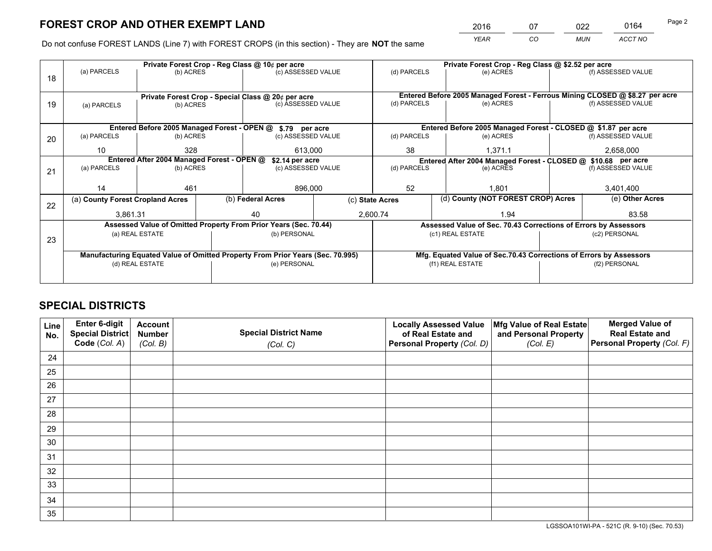*YEAR CO MUN ACCT NO* <sup>2016</sup> <sup>07</sup> <sup>022</sup> <sup>0164</sup> Page 2

Do not confuse FOREST LANDS (Line 7) with FOREST CROPS (in this section) - They are **NOT** the same

|    |                                  |                                                       |                                                    | Private Forest Crop - Reg Class @ 10¢ per acre                                 |  | Private Forest Crop - Reg Class @ \$2.52 per acre             |                    |                                                                            |  |                                                                              |
|----|----------------------------------|-------------------------------------------------------|----------------------------------------------------|--------------------------------------------------------------------------------|--|---------------------------------------------------------------|--------------------|----------------------------------------------------------------------------|--|------------------------------------------------------------------------------|
| 18 | (a) PARCELS                      | (b) ACRES                                             |                                                    | (c) ASSESSED VALUE                                                             |  | (d) PARCELS                                                   |                    | (e) ACRES                                                                  |  | (f) ASSESSED VALUE                                                           |
|    |                                  |                                                       |                                                    |                                                                                |  |                                                               |                    |                                                                            |  |                                                                              |
|    |                                  |                                                       | Private Forest Crop - Special Class @ 20¢ per acre |                                                                                |  |                                                               |                    |                                                                            |  | Entered Before 2005 Managed Forest - Ferrous Mining CLOSED @ \$8.27 per acre |
| 19 | (a) PARCELS                      | (c) ASSESSED VALUE<br>(b) ACRES                       |                                                    | (d) PARCELS<br>(e) ACRES                                                       |  |                                                               | (f) ASSESSED VALUE |                                                                            |  |                                                                              |
|    |                                  |                                                       |                                                    |                                                                                |  |                                                               |                    |                                                                            |  |                                                                              |
|    |                                  |                                                       |                                                    | Entered Before 2005 Managed Forest - OPEN @ \$.79 per acre                     |  | Entered Before 2005 Managed Forest - CLOSED @ \$1.87 per acre |                    |                                                                            |  |                                                                              |
| 20 | (a) PARCELS                      | (b) ACRES                                             |                                                    | (c) ASSESSED VALUE                                                             |  | (d) PARCELS                                                   |                    | (e) ACRES                                                                  |  | (f) ASSESSED VALUE                                                           |
|    | 10                               | 328                                                   |                                                    |                                                                                |  | 38                                                            |                    | 1,371.1                                                                    |  | 2,658,000                                                                    |
|    |                                  | 613,000<br>Entered After 2004 Managed Forest - OPEN @ |                                                    |                                                                                |  |                                                               |                    |                                                                            |  |                                                                              |
|    | (a) PARCELS<br>(b) ACRES         |                                                       |                                                    | \$2.14 per acre<br>(c) ASSESSED VALUE                                          |  |                                                               |                    | Entered After 2004 Managed Forest - CLOSED @ \$10.68 per acre<br>(e) ACRES |  |                                                                              |
| 21 |                                  |                                                       |                                                    |                                                                                |  | (d) PARCELS                                                   |                    |                                                                            |  | (f) ASSESSED VALUE                                                           |
|    |                                  |                                                       |                                                    |                                                                                |  |                                                               |                    |                                                                            |  |                                                                              |
|    | 14                               | 461                                                   |                                                    | 896,000                                                                        |  | 52                                                            |                    | 1.801                                                                      |  | 3,401,400                                                                    |
| 22 | (a) County Forest Cropland Acres |                                                       |                                                    | (b) Federal Acres                                                              |  | (c) State Acres                                               |                    | (d) County (NOT FOREST CROP) Acres                                         |  | (e) Other Acres                                                              |
|    | 3.861.31                         |                                                       |                                                    | 40                                                                             |  | 2,600.74                                                      |                    | 1.94                                                                       |  | 83.58                                                                        |
|    |                                  |                                                       |                                                    | Assessed Value of Omitted Property From Prior Years (Sec. 70.44)               |  |                                                               |                    | Assessed Value of Sec. 70.43 Corrections of Errors by Assessors            |  |                                                                              |
|    |                                  | (a) REAL ESTATE                                       |                                                    | (b) PERSONAL                                                                   |  | (c1) REAL ESTATE                                              |                    |                                                                            |  | (c2) PERSONAL                                                                |
| 23 |                                  |                                                       |                                                    |                                                                                |  |                                                               |                    |                                                                            |  |                                                                              |
|    |                                  |                                                       |                                                    | Manufacturing Equated Value of Omitted Property From Prior Years (Sec. 70.995) |  |                                                               |                    | Mfg. Equated Value of Sec.70.43 Corrections of Errors by Assessors         |  |                                                                              |
|    |                                  | (d) REAL ESTATE                                       |                                                    | (e) PERSONAL                                                                   |  |                                                               |                    | (f1) REAL ESTATE                                                           |  | (f2) PERSONAL                                                                |
|    |                                  |                                                       |                                                    |                                                                                |  |                                                               |                    |                                                                            |  |                                                                              |
|    |                                  |                                                       |                                                    |                                                                                |  |                                                               |                    |                                                                            |  |                                                                              |

# **SPECIAL DISTRICTS**

| Line<br>No. | Enter 6-digit<br>Special District<br>Code (Col. A) | <b>Account</b><br><b>Number</b><br>(Col. B) | <b>Special District Name</b><br>(Col. C) | <b>Locally Assessed Value</b><br>of Real Estate and<br>Personal Property (Col. D) | Mfg Value of Real Estate<br>and Personal Property<br>(Col. E) | <b>Merged Value of</b><br><b>Real Estate and</b><br>Personal Property (Col. F) |
|-------------|----------------------------------------------------|---------------------------------------------|------------------------------------------|-----------------------------------------------------------------------------------|---------------------------------------------------------------|--------------------------------------------------------------------------------|
| 24          |                                                    |                                             |                                          |                                                                                   |                                                               |                                                                                |
| 25          |                                                    |                                             |                                          |                                                                                   |                                                               |                                                                                |
| 26          |                                                    |                                             |                                          |                                                                                   |                                                               |                                                                                |
| 27          |                                                    |                                             |                                          |                                                                                   |                                                               |                                                                                |
| 28          |                                                    |                                             |                                          |                                                                                   |                                                               |                                                                                |
| 29          |                                                    |                                             |                                          |                                                                                   |                                                               |                                                                                |
| 30          |                                                    |                                             |                                          |                                                                                   |                                                               |                                                                                |
| 31          |                                                    |                                             |                                          |                                                                                   |                                                               |                                                                                |
| 32          |                                                    |                                             |                                          |                                                                                   |                                                               |                                                                                |
| 33          |                                                    |                                             |                                          |                                                                                   |                                                               |                                                                                |
| 34          |                                                    |                                             |                                          |                                                                                   |                                                               |                                                                                |
| 35          |                                                    |                                             |                                          |                                                                                   |                                                               |                                                                                |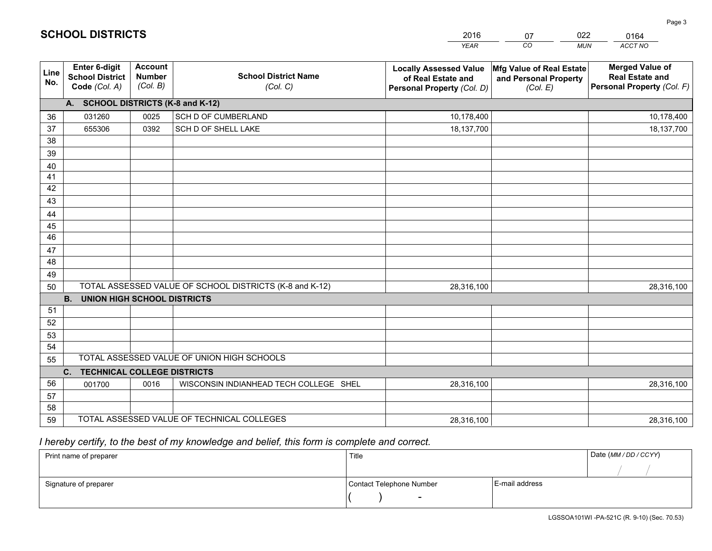|             |                                                                                                                                                    |      |                                                                                   | <b>YEAR</b>                                                   | CO<br><b>MUN</b>                                                               | ACCT NO      |
|-------------|----------------------------------------------------------------------------------------------------------------------------------------------------|------|-----------------------------------------------------------------------------------|---------------------------------------------------------------|--------------------------------------------------------------------------------|--------------|
| Line<br>No. | Enter 6-digit<br><b>Account</b><br><b>School District Name</b><br><b>Number</b><br><b>School District</b><br>(Col. B)<br>Code (Col. A)<br>(Col. C) |      | <b>Locally Assessed Value</b><br>of Real Estate and<br>Personal Property (Col. D) | Mfg Value of Real Estate<br>and Personal Property<br>(Col. E) | <b>Merged Value of</b><br><b>Real Estate and</b><br>Personal Property (Col. F) |              |
|             | A. SCHOOL DISTRICTS (K-8 and K-12)                                                                                                                 |      |                                                                                   |                                                               |                                                                                |              |
| 36          | 031260                                                                                                                                             | 0025 | SCH D OF CUMBERLAND                                                               | 10,178,400                                                    |                                                                                | 10,178,400   |
| 37          | 655306                                                                                                                                             | 0392 | SCH D OF SHELL LAKE                                                               | 18,137,700                                                    |                                                                                | 18, 137, 700 |
| 38          |                                                                                                                                                    |      |                                                                                   |                                                               |                                                                                |              |
| 39          |                                                                                                                                                    |      |                                                                                   |                                                               |                                                                                |              |
| 40          |                                                                                                                                                    |      |                                                                                   |                                                               |                                                                                |              |
| 41          |                                                                                                                                                    |      |                                                                                   |                                                               |                                                                                |              |
| 42          |                                                                                                                                                    |      |                                                                                   |                                                               |                                                                                |              |
| 43          |                                                                                                                                                    |      |                                                                                   |                                                               |                                                                                |              |
| 44          |                                                                                                                                                    |      |                                                                                   |                                                               |                                                                                |              |
| 45          |                                                                                                                                                    |      |                                                                                   |                                                               |                                                                                |              |
| 46          |                                                                                                                                                    |      |                                                                                   |                                                               |                                                                                |              |
| 47<br>48    |                                                                                                                                                    |      |                                                                                   |                                                               |                                                                                |              |
| 49          |                                                                                                                                                    |      |                                                                                   |                                                               |                                                                                |              |
| 50          |                                                                                                                                                    |      | TOTAL ASSESSED VALUE OF SCHOOL DISTRICTS (K-8 and K-12)                           | 28,316,100                                                    |                                                                                | 28,316,100   |
|             | <b>UNION HIGH SCHOOL DISTRICTS</b><br><b>B.</b>                                                                                                    |      |                                                                                   |                                                               |                                                                                |              |
| 51          |                                                                                                                                                    |      |                                                                                   |                                                               |                                                                                |              |
| 52          |                                                                                                                                                    |      |                                                                                   |                                                               |                                                                                |              |
| 53          |                                                                                                                                                    |      |                                                                                   |                                                               |                                                                                |              |
| 54          |                                                                                                                                                    |      |                                                                                   |                                                               |                                                                                |              |
| 55          |                                                                                                                                                    |      | TOTAL ASSESSED VALUE OF UNION HIGH SCHOOLS                                        |                                                               |                                                                                |              |
|             | <b>TECHNICAL COLLEGE DISTRICTS</b><br>C.                                                                                                           |      |                                                                                   |                                                               |                                                                                |              |
| 56          | 001700                                                                                                                                             | 0016 | WISCONSIN INDIANHEAD TECH COLLEGE SHEL                                            | 28,316,100                                                    |                                                                                | 28,316,100   |
| 57          |                                                                                                                                                    |      |                                                                                   |                                                               |                                                                                |              |
| 58          |                                                                                                                                                    |      |                                                                                   |                                                               |                                                                                |              |
| 59          |                                                                                                                                                    |      | TOTAL ASSESSED VALUE OF TECHNICAL COLLEGES                                        | 28,316,100                                                    |                                                                                | 28,316,100   |

07

022

 *I hereby certify, to the best of my knowledge and belief, this form is complete and correct.*

**SCHOOL DISTRICTS**

| Print name of preparer | Title                    |                | Date (MM / DD / CCYY) |
|------------------------|--------------------------|----------------|-----------------------|
|                        |                          |                |                       |
| Signature of preparer  | Contact Telephone Number | E-mail address |                       |
|                        | $\sim$                   |                |                       |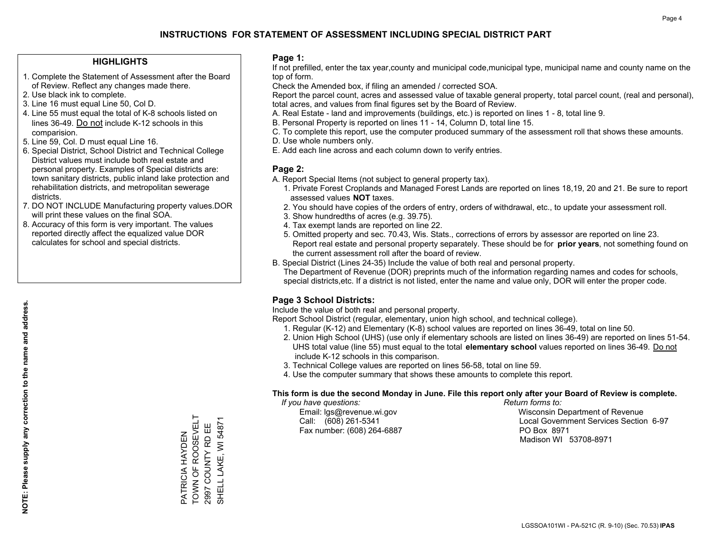### **HIGHLIGHTS**

- 1. Complete the Statement of Assessment after the Board of Review. Reflect any changes made there.
- 2. Use black ink to complete.
- 3. Line 16 must equal Line 50, Col D.
- 4. Line 55 must equal the total of K-8 schools listed on lines 36-49. Do not include K-12 schools in this comparision.
- 5. Line 59, Col. D must equal Line 16.
- 6. Special District, School District and Technical College District values must include both real estate and personal property. Examples of Special districts are: town sanitary districts, public inland lake protection and rehabilitation districts, and metropolitan sewerage districts.
- 7. DO NOT INCLUDE Manufacturing property values.DOR will print these values on the final SOA.
- 8. Accuracy of this form is very important. The values reported directly affect the equalized value DOR calculates for school and special districts.

### **Page 1:**

 If not prefilled, enter the tax year,county and municipal code,municipal type, municipal name and county name on the top of form.

Check the Amended box, if filing an amended / corrected SOA.

 Report the parcel count, acres and assessed value of taxable general property, total parcel count, (real and personal), total acres, and values from final figures set by the Board of Review.

- A. Real Estate land and improvements (buildings, etc.) is reported on lines 1 8, total line 9.
- B. Personal Property is reported on lines 11 14, Column D, total line 15.
- C. To complete this report, use the computer produced summary of the assessment roll that shows these amounts.
- D. Use whole numbers only.
- E. Add each line across and each column down to verify entries.

### **Page 2:**

- A. Report Special Items (not subject to general property tax).
- 1. Private Forest Croplands and Managed Forest Lands are reported on lines 18,19, 20 and 21. Be sure to report assessed values **NOT** taxes.
- 2. You should have copies of the orders of entry, orders of withdrawal, etc., to update your assessment roll.
	- 3. Show hundredths of acres (e.g. 39.75).
- 4. Tax exempt lands are reported on line 22.
- 5. Omitted property and sec. 70.43, Wis. Stats., corrections of errors by assessor are reported on line 23. Report real estate and personal property separately. These should be for **prior years**, not something found on the current assessment roll after the board of review.
- B. Special District (Lines 24-35) Include the value of both real and personal property.

 The Department of Revenue (DOR) preprints much of the information regarding names and codes for schools, special districts,etc. If a district is not listed, enter the name and value only, DOR will enter the proper code.

## **Page 3 School Districts:**

Include the value of both real and personal property.

Report School District (regular, elementary, union high school, and technical college).

- 1. Regular (K-12) and Elementary (K-8) school values are reported on lines 36-49, total on line 50.
- 2. Union High School (UHS) (use only if elementary schools are listed on lines 36-49) are reported on lines 51-54. UHS total value (line 55) must equal to the total **elementary school** values reported on lines 36-49. Do notinclude K-12 schools in this comparison.
- 3. Technical College values are reported on lines 56-58, total on line 59.
- 4. Use the computer summary that shows these amounts to complete this report.

#### **This form is due the second Monday in June. File this report only after your Board of Review is complete.**

 *If you have questions: Return forms to:*

Fax number: (608) 264-6887 PO Box 8971

 Email: lgs@revenue.wi.gov Wisconsin Department of Revenue Call: (608) 261-5341 Local Government Services Section 6-97Madison WI 53708-8971

TOWN OF ROOSEVELT PATRICIA HAYDEN<br>TOWN OF ROOSEVELT 2997 COUNTY RD EE PATRICIA HAYDEN

2997 COUNTY RD EE SHELL LAKE, WI 54871

SHELL LAKE, WI 54871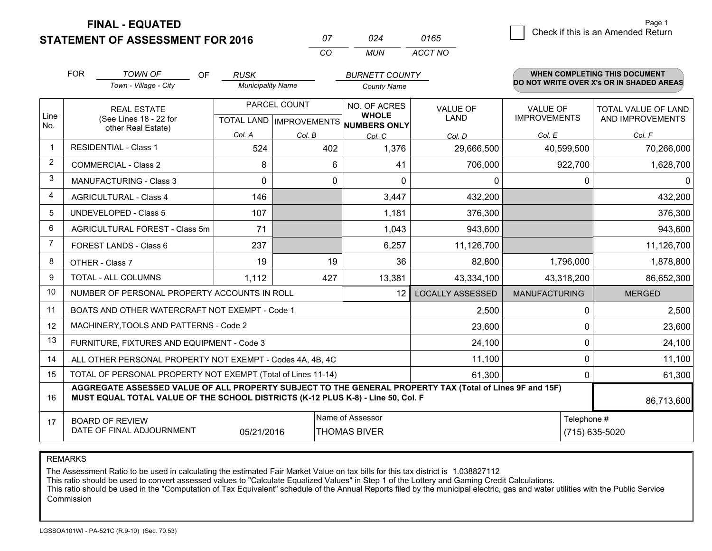**STATEMENT OF ASSESSMENT FOR 2016 FINAL - EQUATED**

| 0165 |  | Check if this is an Amended Return |
|------|--|------------------------------------|
|------|--|------------------------------------|

*ACCT NO*

|             | <b>FOR</b>                                                                             | <b>TOWN OF</b><br><b>OF</b>                                                                                                                                                                  | <b>RUSK</b>                                                |              | <b>BURNETT COUNTY</b> |                         |                      | WHEN COMPLETING THIS DOCUMENT<br>DO NOT WRITE OVER X's OR IN SHADED AREAS |
|-------------|----------------------------------------------------------------------------------------|----------------------------------------------------------------------------------------------------------------------------------------------------------------------------------------------|------------------------------------------------------------|--------------|-----------------------|-------------------------|----------------------|---------------------------------------------------------------------------|
|             |                                                                                        | Town - Village - City                                                                                                                                                                        | <b>Municipality Name</b>                                   |              | <b>County Name</b>    |                         |                      |                                                                           |
|             |                                                                                        | <b>REAL ESTATE</b>                                                                                                                                                                           |                                                            | PARCEL COUNT | NO. OF ACRES          | <b>VALUE OF</b>         | <b>VALUE OF</b>      | <b>TOTAL VALUE OF LAND</b>                                                |
| Line<br>No. |                                                                                        | (See Lines 18 - 22 for                                                                                                                                                                       | TOTAL LAND IMPROVEMENTS NUMBERS ONLY<br>other Real Estate) |              | <b>WHOLE</b>          | <b>LAND</b>             | <b>IMPROVEMENTS</b>  | AND IMPROVEMENTS                                                          |
|             |                                                                                        |                                                                                                                                                                                              | Col. A                                                     | Col. B       | Col. C                | Col. D                  | Col. E               | Col. F                                                                    |
| -1          |                                                                                        | <b>RESIDENTIAL - Class 1</b>                                                                                                                                                                 | 524                                                        | 402          | 1,376                 | 29,666,500              | 40,599,500           | 70,266,000                                                                |
| 2           |                                                                                        | <b>COMMERCIAL - Class 2</b>                                                                                                                                                                  | 8                                                          | 6            | 41                    | 706,000                 | 922,700              | 1,628,700                                                                 |
| 3           |                                                                                        | <b>MANUFACTURING - Class 3</b>                                                                                                                                                               | $\Omega$                                                   | 0            | $\Omega$              | 0                       | 0                    | $\mathbf{0}$                                                              |
| 4           |                                                                                        | <b>AGRICULTURAL - Class 4</b>                                                                                                                                                                | 146                                                        |              | 3,447                 | 432,200                 |                      | 432,200                                                                   |
| 5           |                                                                                        | <b>UNDEVELOPED - Class 5</b>                                                                                                                                                                 | 107                                                        |              | 1,181                 | 376,300                 |                      | 376,300                                                                   |
| 6           |                                                                                        | AGRICULTURAL FOREST - Class 5m                                                                                                                                                               | 71                                                         |              | 1,043                 | 943,600                 |                      | 943,600                                                                   |
| 7           |                                                                                        | FOREST LANDS - Class 6                                                                                                                                                                       | 237                                                        |              | 6,257                 | 11,126,700              |                      | 11,126,700                                                                |
| 8           |                                                                                        | OTHER - Class 7                                                                                                                                                                              | 19                                                         | 19           | 36                    | 82,800                  | 1,796,000            | 1,878,800                                                                 |
| 9           |                                                                                        | TOTAL - ALL COLUMNS                                                                                                                                                                          | 1,112                                                      | 427          | 13,381                | 43,334,100              | 43,318,200           | 86,652,300                                                                |
| 10          |                                                                                        | NUMBER OF PERSONAL PROPERTY ACCOUNTS IN ROLL                                                                                                                                                 |                                                            |              | 12                    | <b>LOCALLY ASSESSED</b> | <b>MANUFACTURING</b> | <b>MERGED</b>                                                             |
| 11          |                                                                                        | BOATS AND OTHER WATERCRAFT NOT EXEMPT - Code 1                                                                                                                                               |                                                            |              |                       | 2,500                   | $\Omega$             | 2,500                                                                     |
| 12          |                                                                                        | MACHINERY, TOOLS AND PATTERNS - Code 2                                                                                                                                                       |                                                            |              |                       | 23,600                  | $\Omega$             | 23,600                                                                    |
| 13          |                                                                                        | FURNITURE, FIXTURES AND EQUIPMENT - Code 3                                                                                                                                                   |                                                            |              |                       | 24,100                  | $\Omega$             | 24,100                                                                    |
| 14          |                                                                                        | ALL OTHER PERSONAL PROPERTY NOT EXEMPT - Codes 4A, 4B, 4C                                                                                                                                    |                                                            |              |                       | 11,100                  | 0                    | 11,100                                                                    |
| 15          |                                                                                        | TOTAL OF PERSONAL PROPERTY NOT EXEMPT (Total of Lines 11-14)                                                                                                                                 |                                                            |              |                       | 61,300                  | 0                    | 61,300                                                                    |
| 16          |                                                                                        | AGGREGATE ASSESSED VALUE OF ALL PROPERTY SUBJECT TO THE GENERAL PROPERTY TAX (Total of Lines 9F and 15F)<br>MUST EQUAL TOTAL VALUE OF THE SCHOOL DISTRICTS (K-12 PLUS K-8) - Line 50, Col. F |                                                            |              |                       |                         |                      | 86,713,600                                                                |
| 17          | Name of Assessor<br>Telephone #<br><b>BOARD OF REVIEW</b><br>DATE OF FINAL ADJOURNMENT |                                                                                                                                                                                              |                                                            |              |                       |                         |                      |                                                                           |
|             |                                                                                        |                                                                                                                                                                                              | 05/21/2016                                                 |              | <b>THOMAS BIVER</b>   |                         |                      | (715) 635-5020                                                            |

*CO*

*MUN*

*<sup>07</sup> <sup>024</sup>*

REMARKS

The Assessment Ratio to be used in calculating the estimated Fair Market Value on tax bills for this tax district is 1.038827112<br>This ratio should be used to convert assessed values to "Calculate Equalized Values" in Step Commission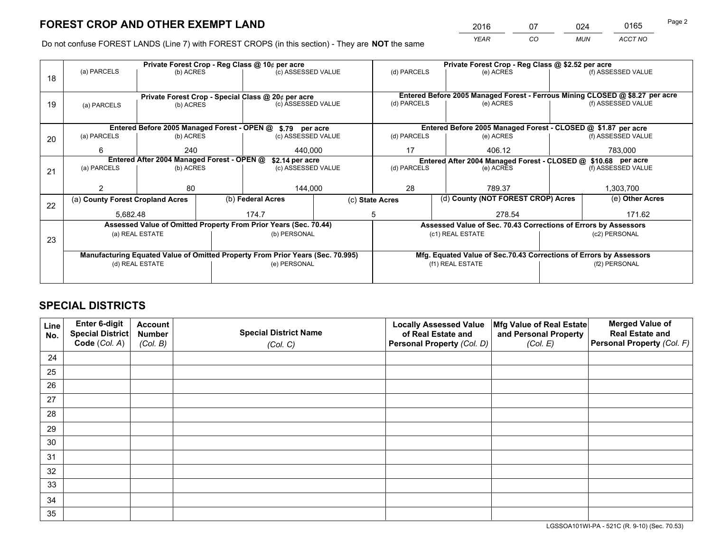*YEAR CO MUN ACCT NO* <sup>2016</sup> <sup>07</sup> <sup>024</sup> <sup>0165</sup>

Do not confuse FOREST LANDS (Line 7) with FOREST CROPS (in this section) - They are **NOT** the same

|    |                                                                                | Private Forest Crop - Reg Class @ 10¢ per acre                   |              |                    |             |                                                                 | Private Forest Crop - Reg Class @ \$2.52 per acre                  |               |                                                                              |  |
|----|--------------------------------------------------------------------------------|------------------------------------------------------------------|--------------|--------------------|-------------|-----------------------------------------------------------------|--------------------------------------------------------------------|---------------|------------------------------------------------------------------------------|--|
| 18 | (a) PARCELS                                                                    | (b) ACRES                                                        |              | (c) ASSESSED VALUE |             | (d) PARCELS                                                     | (e) ACRES                                                          |               | (f) ASSESSED VALUE                                                           |  |
|    |                                                                                |                                                                  |              |                    |             |                                                                 |                                                                    |               |                                                                              |  |
|    |                                                                                | Private Forest Crop - Special Class @ 20¢ per acre               |              |                    |             |                                                                 |                                                                    |               | Entered Before 2005 Managed Forest - Ferrous Mining CLOSED @ \$8.27 per acre |  |
| 19 | (a) PARCELS                                                                    | (c) ASSESSED VALUE<br>(b) ACRES                                  |              |                    |             | (d) PARCELS                                                     | (e) ACRES                                                          |               | (f) ASSESSED VALUE                                                           |  |
|    |                                                                                |                                                                  |              |                    |             |                                                                 |                                                                    |               |                                                                              |  |
|    |                                                                                | Entered Before 2005 Managed Forest - OPEN @ \$.79 per acre       |              |                    |             |                                                                 | Entered Before 2005 Managed Forest - CLOSED @ \$1.87 per acre      |               |                                                                              |  |
| 20 | (a) PARCELS<br>(b) ACRES                                                       |                                                                  |              | (c) ASSESSED VALUE |             | (d) PARCELS                                                     | (e) ACRES                                                          |               | (f) ASSESSED VALUE                                                           |  |
|    | 6                                                                              | 240                                                              |              | 440.000            |             | 17<br>406.12                                                    |                                                                    |               | 783,000                                                                      |  |
|    | Entered After 2004 Managed Forest - OPEN @<br>\$2.14 per acre                  |                                                                  |              |                    |             |                                                                 | Entered After 2004 Managed Forest - CLOSED @ \$10.68 per acre      |               |                                                                              |  |
| 21 | (a) PARCELS                                                                    | (b) ACRES                                                        |              | (c) ASSESSED VALUE | (d) PARCELS |                                                                 | (e) ACRES                                                          |               | (f) ASSESSED VALUE                                                           |  |
|    |                                                                                |                                                                  |              |                    |             |                                                                 |                                                                    |               |                                                                              |  |
|    |                                                                                | 80                                                               |              | 144,000            |             | 28<br>789.37                                                    |                                                                    |               | 1,303,700                                                                    |  |
| 22 | (a) County Forest Cropland Acres                                               |                                                                  |              | (b) Federal Acres  |             | (c) State Acres                                                 | (d) County (NOT FOREST CROP) Acres                                 |               | (e) Other Acres                                                              |  |
|    | 5,682.48                                                                       |                                                                  |              | 174.7              | 5           |                                                                 | 278.54                                                             |               | 171.62                                                                       |  |
|    |                                                                                | Assessed Value of Omitted Property From Prior Years (Sec. 70.44) |              |                    |             | Assessed Value of Sec. 70.43 Corrections of Errors by Assessors |                                                                    |               |                                                                              |  |
| 23 |                                                                                | (a) REAL ESTATE                                                  |              | (b) PERSONAL       |             |                                                                 | (c1) REAL ESTATE                                                   |               | (c2) PERSONAL                                                                |  |
|    |                                                                                |                                                                  |              |                    |             |                                                                 |                                                                    |               |                                                                              |  |
|    | Manufacturing Equated Value of Omitted Property From Prior Years (Sec. 70.995) |                                                                  |              |                    |             |                                                                 | Mfg. Equated Value of Sec.70.43 Corrections of Errors by Assessors |               |                                                                              |  |
|    | (d) REAL ESTATE                                                                |                                                                  | (e) PERSONAL |                    |             | (f1) REAL ESTATE                                                |                                                                    | (f2) PERSONAL |                                                                              |  |
|    |                                                                                |                                                                  |              |                    |             |                                                                 |                                                                    |               |                                                                              |  |

# **SPECIAL DISTRICTS**

| Line<br>No. | Enter 6-digit<br>Special District<br>Code (Col. A) | <b>Account</b><br><b>Number</b> | <b>Special District Name</b> | <b>Locally Assessed Value</b><br>of Real Estate and | Mfg Value of Real Estate<br>and Personal Property | <b>Merged Value of</b><br><b>Real Estate and</b><br>Personal Property (Col. F) |
|-------------|----------------------------------------------------|---------------------------------|------------------------------|-----------------------------------------------------|---------------------------------------------------|--------------------------------------------------------------------------------|
|             |                                                    | (Col. B)                        | (Col. C)                     | Personal Property (Col. D)                          | (Col. E)                                          |                                                                                |
| 24          |                                                    |                                 |                              |                                                     |                                                   |                                                                                |
| 25          |                                                    |                                 |                              |                                                     |                                                   |                                                                                |
| 26          |                                                    |                                 |                              |                                                     |                                                   |                                                                                |
| 27          |                                                    |                                 |                              |                                                     |                                                   |                                                                                |
| 28          |                                                    |                                 |                              |                                                     |                                                   |                                                                                |
| 29          |                                                    |                                 |                              |                                                     |                                                   |                                                                                |
| 30          |                                                    |                                 |                              |                                                     |                                                   |                                                                                |
| 31          |                                                    |                                 |                              |                                                     |                                                   |                                                                                |
| 32          |                                                    |                                 |                              |                                                     |                                                   |                                                                                |
| 33          |                                                    |                                 |                              |                                                     |                                                   |                                                                                |
| 34          |                                                    |                                 |                              |                                                     |                                                   |                                                                                |
| 35          |                                                    |                                 |                              |                                                     |                                                   |                                                                                |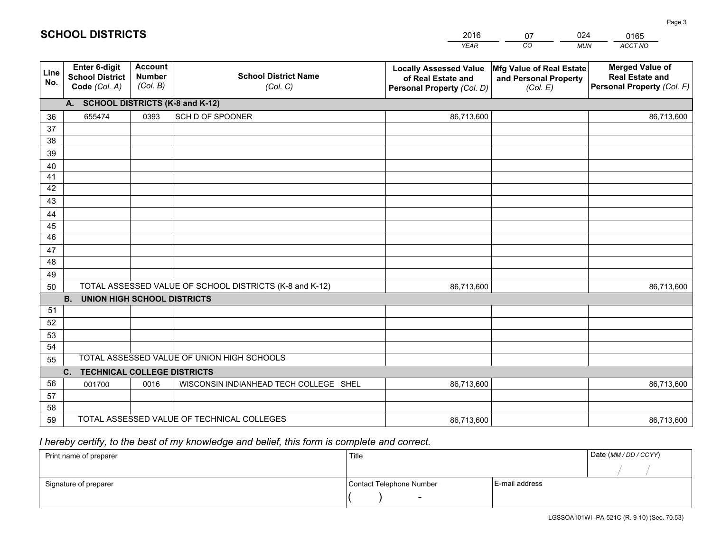|             |                                                          |                                             |                                                         | <b>YEAR</b>                                                                       | CO<br><b>MUN</b>                                              | ACCT NO                                                                        |
|-------------|----------------------------------------------------------|---------------------------------------------|---------------------------------------------------------|-----------------------------------------------------------------------------------|---------------------------------------------------------------|--------------------------------------------------------------------------------|
| Line<br>No. | Enter 6-digit<br><b>School District</b><br>Code (Col. A) | <b>Account</b><br><b>Number</b><br>(Col. B) | <b>School District Name</b><br>(Col. C)                 | <b>Locally Assessed Value</b><br>of Real Estate and<br>Personal Property (Col. D) | Mfg Value of Real Estate<br>and Personal Property<br>(Col. E) | <b>Merged Value of</b><br><b>Real Estate and</b><br>Personal Property (Col. F) |
|             | A. SCHOOL DISTRICTS (K-8 and K-12)                       |                                             |                                                         |                                                                                   |                                                               |                                                                                |
| 36          | 655474                                                   | 0393                                        | SCH D OF SPOONER                                        | 86,713,600                                                                        |                                                               | 86,713,600                                                                     |
| 37          |                                                          |                                             |                                                         |                                                                                   |                                                               |                                                                                |
| 38          |                                                          |                                             |                                                         |                                                                                   |                                                               |                                                                                |
| 39          |                                                          |                                             |                                                         |                                                                                   |                                                               |                                                                                |
| 40          |                                                          |                                             |                                                         |                                                                                   |                                                               |                                                                                |
| 41          |                                                          |                                             |                                                         |                                                                                   |                                                               |                                                                                |
| 42          |                                                          |                                             |                                                         |                                                                                   |                                                               |                                                                                |
| 43          |                                                          |                                             |                                                         |                                                                                   |                                                               |                                                                                |
| 44<br>45    |                                                          |                                             |                                                         |                                                                                   |                                                               |                                                                                |
| 46          |                                                          |                                             |                                                         |                                                                                   |                                                               |                                                                                |
| 47          |                                                          |                                             |                                                         |                                                                                   |                                                               |                                                                                |
| 48          |                                                          |                                             |                                                         |                                                                                   |                                                               |                                                                                |
| 49          |                                                          |                                             |                                                         |                                                                                   |                                                               |                                                                                |
| 50          |                                                          |                                             | TOTAL ASSESSED VALUE OF SCHOOL DISTRICTS (K-8 and K-12) | 86,713,600                                                                        |                                                               | 86,713,600                                                                     |
|             | <b>UNION HIGH SCHOOL DISTRICTS</b><br>B <sub>1</sub>     |                                             |                                                         |                                                                                   |                                                               |                                                                                |
| 51          |                                                          |                                             |                                                         |                                                                                   |                                                               |                                                                                |
| 52          |                                                          |                                             |                                                         |                                                                                   |                                                               |                                                                                |
| 53          |                                                          |                                             |                                                         |                                                                                   |                                                               |                                                                                |
| 54          |                                                          |                                             |                                                         |                                                                                   |                                                               |                                                                                |
| 55          |                                                          |                                             | TOTAL ASSESSED VALUE OF UNION HIGH SCHOOLS              |                                                                                   |                                                               |                                                                                |
|             | C. TECHNICAL COLLEGE DISTRICTS                           |                                             |                                                         |                                                                                   |                                                               |                                                                                |
| 56          | 001700                                                   | 0016                                        | WISCONSIN INDIANHEAD TECH COLLEGE SHEL                  | 86,713,600                                                                        |                                                               | 86,713,600                                                                     |
| 57          |                                                          |                                             |                                                         |                                                                                   |                                                               |                                                                                |
| 58          |                                                          |                                             |                                                         |                                                                                   |                                                               |                                                                                |
| 59          |                                                          |                                             | TOTAL ASSESSED VALUE OF TECHNICAL COLLEGES              | 86,713,600                                                                        |                                                               | 86,713,600                                                                     |

07

024

# *I hereby certify, to the best of my knowledge and belief, this form is complete and correct.*

**SCHOOL DISTRICTS**

| Print name of preparer | Title                    | Date (MM / DD / CCYY) |  |
|------------------------|--------------------------|-----------------------|--|
|                        |                          |                       |  |
| Signature of preparer  | Contact Telephone Number | E-mail address        |  |
|                        | $\overline{\phantom{0}}$ |                       |  |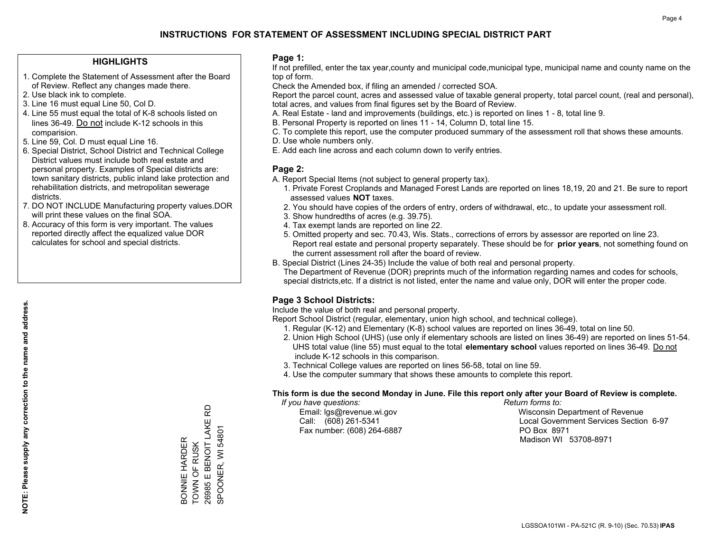### **HIGHLIGHTS**

- 1. Complete the Statement of Assessment after the Board of Review. Reflect any changes made there.
- 2. Use black ink to complete.
- 3. Line 16 must equal Line 50, Col D.
- 4. Line 55 must equal the total of K-8 schools listed on lines 36-49. Do not include K-12 schools in this comparision.
- 5. Line 59, Col. D must equal Line 16.
- 6. Special District, School District and Technical College District values must include both real estate and personal property. Examples of Special districts are: town sanitary districts, public inland lake protection and rehabilitation districts, and metropolitan sewerage districts.
- 7. DO NOT INCLUDE Manufacturing property values.DOR will print these values on the final SOA.

BONNIE HARDER TOWN OF RUSK 26985 E BENOIT LAKE RD SPOONER, WI 54801

BONNIE HARDER<br>TOWN OF RUSK<br>26985 E BENOIT LAKE R<br>SPOONER, WI 54801

윤

 8. Accuracy of this form is very important. The values reported directly affect the equalized value DOR calculates for school and special districts.

### **Page 1:**

 If not prefilled, enter the tax year,county and municipal code,municipal type, municipal name and county name on the top of form.

Check the Amended box, if filing an amended / corrected SOA.

 Report the parcel count, acres and assessed value of taxable general property, total parcel count, (real and personal), total acres, and values from final figures set by the Board of Review.

- A. Real Estate land and improvements (buildings, etc.) is reported on lines 1 8, total line 9.
- B. Personal Property is reported on lines 11 14, Column D, total line 15.
- C. To complete this report, use the computer produced summary of the assessment roll that shows these amounts.
- D. Use whole numbers only.
- E. Add each line across and each column down to verify entries.

### **Page 2:**

- A. Report Special Items (not subject to general property tax).
- 1. Private Forest Croplands and Managed Forest Lands are reported on lines 18,19, 20 and 21. Be sure to report assessed values **NOT** taxes.
- 2. You should have copies of the orders of entry, orders of withdrawal, etc., to update your assessment roll.
	- 3. Show hundredths of acres (e.g. 39.75).
- 4. Tax exempt lands are reported on line 22.
- 5. Omitted property and sec. 70.43, Wis. Stats., corrections of errors by assessor are reported on line 23. Report real estate and personal property separately. These should be for **prior years**, not something found on the current assessment roll after the board of review.
- B. Special District (Lines 24-35) Include the value of both real and personal property.
- The Department of Revenue (DOR) preprints much of the information regarding names and codes for schools, special districts,etc. If a district is not listed, enter the name and value only, DOR will enter the proper code.

## **Page 3 School Districts:**

Include the value of both real and personal property.

Report School District (regular, elementary, union high school, and technical college).

- 1. Regular (K-12) and Elementary (K-8) school values are reported on lines 36-49, total on line 50.
- 2. Union High School (UHS) (use only if elementary schools are listed on lines 36-49) are reported on lines 51-54. UHS total value (line 55) must equal to the total **elementary school** values reported on lines 36-49. Do notinclude K-12 schools in this comparison.
- 3. Technical College values are reported on lines 56-58, total on line 59.
- 4. Use the computer summary that shows these amounts to complete this report.

#### **This form is due the second Monday in June. File this report only after your Board of Review is complete.**

 *If you have questions: Return forms to:*

Fax number: (608) 264-6887 PO Box 8971

 Email: lgs@revenue.wi.gov Wisconsin Department of Revenue Call: (608) 261-5341 Local Government Services Section 6-97Madison WI 53708-8971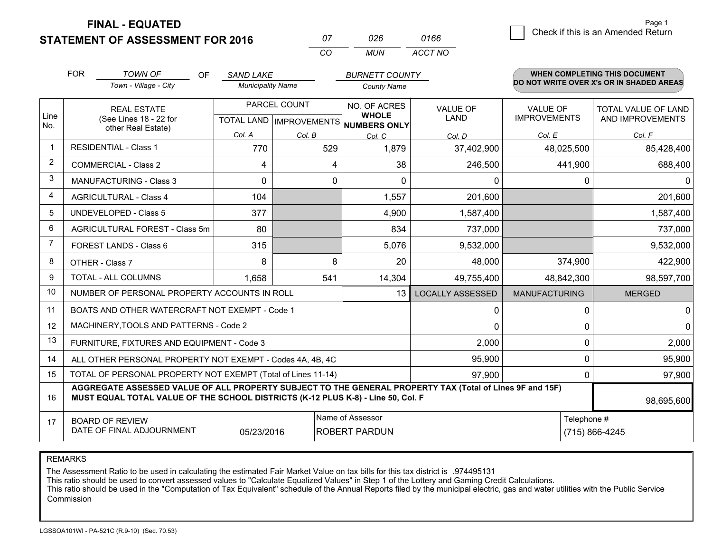**STATEMENT OF ASSESSMENT FOR 2016** 

**FINAL - EQUATED**

 $\overline{6}$  Check if this is an Amended Return Page 1

|                | <b>FOR</b>                                 | <b>TOWN OF</b><br>OF                                                                                                                                                                         | <b>SAND LAKE</b>         |              | <b>BURNETT COUNTY</b>                                    |                         |                                          | <b>WHEN COMPLETING THIS DOCUMENT</b> |  |
|----------------|--------------------------------------------|----------------------------------------------------------------------------------------------------------------------------------------------------------------------------------------------|--------------------------|--------------|----------------------------------------------------------|-------------------------|------------------------------------------|--------------------------------------|--|
|                |                                            | Town - Village - City                                                                                                                                                                        | <b>Municipality Name</b> |              | <b>County Name</b>                                       |                         | DO NOT WRITE OVER X's OR IN SHADED AREAS |                                      |  |
|                |                                            | <b>REAL ESTATE</b>                                                                                                                                                                           |                          | PARCEL COUNT | NO. OF ACRES                                             | <b>VALUE OF</b>         | <b>VALUE OF</b>                          | TOTAL VALUE OF LAND                  |  |
| Line<br>No.    |                                            | (See Lines 18 - 22 for<br>other Real Estate)                                                                                                                                                 |                          |              | <b>WHOLE</b><br>TOTAL LAND   IMPROVEMENTS   NUMBERS ONLY | <b>LAND</b>             | <b>IMPROVEMENTS</b>                      | AND IMPROVEMENTS                     |  |
|                |                                            |                                                                                                                                                                                              | Col. A                   | Col. B       | Col. C                                                   | Col. D                  | Col. E                                   | Col. F                               |  |
| $\mathbf 1$    |                                            | <b>RESIDENTIAL - Class 1</b>                                                                                                                                                                 | 770                      | 529          | 1,879                                                    | 37,402,900              | 48,025,500                               | 85,428,400                           |  |
| $\overline{2}$ |                                            | <b>COMMERCIAL - Class 2</b>                                                                                                                                                                  | 4                        | 4            | 38                                                       | 246,500                 | 441,900                                  | 688,400                              |  |
| 3              |                                            | <b>MANUFACTURING - Class 3</b>                                                                                                                                                               | $\Omega$                 | $\Omega$     | 0                                                        | $\Omega$                | 0                                        | <sup>0</sup>                         |  |
| $\overline{4}$ |                                            | <b>AGRICULTURAL - Class 4</b>                                                                                                                                                                | 104                      |              | 1,557                                                    | 201,600                 |                                          | 201,600                              |  |
| 5              |                                            | <b>UNDEVELOPED - Class 5</b>                                                                                                                                                                 | 377                      |              | 4,900                                                    | 1,587,400               |                                          | 1,587,400                            |  |
| 6              |                                            | <b>AGRICULTURAL FOREST - Class 5m</b>                                                                                                                                                        | 80                       |              | 834                                                      | 737,000                 |                                          | 737,000                              |  |
| $\overline{7}$ |                                            | FOREST LANDS - Class 6                                                                                                                                                                       | 315                      |              | 5,076                                                    | 9,532,000               |                                          | 9,532,000                            |  |
| 8              |                                            | OTHER - Class 7                                                                                                                                                                              | 8                        | 8            | 20                                                       | 48,000                  | 374,900                                  | 422,900                              |  |
| 9              |                                            | <b>TOTAL - ALL COLUMNS</b>                                                                                                                                                                   | 1,658                    | 541          | 14,304                                                   | 49,755,400              | 48,842,300                               | 98,597,700                           |  |
| 10             |                                            | NUMBER OF PERSONAL PROPERTY ACCOUNTS IN ROLL                                                                                                                                                 |                          |              | 13                                                       | <b>LOCALLY ASSESSED</b> | <b>MANUFACTURING</b>                     | <b>MERGED</b>                        |  |
| 11             |                                            | BOATS AND OTHER WATERCRAFT NOT EXEMPT - Code 1                                                                                                                                               |                          |              |                                                          | 0                       | 0                                        | 0                                    |  |
| 12             |                                            | MACHINERY, TOOLS AND PATTERNS - Code 2                                                                                                                                                       |                          |              |                                                          | $\Omega$                | 0                                        | 0                                    |  |
| 13             |                                            | FURNITURE, FIXTURES AND EQUIPMENT - Code 3                                                                                                                                                   |                          |              |                                                          | 2,000                   | 0                                        | 2,000                                |  |
| 14             |                                            | ALL OTHER PERSONAL PROPERTY NOT EXEMPT - Codes 4A, 4B, 4C                                                                                                                                    |                          |              |                                                          | 95,900                  | 0                                        | 95,900                               |  |
| 15             |                                            | TOTAL OF PERSONAL PROPERTY NOT EXEMPT (Total of Lines 11-14)                                                                                                                                 |                          |              |                                                          | 97,900                  | 0                                        | 97,900                               |  |
| 16             |                                            | AGGREGATE ASSESSED VALUE OF ALL PROPERTY SUBJECT TO THE GENERAL PROPERTY TAX (Total of Lines 9F and 15F)<br>MUST EQUAL TOTAL VALUE OF THE SCHOOL DISTRICTS (K-12 PLUS K-8) - Line 50, Col. F |                          |              |                                                          |                         |                                          | 98,695,600                           |  |
| 17             | Name of Assessor<br><b>BOARD OF REVIEW</b> |                                                                                                                                                                                              |                          |              |                                                          |                         | Telephone #                              |                                      |  |
|                |                                            | DATE OF FINAL ADJOURNMENT                                                                                                                                                                    | 05/23/2016               |              | <b>ROBERT PARDUN</b>                                     |                         |                                          | (715) 866-4245                       |  |

*MUN*

*ACCT NO0166*

*<sup>07</sup> <sup>026</sup>*

*CO*

REMARKS

The Assessment Ratio to be used in calculating the estimated Fair Market Value on tax bills for this tax district is .974495131<br>This ratio should be used to convert assessed values to "Calculate Equalized Values" in Step 1 Commission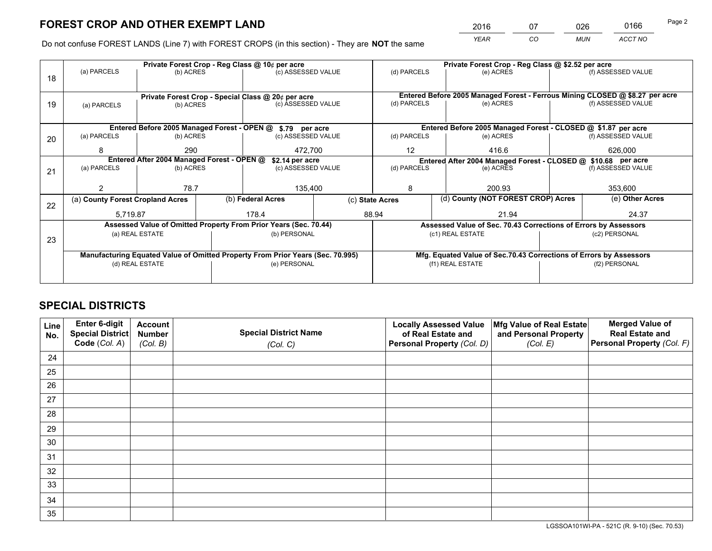*YEAR CO MUN ACCT NO* <sup>2016</sup> <sup>07</sup> <sup>026</sup> <sup>0166</sup>

Do not confuse FOREST LANDS (Line 7) with FOREST CROPS (in this section) - They are **NOT** the same

|    |                                                                                |                 |  | Private Forest Crop - Reg Class @ 10¢ per acre                   |  |                                                                              |  | Private Forest Crop - Reg Class @ \$2.52 per acre                  |                 |                    |  |
|----|--------------------------------------------------------------------------------|-----------------|--|------------------------------------------------------------------|--|------------------------------------------------------------------------------|--|--------------------------------------------------------------------|-----------------|--------------------|--|
| 18 | (a) PARCELS                                                                    | (b) ACRES       |  | (c) ASSESSED VALUE                                               |  | (d) PARCELS                                                                  |  | (e) ACRES                                                          |                 | (f) ASSESSED VALUE |  |
|    |                                                                                |                 |  |                                                                  |  | Entered Before 2005 Managed Forest - Ferrous Mining CLOSED @ \$8.27 per acre |  |                                                                    |                 |                    |  |
|    |                                                                                |                 |  | Private Forest Crop - Special Class @ 20¢ per acre               |  | (d) PARCELS                                                                  |  | (e) ACRES                                                          |                 | (f) ASSESSED VALUE |  |
| 19 | (a) PARCELS                                                                    | (b) ACRES       |  | (c) ASSESSED VALUE                                               |  |                                                                              |  |                                                                    |                 |                    |  |
|    |                                                                                |                 |  |                                                                  |  |                                                                              |  |                                                                    |                 |                    |  |
|    | Entered Before 2005 Managed Forest - OPEN @ \$.79 per acre                     |                 |  |                                                                  |  |                                                                              |  | Entered Before 2005 Managed Forest - CLOSED @ \$1.87 per acre      |                 |                    |  |
| 20 | (a) PARCELS                                                                    | (b) ACRES       |  | (c) ASSESSED VALUE                                               |  | (d) PARCELS                                                                  |  | (e) ACRES                                                          |                 | (f) ASSESSED VALUE |  |
|    | 8                                                                              | 290             |  |                                                                  |  | 12<br>416.6                                                                  |  | 626,000                                                            |                 |                    |  |
|    | 472,700<br>Entered After 2004 Managed Forest - OPEN @                          |                 |  |                                                                  |  |                                                                              |  |                                                                    |                 |                    |  |
|    | (a) PARCELS<br>(b) ACRES                                                       |                 |  | \$2.14 per acre                                                  |  | (d) PARCELS                                                                  |  | Entered After 2004 Managed Forest - CLOSED @ \$10.68 per acre      |                 | (f) ASSESSED VALUE |  |
| 21 |                                                                                |                 |  | (c) ASSESSED VALUE                                               |  |                                                                              |  | (e) ACRES                                                          |                 |                    |  |
|    |                                                                                |                 |  |                                                                  |  |                                                                              |  |                                                                    |                 |                    |  |
|    |                                                                                | 78.7            |  | 135,400                                                          |  | 8                                                                            |  | 200.93                                                             | 353,600         |                    |  |
|    | (a) County Forest Cropland Acres                                               |                 |  | (b) Federal Acres                                                |  | (d) County (NOT FOREST CROP) Acres<br>(c) State Acres                        |  |                                                                    | (e) Other Acres |                    |  |
| 22 |                                                                                |                 |  |                                                                  |  |                                                                              |  |                                                                    |                 |                    |  |
|    | 5.719.87                                                                       |                 |  | 178.4                                                            |  | 88.94                                                                        |  | 21.94                                                              |                 | 24.37              |  |
|    |                                                                                |                 |  | Assessed Value of Omitted Property From Prior Years (Sec. 70.44) |  |                                                                              |  | Assessed Value of Sec. 70.43 Corrections of Errors by Assessors    |                 |                    |  |
| 23 |                                                                                | (a) REAL ESTATE |  | (b) PERSONAL                                                     |  |                                                                              |  | (c1) REAL ESTATE                                                   |                 | (c2) PERSONAL      |  |
|    |                                                                                |                 |  |                                                                  |  |                                                                              |  |                                                                    |                 |                    |  |
|    | Manufacturing Equated Value of Omitted Property From Prior Years (Sec. 70.995) |                 |  |                                                                  |  |                                                                              |  | Mfg. Equated Value of Sec.70.43 Corrections of Errors by Assessors |                 |                    |  |
|    |                                                                                | (d) REAL ESTATE |  | (e) PERSONAL                                                     |  |                                                                              |  | (f1) REAL ESTATE                                                   | (f2) PERSONAL   |                    |  |
|    |                                                                                |                 |  |                                                                  |  |                                                                              |  |                                                                    |                 |                    |  |
|    |                                                                                |                 |  |                                                                  |  |                                                                              |  |                                                                    |                 |                    |  |

# **SPECIAL DISTRICTS**

| Line<br>No. | Enter 6-digit<br><b>Special District</b> | <b>Account</b><br><b>Number</b> | <b>Special District Name</b> | <b>Locally Assessed Value</b><br>of Real Estate and | Mfg Value of Real Estate<br>and Personal Property | <b>Merged Value of</b><br><b>Real Estate and</b> |
|-------------|------------------------------------------|---------------------------------|------------------------------|-----------------------------------------------------|---------------------------------------------------|--------------------------------------------------|
|             | Code (Col. A)                            | (Col. B)                        | (Col. C)                     | Personal Property (Col. D)                          | (Col. E)                                          | Personal Property (Col. F)                       |
| 24          |                                          |                                 |                              |                                                     |                                                   |                                                  |
| 25          |                                          |                                 |                              |                                                     |                                                   |                                                  |
| 26          |                                          |                                 |                              |                                                     |                                                   |                                                  |
| 27          |                                          |                                 |                              |                                                     |                                                   |                                                  |
| 28          |                                          |                                 |                              |                                                     |                                                   |                                                  |
| 29          |                                          |                                 |                              |                                                     |                                                   |                                                  |
| 30          |                                          |                                 |                              |                                                     |                                                   |                                                  |
| 31          |                                          |                                 |                              |                                                     |                                                   |                                                  |
| 32          |                                          |                                 |                              |                                                     |                                                   |                                                  |
| 33          |                                          |                                 |                              |                                                     |                                                   |                                                  |
| 34          |                                          |                                 |                              |                                                     |                                                   |                                                  |
| 35          |                                          |                                 |                              |                                                     |                                                   |                                                  |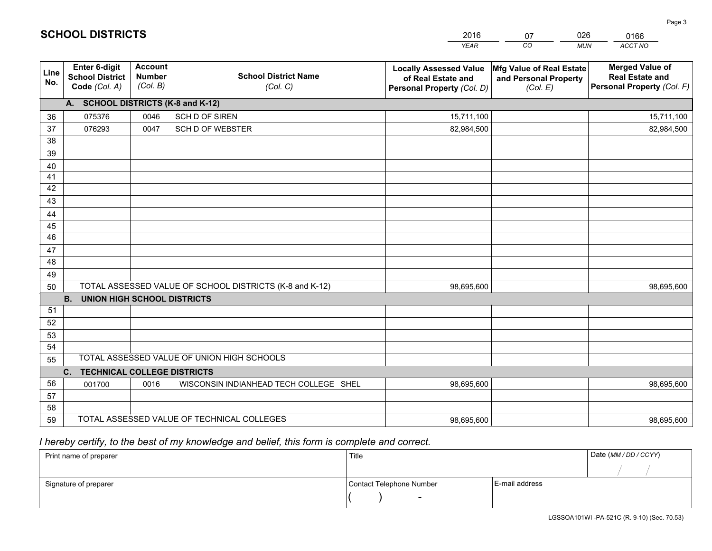|             |                                                          |                                             |                                                         | <b>YEAR</b>                                                                       | CO<br><b>MUN</b>                                              | ACCT NO                                                                        |
|-------------|----------------------------------------------------------|---------------------------------------------|---------------------------------------------------------|-----------------------------------------------------------------------------------|---------------------------------------------------------------|--------------------------------------------------------------------------------|
| Line<br>No. | Enter 6-digit<br><b>School District</b><br>Code (Col. A) | <b>Account</b><br><b>Number</b><br>(Col. B) | <b>School District Name</b><br>(Col. C)                 | <b>Locally Assessed Value</b><br>of Real Estate and<br>Personal Property (Col. D) | Mfg Value of Real Estate<br>and Personal Property<br>(Col. E) | <b>Merged Value of</b><br><b>Real Estate and</b><br>Personal Property (Col. F) |
|             | A. SCHOOL DISTRICTS (K-8 and K-12)                       |                                             |                                                         |                                                                                   |                                                               |                                                                                |
| 36          | 075376                                                   | 0046                                        | SCH D OF SIREN                                          | 15,711,100                                                                        |                                                               | 15,711,100                                                                     |
| 37          | 076293                                                   | 0047                                        | <b>SCH D OF WEBSTER</b>                                 | 82,984,500                                                                        |                                                               | 82,984,500                                                                     |
| 38          |                                                          |                                             |                                                         |                                                                                   |                                                               |                                                                                |
| 39          |                                                          |                                             |                                                         |                                                                                   |                                                               |                                                                                |
| 40          |                                                          |                                             |                                                         |                                                                                   |                                                               |                                                                                |
| 41          |                                                          |                                             |                                                         |                                                                                   |                                                               |                                                                                |
| 42          |                                                          |                                             |                                                         |                                                                                   |                                                               |                                                                                |
| 43          |                                                          |                                             |                                                         |                                                                                   |                                                               |                                                                                |
| 44          |                                                          |                                             |                                                         |                                                                                   |                                                               |                                                                                |
| 45          |                                                          |                                             |                                                         |                                                                                   |                                                               |                                                                                |
| 46          |                                                          |                                             |                                                         |                                                                                   |                                                               |                                                                                |
| 47          |                                                          |                                             |                                                         |                                                                                   |                                                               |                                                                                |
| 48          |                                                          |                                             |                                                         |                                                                                   |                                                               |                                                                                |
| 49          |                                                          |                                             | TOTAL ASSESSED VALUE OF SCHOOL DISTRICTS (K-8 and K-12) |                                                                                   |                                                               |                                                                                |
| 50          | <b>B.</b><br><b>UNION HIGH SCHOOL DISTRICTS</b>          |                                             |                                                         | 98,695,600                                                                        |                                                               | 98,695,600                                                                     |
| 51          |                                                          |                                             |                                                         |                                                                                   |                                                               |                                                                                |
| 52          |                                                          |                                             |                                                         |                                                                                   |                                                               |                                                                                |
| 53          |                                                          |                                             |                                                         |                                                                                   |                                                               |                                                                                |
| 54          |                                                          |                                             |                                                         |                                                                                   |                                                               |                                                                                |
| 55          |                                                          |                                             | TOTAL ASSESSED VALUE OF UNION HIGH SCHOOLS              |                                                                                   |                                                               |                                                                                |
|             | C. TECHNICAL COLLEGE DISTRICTS                           |                                             |                                                         |                                                                                   |                                                               |                                                                                |
| 56          | 001700                                                   | 0016                                        | WISCONSIN INDIANHEAD TECH COLLEGE SHEL                  | 98,695,600                                                                        |                                                               | 98,695,600                                                                     |
| 57          |                                                          |                                             |                                                         |                                                                                   |                                                               |                                                                                |
| 58          |                                                          |                                             |                                                         |                                                                                   |                                                               |                                                                                |
| 59          |                                                          |                                             | TOTAL ASSESSED VALUE OF TECHNICAL COLLEGES              | 98,695,600                                                                        |                                                               | 98,695,600                                                                     |

07

026

 *I hereby certify, to the best of my knowledge and belief, this form is complete and correct.*

**SCHOOL DISTRICTS**

| Print name of preparer | Title                    |                | Date (MM / DD / CCYY) |
|------------------------|--------------------------|----------------|-----------------------|
|                        |                          |                |                       |
| Signature of preparer  | Contact Telephone Number | E-mail address |                       |
|                        | $\overline{\phantom{0}}$ |                |                       |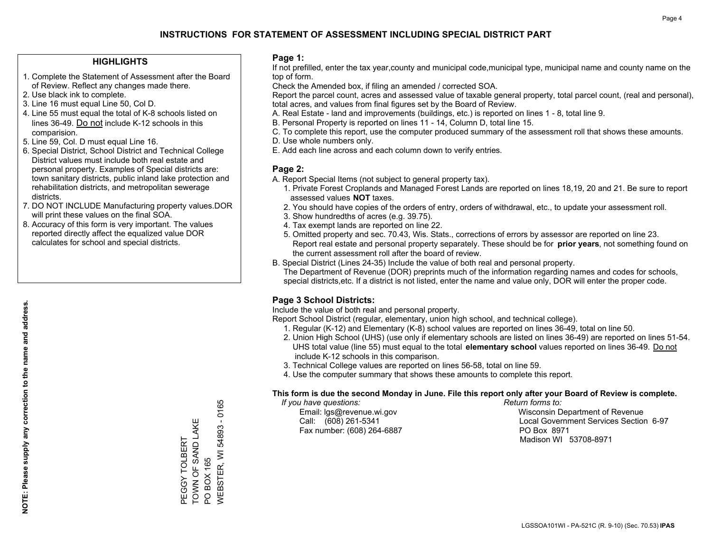### **HIGHLIGHTS**

- 1. Complete the Statement of Assessment after the Board of Review. Reflect any changes made there.
- 2. Use black ink to complete.
- 3. Line 16 must equal Line 50, Col D.
- 4. Line 55 must equal the total of K-8 schools listed on lines 36-49. Do not include K-12 schools in this comparision.
- 5. Line 59, Col. D must equal Line 16.
- 6. Special District, School District and Technical College District values must include both real estate and personal property. Examples of Special districts are: town sanitary districts, public inland lake protection and rehabilitation districts, and metropolitan sewerage districts.
- 7. DO NOT INCLUDE Manufacturing property values.DOR will print these values on the final SOA.

PEGGY TOLBERT TOWN OF SAND LAKE

TOWN OF SAND LAKE PEGGY TOLBERT

PO BOX 165

**PO BOX 165** 

WEBSTER, WI 54893 - 0165

**NEBSTER, WI 54893 - 0165** 

 8. Accuracy of this form is very important. The values reported directly affect the equalized value DOR calculates for school and special districts.

### **Page 1:**

 If not prefilled, enter the tax year,county and municipal code,municipal type, municipal name and county name on the top of form.

Check the Amended box, if filing an amended / corrected SOA.

 Report the parcel count, acres and assessed value of taxable general property, total parcel count, (real and personal), total acres, and values from final figures set by the Board of Review.

- A. Real Estate land and improvements (buildings, etc.) is reported on lines 1 8, total line 9.
- B. Personal Property is reported on lines 11 14, Column D, total line 15.
- C. To complete this report, use the computer produced summary of the assessment roll that shows these amounts.
- D. Use whole numbers only.
- E. Add each line across and each column down to verify entries.

### **Page 2:**

- A. Report Special Items (not subject to general property tax).
- 1. Private Forest Croplands and Managed Forest Lands are reported on lines 18,19, 20 and 21. Be sure to report assessed values **NOT** taxes.
- 2. You should have copies of the orders of entry, orders of withdrawal, etc., to update your assessment roll.
	- 3. Show hundredths of acres (e.g. 39.75).
- 4. Tax exempt lands are reported on line 22.
- 5. Omitted property and sec. 70.43, Wis. Stats., corrections of errors by assessor are reported on line 23. Report real estate and personal property separately. These should be for **prior years**, not something found on the current assessment roll after the board of review.
- B. Special District (Lines 24-35) Include the value of both real and personal property.

 The Department of Revenue (DOR) preprints much of the information regarding names and codes for schools, special districts,etc. If a district is not listed, enter the name and value only, DOR will enter the proper code.

## **Page 3 School Districts:**

Include the value of both real and personal property.

Report School District (regular, elementary, union high school, and technical college).

- 1. Regular (K-12) and Elementary (K-8) school values are reported on lines 36-49, total on line 50.
- 2. Union High School (UHS) (use only if elementary schools are listed on lines 36-49) are reported on lines 51-54. UHS total value (line 55) must equal to the total **elementary school** values reported on lines 36-49. Do notinclude K-12 schools in this comparison.
- 3. Technical College values are reported on lines 56-58, total on line 59.
- 4. Use the computer summary that shows these amounts to complete this report.

#### **This form is due the second Monday in June. File this report only after your Board of Review is complete.**

 *If you have questions: Return forms to:*

Fax number: (608) 264-6887 PO Box 8971

 Email: lgs@revenue.wi.gov Wisconsin Department of Revenue Call: (608) 261-5341 Local Government Services Section 6-97Madison WI 53708-8971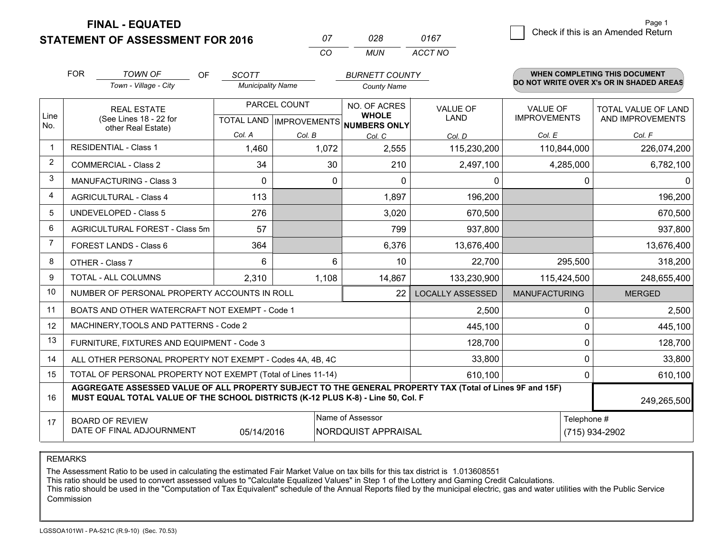**FINAL - EQUATED**

**STATEMENT OF ASSESSMENT FOR 2016** 

|          | กวล   | 0167    |
|----------|-------|---------|
| $\cdots$ | MI IN | ACCT NO |

|                | <b>FOR</b>                                                                                                                                                                                                  | <b>TOWN OF</b><br><b>OF</b>                                  | <b>SCOTT</b>             |                                           | <b>BURNETT COUNTY</b>                               |                         |                                 | <b>WHEN COMPLETING THIS DOCUMENT</b>     |  |
|----------------|-------------------------------------------------------------------------------------------------------------------------------------------------------------------------------------------------------------|--------------------------------------------------------------|--------------------------|-------------------------------------------|-----------------------------------------------------|-------------------------|---------------------------------|------------------------------------------|--|
|                |                                                                                                                                                                                                             | Town - Village - City                                        | <b>Municipality Name</b> |                                           | <b>County Name</b>                                  |                         |                                 | DO NOT WRITE OVER X's OR IN SHADED AREAS |  |
| Line<br>No.    |                                                                                                                                                                                                             | <b>REAL ESTATE</b><br>(See Lines 18 - 22 for                 |                          | PARCEL COUNT<br>TOTAL LAND   IMPROVEMENTS | NO. OF ACRES<br><b>WHOLE</b><br><b>NUMBERS ONLY</b> | VALUE OF<br>LAND        | VALUE OF<br><b>IMPROVEMENTS</b> | TOTAL VALUE OF LAND<br>AND IMPROVEMENTS  |  |
|                |                                                                                                                                                                                                             | other Real Estate)                                           | Col. A                   | Col. B                                    | Col. C                                              | Col. D                  | Col. E                          | Col. F                                   |  |
| $\mathbf 1$    |                                                                                                                                                                                                             | <b>RESIDENTIAL - Class 1</b>                                 | 1,460                    | 1,072                                     | 2,555                                               | 115,230,200             | 110,844,000                     | 226,074,200                              |  |
| 2              |                                                                                                                                                                                                             | <b>COMMERCIAL - Class 2</b>                                  | 34                       | 30                                        | 210                                                 | 2,497,100               | 4,285,000                       | 6,782,100                                |  |
| 3              |                                                                                                                                                                                                             | <b>MANUFACTURING - Class 3</b>                               | $\Omega$                 | 0                                         | $\mathbf{0}$                                        | 0                       | 0                               | $\Omega$                                 |  |
| 4              |                                                                                                                                                                                                             | <b>AGRICULTURAL - Class 4</b>                                | 113                      |                                           | 1,897                                               | 196,200                 |                                 | 196,200                                  |  |
| 5              |                                                                                                                                                                                                             | <b>UNDEVELOPED - Class 5</b>                                 | 276                      |                                           | 3,020                                               | 670,500                 |                                 | 670,500                                  |  |
| 6              | AGRICULTURAL FOREST - Class 5m                                                                                                                                                                              |                                                              | 57                       |                                           | 799                                                 | 937,800                 |                                 | 937,800                                  |  |
| $\overline{7}$ |                                                                                                                                                                                                             | FOREST LANDS - Class 6                                       | 364                      |                                           | 6,376                                               | 13,676,400              |                                 | 13,676,400                               |  |
| 8              |                                                                                                                                                                                                             | OTHER - Class 7                                              | 6                        | 6                                         | 10                                                  | 22,700                  | 295,500                         | 318,200                                  |  |
| 9              |                                                                                                                                                                                                             | TOTAL - ALL COLUMNS                                          | 2,310                    | 1,108                                     | 14,867                                              | 133,230,900             | 115,424,500                     | 248,655,400                              |  |
| 10             |                                                                                                                                                                                                             | NUMBER OF PERSONAL PROPERTY ACCOUNTS IN ROLL                 |                          |                                           | 22                                                  | <b>LOCALLY ASSESSED</b> | <b>MANUFACTURING</b>            | <b>MERGED</b>                            |  |
| 11             |                                                                                                                                                                                                             | BOATS AND OTHER WATERCRAFT NOT EXEMPT - Code 1               |                          |                                           |                                                     | 2,500                   | 0                               | 2,500                                    |  |
| 12             |                                                                                                                                                                                                             | MACHINERY, TOOLS AND PATTERNS - Code 2                       |                          |                                           |                                                     | 445,100                 | 0                               | 445,100                                  |  |
| 13             |                                                                                                                                                                                                             | FURNITURE, FIXTURES AND EQUIPMENT - Code 3                   |                          |                                           |                                                     | 128,700                 | 0                               | 128,700                                  |  |
| 14             |                                                                                                                                                                                                             | ALL OTHER PERSONAL PROPERTY NOT EXEMPT - Codes 4A, 4B, 4C    |                          |                                           |                                                     | 33,800                  | 0                               | 33,800                                   |  |
| 15             |                                                                                                                                                                                                             | TOTAL OF PERSONAL PROPERTY NOT EXEMPT (Total of Lines 11-14) |                          |                                           |                                                     | 610,100                 | 0                               | 610,100                                  |  |
| 16             | AGGREGATE ASSESSED VALUE OF ALL PROPERTY SUBJECT TO THE GENERAL PROPERTY TAX (Total of Lines 9F and 15F)<br>MUST EQUAL TOTAL VALUE OF THE SCHOOL DISTRICTS (K-12 PLUS K-8) - Line 50, Col. F<br>249,265,500 |                                                              |                          |                                           |                                                     |                         |                                 |                                          |  |
| 17             | Name of Assessor<br>Telephone #<br><b>BOARD OF REVIEW</b><br>DATE OF FINAL ADJOURNMENT<br>NORDQUIST APPRAISAL<br>(715) 934-2902<br>05/14/2016                                                               |                                                              |                          |                                           |                                                     |                         |                                 |                                          |  |

REMARKS

The Assessment Ratio to be used in calculating the estimated Fair Market Value on tax bills for this tax district is 1.013608551<br>This ratio should be used to convert assessed values to "Calculate Equalized Values" in Step Commission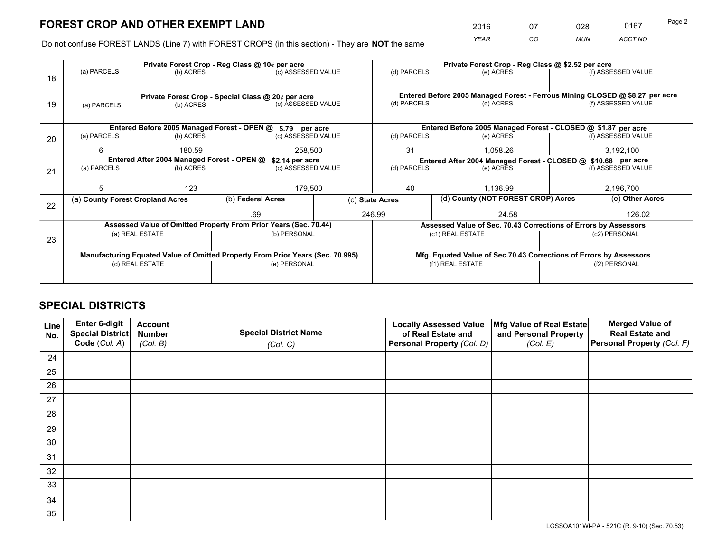*YEAR CO MUN ACCT NO* <sup>2016</sup> <sup>07</sup> <sup>028</sup> <sup>0167</sup>

Do not confuse FOREST LANDS (Line 7) with FOREST CROPS (in this section) - They are **NOT** the same

|    |                                                                                |                 |  | Private Forest Crop - Reg Class @ 10¢ per acre                   |                    |                                                                 | Private Forest Crop - Reg Class @ \$2.52 per acre                            |                                                                    |               |                    |  |
|----|--------------------------------------------------------------------------------|-----------------|--|------------------------------------------------------------------|--------------------|-----------------------------------------------------------------|------------------------------------------------------------------------------|--------------------------------------------------------------------|---------------|--------------------|--|
| 18 | (a) PARCELS                                                                    | (b) ACRES       |  | (c) ASSESSED VALUE                                               |                    | (d) PARCELS                                                     |                                                                              | (e) ACRES                                                          |               | (f) ASSESSED VALUE |  |
|    |                                                                                |                 |  |                                                                  |                    |                                                                 |                                                                              |                                                                    |               |                    |  |
|    |                                                                                |                 |  | Private Forest Crop - Special Class @ 20¢ per acre               |                    |                                                                 | Entered Before 2005 Managed Forest - Ferrous Mining CLOSED @ \$8.27 per acre |                                                                    |               |                    |  |
| 19 | (c) ASSESSED VALUE<br>(b) ACRES<br>(a) PARCELS                                 |                 |  | (d) PARCELS                                                      |                    | (e) ACRES                                                       |                                                                              | (f) ASSESSED VALUE                                                 |               |                    |  |
|    |                                                                                |                 |  |                                                                  |                    |                                                                 |                                                                              |                                                                    |               |                    |  |
|    |                                                                                |                 |  | Entered Before 2005 Managed Forest - OPEN @ \$.79 per acre       |                    |                                                                 |                                                                              | Entered Before 2005 Managed Forest - CLOSED @ \$1.87 per acre      |               |                    |  |
| 20 | (a) PARCELS                                                                    | (b) ACRES       |  | (c) ASSESSED VALUE                                               |                    | (d) PARCELS<br>(e) ACRES                                        |                                                                              |                                                                    |               | (f) ASSESSED VALUE |  |
|    | 6                                                                              | 180.59          |  | 258,500                                                          |                    | 31                                                              |                                                                              | 1,058.26                                                           |               | 3,192,100          |  |
|    | Entered After 2004 Managed Forest - OPEN @<br>\$2.14 per acre                  |                 |  |                                                                  |                    |                                                                 |                                                                              | Entered After 2004 Managed Forest - CLOSED @ \$10.68 per acre      |               |                    |  |
| 21 | (a) PARCELS                                                                    | (b) ACRES       |  |                                                                  | (c) ASSESSED VALUE |                                                                 | (d) PARCELS                                                                  | (e) ACRES                                                          |               | (f) ASSESSED VALUE |  |
|    |                                                                                |                 |  |                                                                  |                    |                                                                 |                                                                              |                                                                    |               |                    |  |
|    | 5                                                                              | 123             |  | 179,500                                                          |                    | 40                                                              |                                                                              | 1,136.99                                                           |               | 2,196,700          |  |
|    | (a) County Forest Cropland Acres                                               |                 |  | (b) Federal Acres                                                |                    | (d) County (NOT FOREST CROP) Acres<br>(c) State Acres           |                                                                              |                                                                    |               | (e) Other Acres    |  |
| 22 |                                                                                |                 |  | .69                                                              |                    | 246.99<br>24.58                                                 |                                                                              |                                                                    | 126.02        |                    |  |
|    |                                                                                |                 |  | Assessed Value of Omitted Property From Prior Years (Sec. 70.44) |                    | Assessed Value of Sec. 70.43 Corrections of Errors by Assessors |                                                                              |                                                                    |               |                    |  |
|    |                                                                                | (a) REAL ESTATE |  | (b) PERSONAL                                                     |                    |                                                                 |                                                                              | (c1) REAL ESTATE                                                   |               | (c2) PERSONAL      |  |
| 23 |                                                                                |                 |  |                                                                  |                    |                                                                 |                                                                              |                                                                    |               |                    |  |
|    |                                                                                |                 |  |                                                                  |                    |                                                                 |                                                                              |                                                                    |               |                    |  |
|    | Manufacturing Equated Value of Omitted Property From Prior Years (Sec. 70.995) |                 |  |                                                                  |                    |                                                                 |                                                                              | Mfg. Equated Value of Sec.70.43 Corrections of Errors by Assessors |               |                    |  |
|    |                                                                                | (d) REAL ESTATE |  | (e) PERSONAL                                                     |                    |                                                                 |                                                                              | (f1) REAL ESTATE                                                   | (f2) PERSONAL |                    |  |
|    |                                                                                |                 |  |                                                                  |                    |                                                                 |                                                                              |                                                                    |               |                    |  |

# **SPECIAL DISTRICTS**

| Line<br>No. | Enter 6-digit<br><b>Special District</b> | <b>Account</b><br><b>Number</b> | <b>Special District Name</b> | <b>Locally Assessed Value</b><br>of Real Estate and | Mfg Value of Real Estate<br>and Personal Property | <b>Merged Value of</b><br><b>Real Estate and</b> |
|-------------|------------------------------------------|---------------------------------|------------------------------|-----------------------------------------------------|---------------------------------------------------|--------------------------------------------------|
|             | Code (Col. A)                            | (Col. B)                        | (Col. C)                     | Personal Property (Col. D)                          | (Col. E)                                          | Personal Property (Col. F)                       |
| 24          |                                          |                                 |                              |                                                     |                                                   |                                                  |
| 25          |                                          |                                 |                              |                                                     |                                                   |                                                  |
| 26          |                                          |                                 |                              |                                                     |                                                   |                                                  |
| 27          |                                          |                                 |                              |                                                     |                                                   |                                                  |
| 28          |                                          |                                 |                              |                                                     |                                                   |                                                  |
| 29          |                                          |                                 |                              |                                                     |                                                   |                                                  |
| 30          |                                          |                                 |                              |                                                     |                                                   |                                                  |
| 31          |                                          |                                 |                              |                                                     |                                                   |                                                  |
| 32          |                                          |                                 |                              |                                                     |                                                   |                                                  |
| 33          |                                          |                                 |                              |                                                     |                                                   |                                                  |
| 34          |                                          |                                 |                              |                                                     |                                                   |                                                  |
| 35          |                                          |                                 |                              |                                                     |                                                   |                                                  |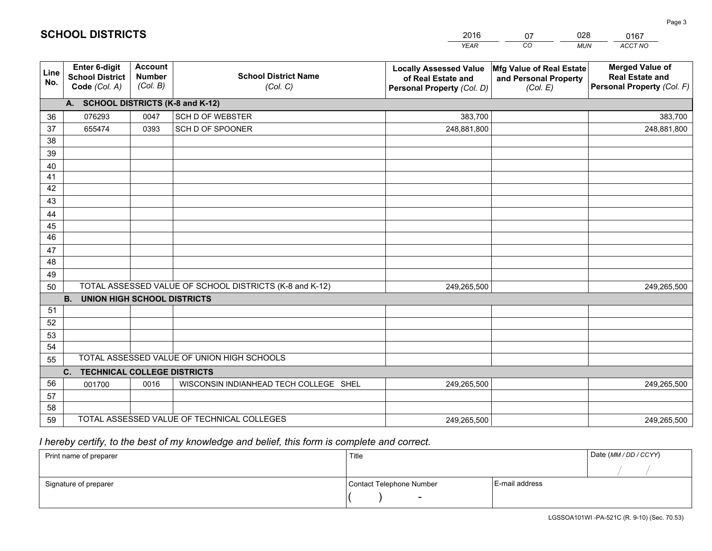|                       |                                                          |                                             |                                                         | <b>YEAR</b>                                                                       | CO<br><b>MUN</b>                                              | ACCT NO                                                                        |
|-----------------------|----------------------------------------------------------|---------------------------------------------|---------------------------------------------------------|-----------------------------------------------------------------------------------|---------------------------------------------------------------|--------------------------------------------------------------------------------|
| Line<br>No.           | Enter 6-digit<br><b>School District</b><br>Code (Col. A) | <b>Account</b><br><b>Number</b><br>(Col. B) | <b>School District Name</b><br>(Col. C)                 | <b>Locally Assessed Value</b><br>of Real Estate and<br>Personal Property (Col. D) | Mfg Value of Real Estate<br>and Personal Property<br>(Col. E) | <b>Merged Value of</b><br><b>Real Estate and</b><br>Personal Property (Col. F) |
|                       | A. SCHOOL DISTRICTS (K-8 and K-12)                       |                                             |                                                         |                                                                                   |                                                               |                                                                                |
| 36                    | 076293                                                   | 0047                                        | <b>SCH D OF WEBSTER</b>                                 | 383,700                                                                           |                                                               | 383,700                                                                        |
| 37                    | 655474                                                   | 0393                                        | SCH D OF SPOONER                                        | 248,881,800                                                                       |                                                               | 248,881,800                                                                    |
| 38                    |                                                          |                                             |                                                         |                                                                                   |                                                               |                                                                                |
| 39                    |                                                          |                                             |                                                         |                                                                                   |                                                               |                                                                                |
| 40                    |                                                          |                                             |                                                         |                                                                                   |                                                               |                                                                                |
| 41                    |                                                          |                                             |                                                         |                                                                                   |                                                               |                                                                                |
| 42                    |                                                          |                                             |                                                         |                                                                                   |                                                               |                                                                                |
| 43                    |                                                          |                                             |                                                         |                                                                                   |                                                               |                                                                                |
| 44                    |                                                          |                                             |                                                         |                                                                                   |                                                               |                                                                                |
| 45<br>$\overline{46}$ |                                                          |                                             |                                                         |                                                                                   |                                                               |                                                                                |
|                       |                                                          |                                             |                                                         |                                                                                   |                                                               |                                                                                |
| 47<br>48              |                                                          |                                             |                                                         |                                                                                   |                                                               |                                                                                |
| 49                    |                                                          |                                             |                                                         |                                                                                   |                                                               |                                                                                |
| 50                    |                                                          |                                             | TOTAL ASSESSED VALUE OF SCHOOL DISTRICTS (K-8 and K-12) | 249,265,500                                                                       |                                                               | 249,265,500                                                                    |
|                       | <b>B.</b><br><b>UNION HIGH SCHOOL DISTRICTS</b>          |                                             |                                                         |                                                                                   |                                                               |                                                                                |
| 51                    |                                                          |                                             |                                                         |                                                                                   |                                                               |                                                                                |
| 52                    |                                                          |                                             |                                                         |                                                                                   |                                                               |                                                                                |
| 53                    |                                                          |                                             |                                                         |                                                                                   |                                                               |                                                                                |
| 54                    |                                                          |                                             |                                                         |                                                                                   |                                                               |                                                                                |
| 55                    |                                                          |                                             | TOTAL ASSESSED VALUE OF UNION HIGH SCHOOLS              |                                                                                   |                                                               |                                                                                |
|                       | C.<br><b>TECHNICAL COLLEGE DISTRICTS</b>                 |                                             |                                                         |                                                                                   |                                                               |                                                                                |
| 56                    | 001700                                                   | 0016                                        | WISCONSIN INDIANHEAD TECH COLLEGE SHEL                  | 249,265,500                                                                       |                                                               | 249,265,500                                                                    |
| 57                    |                                                          |                                             |                                                         |                                                                                   |                                                               |                                                                                |
| 58                    |                                                          |                                             |                                                         |                                                                                   |                                                               |                                                                                |
| 59                    |                                                          |                                             | TOTAL ASSESSED VALUE OF TECHNICAL COLLEGES              | 249,265,500                                                                       |                                                               | 249,265,500                                                                    |

 *I hereby certify, to the best of my knowledge and belief, this form is complete and correct.*

| Print name of preparer | Title                    |                | Date (MM / DD / CCYY) |
|------------------------|--------------------------|----------------|-----------------------|
|                        |                          |                |                       |
| Signature of preparer  | Contact Telephone Number | E-mail address |                       |
|                        | $\sim$                   |                |                       |

| <b>SCHOOL DISTRICTS</b> |  |  |  |  |  |  |  |
|-------------------------|--|--|--|--|--|--|--|
|-------------------------|--|--|--|--|--|--|--|

201607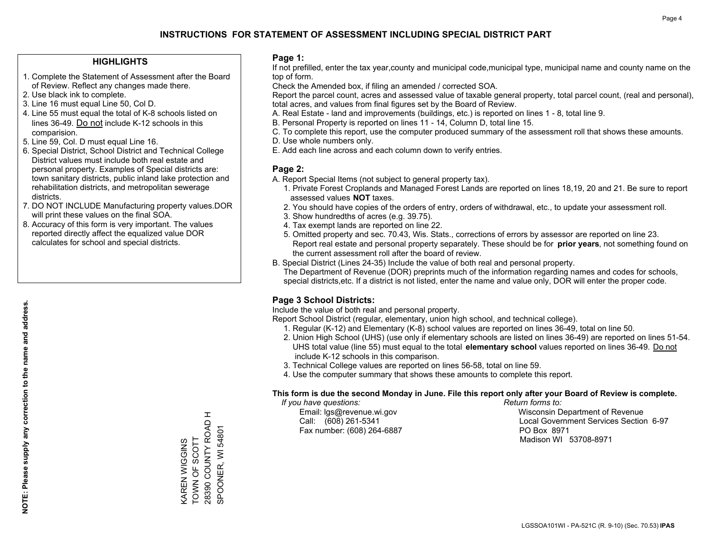### **HIGHLIGHTS**

- 1. Complete the Statement of Assessment after the Board of Review. Reflect any changes made there.
- 2. Use black ink to complete.
- 3. Line 16 must equal Line 50, Col D.
- 4. Line 55 must equal the total of K-8 schools listed on lines 36-49. Do not include K-12 schools in this comparision.
- 5. Line 59, Col. D must equal Line 16.
- 6. Special District, School District and Technical College District values must include both real estate and personal property. Examples of Special districts are: town sanitary districts, public inland lake protection and rehabilitation districts, and metropolitan sewerage districts.
- 7. DO NOT INCLUDE Manufacturing property values.DOR will print these values on the final SOA.
- 8. Accuracy of this form is very important. The values reported directly affect the equalized value DOR calculates for school and special districts.

### **Page 1:**

 If not prefilled, enter the tax year,county and municipal code,municipal type, municipal name and county name on the top of form.

Check the Amended box, if filing an amended / corrected SOA.

 Report the parcel count, acres and assessed value of taxable general property, total parcel count, (real and personal), total acres, and values from final figures set by the Board of Review.

- A. Real Estate land and improvements (buildings, etc.) is reported on lines 1 8, total line 9.
- B. Personal Property is reported on lines 11 14, Column D, total line 15.
- C. To complete this report, use the computer produced summary of the assessment roll that shows these amounts.
- D. Use whole numbers only.
- E. Add each line across and each column down to verify entries.

### **Page 2:**

- A. Report Special Items (not subject to general property tax).
- 1. Private Forest Croplands and Managed Forest Lands are reported on lines 18,19, 20 and 21. Be sure to report assessed values **NOT** taxes.
- 2. You should have copies of the orders of entry, orders of withdrawal, etc., to update your assessment roll.
	- 3. Show hundredths of acres (e.g. 39.75).
- 4. Tax exempt lands are reported on line 22.
- 5. Omitted property and sec. 70.43, Wis. Stats., corrections of errors by assessor are reported on line 23. Report real estate and personal property separately. These should be for **prior years**, not something found on the current assessment roll after the board of review.
- B. Special District (Lines 24-35) Include the value of both real and personal property.
- The Department of Revenue (DOR) preprints much of the information regarding names and codes for schools, special districts,etc. If a district is not listed, enter the name and value only, DOR will enter the proper code.

## **Page 3 School Districts:**

Include the value of both real and personal property.

Report School District (regular, elementary, union high school, and technical college).

- 1. Regular (K-12) and Elementary (K-8) school values are reported on lines 36-49, total on line 50.
- 2. Union High School (UHS) (use only if elementary schools are listed on lines 36-49) are reported on lines 51-54. UHS total value (line 55) must equal to the total **elementary school** values reported on lines 36-49. Do notinclude K-12 schools in this comparison.
- 3. Technical College values are reported on lines 56-58, total on line 59.
- 4. Use the computer summary that shows these amounts to complete this report.

#### **This form is due the second Monday in June. File this report only after your Board of Review is complete.**

 *If you have questions: Return forms to:*

Fax number: (608) 264-6887 PO Box 8971

 Email: lgs@revenue.wi.gov Wisconsin Department of Revenue Call: (608) 261-5341 Local Government Services Section 6-97Madison WI 53708-8971

 $\pm$ 28390 COUNTY ROAD H 28390 COUNTY ROAD SPOONER, WI 54801 KAREN WIGGINS<br>TOWN OF SCOTT TOWN OF SCOTT KAREN WIGGINS

SPOONER, WI 54801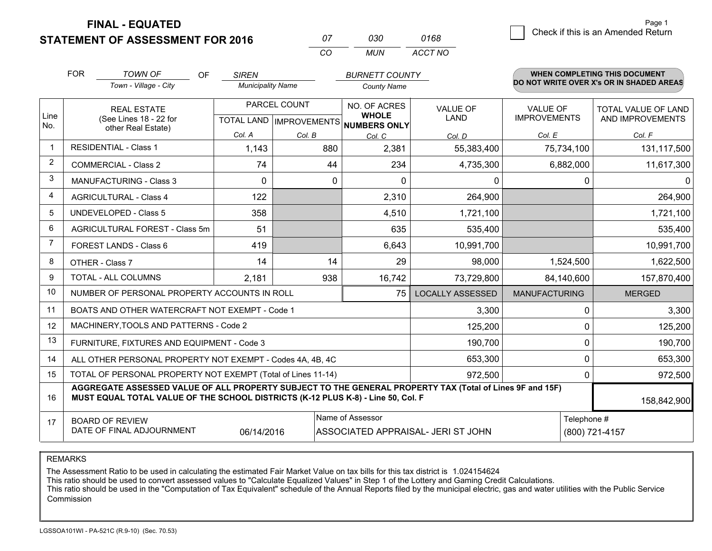**STATEMENT OF ASSESSMENT FOR 2016** 

**FINAL - EQUATED**

|                | <b>FOR</b> | <b>TOWN OF</b><br>OF                                                                                                                                                                         | <b>SIREN</b>             |              | <b>BURNETT COUNTY</b>                                    |                                    |                      | <b>WHEN COMPLETING THIS DOCUMENT</b>     |
|----------------|------------|----------------------------------------------------------------------------------------------------------------------------------------------------------------------------------------------|--------------------------|--------------|----------------------------------------------------------|------------------------------------|----------------------|------------------------------------------|
|                |            | Town - Village - City                                                                                                                                                                        | <b>Municipality Name</b> |              | <b>County Name</b>                                       |                                    |                      | DO NOT WRITE OVER X's OR IN SHADED AREAS |
|                |            | <b>REAL ESTATE</b>                                                                                                                                                                           |                          | PARCEL COUNT | NO. OF ACRES                                             | VALUE OF                           | <b>VALUE OF</b>      | TOTAL VALUE OF LAND                      |
| Line<br>No.    |            | (See Lines 18 - 22 for<br>other Real Estate)                                                                                                                                                 |                          |              | <b>WHOLE</b><br>TOTAL LAND   IMPROVEMENTS   NUMBERS ONLY | <b>LAND</b>                        | <b>IMPROVEMENTS</b>  | AND IMPROVEMENTS                         |
|                |            |                                                                                                                                                                                              | Col. A                   | Col. B       | Col. C                                                   | Col. D                             | Col. E               | Col. F                                   |
| $\mathbf 1$    |            | <b>RESIDENTIAL - Class 1</b>                                                                                                                                                                 | 1,143                    | 880          | 2,381                                                    | 55,383,400                         | 75,734,100           | 131,117,500                              |
| $\overline{2}$ |            | <b>COMMERCIAL - Class 2</b>                                                                                                                                                                  | 74                       | 44           | 234                                                      | 4,735,300                          | 6,882,000            | 11,617,300                               |
| 3              |            | <b>MANUFACTURING - Class 3</b>                                                                                                                                                               | $\Omega$                 |              | 0<br>$\Omega$                                            | 0                                  | $\Omega$             | $\Omega$                                 |
| 4              |            | <b>AGRICULTURAL - Class 4</b>                                                                                                                                                                | 122                      |              | 2,310                                                    | 264,900                            |                      | 264,900                                  |
| 5              |            | <b>UNDEVELOPED - Class 5</b>                                                                                                                                                                 | 358                      |              | 4,510                                                    | 1,721,100                          |                      | 1,721,100                                |
| 6              |            | AGRICULTURAL FOREST - Class 5m                                                                                                                                                               | 51                       |              | 635                                                      | 535,400                            |                      | 535,400                                  |
| 7              |            | FOREST LANDS - Class 6                                                                                                                                                                       | 419                      |              | 6,643                                                    | 10,991,700                         |                      | 10,991,700                               |
| 8              |            | OTHER - Class 7                                                                                                                                                                              | 14                       | 14           | 29                                                       | 98,000                             | 1,524,500            | 1,622,500                                |
| 9              |            | <b>TOTAL - ALL COLUMNS</b>                                                                                                                                                                   | 2,181                    | 938          | 16,742                                                   | 73,729,800                         | 84,140,600           | 157,870,400                              |
| 10             |            | NUMBER OF PERSONAL PROPERTY ACCOUNTS IN ROLL                                                                                                                                                 |                          |              | 75                                                       | <b>LOCALLY ASSESSED</b>            | <b>MANUFACTURING</b> | <b>MERGED</b>                            |
| 11             |            | BOATS AND OTHER WATERCRAFT NOT EXEMPT - Code 1                                                                                                                                               |                          |              |                                                          | 3,300                              | $\Omega$             | 3,300                                    |
| 12             |            | MACHINERY, TOOLS AND PATTERNS - Code 2                                                                                                                                                       |                          |              |                                                          | 125,200                            | 0                    | 125,200                                  |
| 13             |            | FURNITURE, FIXTURES AND EQUIPMENT - Code 3                                                                                                                                                   |                          |              |                                                          | 190,700                            | $\Omega$             | 190,700                                  |
| 14             |            | ALL OTHER PERSONAL PROPERTY NOT EXEMPT - Codes 4A, 4B, 4C                                                                                                                                    |                          |              |                                                          | 653,300                            | 0                    | 653,300                                  |
| 15             |            | TOTAL OF PERSONAL PROPERTY NOT EXEMPT (Total of Lines 11-14)                                                                                                                                 |                          |              |                                                          | 972,500                            | 0                    | 972,500                                  |
| 16             |            | AGGREGATE ASSESSED VALUE OF ALL PROPERTY SUBJECT TO THE GENERAL PROPERTY TAX (Total of Lines 9F and 15F)<br>MUST EQUAL TOTAL VALUE OF THE SCHOOL DISTRICTS (K-12 PLUS K-8) - Line 50, Col. F |                          |              |                                                          |                                    |                      | 158,842,900                              |
| 17             |            | <b>BOARD OF REVIEW</b>                                                                                                                                                                       |                          |              | Name of Assessor                                         |                                    | Telephone #          |                                          |
|                |            | DATE OF FINAL ADJOURNMENT                                                                                                                                                                    | 06/14/2016               |              |                                                          | ASSOCIATED APPRAISAL- JERI ST JOHN |                      | (800) 721-4157                           |

*CO*

*MUN*

*ACCT NO0168*

*<sup>07</sup> <sup>030</sup>*

REMARKS

The Assessment Ratio to be used in calculating the estimated Fair Market Value on tax bills for this tax district is 1.024154624<br>This ratio should be used to convert assessed values to "Calculate Equalized Values" in Step Commission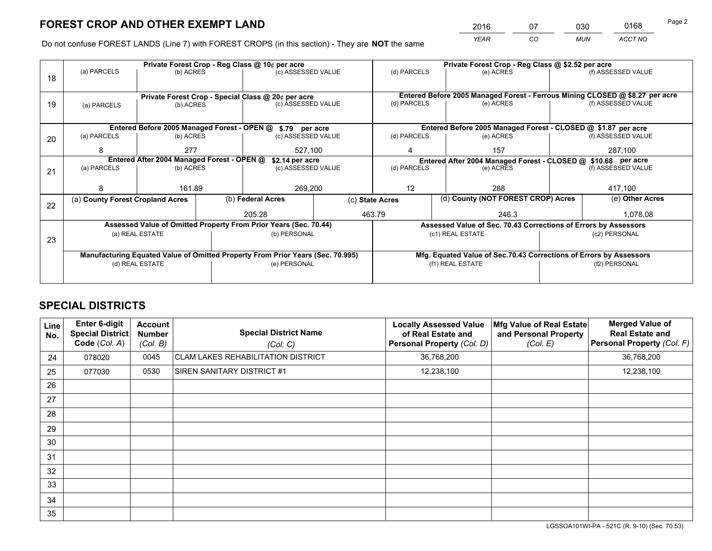*YEAR CO MUN ACCT NO* <sup>2016</sup> <sup>07</sup> <sup>030</sup> <sup>0168</sup>

Do not confuse FOREST LANDS (Line 7) with FOREST CROPS (in this section) - They are **NOT** the same

|    |                                                               |                 |  | Private Forest Crop - Reg Class @ 10¢ per acre                                 |                    |                                                                              | Private Forest Crop - Reg Class @ \$2.52 per acre                  |               |                    |  |
|----|---------------------------------------------------------------|-----------------|--|--------------------------------------------------------------------------------|--------------------|------------------------------------------------------------------------------|--------------------------------------------------------------------|---------------|--------------------|--|
| 18 | (a) PARCELS                                                   | (b) ACRES       |  | (c) ASSESSED VALUE                                                             |                    | (d) PARCELS                                                                  | (e) ACRES                                                          |               | (f) ASSESSED VALUE |  |
|    |                                                               |                 |  | Private Forest Crop - Special Class @ 20¢ per acre                             |                    | Entered Before 2005 Managed Forest - Ferrous Mining CLOSED @ \$8.27 per acre |                                                                    |               |                    |  |
| 19 | (a) PARCELS                                                   | (b) ACRES       |  | (c) ASSESSED VALUE                                                             |                    | (d) PARCELS                                                                  | (e) ACRES                                                          |               | (f) ASSESSED VALUE |  |
|    |                                                               |                 |  | Entered Before 2005 Managed Forest - OPEN @ \$.79 per acre                     |                    |                                                                              | Entered Before 2005 Managed Forest - CLOSED @ \$1.87 per acre      |               |                    |  |
|    | (a) PARCELS                                                   | (b) ACRES       |  | (c) ASSESSED VALUE                                                             |                    | (d) PARCELS                                                                  | (e) ACRES                                                          |               | (f) ASSESSED VALUE |  |
| 20 |                                                               |                 |  |                                                                                |                    |                                                                              |                                                                    |               |                    |  |
|    | 8                                                             | 277<br>527,100  |  |                                                                                |                    | 157                                                                          |                                                                    | 287,100       |                    |  |
|    | Entered After 2004 Managed Forest - OPEN @<br>\$2.14 per acre |                 |  |                                                                                |                    |                                                                              | Entered After 2004 Managed Forest - CLOSED @ \$10.68 per acre      |               |                    |  |
| 21 | (a) PARCELS                                                   | (b) ACRES       |  |                                                                                | (c) ASSESSED VALUE |                                                                              | (d) PARCELS<br>(e) ACRES                                           |               | (f) ASSESSED VALUE |  |
|    |                                                               |                 |  |                                                                                |                    |                                                                              |                                                                    |               |                    |  |
|    | 8                                                             | 161.89          |  | 269,200                                                                        |                    | 12                                                                           | 288                                                                |               |                    |  |
|    | (a) County Forest Cropland Acres                              |                 |  | (b) Federal Acres                                                              |                    | (d) County (NOT FOREST CROP) Acres<br>(c) State Acres                        |                                                                    |               | (e) Other Acres    |  |
| 22 |                                                               |                 |  |                                                                                |                    |                                                                              |                                                                    |               |                    |  |
|    |                                                               |                 |  | 205.28                                                                         |                    | 463.79<br>246.3                                                              |                                                                    | 1,078.08      |                    |  |
|    |                                                               |                 |  | Assessed Value of Omitted Property From Prior Years (Sec. 70.44)               |                    | Assessed Value of Sec. 70.43 Corrections of Errors by Assessors              |                                                                    |               |                    |  |
| 23 |                                                               | (a) REAL ESTATE |  | (b) PERSONAL                                                                   |                    |                                                                              | (c1) REAL ESTATE                                                   |               | (c2) PERSONAL      |  |
|    |                                                               |                 |  |                                                                                |                    |                                                                              |                                                                    |               |                    |  |
|    |                                                               |                 |  | Manufacturing Equated Value of Omitted Property From Prior Years (Sec. 70.995) |                    |                                                                              | Mfg. Equated Value of Sec.70.43 Corrections of Errors by Assessors |               |                    |  |
|    |                                                               | (d) REAL ESTATE |  | (e) PERSONAL                                                                   |                    |                                                                              | (f1) REAL ESTATE                                                   | (f2) PERSONAL |                    |  |
|    |                                                               |                 |  |                                                                                |                    |                                                                              |                                                                    |               |                    |  |
|    |                                                               |                 |  |                                                                                |                    |                                                                              |                                                                    |               |                    |  |

# **SPECIAL DISTRICTS**

| Line<br>No.     | Enter 6-digit<br>Special District<br>Code (Col. A) | <b>Account</b><br><b>Number</b><br>(Col. B) | <b>Special District Name</b><br>(Col. C)  | <b>Locally Assessed Value</b><br>of Real Estate and<br><b>Personal Property (Col. D)</b> | Mfg Value of Real Estate<br>and Personal Property<br>(Col. E) | <b>Merged Value of</b><br><b>Real Estate and</b><br>Personal Property (Col. F) |
|-----------------|----------------------------------------------------|---------------------------------------------|-------------------------------------------|------------------------------------------------------------------------------------------|---------------------------------------------------------------|--------------------------------------------------------------------------------|
| 24              | 078020                                             | 0045                                        | <b>CLAM LAKES REHABILITATION DISTRICT</b> | 36,768,200                                                                               |                                                               | 36,768,200                                                                     |
| 25              | 077030                                             | 0530                                        | SIREN SANITARY DISTRICT #1                | 12,238,100                                                                               |                                                               | 12,238,100                                                                     |
| 26              |                                                    |                                             |                                           |                                                                                          |                                                               |                                                                                |
| 27              |                                                    |                                             |                                           |                                                                                          |                                                               |                                                                                |
| 28              |                                                    |                                             |                                           |                                                                                          |                                                               |                                                                                |
| 29              |                                                    |                                             |                                           |                                                                                          |                                                               |                                                                                |
| 30              |                                                    |                                             |                                           |                                                                                          |                                                               |                                                                                |
| 31              |                                                    |                                             |                                           |                                                                                          |                                                               |                                                                                |
| 32 <sup>2</sup> |                                                    |                                             |                                           |                                                                                          |                                                               |                                                                                |
| 33              |                                                    |                                             |                                           |                                                                                          |                                                               |                                                                                |
| 34              |                                                    |                                             |                                           |                                                                                          |                                                               |                                                                                |
| 35              |                                                    |                                             |                                           |                                                                                          |                                                               |                                                                                |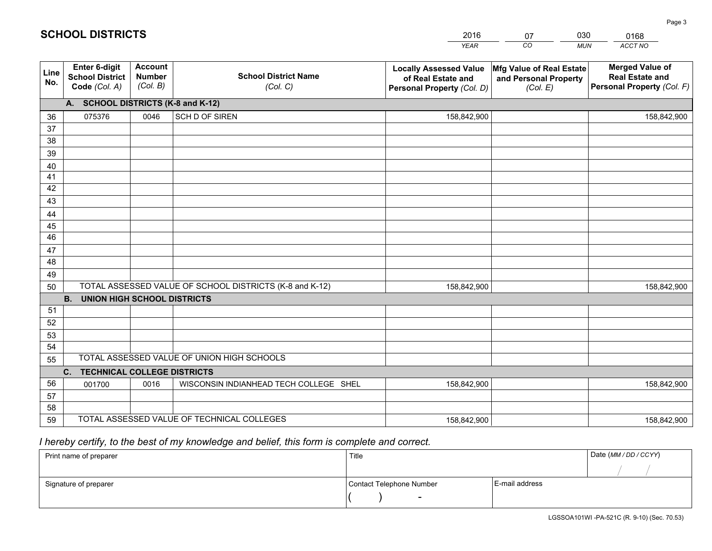|             |                                                          |                                             |                                                         | <b>YEAR</b>                                                                       | CO<br><b>MUN</b>                                              | ACCT NO                                                                        |
|-------------|----------------------------------------------------------|---------------------------------------------|---------------------------------------------------------|-----------------------------------------------------------------------------------|---------------------------------------------------------------|--------------------------------------------------------------------------------|
| Line<br>No. | Enter 6-digit<br><b>School District</b><br>Code (Col. A) | <b>Account</b><br><b>Number</b><br>(Col. B) | <b>School District Name</b><br>(Col. C)                 | <b>Locally Assessed Value</b><br>of Real Estate and<br>Personal Property (Col. D) | Mfg Value of Real Estate<br>and Personal Property<br>(Col. E) | <b>Merged Value of</b><br><b>Real Estate and</b><br>Personal Property (Col. F) |
|             | A. SCHOOL DISTRICTS (K-8 and K-12)                       |                                             |                                                         |                                                                                   |                                                               |                                                                                |
| 36          | 075376                                                   | 0046                                        | SCH D OF SIREN                                          | 158,842,900                                                                       |                                                               | 158,842,900                                                                    |
| 37          |                                                          |                                             |                                                         |                                                                                   |                                                               |                                                                                |
| 38          |                                                          |                                             |                                                         |                                                                                   |                                                               |                                                                                |
| 39          |                                                          |                                             |                                                         |                                                                                   |                                                               |                                                                                |
| 40          |                                                          |                                             |                                                         |                                                                                   |                                                               |                                                                                |
| 41          |                                                          |                                             |                                                         |                                                                                   |                                                               |                                                                                |
| 42          |                                                          |                                             |                                                         |                                                                                   |                                                               |                                                                                |
| 43          |                                                          |                                             |                                                         |                                                                                   |                                                               |                                                                                |
| 44<br>45    |                                                          |                                             |                                                         |                                                                                   |                                                               |                                                                                |
| 46          |                                                          |                                             |                                                         |                                                                                   |                                                               |                                                                                |
| 47          |                                                          |                                             |                                                         |                                                                                   |                                                               |                                                                                |
| 48          |                                                          |                                             |                                                         |                                                                                   |                                                               |                                                                                |
| 49          |                                                          |                                             |                                                         |                                                                                   |                                                               |                                                                                |
| 50          |                                                          |                                             | TOTAL ASSESSED VALUE OF SCHOOL DISTRICTS (K-8 and K-12) | 158,842,900                                                                       |                                                               | 158,842,900                                                                    |
|             | <b>B.</b><br><b>UNION HIGH SCHOOL DISTRICTS</b>          |                                             |                                                         |                                                                                   |                                                               |                                                                                |
| 51          |                                                          |                                             |                                                         |                                                                                   |                                                               |                                                                                |
| 52          |                                                          |                                             |                                                         |                                                                                   |                                                               |                                                                                |
| 53          |                                                          |                                             |                                                         |                                                                                   |                                                               |                                                                                |
| 54          |                                                          |                                             |                                                         |                                                                                   |                                                               |                                                                                |
| 55          |                                                          |                                             | TOTAL ASSESSED VALUE OF UNION HIGH SCHOOLS              |                                                                                   |                                                               |                                                                                |
|             | C. TECHNICAL COLLEGE DISTRICTS                           |                                             |                                                         |                                                                                   |                                                               |                                                                                |
| 56          | 001700                                                   | 0016                                        | WISCONSIN INDIANHEAD TECH COLLEGE SHEL                  | 158,842,900                                                                       |                                                               | 158,842,900                                                                    |
| 57<br>58    |                                                          |                                             |                                                         |                                                                                   |                                                               |                                                                                |
| 59          |                                                          |                                             | TOTAL ASSESSED VALUE OF TECHNICAL COLLEGES              | 158,842,900                                                                       |                                                               | 158,842,900                                                                    |
|             |                                                          |                                             |                                                         |                                                                                   |                                                               |                                                                                |

07

030

# *I hereby certify, to the best of my knowledge and belief, this form is complete and correct.*

**SCHOOL DISTRICTS**

| Print name of preparer | Title                    |                | Date (MM / DD / CCYY) |
|------------------------|--------------------------|----------------|-----------------------|
|                        |                          |                |                       |
| Signature of preparer  | Contact Telephone Number | E-mail address |                       |
|                        | $\overline{\phantom{0}}$ |                |                       |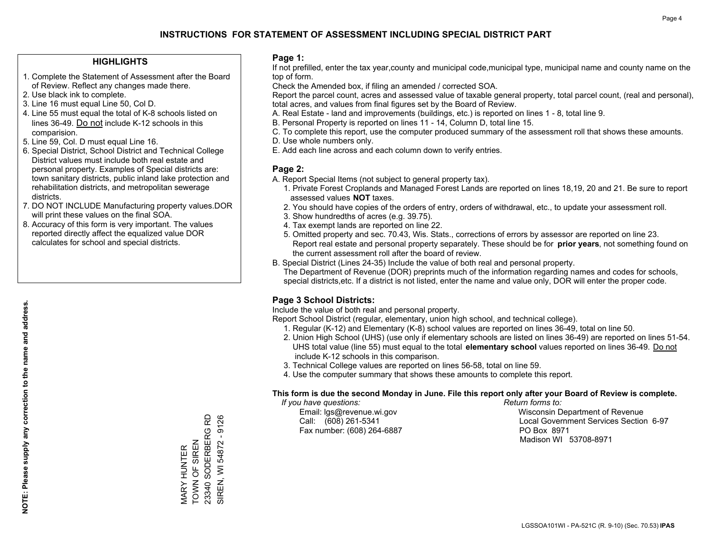### **HIGHLIGHTS**

- 1. Complete the Statement of Assessment after the Board of Review. Reflect any changes made there.
- 2. Use black ink to complete.
- 3. Line 16 must equal Line 50, Col D.
- 4. Line 55 must equal the total of K-8 schools listed on lines 36-49. Do not include K-12 schools in this comparision.
- 5. Line 59, Col. D must equal Line 16.
- 6. Special District, School District and Technical College District values must include both real estate and personal property. Examples of Special districts are: town sanitary districts, public inland lake protection and rehabilitation districts, and metropolitan sewerage districts.
- 7. DO NOT INCLUDE Manufacturing property values.DOR will print these values on the final SOA.

MARY HUNTER TOWN OF SIREN 23340 SODERBERG RD SIREN, WI 54872 - 9126

MARY HUNTER<br>TOWN OF SIREN

23340 SODERBERG RD SIREN, WI 54872 - 9126

 8. Accuracy of this form is very important. The values reported directly affect the equalized value DOR calculates for school and special districts.

### **Page 1:**

 If not prefilled, enter the tax year,county and municipal code,municipal type, municipal name and county name on the top of form.

Check the Amended box, if filing an amended / corrected SOA.

 Report the parcel count, acres and assessed value of taxable general property, total parcel count, (real and personal), total acres, and values from final figures set by the Board of Review.

- A. Real Estate land and improvements (buildings, etc.) is reported on lines 1 8, total line 9.
- B. Personal Property is reported on lines 11 14, Column D, total line 15.
- C. To complete this report, use the computer produced summary of the assessment roll that shows these amounts.
- D. Use whole numbers only.
- E. Add each line across and each column down to verify entries.

### **Page 2:**

- A. Report Special Items (not subject to general property tax).
- 1. Private Forest Croplands and Managed Forest Lands are reported on lines 18,19, 20 and 21. Be sure to report assessed values **NOT** taxes.
- 2. You should have copies of the orders of entry, orders of withdrawal, etc., to update your assessment roll.
	- 3. Show hundredths of acres (e.g. 39.75).
- 4. Tax exempt lands are reported on line 22.
- 5. Omitted property and sec. 70.43, Wis. Stats., corrections of errors by assessor are reported on line 23. Report real estate and personal property separately. These should be for **prior years**, not something found on the current assessment roll after the board of review.
- B. Special District (Lines 24-35) Include the value of both real and personal property.

 The Department of Revenue (DOR) preprints much of the information regarding names and codes for schools, special districts,etc. If a district is not listed, enter the name and value only, DOR will enter the proper code.

## **Page 3 School Districts:**

Include the value of both real and personal property.

Report School District (regular, elementary, union high school, and technical college).

- 1. Regular (K-12) and Elementary (K-8) school values are reported on lines 36-49, total on line 50.
- 2. Union High School (UHS) (use only if elementary schools are listed on lines 36-49) are reported on lines 51-54. UHS total value (line 55) must equal to the total **elementary school** values reported on lines 36-49. Do notinclude K-12 schools in this comparison.
- 3. Technical College values are reported on lines 56-58, total on line 59.
- 4. Use the computer summary that shows these amounts to complete this report.

#### **This form is due the second Monday in June. File this report only after your Board of Review is complete.**

 *If you have questions: Return forms to:*

Fax number: (608) 264-6887 PO Box 8971

 Email: lgs@revenue.wi.gov Wisconsin Department of Revenue Call: (608) 261-5341 Local Government Services Section 6-97Madison WI 53708-8971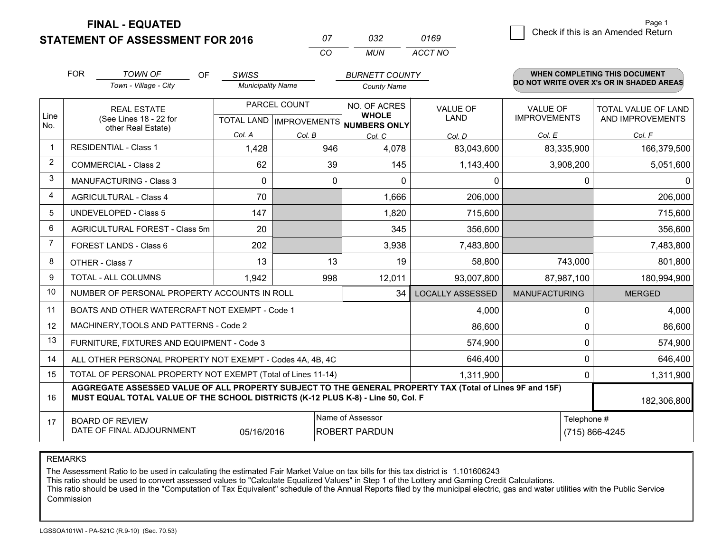**FINAL - EQUATED**

**STATEMENT OF ASSESSMENT FOR 2016** 

| 07 | 032 | 0169    |
|----|-----|---------|
| CO | MUN | ACCT NO |

|                | <b>FOR</b> | <b>TOWN OF</b><br><b>OF</b>                                                                                                                                                                  | <b>SWISS</b>             |                                           | <b>BURNETT COUNTY</b>                        |                                |                                        | <b>WHEN COMPLETING THIS DOCUMENT</b>     |  |
|----------------|------------|----------------------------------------------------------------------------------------------------------------------------------------------------------------------------------------------|--------------------------|-------------------------------------------|----------------------------------------------|--------------------------------|----------------------------------------|------------------------------------------|--|
|                |            | Town - Village - City                                                                                                                                                                        | <b>Municipality Name</b> |                                           | <b>County Name</b>                           |                                |                                        | DO NOT WRITE OVER X's OR IN SHADED AREAS |  |
| Line<br>No.    |            | <b>REAL ESTATE</b><br>(See Lines 18 - 22 for                                                                                                                                                 |                          | PARCEL COUNT<br>TOTAL LAND   IMPROVEMENTS | NO. OF ACRES<br><b>WHOLE</b><br>NUMBERS ONLY | <b>VALUE OF</b><br><b>LAND</b> | <b>VALUE OF</b><br><b>IMPROVEMENTS</b> | TOTAL VALUE OF LAND<br>AND IMPROVEMENTS  |  |
|                |            | other Real Estate)                                                                                                                                                                           | Col. A                   | Col. B                                    | Col. C                                       | Col. D                         | Col. E                                 | Col. F                                   |  |
| $\mathbf 1$    |            | <b>RESIDENTIAL - Class 1</b>                                                                                                                                                                 | 1,428                    | 946                                       | 4,078                                        | 83,043,600                     | 83,335,900                             | 166,379,500                              |  |
| $\overline{2}$ |            | <b>COMMERCIAL - Class 2</b>                                                                                                                                                                  | 62                       | 39                                        | 145                                          | 1,143,400                      | 3,908,200                              | 5,051,600                                |  |
| 3              |            | MANUFACTURING - Class 3                                                                                                                                                                      | 0                        | 0                                         | 0                                            | 0                              | 0                                      | $\Omega$                                 |  |
| 4              |            | <b>AGRICULTURAL - Class 4</b>                                                                                                                                                                | 70                       |                                           | 1,666                                        | 206,000                        |                                        | 206,000                                  |  |
| 5              |            | <b>UNDEVELOPED - Class 5</b>                                                                                                                                                                 | 147                      |                                           | 1,820                                        | 715,600                        |                                        | 715,600                                  |  |
| 6              |            | AGRICULTURAL FOREST - Class 5m                                                                                                                                                               | 20                       |                                           | 345                                          | 356,600                        |                                        | 356,600                                  |  |
| $\overline{7}$ |            | FOREST LANDS - Class 6                                                                                                                                                                       | 202                      |                                           | 3,938                                        | 7,483,800                      |                                        | 7,483,800                                |  |
| 8              |            | OTHER - Class 7                                                                                                                                                                              | 13                       | 13                                        | 19                                           | 58,800                         | 743,000                                | 801,800                                  |  |
| 9              |            | TOTAL - ALL COLUMNS                                                                                                                                                                          | 1,942                    | 998                                       | 12,011                                       | 93,007,800                     | 87,987,100                             | 180,994,900                              |  |
| 10             |            | NUMBER OF PERSONAL PROPERTY ACCOUNTS IN ROLL                                                                                                                                                 |                          |                                           | 34                                           | <b>LOCALLY ASSESSED</b>        | <b>MANUFACTURING</b>                   | <b>MERGED</b>                            |  |
| 11             |            | BOATS AND OTHER WATERCRAFT NOT EXEMPT - Code 1                                                                                                                                               |                          |                                           |                                              | 4,000                          | $\Omega$                               | 4,000                                    |  |
| 12             |            | MACHINERY, TOOLS AND PATTERNS - Code 2                                                                                                                                                       |                          |                                           |                                              | 86,600                         | 0                                      | 86,600                                   |  |
| 13             |            | FURNITURE, FIXTURES AND EQUIPMENT - Code 3                                                                                                                                                   |                          |                                           |                                              | 574,900                        | 0                                      | 574,900                                  |  |
| 14             |            | ALL OTHER PERSONAL PROPERTY NOT EXEMPT - Codes 4A, 4B, 4C                                                                                                                                    |                          |                                           |                                              | 646,400                        | $\Omega$                               | 646,400                                  |  |
| 15             |            | TOTAL OF PERSONAL PROPERTY NOT EXEMPT (Total of Lines 11-14)                                                                                                                                 |                          |                                           |                                              | 1,311,900                      | 0                                      | 1,311,900                                |  |
| 16             |            | AGGREGATE ASSESSED VALUE OF ALL PROPERTY SUBJECT TO THE GENERAL PROPERTY TAX (Total of Lines 9F and 15F)<br>MUST EQUAL TOTAL VALUE OF THE SCHOOL DISTRICTS (K-12 PLUS K-8) - Line 50, Col. F |                          |                                           |                                              |                                |                                        | 182,306,800                              |  |
| 17             |            | <b>BOARD OF REVIEW</b><br>DATE OF FINAL ADJOURNMENT                                                                                                                                          | 05/16/2016               |                                           | Name of Assessor<br><b>ROBERT PARDUN</b>     | Telephone #<br>(715) 866-4245  |                                        |                                          |  |

REMARKS

The Assessment Ratio to be used in calculating the estimated Fair Market Value on tax bills for this tax district is 1.101606243<br>This ratio should be used to convert assessed values to "Calculate Equalized Values" in Step Commission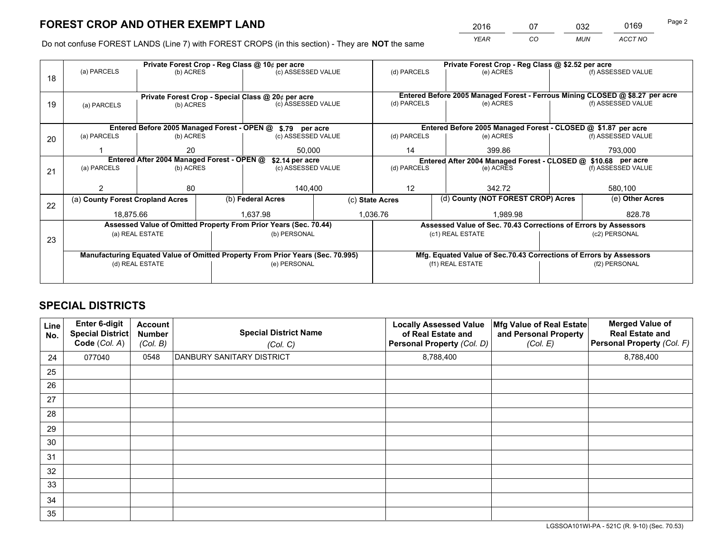*YEAR CO MUN ACCT NO* 2016 07 032 0169 Page 2

Do not confuse FOREST LANDS (Line 7) with FOREST CROPS (in this section) - They are **NOT** the same

|    |                                                                                |                 |                    | Private Forest Crop - Reg Class @ 10¢ per acre                                 | Private Forest Crop - Reg Class @ \$2.52 per acre |                                                               |                                                                              |                                                                 |                    |                                                                    |
|----|--------------------------------------------------------------------------------|-----------------|--------------------|--------------------------------------------------------------------------------|---------------------------------------------------|---------------------------------------------------------------|------------------------------------------------------------------------------|-----------------------------------------------------------------|--------------------|--------------------------------------------------------------------|
| 18 | (a) PARCELS                                                                    | (b) ACRES       |                    | (c) ASSESSED VALUE                                                             |                                                   | (d) PARCELS                                                   |                                                                              | (e) ACRES                                                       |                    | (f) ASSESSED VALUE                                                 |
|    |                                                                                |                 |                    |                                                                                |                                                   |                                                               |                                                                              |                                                                 |                    |                                                                    |
|    |                                                                                |                 |                    |                                                                                |                                                   |                                                               | Entered Before 2005 Managed Forest - Ferrous Mining CLOSED @ \$8.27 per acre |                                                                 |                    |                                                                    |
| 19 | Private Forest Crop - Special Class @ 20¢ per acre<br>(b) ACRES<br>(a) PARCELS |                 | (c) ASSESSED VALUE |                                                                                | (d) PARCELS                                       |                                                               | (e) ACRES                                                                    |                                                                 | (f) ASSESSED VALUE |                                                                    |
|    |                                                                                |                 |                    |                                                                                |                                                   |                                                               |                                                                              |                                                                 |                    |                                                                    |
|    | Entered Before 2005 Managed Forest - OPEN @ \$.79 per acre                     |                 |                    |                                                                                |                                                   | Entered Before 2005 Managed Forest - CLOSED @ \$1.87 per acre |                                                                              |                                                                 |                    |                                                                    |
|    | (a) PARCELS                                                                    | (b) ACRES       |                    | (c) ASSESSED VALUE                                                             |                                                   | (d) PARCELS                                                   |                                                                              | (e) ACRES                                                       |                    | (f) ASSESSED VALUE                                                 |
| 20 |                                                                                |                 |                    |                                                                                |                                                   |                                                               |                                                                              |                                                                 |                    |                                                                    |
|    |                                                                                | 20              |                    | 50,000                                                                         |                                                   | 14                                                            |                                                                              | 399.86                                                          |                    | 793,000                                                            |
|    | Entered After 2004 Managed Forest - OPEN @<br>\$2.14 per acre                  |                 |                    |                                                                                |                                                   |                                                               |                                                                              |                                                                 |                    | Entered After 2004 Managed Forest - CLOSED @ \$10.68 per acre      |
| 21 | (a) PARCELS                                                                    | (b) ACRES       |                    | (c) ASSESSED VALUE                                                             | (d) PARCELS                                       |                                                               |                                                                              | (e) ACRES                                                       |                    | (f) ASSESSED VALUE                                                 |
|    |                                                                                |                 |                    |                                                                                |                                                   |                                                               |                                                                              |                                                                 |                    |                                                                    |
|    |                                                                                | 80              |                    | 140.400                                                                        |                                                   | 12                                                            |                                                                              | 342.72                                                          |                    | 580,100                                                            |
|    | (a) County Forest Cropland Acres                                               |                 |                    | (b) Federal Acres                                                              | (c) State Acres                                   |                                                               |                                                                              | (d) County (NOT FOREST CROP) Acres                              |                    | (e) Other Acres                                                    |
| 22 | 18.875.66                                                                      |                 |                    | 1.637.98                                                                       |                                                   |                                                               |                                                                              | 1.989.98                                                        |                    |                                                                    |
|    |                                                                                |                 |                    |                                                                                |                                                   | 1,036.76                                                      |                                                                              |                                                                 | 828.78             |                                                                    |
|    |                                                                                |                 |                    | Assessed Value of Omitted Property From Prior Years (Sec. 70.44)               |                                                   |                                                               |                                                                              | Assessed Value of Sec. 70.43 Corrections of Errors by Assessors |                    |                                                                    |
| 23 |                                                                                | (a) REAL ESTATE |                    | (b) PERSONAL                                                                   |                                                   |                                                               | (c1) REAL ESTATE                                                             |                                                                 |                    | (c2) PERSONAL                                                      |
|    |                                                                                |                 |                    |                                                                                |                                                   |                                                               |                                                                              |                                                                 |                    |                                                                    |
|    |                                                                                |                 |                    | Manufacturing Equated Value of Omitted Property From Prior Years (Sec. 70.995) |                                                   |                                                               |                                                                              |                                                                 |                    | Mfg. Equated Value of Sec.70.43 Corrections of Errors by Assessors |
|    |                                                                                | (d) REAL ESTATE |                    | (e) PERSONAL                                                                   |                                                   | (f1) REAL ESTATE                                              |                                                                              |                                                                 | (f2) PERSONAL      |                                                                    |
|    |                                                                                |                 |                    |                                                                                |                                                   |                                                               |                                                                              |                                                                 |                    |                                                                    |
|    |                                                                                |                 |                    |                                                                                |                                                   |                                                               |                                                                              |                                                                 |                    |                                                                    |

# **SPECIAL DISTRICTS**

| Line<br>No. | Enter 6-digit<br><b>Special District</b><br>Code (Col. A) | <b>Account</b><br><b>Number</b><br>(Col. B) | <b>Special District Name</b><br>(Col. C) | <b>Locally Assessed Value</b><br>of Real Estate and<br>Personal Property (Col. D) | Mfg Value of Real Estate<br>and Personal Property<br>(Col. E) | <b>Merged Value of</b><br><b>Real Estate and</b><br>Personal Property (Col. F) |
|-------------|-----------------------------------------------------------|---------------------------------------------|------------------------------------------|-----------------------------------------------------------------------------------|---------------------------------------------------------------|--------------------------------------------------------------------------------|
| 24          | 077040                                                    | 0548                                        | DANBURY SANITARY DISTRICT                | 8,788,400                                                                         |                                                               | 8,788,400                                                                      |
| 25          |                                                           |                                             |                                          |                                                                                   |                                                               |                                                                                |
| 26          |                                                           |                                             |                                          |                                                                                   |                                                               |                                                                                |
| 27          |                                                           |                                             |                                          |                                                                                   |                                                               |                                                                                |
| 28          |                                                           |                                             |                                          |                                                                                   |                                                               |                                                                                |
| 29          |                                                           |                                             |                                          |                                                                                   |                                                               |                                                                                |
| 30          |                                                           |                                             |                                          |                                                                                   |                                                               |                                                                                |
| 31          |                                                           |                                             |                                          |                                                                                   |                                                               |                                                                                |
| 32          |                                                           |                                             |                                          |                                                                                   |                                                               |                                                                                |
| 33          |                                                           |                                             |                                          |                                                                                   |                                                               |                                                                                |
| 34          |                                                           |                                             |                                          |                                                                                   |                                                               |                                                                                |
| 35          |                                                           |                                             |                                          |                                                                                   |                                                               |                                                                                |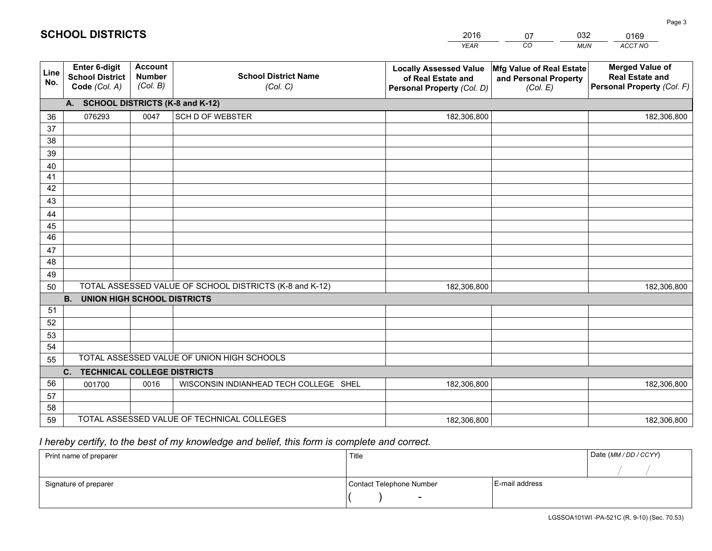|             |                                                                 |                                             |                                                         | <b>YEAR</b>                                                                       | CO<br><b>MUN</b>                                              | ACCT NO                                                                        |
|-------------|-----------------------------------------------------------------|---------------------------------------------|---------------------------------------------------------|-----------------------------------------------------------------------------------|---------------------------------------------------------------|--------------------------------------------------------------------------------|
| Line<br>No. | <b>Enter 6-digit</b><br><b>School District</b><br>Code (Col. A) | <b>Account</b><br><b>Number</b><br>(Col. B) | <b>School District Name</b><br>(Col. C)                 | <b>Locally Assessed Value</b><br>of Real Estate and<br>Personal Property (Col. D) | Mfg Value of Real Estate<br>and Personal Property<br>(Col. E) | <b>Merged Value of</b><br><b>Real Estate and</b><br>Personal Property (Col. F) |
|             | A. SCHOOL DISTRICTS (K-8 and K-12)                              |                                             |                                                         |                                                                                   |                                                               |                                                                                |
| 36          | 076293                                                          | 0047                                        | <b>SCH D OF WEBSTER</b>                                 | 182,306,800                                                                       |                                                               | 182,306,800                                                                    |
| 37          |                                                                 |                                             |                                                         |                                                                                   |                                                               |                                                                                |
| 38          |                                                                 |                                             |                                                         |                                                                                   |                                                               |                                                                                |
| 39          |                                                                 |                                             |                                                         |                                                                                   |                                                               |                                                                                |
| 40          |                                                                 |                                             |                                                         |                                                                                   |                                                               |                                                                                |
| 41          |                                                                 |                                             |                                                         |                                                                                   |                                                               |                                                                                |
| 42          |                                                                 |                                             |                                                         |                                                                                   |                                                               |                                                                                |
| 43          |                                                                 |                                             |                                                         |                                                                                   |                                                               |                                                                                |
| 44<br>45    |                                                                 |                                             |                                                         |                                                                                   |                                                               |                                                                                |
| 46          |                                                                 |                                             |                                                         |                                                                                   |                                                               |                                                                                |
| 47          |                                                                 |                                             |                                                         |                                                                                   |                                                               |                                                                                |
| 48          |                                                                 |                                             |                                                         |                                                                                   |                                                               |                                                                                |
| 49          |                                                                 |                                             |                                                         |                                                                                   |                                                               |                                                                                |
| 50          |                                                                 |                                             | TOTAL ASSESSED VALUE OF SCHOOL DISTRICTS (K-8 and K-12) | 182,306,800                                                                       |                                                               | 182,306,800                                                                    |
|             | <b>B.</b><br><b>UNION HIGH SCHOOL DISTRICTS</b>                 |                                             |                                                         |                                                                                   |                                                               |                                                                                |
| 51          |                                                                 |                                             |                                                         |                                                                                   |                                                               |                                                                                |
| 52          |                                                                 |                                             |                                                         |                                                                                   |                                                               |                                                                                |
| 53          |                                                                 |                                             |                                                         |                                                                                   |                                                               |                                                                                |
| 54          |                                                                 |                                             |                                                         |                                                                                   |                                                               |                                                                                |
| 55          |                                                                 |                                             | TOTAL ASSESSED VALUE OF UNION HIGH SCHOOLS              |                                                                                   |                                                               |                                                                                |
|             | <b>TECHNICAL COLLEGE DISTRICTS</b><br>C.                        |                                             |                                                         |                                                                                   |                                                               |                                                                                |
| 56          | 001700                                                          | 0016                                        | WISCONSIN INDIANHEAD TECH COLLEGE SHEL                  | 182,306,800                                                                       |                                                               | 182,306,800                                                                    |
| 57          |                                                                 |                                             |                                                         |                                                                                   |                                                               |                                                                                |
| 58          |                                                                 |                                             |                                                         |                                                                                   |                                                               |                                                                                |
| 59          |                                                                 |                                             | TOTAL ASSESSED VALUE OF TECHNICAL COLLEGES              | 182,306,800                                                                       |                                                               | 182,306,800                                                                    |

07

032

# *I hereby certify, to the best of my knowledge and belief, this form is complete and correct.*

**SCHOOL DISTRICTS**

| Print name of preparer | Title                    |                | Date (MM / DD / CCYY) |
|------------------------|--------------------------|----------------|-----------------------|
|                        |                          |                |                       |
| Signature of preparer  | Contact Telephone Number | E-mail address |                       |
|                        | $\overline{\phantom{0}}$ |                |                       |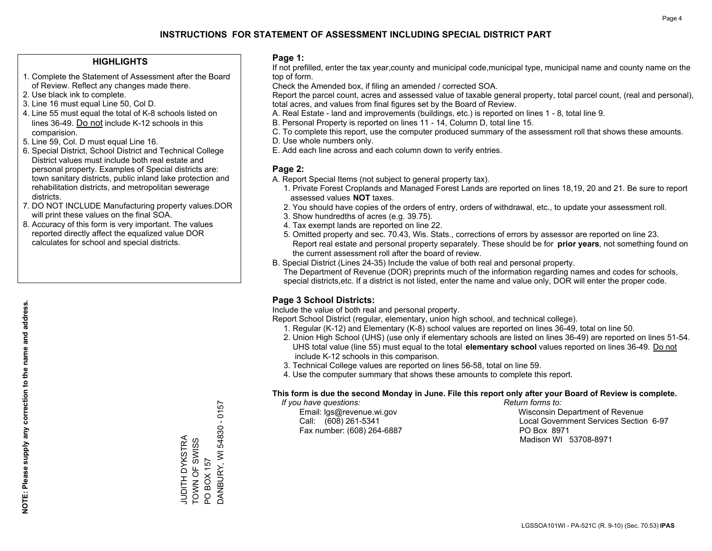### **HIGHLIGHTS**

- 1. Complete the Statement of Assessment after the Board of Review. Reflect any changes made there.
- 2. Use black ink to complete.
- 3. Line 16 must equal Line 50, Col D.
- 4. Line 55 must equal the total of K-8 schools listed on lines 36-49. Do not include K-12 schools in this comparision.
- 5. Line 59, Col. D must equal Line 16.
- 6. Special District, School District and Technical College District values must include both real estate and personal property. Examples of Special districts are: town sanitary districts, public inland lake protection and rehabilitation districts, and metropolitan sewerage districts.
- 7. DO NOT INCLUDE Manufacturing property values.DOR will print these values on the final SOA.
- 8. Accuracy of this form is very important. The values reported directly affect the equalized value DOR calculates for school and special districts.

### **Page 1:**

 If not prefilled, enter the tax year,county and municipal code,municipal type, municipal name and county name on the top of form.

Check the Amended box, if filing an amended / corrected SOA.

 Report the parcel count, acres and assessed value of taxable general property, total parcel count, (real and personal), total acres, and values from final figures set by the Board of Review.

- A. Real Estate land and improvements (buildings, etc.) is reported on lines 1 8, total line 9.
- B. Personal Property is reported on lines 11 14, Column D, total line 15.
- C. To complete this report, use the computer produced summary of the assessment roll that shows these amounts.
- D. Use whole numbers only.
- E. Add each line across and each column down to verify entries.

### **Page 2:**

- A. Report Special Items (not subject to general property tax).
- 1. Private Forest Croplands and Managed Forest Lands are reported on lines 18,19, 20 and 21. Be sure to report assessed values **NOT** taxes.
- 2. You should have copies of the orders of entry, orders of withdrawal, etc., to update your assessment roll.
	- 3. Show hundredths of acres (e.g. 39.75).
- 4. Tax exempt lands are reported on line 22.
- 5. Omitted property and sec. 70.43, Wis. Stats., corrections of errors by assessor are reported on line 23. Report real estate and personal property separately. These should be for **prior years**, not something found on the current assessment roll after the board of review.
- B. Special District (Lines 24-35) Include the value of both real and personal property.

 The Department of Revenue (DOR) preprints much of the information regarding names and codes for schools, special districts,etc. If a district is not listed, enter the name and value only, DOR will enter the proper code.

## **Page 3 School Districts:**

Include the value of both real and personal property.

Report School District (regular, elementary, union high school, and technical college).

- 1. Regular (K-12) and Elementary (K-8) school values are reported on lines 36-49, total on line 50.
- 2. Union High School (UHS) (use only if elementary schools are listed on lines 36-49) are reported on lines 51-54. UHS total value (line 55) must equal to the total **elementary school** values reported on lines 36-49. Do notinclude K-12 schools in this comparison.
- 3. Technical College values are reported on lines 56-58, total on line 59.
- 4. Use the computer summary that shows these amounts to complete this report.

#### **This form is due the second Monday in June. File this report only after your Board of Review is complete.**

 *If you have questions: Return forms to:*

Fax number: (608) 264-6887 PO Box 8971

 Email: lgs@revenue.wi.gov Wisconsin Department of Revenue Call: (608) 261-5341 Local Government Services Section 6-97Madison WI 53708-8971

**NOTE: Please supply any correction to the name and address.**

 $-0157$ DANBURY, WI 54830 - 0157 DANBURY, WI 54830 JUDITH DYKSTRA<br>TOWN OF SWISS JUDITH DYKSTRA TOWN OF SWISS PO BOX 157 PO BOX 157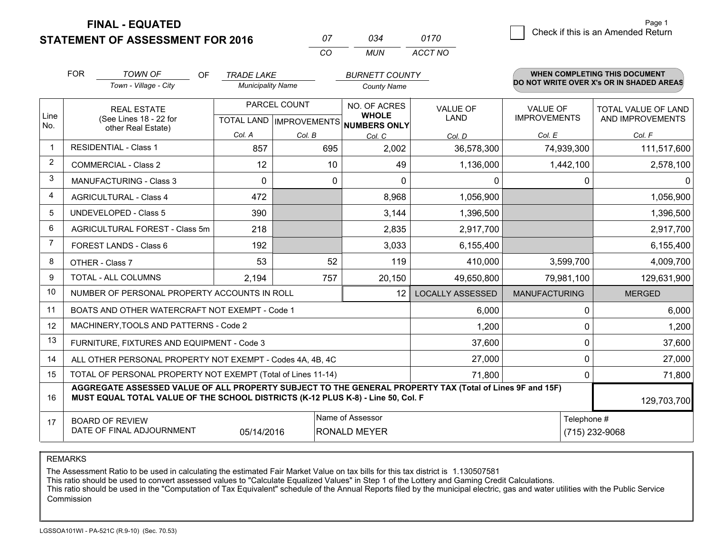**STATEMENT OF ASSESSMENT FOR 2016** 

**FINAL - EQUATED**

| Ω7  | กว⊿ | 0170    |
|-----|-----|---------|
| CO. | MUN | ACCT NO |

|             | <b>FOR</b><br><b>TOWN OF</b><br>OF<br><b>TRADE LAKE</b><br><b>BURNETT COUNTY</b>                                     |                                                                                                                                                                                              |                          | WHEN COMPLETING THIS DOCUMENT                       |                                                                |                         |                                 |                                                |
|-------------|----------------------------------------------------------------------------------------------------------------------|----------------------------------------------------------------------------------------------------------------------------------------------------------------------------------------------|--------------------------|-----------------------------------------------------|----------------------------------------------------------------|-------------------------|---------------------------------|------------------------------------------------|
|             |                                                                                                                      | Town - Village - City                                                                                                                                                                        | <b>Municipality Name</b> |                                                     | <b>County Name</b>                                             |                         |                                 | DO NOT WRITE OVER X's OR IN SHADED AREAS       |
| Line<br>No. |                                                                                                                      | <b>REAL ESTATE</b><br>(See Lines 18 - 22 for                                                                                                                                                 |                          | PARCEL COUNT<br>TOTAL LAND MPROVEMENTS NUMBERS ONLY | NO. OF ACRES<br><b>VALUE OF</b><br><b>WHOLE</b><br><b>LAND</b> |                         | VALUE OF<br><b>IMPROVEMENTS</b> | <b>TOTAL VALUE OF LAND</b><br>AND IMPROVEMENTS |
|             |                                                                                                                      | other Real Estate)                                                                                                                                                                           | Col. A                   | Col. B                                              | Col. C                                                         | Col. D                  | Col. E                          | Col. F                                         |
| -1          |                                                                                                                      | <b>RESIDENTIAL - Class 1</b>                                                                                                                                                                 | 857                      | 695                                                 | 2,002                                                          | 36,578,300              | 74,939,300                      | 111,517,600                                    |
| 2           |                                                                                                                      | <b>COMMERCIAL - Class 2</b>                                                                                                                                                                  | 12                       | 10                                                  | 49                                                             | 1,136,000               | 1,442,100                       | 2,578,100                                      |
| 3           |                                                                                                                      | MANUFACTURING - Class 3                                                                                                                                                                      | $\Omega$                 | $\mathbf 0$                                         | $\Omega$                                                       | 0                       | 0                               | $\mathbf 0$                                    |
| 4           |                                                                                                                      | <b>AGRICULTURAL - Class 4</b>                                                                                                                                                                | 472                      |                                                     | 8,968                                                          | 1,056,900               |                                 | 1,056,900                                      |
| 5           |                                                                                                                      | UNDEVELOPED - Class 5                                                                                                                                                                        | 390                      |                                                     | 3,144                                                          | 1,396,500               |                                 | 1,396,500                                      |
| 6           | AGRICULTURAL FOREST - Class 5m                                                                                       |                                                                                                                                                                                              | 218                      |                                                     | 2,835                                                          | 2,917,700               |                                 | 2,917,700                                      |
| 7           |                                                                                                                      | FOREST LANDS - Class 6                                                                                                                                                                       | 192                      |                                                     | 3,033                                                          | 6,155,400               |                                 | 6,155,400                                      |
| 8           |                                                                                                                      | OTHER - Class 7                                                                                                                                                                              | 53                       | 52                                                  | 119                                                            | 410,000                 | 3,599,700                       | 4,009,700                                      |
| 9           |                                                                                                                      | TOTAL - ALL COLUMNS                                                                                                                                                                          | 2,194                    | 757                                                 | 20,150                                                         | 49,650,800              | 79,981,100                      | 129,631,900                                    |
| 10          |                                                                                                                      | NUMBER OF PERSONAL PROPERTY ACCOUNTS IN ROLL                                                                                                                                                 |                          |                                                     | 12                                                             | <b>LOCALLY ASSESSED</b> | <b>MANUFACTURING</b>            | <b>MERGED</b>                                  |
| 11          |                                                                                                                      | BOATS AND OTHER WATERCRAFT NOT EXEMPT - Code 1                                                                                                                                               |                          |                                                     |                                                                | 6,000                   | 0                               | 6,000                                          |
| 12          |                                                                                                                      | MACHINERY, TOOLS AND PATTERNS - Code 2                                                                                                                                                       |                          |                                                     |                                                                | 1,200                   | 0                               | 1,200                                          |
| 13          |                                                                                                                      | FURNITURE, FIXTURES AND EQUIPMENT - Code 3                                                                                                                                                   |                          |                                                     |                                                                | 37,600                  | $\Omega$                        | 37,600                                         |
| 14          |                                                                                                                      | ALL OTHER PERSONAL PROPERTY NOT EXEMPT - Codes 4A, 4B, 4C                                                                                                                                    |                          |                                                     |                                                                | 27,000                  | 0                               | 27,000                                         |
| 15          |                                                                                                                      | TOTAL OF PERSONAL PROPERTY NOT EXEMPT (Total of Lines 11-14)                                                                                                                                 |                          |                                                     |                                                                | 71,800                  | $\Omega$                        | 71,800                                         |
| 16          |                                                                                                                      | AGGREGATE ASSESSED VALUE OF ALL PROPERTY SUBJECT TO THE GENERAL PROPERTY TAX (Total of Lines 9F and 15F)<br>MUST EQUAL TOTAL VALUE OF THE SCHOOL DISTRICTS (K-12 PLUS K-8) - Line 50, Col. F |                          |                                                     |                                                                |                         |                                 | 129,703,700                                    |
| 17          | Name of Assessor<br>Telephone #<br><b>BOARD OF REVIEW</b><br>DATE OF FINAL ADJOURNMENT<br>RONALD MEYER<br>05/14/2016 |                                                                                                                                                                                              |                          |                                                     |                                                                |                         | (715) 232-9068                  |                                                |

REMARKS

The Assessment Ratio to be used in calculating the estimated Fair Market Value on tax bills for this tax district is 1.130507581

This ratio should be used to convert assessed values to "Calculate Equalized Values" in Step 1 of the Lottery and Gaming Credit Calculations.<br>This ratio should be used in the "Computation of Tax Equivalent" schedule of the Commission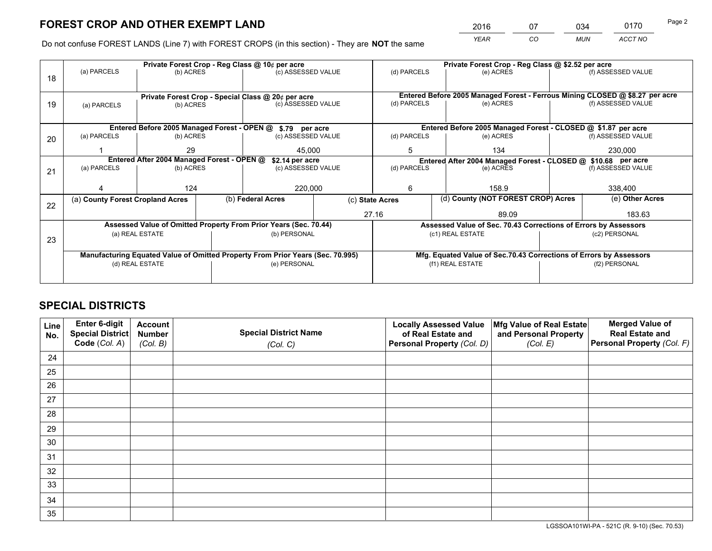*YEAR CO MUN ACCT NO* <sup>2016</sup> <sup>07</sup> <sup>034</sup> <sup>0170</sup>

Do not confuse FOREST LANDS (Line 7) with FOREST CROPS (in this section) - They are **NOT** the same

|    |                                                                                |                                                                            |                    | Private Forest Crop - Reg Class @ 10¢ per acre                   |                 | Private Forest Crop - Reg Class @ \$2.52 per acre                            |                                                                    |                                                                                                  |                    |  |
|----|--------------------------------------------------------------------------------|----------------------------------------------------------------------------|--------------------|------------------------------------------------------------------|-----------------|------------------------------------------------------------------------------|--------------------------------------------------------------------|--------------------------------------------------------------------------------------------------|--------------------|--|
| 18 | (a) PARCELS                                                                    | (b) ACRES                                                                  |                    | (c) ASSESSED VALUE                                               |                 | (d) PARCELS                                                                  | (e) ACRES                                                          |                                                                                                  | (f) ASSESSED VALUE |  |
|    |                                                                                |                                                                            |                    |                                                                  |                 |                                                                              |                                                                    |                                                                                                  |                    |  |
|    |                                                                                | Private Forest Crop - Special Class @ 20¢ per acre                         |                    |                                                                  |                 | Entered Before 2005 Managed Forest - Ferrous Mining CLOSED @ \$8.27 per acre |                                                                    |                                                                                                  |                    |  |
| 19 | (b) ACRES<br>(a) PARCELS                                                       |                                                                            | (c) ASSESSED VALUE |                                                                  | (d) PARCELS     | (e) ACRES                                                                    |                                                                    | (f) ASSESSED VALUE                                                                               |                    |  |
|    |                                                                                |                                                                            |                    |                                                                  |                 |                                                                              |                                                                    |                                                                                                  |                    |  |
|    |                                                                                |                                                                            |                    | Entered Before 2005 Managed Forest - OPEN @ \$.79 per acre       |                 |                                                                              | Entered Before 2005 Managed Forest - CLOSED @ \$1.87 per acre      |                                                                                                  |                    |  |
| 20 | (a) PARCELS                                                                    | (b) ACRES                                                                  |                    | (c) ASSESSED VALUE                                               |                 | (d) PARCELS                                                                  | (e) ACRES                                                          |                                                                                                  | (f) ASSESSED VALUE |  |
|    |                                                                                | 29                                                                         |                    | 45,000                                                           |                 | 5                                                                            | 134                                                                |                                                                                                  |                    |  |
|    |                                                                                |                                                                            |                    |                                                                  |                 |                                                                              |                                                                    |                                                                                                  | 230,000            |  |
|    | (a) PARCELS                                                                    | Entered After 2004 Managed Forest - OPEN @<br>\$2.14 per acre<br>(b) ACRES |                    | (c) ASSESSED VALUE                                               | (d) PARCELS     |                                                                              |                                                                    | Entered After 2004 Managed Forest - CLOSED @ \$10.68 per acre<br>(f) ASSESSED VALUE<br>(e) ACRES |                    |  |
| 21 |                                                                                |                                                                            |                    |                                                                  |                 |                                                                              |                                                                    |                                                                                                  |                    |  |
|    |                                                                                |                                                                            |                    |                                                                  |                 |                                                                              |                                                                    |                                                                                                  | 338,400            |  |
|    |                                                                                | 124                                                                        |                    | 220,000                                                          |                 | 6                                                                            | 158.9                                                              |                                                                                                  |                    |  |
| 22 | (a) County Forest Cropland Acres                                               |                                                                            |                    | (b) Federal Acres                                                | (c) State Acres |                                                                              | (d) County (NOT FOREST CROP) Acres                                 |                                                                                                  | (e) Other Acres    |  |
|    |                                                                                |                                                                            |                    |                                                                  |                 | 27.16                                                                        | 89.09                                                              |                                                                                                  | 183.63             |  |
|    |                                                                                |                                                                            |                    | Assessed Value of Omitted Property From Prior Years (Sec. 70.44) |                 |                                                                              | Assessed Value of Sec. 70.43 Corrections of Errors by Assessors    |                                                                                                  |                    |  |
|    |                                                                                | (a) REAL ESTATE                                                            |                    | (b) PERSONAL                                                     |                 |                                                                              | (c1) REAL ESTATE                                                   |                                                                                                  | (c2) PERSONAL      |  |
| 23 |                                                                                |                                                                            |                    |                                                                  |                 |                                                                              |                                                                    |                                                                                                  |                    |  |
|    | Manufacturing Equated Value of Omitted Property From Prior Years (Sec. 70.995) |                                                                            |                    |                                                                  |                 |                                                                              | Mfg. Equated Value of Sec.70.43 Corrections of Errors by Assessors |                                                                                                  |                    |  |
|    |                                                                                | (d) REAL ESTATE                                                            |                    | (e) PERSONAL                                                     |                 | (f1) REAL ESTATE                                                             |                                                                    |                                                                                                  | (f2) PERSONAL      |  |
|    |                                                                                |                                                                            |                    |                                                                  |                 |                                                                              |                                                                    |                                                                                                  |                    |  |
|    |                                                                                |                                                                            |                    |                                                                  |                 |                                                                              |                                                                    |                                                                                                  |                    |  |

# **SPECIAL DISTRICTS**

| Line<br>No. | Enter 6-digit<br><b>Special District</b> | <b>Account</b><br><b>Number</b> | <b>Special District Name</b> | <b>Locally Assessed Value</b><br>of Real Estate and | Mfg Value of Real Estate<br>and Personal Property | <b>Merged Value of</b><br><b>Real Estate and</b> |
|-------------|------------------------------------------|---------------------------------|------------------------------|-----------------------------------------------------|---------------------------------------------------|--------------------------------------------------|
|             | Code (Col. A)                            | (Col. B)                        | (Col. C)                     | Personal Property (Col. D)                          | (Col. E)                                          | Personal Property (Col. F)                       |
| 24          |                                          |                                 |                              |                                                     |                                                   |                                                  |
| 25          |                                          |                                 |                              |                                                     |                                                   |                                                  |
| 26          |                                          |                                 |                              |                                                     |                                                   |                                                  |
| 27          |                                          |                                 |                              |                                                     |                                                   |                                                  |
| 28          |                                          |                                 |                              |                                                     |                                                   |                                                  |
| 29          |                                          |                                 |                              |                                                     |                                                   |                                                  |
| 30          |                                          |                                 |                              |                                                     |                                                   |                                                  |
| 31          |                                          |                                 |                              |                                                     |                                                   |                                                  |
| 32          |                                          |                                 |                              |                                                     |                                                   |                                                  |
| 33          |                                          |                                 |                              |                                                     |                                                   |                                                  |
| 34          |                                          |                                 |                              |                                                     |                                                   |                                                  |
| 35          |                                          |                                 |                              |                                                     |                                                   |                                                  |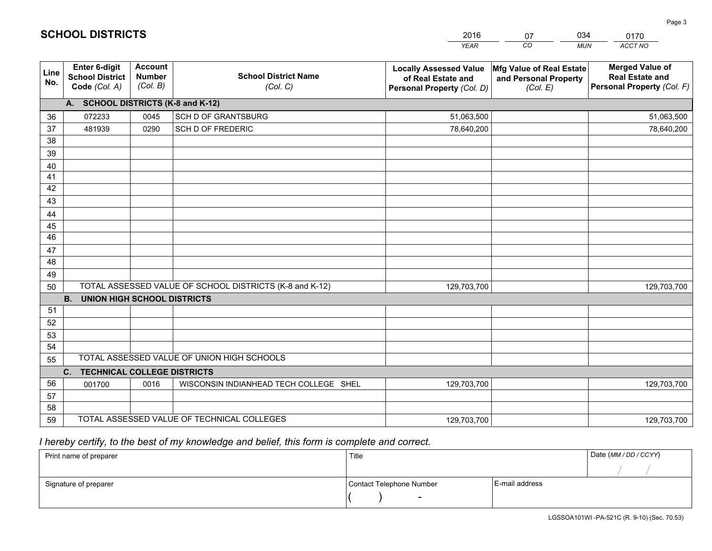|             |                                                                 |                                             |                                                         | <b>YEAR</b>                                                                       | CO<br><b>MUN</b>                                              | ACCT NO                                                                        |
|-------------|-----------------------------------------------------------------|---------------------------------------------|---------------------------------------------------------|-----------------------------------------------------------------------------------|---------------------------------------------------------------|--------------------------------------------------------------------------------|
| Line<br>No. | <b>Enter 6-digit</b><br><b>School District</b><br>Code (Col. A) | <b>Account</b><br><b>Number</b><br>(Col. B) | <b>School District Name</b><br>(Col. C)                 | <b>Locally Assessed Value</b><br>of Real Estate and<br>Personal Property (Col. D) | Mfg Value of Real Estate<br>and Personal Property<br>(Col. E) | <b>Merged Value of</b><br><b>Real Estate and</b><br>Personal Property (Col. F) |
|             | A. SCHOOL DISTRICTS (K-8 and K-12)                              |                                             |                                                         |                                                                                   |                                                               |                                                                                |
| 36          | 072233                                                          | 0045                                        | SCH D OF GRANTSBURG                                     | 51,063,500                                                                        |                                                               | 51,063,500                                                                     |
| 37          | 481939                                                          | 0290                                        | SCH D OF FREDERIC                                       | 78,640,200                                                                        |                                                               | 78,640,200                                                                     |
| 38          |                                                                 |                                             |                                                         |                                                                                   |                                                               |                                                                                |
| 39          |                                                                 |                                             |                                                         |                                                                                   |                                                               |                                                                                |
| 40          |                                                                 |                                             |                                                         |                                                                                   |                                                               |                                                                                |
| 41          |                                                                 |                                             |                                                         |                                                                                   |                                                               |                                                                                |
| 42          |                                                                 |                                             |                                                         |                                                                                   |                                                               |                                                                                |
| 43          |                                                                 |                                             |                                                         |                                                                                   |                                                               |                                                                                |
| 44          |                                                                 |                                             |                                                         |                                                                                   |                                                               |                                                                                |
| 45          |                                                                 |                                             |                                                         |                                                                                   |                                                               |                                                                                |
| 46          |                                                                 |                                             |                                                         |                                                                                   |                                                               |                                                                                |
| 47          |                                                                 |                                             |                                                         |                                                                                   |                                                               |                                                                                |
| 48          |                                                                 |                                             |                                                         |                                                                                   |                                                               |                                                                                |
| 49<br>50    |                                                                 |                                             | TOTAL ASSESSED VALUE OF SCHOOL DISTRICTS (K-8 and K-12) | 129,703,700                                                                       |                                                               | 129,703,700                                                                    |
|             | <b>B.</b><br><b>UNION HIGH SCHOOL DISTRICTS</b>                 |                                             |                                                         |                                                                                   |                                                               |                                                                                |
| 51          |                                                                 |                                             |                                                         |                                                                                   |                                                               |                                                                                |
| 52          |                                                                 |                                             |                                                         |                                                                                   |                                                               |                                                                                |
| 53          |                                                                 |                                             |                                                         |                                                                                   |                                                               |                                                                                |
| 54          |                                                                 |                                             |                                                         |                                                                                   |                                                               |                                                                                |
| 55          |                                                                 |                                             | TOTAL ASSESSED VALUE OF UNION HIGH SCHOOLS              |                                                                                   |                                                               |                                                                                |
|             | <b>TECHNICAL COLLEGE DISTRICTS</b><br>C.                        |                                             |                                                         |                                                                                   |                                                               |                                                                                |
| 56          | 001700                                                          | 0016                                        | WISCONSIN INDIANHEAD TECH COLLEGE SHEL                  | 129,703,700                                                                       |                                                               | 129,703,700                                                                    |
| 57          |                                                                 |                                             |                                                         |                                                                                   |                                                               |                                                                                |
| 58          |                                                                 |                                             |                                                         |                                                                                   |                                                               |                                                                                |
| 59          |                                                                 |                                             | TOTAL ASSESSED VALUE OF TECHNICAL COLLEGES              | 129,703,700                                                                       |                                                               | 129,703,700                                                                    |

07

034

# *I hereby certify, to the best of my knowledge and belief, this form is complete and correct.*

**SCHOOL DISTRICTS**

| Print name of preparer | Title                    |                | Date (MM / DD / CCYY) |
|------------------------|--------------------------|----------------|-----------------------|
|                        |                          |                |                       |
| Signature of preparer  | Contact Telephone Number | E-mail address |                       |
|                        | $\overline{\phantom{0}}$ |                |                       |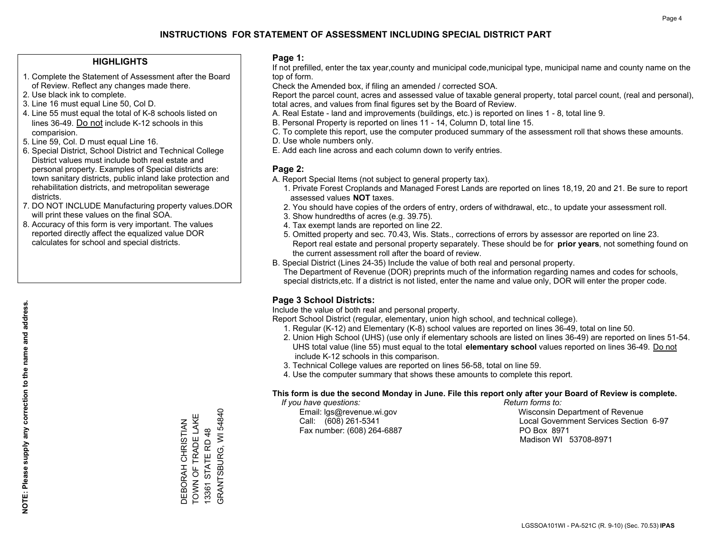### **HIGHLIGHTS**

- 1. Complete the Statement of Assessment after the Board of Review. Reflect any changes made there.
- 2. Use black ink to complete.
- 3. Line 16 must equal Line 50, Col D.
- 4. Line 55 must equal the total of K-8 schools listed on lines 36-49. Do not include K-12 schools in this comparision.
- 5. Line 59, Col. D must equal Line 16.
- 6. Special District, School District and Technical College District values must include both real estate and personal property. Examples of Special districts are: town sanitary districts, public inland lake protection and rehabilitation districts, and metropolitan sewerage districts.
- 7. DO NOT INCLUDE Manufacturing property values.DOR will print these values on the final SOA.
- 8. Accuracy of this form is very important. The values reported directly affect the equalized value DOR calculates for school and special districts.

### **Page 1:**

 If not prefilled, enter the tax year,county and municipal code,municipal type, municipal name and county name on the top of form.

Check the Amended box, if filing an amended / corrected SOA.

 Report the parcel count, acres and assessed value of taxable general property, total parcel count, (real and personal), total acres, and values from final figures set by the Board of Review.

- A. Real Estate land and improvements (buildings, etc.) is reported on lines 1 8, total line 9.
- B. Personal Property is reported on lines 11 14, Column D, total line 15.
- C. To complete this report, use the computer produced summary of the assessment roll that shows these amounts.
- D. Use whole numbers only.
- E. Add each line across and each column down to verify entries.

### **Page 2:**

- A. Report Special Items (not subject to general property tax).
- 1. Private Forest Croplands and Managed Forest Lands are reported on lines 18,19, 20 and 21. Be sure to report assessed values **NOT** taxes.
- 2. You should have copies of the orders of entry, orders of withdrawal, etc., to update your assessment roll.
	- 3. Show hundredths of acres (e.g. 39.75).
- 4. Tax exempt lands are reported on line 22.
- 5. Omitted property and sec. 70.43, Wis. Stats., corrections of errors by assessor are reported on line 23. Report real estate and personal property separately. These should be for **prior years**, not something found on the current assessment roll after the board of review.
- B. Special District (Lines 24-35) Include the value of both real and personal property.
- The Department of Revenue (DOR) preprints much of the information regarding names and codes for schools, special districts,etc. If a district is not listed, enter the name and value only, DOR will enter the proper code.

## **Page 3 School Districts:**

Include the value of both real and personal property.

Report School District (regular, elementary, union high school, and technical college).

- 1. Regular (K-12) and Elementary (K-8) school values are reported on lines 36-49, total on line 50.
- 2. Union High School (UHS) (use only if elementary schools are listed on lines 36-49) are reported on lines 51-54. UHS total value (line 55) must equal to the total **elementary school** values reported on lines 36-49. Do notinclude K-12 schools in this comparison.
- 3. Technical College values are reported on lines 56-58, total on line 59.
- 4. Use the computer summary that shows these amounts to complete this report.

#### **This form is due the second Monday in June. File this report only after your Board of Review is complete.**

 *If you have questions: Return forms to:*

Fax number: (608) 264-6887 PO Box 8971

 Email: lgs@revenue.wi.gov Wisconsin Department of Revenue Call: (608) 261-5341 Local Government Services Section 6-97Madison WI 53708-8971

GRANTSBURG, WI 54840 GRANTSBURG, WI 54840 TOWN OF TRADE LAKE TOWN OF TRADE LAKE DEBORAH CHRISTIAN DEBORAH CHRISTIAN 13361 STATE RD 48 13361 STATE RD 48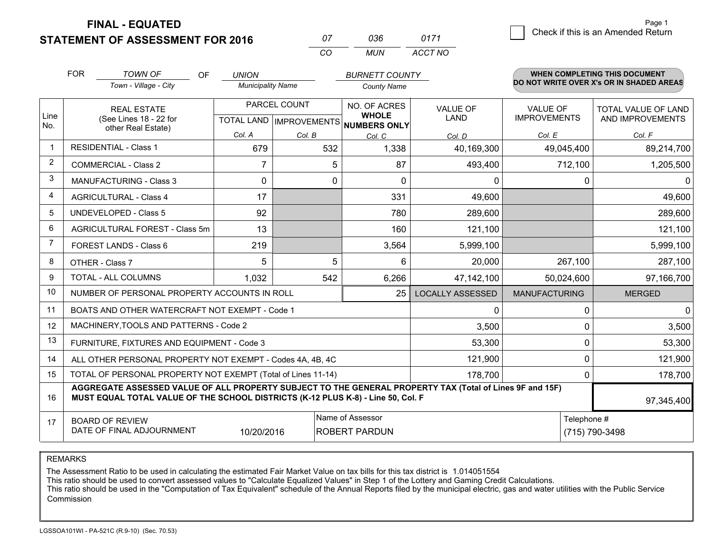**STATEMENT OF ASSESSMENT FOR 2016 FINAL - EQUATED**

| Ω7       | 036.  | 0171    |
|----------|-------|---------|
| $\alpha$ | MI IN | ACCT NO |

|                | <b>FOR</b><br><b>TOWN OF</b><br><b>OF</b>                                                                                                                                                    |                                                              | <b>UNION</b>             |        | <b>BURNETT COUNTY</b>                                |                         |                      | <b>WHEN COMPLETING THIS DOCUMENT</b><br>DO NOT WRITE OVER X's OR IN SHADED AREAS |
|----------------|----------------------------------------------------------------------------------------------------------------------------------------------------------------------------------------------|--------------------------------------------------------------|--------------------------|--------|------------------------------------------------------|-------------------------|----------------------|----------------------------------------------------------------------------------|
|                |                                                                                                                                                                                              | Town - Village - City                                        | <b>Municipality Name</b> |        | <b>County Name</b>                                   |                         |                      |                                                                                  |
|                |                                                                                                                                                                                              | <b>REAL ESTATE</b>                                           | PARCEL COUNT             |        | NO. OF ACRES                                         | <b>VALUE OF</b>         | <b>VALUE OF</b>      | TOTAL VALUE OF LAND                                                              |
| Line<br>No.    |                                                                                                                                                                                              | (See Lines 18 - 22 for<br>other Real Estate)                 |                          |        | <b>WHOLE</b><br>TOTAL LAND IMPROVEMENTS NUMBERS ONLY | LAND                    | <b>IMPROVEMENTS</b>  | AND IMPROVEMENTS                                                                 |
|                |                                                                                                                                                                                              |                                                              | Col. A                   | Col. B | Col. C                                               | Col. D                  | Col. E               | Col. F                                                                           |
| -1             |                                                                                                                                                                                              | <b>RESIDENTIAL - Class 1</b>                                 | 679                      | 532    | 1,338                                                | 40,169,300              | 49,045,400           | 89,214,700                                                                       |
| 2              |                                                                                                                                                                                              | <b>COMMERCIAL - Class 2</b>                                  | 7                        | 5      | 87                                                   | 493,400                 | 712,100              | 1,205,500                                                                        |
| 3              |                                                                                                                                                                                              | <b>MANUFACTURING - Class 3</b>                               | $\mathbf{0}$             | 0      | $\Omega$                                             | 0                       |                      | 0<br>0                                                                           |
| 4              |                                                                                                                                                                                              | <b>AGRICULTURAL - Class 4</b>                                | 17                       |        | 331                                                  | 49,600                  |                      | 49,600                                                                           |
| 5              |                                                                                                                                                                                              | UNDEVELOPED - Class 5                                        | 92                       |        | 780                                                  | 289,600                 |                      | 289,600                                                                          |
| 6              |                                                                                                                                                                                              | AGRICULTURAL FOREST - Class 5m                               | 13                       |        | 160                                                  | 121,100                 |                      | 121,100                                                                          |
| $\overline{7}$ |                                                                                                                                                                                              | <b>FOREST LANDS - Class 6</b>                                | 219                      |        | 3,564                                                | 5,999,100               |                      | 5,999,100                                                                        |
| 8              |                                                                                                                                                                                              | OTHER - Class 7                                              | 5                        | 5      | 6                                                    | 20,000                  | 267,100              | 287,100                                                                          |
| 9              |                                                                                                                                                                                              | TOTAL - ALL COLUMNS                                          | 1,032                    | 542    | 6,266                                                | 47, 142, 100            | 50,024,600           | 97,166,700                                                                       |
| 10             |                                                                                                                                                                                              | NUMBER OF PERSONAL PROPERTY ACCOUNTS IN ROLL                 |                          |        | 25                                                   | <b>LOCALLY ASSESSED</b> | <b>MANUFACTURING</b> | <b>MERGED</b>                                                                    |
| 11             |                                                                                                                                                                                              | BOATS AND OTHER WATERCRAFT NOT EXEMPT - Code 1               |                          |        |                                                      | 0                       |                      | $\overline{0}$<br>0                                                              |
| 12             |                                                                                                                                                                                              | MACHINERY, TOOLS AND PATTERNS - Code 2                       |                          |        |                                                      | 3,500                   |                      | 0<br>3,500                                                                       |
| 13             |                                                                                                                                                                                              | FURNITURE, FIXTURES AND EQUIPMENT - Code 3                   |                          |        |                                                      | 53,300                  |                      | 53,300<br>0                                                                      |
| 14             |                                                                                                                                                                                              | ALL OTHER PERSONAL PROPERTY NOT EXEMPT - Codes 4A, 4B, 4C    |                          |        |                                                      | 121,900                 |                      | 0<br>121,900                                                                     |
| 15             |                                                                                                                                                                                              | TOTAL OF PERSONAL PROPERTY NOT EXEMPT (Total of Lines 11-14) |                          |        |                                                      | 178,700                 |                      | 178,700<br>0                                                                     |
| 16             | AGGREGATE ASSESSED VALUE OF ALL PROPERTY SUBJECT TO THE GENERAL PROPERTY TAX (Total of Lines 9F and 15F)<br>MUST EQUAL TOTAL VALUE OF THE SCHOOL DISTRICTS (K-12 PLUS K-8) - Line 50, Col. F |                                                              |                          |        |                                                      |                         |                      | 97,345,400                                                                       |
| 17             |                                                                                                                                                                                              | <b>BOARD OF REVIEW</b>                                       |                          |        | Name of Assessor                                     |                         |                      | Telephone #                                                                      |
|                |                                                                                                                                                                                              | DATE OF FINAL ADJOURNMENT                                    | 10/20/2016               |        | <b>ROBERT PARDUN</b>                                 |                         |                      | (715) 790-3498                                                                   |

REMARKS

The Assessment Ratio to be used in calculating the estimated Fair Market Value on tax bills for this tax district is 1.014051554

This ratio should be used to convert assessed values to "Calculate Equalized Values" in Step 1 of the Lottery and Gaming Credit Calculations.<br>This ratio should be used in the "Computation of Tax Equivalent" schedule of the Commission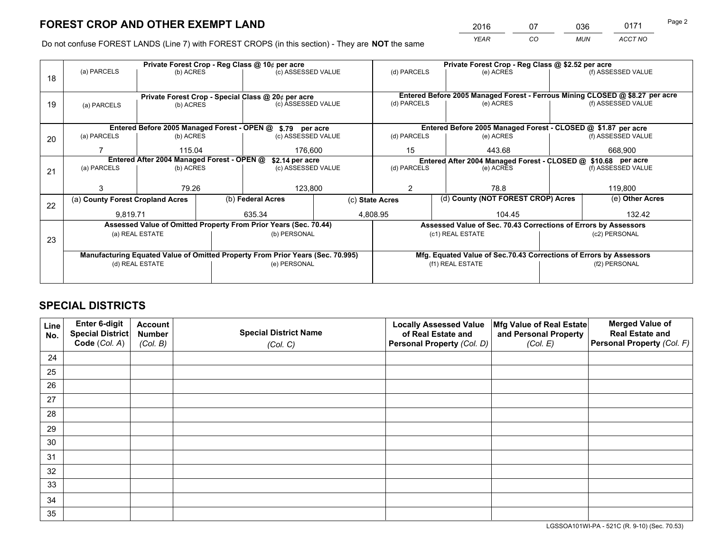*YEAR CO MUN ACCT NO* 2016 07 036 0171

Do not confuse FOREST LANDS (Line 7) with FOREST CROPS (in this section) - They are **NOT** the same

|    | Private Forest Crop - Reg Class @ 10¢ per acre                                 |                                                      |                    |                                                                              |                    | Private Forest Crop - Reg Class @ \$2.52 per acre                  |                                                                                                                   |               |                 |                    |  |
|----|--------------------------------------------------------------------------------|------------------------------------------------------|--------------------|------------------------------------------------------------------------------|--------------------|--------------------------------------------------------------------|-------------------------------------------------------------------------------------------------------------------|---------------|-----------------|--------------------|--|
| 18 | (a) PARCELS                                                                    | (b) ACRES                                            |                    | (c) ASSESSED VALUE                                                           |                    | (d) PARCELS                                                        |                                                                                                                   | (e) ACRES     |                 | (f) ASSESSED VALUE |  |
|    |                                                                                |                                                      |                    |                                                                              |                    |                                                                    |                                                                                                                   |               |                 |                    |  |
|    |                                                                                |                                                      |                    | Private Forest Crop - Special Class @ 20¢ per acre                           |                    |                                                                    | Entered Before 2005 Managed Forest - Ferrous Mining CLOSED @ \$8.27 per acre<br>(f) ASSESSED VALUE<br>(d) PARCELS |               |                 |                    |  |
| 19 | (b) ACRES<br>(a) PARCELS                                                       |                                                      | (c) ASSESSED VALUE |                                                                              |                    |                                                                    | (e) ACRES                                                                                                         |               |                 |                    |  |
|    |                                                                                |                                                      |                    |                                                                              |                    |                                                                    |                                                                                                                   |               |                 |                    |  |
|    | Entered Before 2005 Managed Forest - OPEN @ \$.79 per acre                     |                                                      |                    |                                                                              |                    | Entered Before 2005 Managed Forest - CLOSED @ \$1.87 per acre      |                                                                                                                   |               |                 |                    |  |
| 20 | (a) PARCELS                                                                    | (b) ACRES                                            |                    | (c) ASSESSED VALUE                                                           |                    | (d) PARCELS                                                        |                                                                                                                   | (e) ACRES     |                 | (f) ASSESSED VALUE |  |
|    |                                                                                |                                                      |                    |                                                                              |                    |                                                                    |                                                                                                                   |               |                 |                    |  |
|    |                                                                                | 115.04<br>Entered After 2004 Managed Forest - OPEN @ |                    | 176,600                                                                      |                    | 15<br>443.68                                                       |                                                                                                                   | 668,900       |                 |                    |  |
|    |                                                                                | \$2.14 per acre                                      |                    | Entered After 2004 Managed Forest - CLOSED @ \$10.68 per acre<br>(d) PARCELS |                    |                                                                    |                                                                                                                   |               |                 |                    |  |
| 21 |                                                                                | (a) PARCELS<br>(b) ACRES                             |                    |                                                                              | (c) ASSESSED VALUE |                                                                    |                                                                                                                   | (e) ACRES     |                 | (f) ASSESSED VALUE |  |
|    |                                                                                |                                                      |                    |                                                                              |                    |                                                                    |                                                                                                                   |               |                 |                    |  |
|    |                                                                                | 79.26                                                |                    | 123,800                                                                      |                    | 2                                                                  |                                                                                                                   | 78.8          |                 | 119,800            |  |
|    | (a) County Forest Cropland Acres                                               |                                                      |                    | (b) Federal Acres<br>(c) State Acres                                         |                    |                                                                    | (d) County (NOT FOREST CROP) Acres                                                                                |               | (e) Other Acres |                    |  |
| 22 |                                                                                |                                                      |                    |                                                                              |                    |                                                                    |                                                                                                                   |               |                 |                    |  |
|    | 9,819.71                                                                       |                                                      |                    | 635.34                                                                       |                    | 4,808.95<br>104.45                                                 |                                                                                                                   | 132.42        |                 |                    |  |
|    | Assessed Value of Omitted Property From Prior Years (Sec. 70.44)               |                                                      |                    |                                                                              |                    | Assessed Value of Sec. 70.43 Corrections of Errors by Assessors    |                                                                                                                   |               |                 |                    |  |
|    | (a) REAL ESTATE                                                                |                                                      |                    | (b) PERSONAL                                                                 |                    | (c1) REAL ESTATE                                                   |                                                                                                                   | (c2) PERSONAL |                 |                    |  |
| 23 |                                                                                |                                                      |                    |                                                                              |                    |                                                                    |                                                                                                                   |               |                 |                    |  |
|    | Manufacturing Equated Value of Omitted Property From Prior Years (Sec. 70.995) |                                                      |                    |                                                                              |                    | Mfg. Equated Value of Sec.70.43 Corrections of Errors by Assessors |                                                                                                                   |               |                 |                    |  |
|    |                                                                                | (d) REAL ESTATE                                      |                    | (e) PERSONAL                                                                 |                    |                                                                    | (f1) REAL ESTATE                                                                                                  |               |                 | (f2) PERSONAL      |  |
|    |                                                                                |                                                      |                    |                                                                              |                    |                                                                    |                                                                                                                   |               |                 |                    |  |
|    |                                                                                |                                                      |                    |                                                                              |                    |                                                                    |                                                                                                                   |               |                 |                    |  |

# **SPECIAL DISTRICTS**

| Line<br>No. | Enter 6-digit<br><b>Special District</b> | <b>Account</b><br><b>Number</b> | <b>Special District Name</b> | <b>Locally Assessed Value</b><br>of Real Estate and | Mfg Value of Real Estate<br>and Personal Property | <b>Merged Value of</b><br><b>Real Estate and</b> |
|-------------|------------------------------------------|---------------------------------|------------------------------|-----------------------------------------------------|---------------------------------------------------|--------------------------------------------------|
|             | Code (Col. A)                            | (Col. B)                        | (Col. C)                     | Personal Property (Col. D)                          | (Col. E)                                          | Personal Property (Col. F)                       |
| 24          |                                          |                                 |                              |                                                     |                                                   |                                                  |
| 25          |                                          |                                 |                              |                                                     |                                                   |                                                  |
| 26          |                                          |                                 |                              |                                                     |                                                   |                                                  |
| 27          |                                          |                                 |                              |                                                     |                                                   |                                                  |
| 28          |                                          |                                 |                              |                                                     |                                                   |                                                  |
| 29          |                                          |                                 |                              |                                                     |                                                   |                                                  |
| 30          |                                          |                                 |                              |                                                     |                                                   |                                                  |
| 31          |                                          |                                 |                              |                                                     |                                                   |                                                  |
| 32          |                                          |                                 |                              |                                                     |                                                   |                                                  |
| 33          |                                          |                                 |                              |                                                     |                                                   |                                                  |
| 34          |                                          |                                 |                              |                                                     |                                                   |                                                  |
| 35          |                                          |                                 |                              |                                                     |                                                   |                                                  |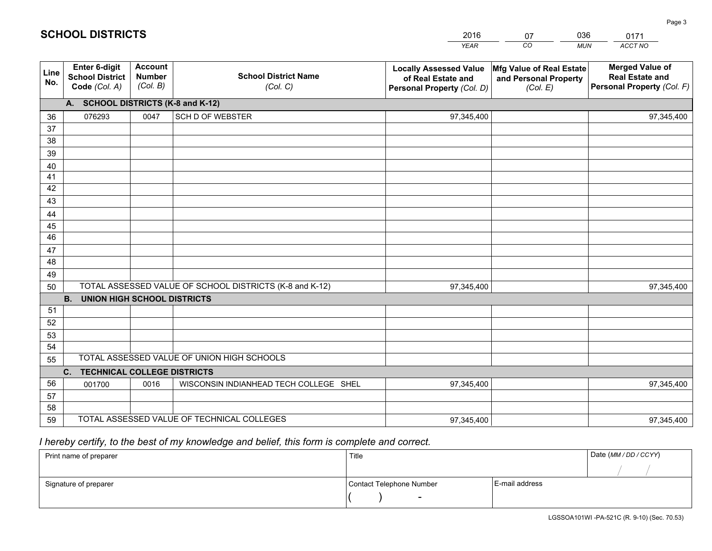|             |                                                                 |                                             |                                                         | <b>YEAR</b>                                                                       | CO<br><b>MUN</b>                                              | ACCT NO                                                                        |  |  |
|-------------|-----------------------------------------------------------------|---------------------------------------------|---------------------------------------------------------|-----------------------------------------------------------------------------------|---------------------------------------------------------------|--------------------------------------------------------------------------------|--|--|
| Line<br>No. | <b>Enter 6-digit</b><br><b>School District</b><br>Code (Col. A) | <b>Account</b><br><b>Number</b><br>(Col. B) | <b>School District Name</b><br>(Col. C)                 | <b>Locally Assessed Value</b><br>of Real Estate and<br>Personal Property (Col. D) | Mfg Value of Real Estate<br>and Personal Property<br>(Col. E) | <b>Merged Value of</b><br><b>Real Estate and</b><br>Personal Property (Col. F) |  |  |
|             | A. SCHOOL DISTRICTS (K-8 and K-12)                              |                                             |                                                         |                                                                                   |                                                               |                                                                                |  |  |
| 36          | 076293                                                          | 0047                                        | <b>SCH D OF WEBSTER</b>                                 | 97,345,400                                                                        |                                                               | 97,345,400                                                                     |  |  |
| 37          |                                                                 |                                             |                                                         |                                                                                   |                                                               |                                                                                |  |  |
| 38          |                                                                 |                                             |                                                         |                                                                                   |                                                               |                                                                                |  |  |
| 39          |                                                                 |                                             |                                                         |                                                                                   |                                                               |                                                                                |  |  |
| 40          |                                                                 |                                             |                                                         |                                                                                   |                                                               |                                                                                |  |  |
| 41          |                                                                 |                                             |                                                         |                                                                                   |                                                               |                                                                                |  |  |
| 42          |                                                                 |                                             |                                                         |                                                                                   |                                                               |                                                                                |  |  |
| 43          |                                                                 |                                             |                                                         |                                                                                   |                                                               |                                                                                |  |  |
| 44          |                                                                 |                                             |                                                         |                                                                                   |                                                               |                                                                                |  |  |
| 45<br>46    |                                                                 |                                             |                                                         |                                                                                   |                                                               |                                                                                |  |  |
|             |                                                                 |                                             |                                                         |                                                                                   |                                                               |                                                                                |  |  |
| 47<br>48    |                                                                 |                                             |                                                         |                                                                                   |                                                               |                                                                                |  |  |
| 49          |                                                                 |                                             |                                                         |                                                                                   |                                                               |                                                                                |  |  |
| 50          |                                                                 |                                             | TOTAL ASSESSED VALUE OF SCHOOL DISTRICTS (K-8 and K-12) | 97,345,400                                                                        |                                                               | 97,345,400                                                                     |  |  |
|             | <b>B.</b><br><b>UNION HIGH SCHOOL DISTRICTS</b>                 |                                             |                                                         |                                                                                   |                                                               |                                                                                |  |  |
| 51          |                                                                 |                                             |                                                         |                                                                                   |                                                               |                                                                                |  |  |
| 52          |                                                                 |                                             |                                                         |                                                                                   |                                                               |                                                                                |  |  |
| 53          |                                                                 |                                             |                                                         |                                                                                   |                                                               |                                                                                |  |  |
| 54          |                                                                 |                                             |                                                         |                                                                                   |                                                               |                                                                                |  |  |
| 55          |                                                                 |                                             | TOTAL ASSESSED VALUE OF UNION HIGH SCHOOLS              |                                                                                   |                                                               |                                                                                |  |  |
|             | C.<br><b>TECHNICAL COLLEGE DISTRICTS</b>                        |                                             |                                                         |                                                                                   |                                                               |                                                                                |  |  |
| 56          | 001700                                                          | 0016                                        | WISCONSIN INDIANHEAD TECH COLLEGE SHEL                  | 97,345,400                                                                        |                                                               | 97,345,400                                                                     |  |  |
| 57          |                                                                 |                                             |                                                         |                                                                                   |                                                               |                                                                                |  |  |
| 58          |                                                                 |                                             |                                                         |                                                                                   |                                                               |                                                                                |  |  |
| 59          |                                                                 |                                             | TOTAL ASSESSED VALUE OF TECHNICAL COLLEGES              | 97,345,400                                                                        |                                                               | 97,345,400                                                                     |  |  |

07

036

# *I hereby certify, to the best of my knowledge and belief, this form is complete and correct.*

**SCHOOL DISTRICTS**

| Print name of preparer | Title                    | Date (MM / DD / CCYY) |  |
|------------------------|--------------------------|-----------------------|--|
|                        |                          |                       |  |
| Signature of preparer  | Contact Telephone Number | E-mail address        |  |
|                        | $\sim$                   |                       |  |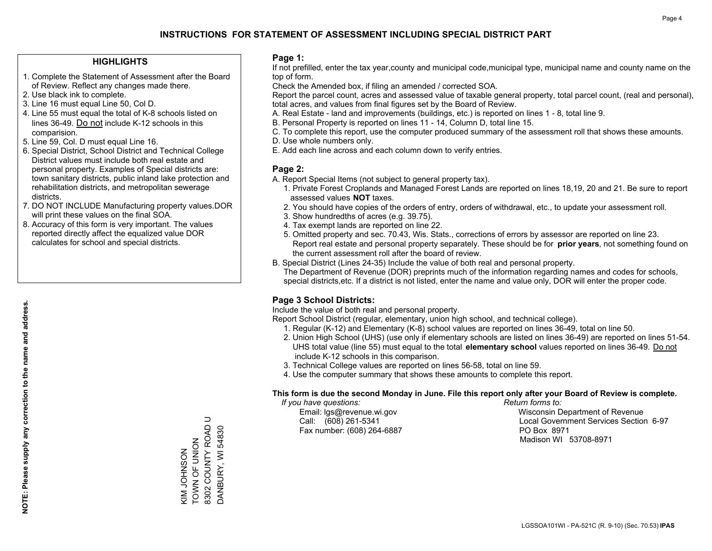### **HIGHLIGHTS**

- 1. Complete the Statement of Assessment after the Board of Review. Reflect any changes made there.
- 2. Use black ink to complete.
- 3. Line 16 must equal Line 50, Col D.
- 4. Line 55 must equal the total of K-8 schools listed on lines 36-49. Do not include K-12 schools in this comparision.
- 5. Line 59, Col. D must equal Line 16.
- 6. Special District, School District and Technical College District values must include both real estate and personal property. Examples of Special districts are: town sanitary districts, public inland lake protection and rehabilitation districts, and metropolitan sewerage districts.
- 7. DO NOT INCLUDE Manufacturing property values.DOR will print these values on the final SOA.

KIM JOHNSON TOWN OF UNION 8302 COUNTY ROAD U DANBURY, WI 54830

KIM JOHNSON<br>TOWN OF UNION

 $\supset$ 

8302 COUNTY ROAD DANBURY, WI 54830

 8. Accuracy of this form is very important. The values reported directly affect the equalized value DOR calculates for school and special districts.

### **Page 1:**

 If not prefilled, enter the tax year,county and municipal code,municipal type, municipal name and county name on the top of form.

Check the Amended box, if filing an amended / corrected SOA.

 Report the parcel count, acres and assessed value of taxable general property, total parcel count, (real and personal), total acres, and values from final figures set by the Board of Review.

- A. Real Estate land and improvements (buildings, etc.) is reported on lines 1 8, total line 9.
- B. Personal Property is reported on lines 11 14, Column D, total line 15.
- C. To complete this report, use the computer produced summary of the assessment roll that shows these amounts.
- D. Use whole numbers only.
- E. Add each line across and each column down to verify entries.

### **Page 2:**

- A. Report Special Items (not subject to general property tax).
- 1. Private Forest Croplands and Managed Forest Lands are reported on lines 18,19, 20 and 21. Be sure to report assessed values **NOT** taxes.
- 2. You should have copies of the orders of entry, orders of withdrawal, etc., to update your assessment roll.
	- 3. Show hundredths of acres (e.g. 39.75).
- 4. Tax exempt lands are reported on line 22.
- 5. Omitted property and sec. 70.43, Wis. Stats., corrections of errors by assessor are reported on line 23. Report real estate and personal property separately. These should be for **prior years**, not something found on the current assessment roll after the board of review.
- B. Special District (Lines 24-35) Include the value of both real and personal property.
- The Department of Revenue (DOR) preprints much of the information regarding names and codes for schools, special districts,etc. If a district is not listed, enter the name and value only, DOR will enter the proper code.

## **Page 3 School Districts:**

Include the value of both real and personal property.

Report School District (regular, elementary, union high school, and technical college).

- 1. Regular (K-12) and Elementary (K-8) school values are reported on lines 36-49, total on line 50.
- 2. Union High School (UHS) (use only if elementary schools are listed on lines 36-49) are reported on lines 51-54. UHS total value (line 55) must equal to the total **elementary school** values reported on lines 36-49. Do notinclude K-12 schools in this comparison.
- 3. Technical College values are reported on lines 56-58, total on line 59.
- 4. Use the computer summary that shows these amounts to complete this report.

#### **This form is due the second Monday in June. File this report only after your Board of Review is complete.**

 *If you have questions: Return forms to:*

Fax number: (608) 264-6887 PO Box 8971

 Email: lgs@revenue.wi.gov Wisconsin Department of Revenue Call: (608) 261-5341 Local Government Services Section 6-97Madison WI 53708-8971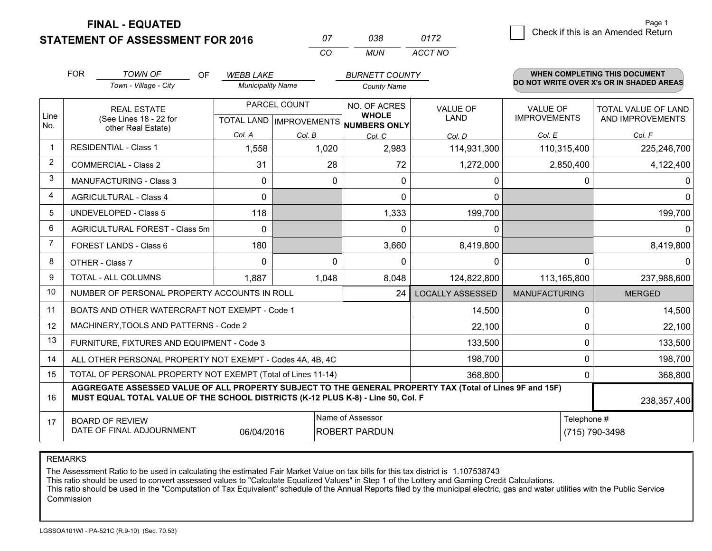**STATEMENT OF ASSESSMENT FOR 2016 FINAL - EQUATED**

| Ω7 | 038 | 0172    |
|----|-----|---------|
| rη | MUN | ACCT NO |

|                | <b>FOR</b>                                                                                                                                                                                   | <b>TOWN OF</b><br><b>OF</b><br>Town - Village - City      | <b>WEBB LAKE</b><br><b>Municipality Name</b>        |          | <b>BURNETT COUNTY</b><br><b>County Name</b> |                         |                                        | <b>WHEN COMPLETING THIS DOCUMENT</b><br>DO NOT WRITE OVER X's OR IN SHADED AREAS |
|----------------|----------------------------------------------------------------------------------------------------------------------------------------------------------------------------------------------|-----------------------------------------------------------|-----------------------------------------------------|----------|---------------------------------------------|-------------------------|----------------------------------------|----------------------------------------------------------------------------------|
| Line<br>No.    | <b>REAL ESTATE</b><br>(See Lines 18 - 22 for<br>other Real Estate)                                                                                                                           |                                                           | PARCEL COUNT<br>TOTAL LAND MPROVEMENTS NUMBERS ONLY |          | NO. OF ACRES<br><b>WHOLE</b>                | <b>VALUE OF</b><br>LAND | <b>VALUE OF</b><br><b>IMPROVEMENTS</b> | TOTAL VALUE OF LAND<br>AND IMPROVEMENTS                                          |
|                |                                                                                                                                                                                              |                                                           | Col. A                                              | Col. B   | Col. C                                      | Col. D                  | Col. E                                 | Col. F                                                                           |
| -1             |                                                                                                                                                                                              | <b>RESIDENTIAL - Class 1</b>                              | 1,558                                               | 1,020    | 2,983                                       | 114,931,300             | 110,315,400                            | 225,246,700                                                                      |
| $\overline{2}$ |                                                                                                                                                                                              | <b>COMMERCIAL - Class 2</b>                               | 31                                                  | 28       | 72                                          | 1,272,000               | 2,850,400                              | 4,122,400                                                                        |
| 3              |                                                                                                                                                                                              | <b>MANUFACTURING - Class 3</b>                            | $\mathbf{0}$                                        | 0        | $\mathbf{0}$                                | 0                       | 0                                      | 0                                                                                |
| $\overline{4}$ |                                                                                                                                                                                              | <b>AGRICULTURAL - Class 4</b>                             | 0                                                   |          | $\Omega$                                    | 0                       |                                        | $\overline{0}$                                                                   |
| 5              |                                                                                                                                                                                              | <b>UNDEVELOPED - Class 5</b>                              | 118                                                 |          | 1,333                                       | 199,700                 |                                        | 199,700                                                                          |
| 6              |                                                                                                                                                                                              | AGRICULTURAL FOREST - Class 5m                            | $\mathbf{0}$                                        |          | $\mathbf{0}$                                | 0                       |                                        | $\overline{0}$                                                                   |
| 7              |                                                                                                                                                                                              | FOREST LANDS - Class 6                                    | 180                                                 |          | 3,660                                       | 8,419,800               |                                        | 8,419,800                                                                        |
| 8              |                                                                                                                                                                                              | OTHER - Class 7                                           | $\Omega$                                            | $\Omega$ | $\Omega$                                    | 0                       | $\Omega$                               | 0                                                                                |
| 9              |                                                                                                                                                                                              | TOTAL - ALL COLUMNS                                       | 1,887                                               | 1,048    | 8,048                                       | 124,822,800             | 113,165,800                            | 237,988,600                                                                      |
| 10             |                                                                                                                                                                                              | NUMBER OF PERSONAL PROPERTY ACCOUNTS IN ROLL              |                                                     |          | 24                                          | <b>LOCALLY ASSESSED</b> | <b>MANUFACTURING</b>                   | <b>MERGED</b>                                                                    |
| 11             |                                                                                                                                                                                              | BOATS AND OTHER WATERCRAFT NOT EXEMPT - Code 1            |                                                     |          |                                             | 14,500                  | 0                                      | 14,500                                                                           |
| 12             |                                                                                                                                                                                              | MACHINERY, TOOLS AND PATTERNS - Code 2                    |                                                     |          |                                             | 22,100                  | $\Omega$                               | 22,100                                                                           |
| 13             |                                                                                                                                                                                              | FURNITURE, FIXTURES AND EQUIPMENT - Code 3                |                                                     |          |                                             | 133,500                 | 0                                      | 133,500                                                                          |
| 14             |                                                                                                                                                                                              | ALL OTHER PERSONAL PROPERTY NOT EXEMPT - Codes 4A, 4B, 4C |                                                     |          |                                             | 198,700                 | 0                                      | 198,700                                                                          |
| 15             | TOTAL OF PERSONAL PROPERTY NOT EXEMPT (Total of Lines 11-14)<br>368,800                                                                                                                      |                                                           |                                                     |          |                                             |                         |                                        | 368,800                                                                          |
| 16             | AGGREGATE ASSESSED VALUE OF ALL PROPERTY SUBJECT TO THE GENERAL PROPERTY TAX (Total of Lines 9F and 15F)<br>MUST EQUAL TOTAL VALUE OF THE SCHOOL DISTRICTS (K-12 PLUS K-8) - Line 50, Col. F |                                                           |                                                     |          |                                             |                         | 238,357,400                            |                                                                                  |
| 17             | Name of Assessor<br>Telephone #<br><b>BOARD OF REVIEW</b><br>DATE OF FINAL ADJOURNMENT<br><b>ROBERT PARDUN</b><br>(715) 790-3498<br>06/04/2016                                               |                                                           |                                                     |          |                                             |                         |                                        |                                                                                  |

REMARKS

The Assessment Ratio to be used in calculating the estimated Fair Market Value on tax bills for this tax district is 1.107538743

This ratio should be used to convert assessed values to "Calculate Equalized Values" in Step 1 of the Lottery and Gaming Credit Calculations.<br>This ratio should be used in the "Computation of Tax Equivalent" schedule of the Commission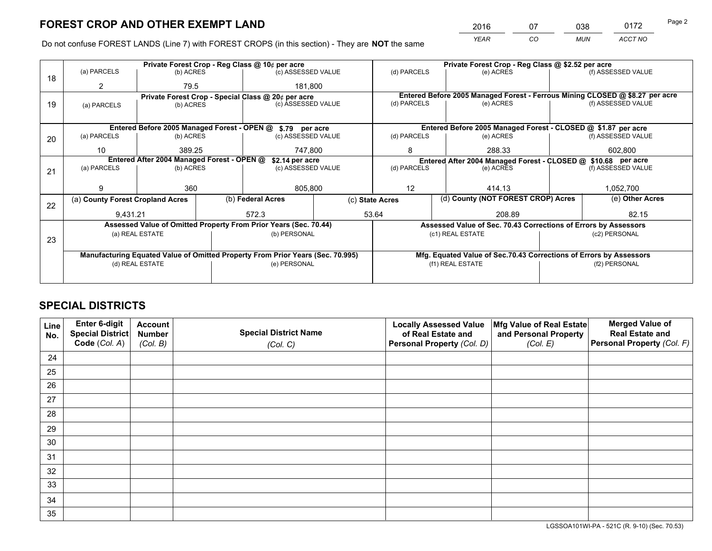*YEAR CO MUN ACCT NO* 2016 07 038 0172 Page 2

Do not confuse FOREST LANDS (Line 7) with FOREST CROPS (in this section) - They are **NOT** the same

|    |                                  | Private Forest Crop - Reg Class @ 10¢ per acre |  |                                                                                |                 | Private Forest Crop - Reg Class @ \$2.52 per acre             |                                                                              |               |                    |  |
|----|----------------------------------|------------------------------------------------|--|--------------------------------------------------------------------------------|-----------------|---------------------------------------------------------------|------------------------------------------------------------------------------|---------------|--------------------|--|
| 18 | (a) PARCELS                      | (b) ACRES                                      |  | (c) ASSESSED VALUE                                                             |                 | (d) PARCELS                                                   | (e) ACRES                                                                    |               | (f) ASSESSED VALUE |  |
|    | 2                                | 79.5                                           |  | 181.800                                                                        |                 |                                                               |                                                                              |               |                    |  |
|    |                                  |                                                |  | Private Forest Crop - Special Class @ 20¢ per acre                             |                 |                                                               | Entered Before 2005 Managed Forest - Ferrous Mining CLOSED @ \$8.27 per acre |               |                    |  |
| 19 | (a) PARCELS                      | (b) ACRES                                      |  | (c) ASSESSED VALUE                                                             |                 | (d) PARCELS                                                   | (e) ACRES                                                                    |               | (f) ASSESSED VALUE |  |
|    |                                  |                                                |  |                                                                                |                 |                                                               |                                                                              |               |                    |  |
|    |                                  |                                                |  | Entered Before 2005 Managed Forest - OPEN @ \$.79 per acre                     |                 |                                                               | Entered Before 2005 Managed Forest - CLOSED @ \$1.87 per acre                |               |                    |  |
| 20 | (a) PARCELS                      | (b) ACRES                                      |  | (c) ASSESSED VALUE                                                             |                 | (d) PARCELS                                                   | (e) ACRES                                                                    |               | (f) ASSESSED VALUE |  |
|    | 10                               | 389.25                                         |  | 747.800                                                                        |                 | 8                                                             | 288.33                                                                       |               | 602.800            |  |
|    |                                  | Entered After 2004 Managed Forest - OPEN @     |  | \$2.14 per acre                                                                |                 | Entered After 2004 Managed Forest - CLOSED @ \$10.68 per acre |                                                                              |               |                    |  |
| 21 | (a) PARCELS                      | (b) ACRES                                      |  | (c) ASSESSED VALUE                                                             |                 | (d) PARCELS<br>(e) ACRES                                      |                                                                              |               | (f) ASSESSED VALUE |  |
|    |                                  |                                                |  |                                                                                |                 |                                                               |                                                                              |               |                    |  |
|    | 9                                | 360                                            |  | 805,800                                                                        |                 | 12<br>414.13                                                  |                                                                              |               | 1,052,700          |  |
| 22 | (a) County Forest Cropland Acres |                                                |  | (b) Federal Acres                                                              | (c) State Acres |                                                               | (d) County (NOT FOREST CROP) Acres                                           |               | (e) Other Acres    |  |
|    | 9,431.21                         |                                                |  | 572.3<br>53.64                                                                 |                 | 208.89                                                        |                                                                              |               | 82.15              |  |
|    |                                  |                                                |  | Assessed Value of Omitted Property From Prior Years (Sec. 70.44)               |                 |                                                               | Assessed Value of Sec. 70.43 Corrections of Errors by Assessors              |               |                    |  |
|    |                                  | (a) REAL ESTATE                                |  | (b) PERSONAL                                                                   |                 |                                                               | (c1) REAL ESTATE                                                             |               | (c2) PERSONAL      |  |
| 23 |                                  |                                                |  |                                                                                |                 |                                                               |                                                                              |               |                    |  |
|    |                                  |                                                |  | Manufacturing Equated Value of Omitted Property From Prior Years (Sec. 70.995) |                 |                                                               | Mfg. Equated Value of Sec.70.43 Corrections of Errors by Assessors           |               |                    |  |
|    | (d) REAL ESTATE                  |                                                |  | (e) PERSONAL                                                                   |                 | (f1) REAL ESTATE                                              |                                                                              | (f2) PERSONAL |                    |  |
|    |                                  |                                                |  |                                                                                |                 |                                                               |                                                                              |               |                    |  |

## **SPECIAL DISTRICTS**

| Line<br>No. | Enter 6-digit<br><b>Special District</b> | <b>Account</b><br><b>Number</b> | <b>Special District Name</b> | <b>Locally Assessed Value</b><br>of Real Estate and | Mfg Value of Real Estate<br>and Personal Property | <b>Merged Value of</b><br><b>Real Estate and</b> |
|-------------|------------------------------------------|---------------------------------|------------------------------|-----------------------------------------------------|---------------------------------------------------|--------------------------------------------------|
|             | Code (Col. A)                            | (Col. B)                        | (Col. C)                     | Personal Property (Col. D)                          | (Col. E)                                          | Personal Property (Col. F)                       |
| 24          |                                          |                                 |                              |                                                     |                                                   |                                                  |
| 25          |                                          |                                 |                              |                                                     |                                                   |                                                  |
| 26          |                                          |                                 |                              |                                                     |                                                   |                                                  |
| 27          |                                          |                                 |                              |                                                     |                                                   |                                                  |
| 28          |                                          |                                 |                              |                                                     |                                                   |                                                  |
| 29          |                                          |                                 |                              |                                                     |                                                   |                                                  |
| 30          |                                          |                                 |                              |                                                     |                                                   |                                                  |
| 31          |                                          |                                 |                              |                                                     |                                                   |                                                  |
| 32          |                                          |                                 |                              |                                                     |                                                   |                                                  |
| 33          |                                          |                                 |                              |                                                     |                                                   |                                                  |
| 34          |                                          |                                 |                              |                                                     |                                                   |                                                  |
| 35          |                                          |                                 |                              |                                                     |                                                   |                                                  |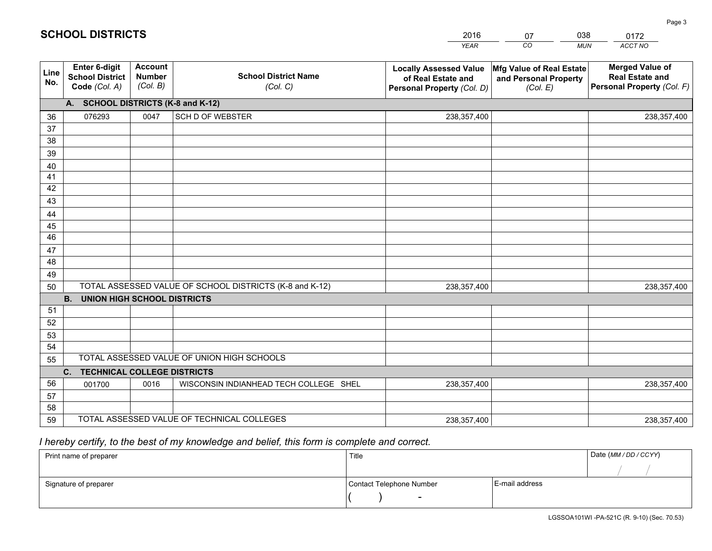|             |                                                          |                                             |                                                         | <b>YEAR</b>                                                                       | CO<br><b>MUN</b>                                              | ACCT NO                                                                        |
|-------------|----------------------------------------------------------|---------------------------------------------|---------------------------------------------------------|-----------------------------------------------------------------------------------|---------------------------------------------------------------|--------------------------------------------------------------------------------|
| Line<br>No. | Enter 6-digit<br><b>School District</b><br>Code (Col. A) | <b>Account</b><br><b>Number</b><br>(Col. B) | <b>School District Name</b><br>(Col. C)                 | <b>Locally Assessed Value</b><br>of Real Estate and<br>Personal Property (Col. D) | Mfg Value of Real Estate<br>and Personal Property<br>(Col. E) | <b>Merged Value of</b><br><b>Real Estate and</b><br>Personal Property (Col. F) |
|             | A. SCHOOL DISTRICTS (K-8 and K-12)                       |                                             |                                                         |                                                                                   |                                                               |                                                                                |
| 36          | 076293                                                   | 0047                                        | <b>SCH D OF WEBSTER</b>                                 | 238,357,400                                                                       |                                                               | 238,357,400                                                                    |
| 37          |                                                          |                                             |                                                         |                                                                                   |                                                               |                                                                                |
| 38          |                                                          |                                             |                                                         |                                                                                   |                                                               |                                                                                |
| 39          |                                                          |                                             |                                                         |                                                                                   |                                                               |                                                                                |
| 40          |                                                          |                                             |                                                         |                                                                                   |                                                               |                                                                                |
| 41<br>42    |                                                          |                                             |                                                         |                                                                                   |                                                               |                                                                                |
| 43          |                                                          |                                             |                                                         |                                                                                   |                                                               |                                                                                |
| 44          |                                                          |                                             |                                                         |                                                                                   |                                                               |                                                                                |
| 45          |                                                          |                                             |                                                         |                                                                                   |                                                               |                                                                                |
| 46          |                                                          |                                             |                                                         |                                                                                   |                                                               |                                                                                |
| 47          |                                                          |                                             |                                                         |                                                                                   |                                                               |                                                                                |
| 48          |                                                          |                                             |                                                         |                                                                                   |                                                               |                                                                                |
| 49          |                                                          |                                             |                                                         |                                                                                   |                                                               |                                                                                |
| 50          |                                                          |                                             | TOTAL ASSESSED VALUE OF SCHOOL DISTRICTS (K-8 and K-12) | 238,357,400                                                                       |                                                               | 238,357,400                                                                    |
|             | <b>B.</b><br><b>UNION HIGH SCHOOL DISTRICTS</b>          |                                             |                                                         |                                                                                   |                                                               |                                                                                |
| 51          |                                                          |                                             |                                                         |                                                                                   |                                                               |                                                                                |
| 52          |                                                          |                                             |                                                         |                                                                                   |                                                               |                                                                                |
| 53<br>54    |                                                          |                                             |                                                         |                                                                                   |                                                               |                                                                                |
|             |                                                          |                                             | TOTAL ASSESSED VALUE OF UNION HIGH SCHOOLS              |                                                                                   |                                                               |                                                                                |
| 55          | <b>TECHNICAL COLLEGE DISTRICTS</b><br>C.                 |                                             |                                                         |                                                                                   |                                                               |                                                                                |
| 56          | 001700                                                   | 0016                                        | WISCONSIN INDIANHEAD TECH COLLEGE SHEL                  | 238,357,400                                                                       |                                                               | 238,357,400                                                                    |
| 57          |                                                          |                                             |                                                         |                                                                                   |                                                               |                                                                                |
| 58          |                                                          |                                             |                                                         |                                                                                   |                                                               |                                                                                |
| 59          |                                                          |                                             | TOTAL ASSESSED VALUE OF TECHNICAL COLLEGES              | 238,357,400                                                                       |                                                               | 238, 357, 400                                                                  |

07

038

## *I hereby certify, to the best of my knowledge and belief, this form is complete and correct.*

**SCHOOL DISTRICTS**

| Print name of preparer | Title                    |                | Date (MM / DD / CCYY) |
|------------------------|--------------------------|----------------|-----------------------|
|                        |                          |                |                       |
| Signature of preparer  | Contact Telephone Number | E-mail address |                       |
|                        | $\overline{\phantom{0}}$ |                |                       |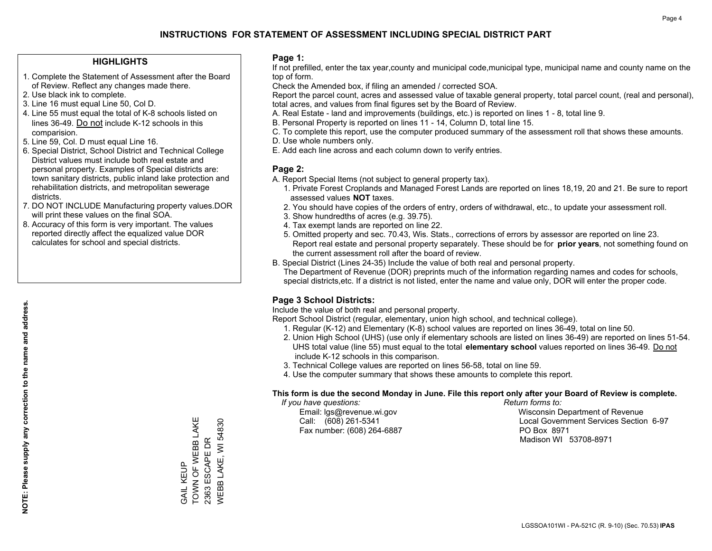### **HIGHLIGHTS**

- 1. Complete the Statement of Assessment after the Board of Review. Reflect any changes made there.
- 2. Use black ink to complete.
- 3. Line 16 must equal Line 50, Col D.
- 4. Line 55 must equal the total of K-8 schools listed on lines 36-49. Do not include K-12 schools in this comparision.
- 5. Line 59, Col. D must equal Line 16.
- 6. Special District, School District and Technical College District values must include both real estate and personal property. Examples of Special districts are: town sanitary districts, public inland lake protection and rehabilitation districts, and metropolitan sewerage districts.
- 7. DO NOT INCLUDE Manufacturing property values.DOR will print these values on the final SOA.

GAIL KEUP

GAIL KEUP

TOWN OF WEBB LAKE 2363 ESCAPE DR WEBB LAKE, WI 54830

WEBB LAKE, WI 54830 2363 ESCAPE DR

TOWN OF WEBB LAKE

 8. Accuracy of this form is very important. The values reported directly affect the equalized value DOR calculates for school and special districts.

### **Page 1:**

 If not prefilled, enter the tax year,county and municipal code,municipal type, municipal name and county name on the top of form.

Check the Amended box, if filing an amended / corrected SOA.

 Report the parcel count, acres and assessed value of taxable general property, total parcel count, (real and personal), total acres, and values from final figures set by the Board of Review.

- A. Real Estate land and improvements (buildings, etc.) is reported on lines 1 8, total line 9.
- B. Personal Property is reported on lines 11 14, Column D, total line 15.
- C. To complete this report, use the computer produced summary of the assessment roll that shows these amounts.
- D. Use whole numbers only.
- E. Add each line across and each column down to verify entries.

### **Page 2:**

- A. Report Special Items (not subject to general property tax).
- 1. Private Forest Croplands and Managed Forest Lands are reported on lines 18,19, 20 and 21. Be sure to report assessed values **NOT** taxes.
- 2. You should have copies of the orders of entry, orders of withdrawal, etc., to update your assessment roll.
	- 3. Show hundredths of acres (e.g. 39.75).
- 4. Tax exempt lands are reported on line 22.
- 5. Omitted property and sec. 70.43, Wis. Stats., corrections of errors by assessor are reported on line 23. Report real estate and personal property separately. These should be for **prior years**, not something found on the current assessment roll after the board of review.
- B. Special District (Lines 24-35) Include the value of both real and personal property.
- The Department of Revenue (DOR) preprints much of the information regarding names and codes for schools, special districts,etc. If a district is not listed, enter the name and value only, DOR will enter the proper code.

### **Page 3 School Districts:**

Include the value of both real and personal property.

Report School District (regular, elementary, union high school, and technical college).

- 1. Regular (K-12) and Elementary (K-8) school values are reported on lines 36-49, total on line 50.
- 2. Union High School (UHS) (use only if elementary schools are listed on lines 36-49) are reported on lines 51-54. UHS total value (line 55) must equal to the total **elementary school** values reported on lines 36-49. Do notinclude K-12 schools in this comparison.
- 3. Technical College values are reported on lines 56-58, total on line 59.
- 4. Use the computer summary that shows these amounts to complete this report.

#### **This form is due the second Monday in June. File this report only after your Board of Review is complete.**

 *If you have questions: Return forms to:*

Fax number: (608) 264-6887 PO Box 8971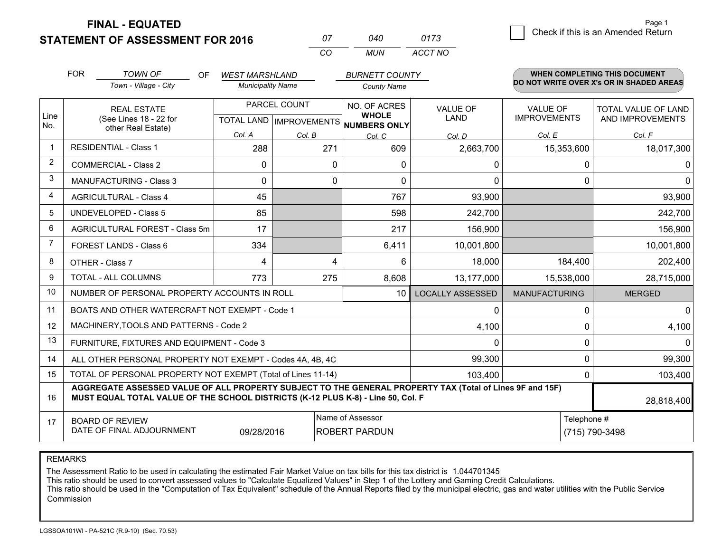**FINAL - EQUATED**

| 07 | N4N  | 0173    |
|----|------|---------|
| rη | MUN. | ACCT NO |

|             | <b>FOR</b>                                                                                                                                                                                   | <b>TOWN OF</b><br><b>OF</b>                                        | <b>WEST MARSHLAND</b>                     |        | <b>BURNETT COUNTY</b>                               |                                |                                        | <b>WHEN COMPLETING THIS DOCUMENT</b>     |  |
|-------------|----------------------------------------------------------------------------------------------------------------------------------------------------------------------------------------------|--------------------------------------------------------------------|-------------------------------------------|--------|-----------------------------------------------------|--------------------------------|----------------------------------------|------------------------------------------|--|
|             |                                                                                                                                                                                              | Town - Village - City                                              | <b>Municipality Name</b>                  |        | <b>County Name</b>                                  |                                |                                        | DO NOT WRITE OVER X's OR IN SHADED AREAS |  |
| Line<br>No. |                                                                                                                                                                                              | <b>REAL ESTATE</b><br>(See Lines 18 - 22 for<br>other Real Estate) | PARCEL COUNT<br>TOTAL LAND   IMPROVEMENTS |        | NO. OF ACRES<br><b>WHOLE</b><br><b>NUMBERS ONLY</b> | <b>VALUE OF</b><br><b>LAND</b> | <b>VALUE OF</b><br><b>IMPROVEMENTS</b> | TOTAL VALUE OF LAND<br>AND IMPROVEMENTS  |  |
|             |                                                                                                                                                                                              |                                                                    | Col. A                                    | Col. B | Col. C                                              | Col. D                         | Col. E                                 | Col. F                                   |  |
| -1          |                                                                                                                                                                                              | <b>RESIDENTIAL - Class 1</b>                                       | 288                                       | 271    | 609                                                 | 2,663,700                      | 15,353,600                             | 18,017,300                               |  |
| 2           |                                                                                                                                                                                              | <b>COMMERCIAL - Class 2</b>                                        | $\mathbf{0}$                              | 0      | 0                                                   | 0                              | 0                                      | 0                                        |  |
| 3           |                                                                                                                                                                                              | <b>MANUFACTURING - Class 3</b>                                     | $\Omega$                                  | 0      | $\mathbf{0}$                                        | $\mathbf 0$                    | 0                                      | $\overline{0}$                           |  |
| 4           |                                                                                                                                                                                              | <b>AGRICULTURAL - Class 4</b>                                      | 45                                        |        | 767                                                 | 93,900                         |                                        | 93,900                                   |  |
| 5           |                                                                                                                                                                                              | UNDEVELOPED - Class 5                                              | 85                                        |        | 598                                                 | 242,700                        |                                        | 242,700                                  |  |
| 6           |                                                                                                                                                                                              | AGRICULTURAL FOREST - Class 5m                                     | 17                                        |        | 217                                                 | 156,900                        |                                        | 156,900                                  |  |
| 7           |                                                                                                                                                                                              | FOREST LANDS - Class 6                                             | 334                                       |        | 6,411                                               | 10,001,800                     |                                        | 10,001,800                               |  |
| 8           |                                                                                                                                                                                              | OTHER - Class 7                                                    | 4                                         | 4      | 6                                                   | 18,000                         | 184,400                                | 202,400                                  |  |
| 9           |                                                                                                                                                                                              | TOTAL - ALL COLUMNS                                                | 773                                       | 275    | 8,608                                               | 13,177,000                     | 15,538,000                             | 28,715,000                               |  |
| 10          |                                                                                                                                                                                              | NUMBER OF PERSONAL PROPERTY ACCOUNTS IN ROLL                       |                                           |        | 10 <sup>°</sup>                                     | <b>LOCALLY ASSESSED</b>        | <b>MANUFACTURING</b>                   | <b>MERGED</b>                            |  |
| 11          |                                                                                                                                                                                              | BOATS AND OTHER WATERCRAFT NOT EXEMPT - Code 1                     |                                           |        |                                                     | 0                              | 0                                      | $\overline{0}$                           |  |
| 12          |                                                                                                                                                                                              | MACHINERY, TOOLS AND PATTERNS - Code 2                             |                                           |        |                                                     | 4,100                          | $\Omega$                               | 4,100                                    |  |
| 13          |                                                                                                                                                                                              | FURNITURE, FIXTURES AND EQUIPMENT - Code 3                         |                                           |        |                                                     | $\Omega$                       | 0                                      | $\Omega$                                 |  |
| 14          |                                                                                                                                                                                              | ALL OTHER PERSONAL PROPERTY NOT EXEMPT - Codes 4A, 4B, 4C          |                                           |        |                                                     | 99,300                         | 0                                      | 99,300                                   |  |
| 15          | TOTAL OF PERSONAL PROPERTY NOT EXEMPT (Total of Lines 11-14)<br>103,400                                                                                                                      |                                                                    |                                           |        |                                                     |                                |                                        | 103,400                                  |  |
| 16          | AGGREGATE ASSESSED VALUE OF ALL PROPERTY SUBJECT TO THE GENERAL PROPERTY TAX (Total of Lines 9F and 15F)<br>MUST EQUAL TOTAL VALUE OF THE SCHOOL DISTRICTS (K-12 PLUS K-8) - Line 50, Col. F |                                                                    |                                           |        |                                                     |                                | 28,818,400                             |                                          |  |
| 17          |                                                                                                                                                                                              | <b>BOARD OF REVIEW</b><br>DATE OF FINAL ADJOURNMENT                | 09/28/2016                                |        | Name of Assessor<br><b>ROBERT PARDUN</b>            | Telephone #<br>(715) 790-3498  |                                        |                                          |  |

REMARKS

The Assessment Ratio to be used in calculating the estimated Fair Market Value on tax bills for this tax district is 1.044701345

This ratio should be used to convert assessed values to "Calculate Equalized Values" in Step 1 of the Lottery and Gaming Credit Calculations.<br>This ratio should be used in the "Computation of Tax Equivalent" schedule of the Commission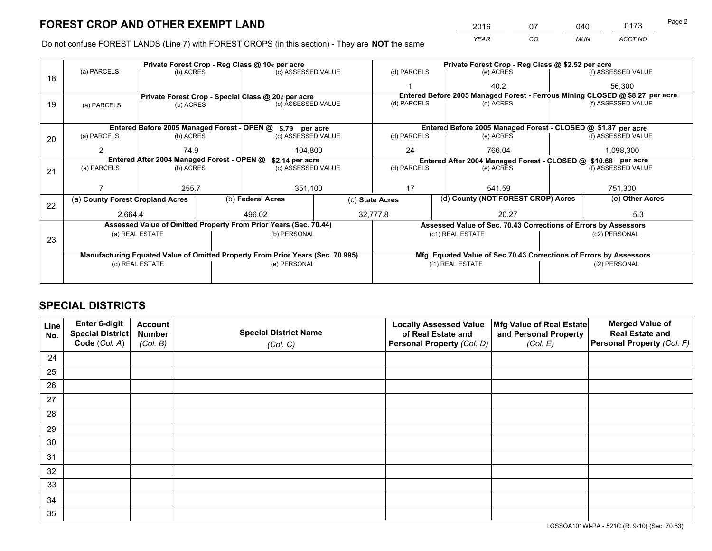*YEAR CO MUN ACCT NO* <sup>2016</sup> <sup>07</sup> <sup>040</sup> <sup>0173</sup>

Do not confuse FOREST LANDS (Line 7) with FOREST CROPS (in this section) - They are **NOT** the same

|    |                                                                                |                 |  | Private Forest Crop - Reg Class @ 10¢ per acre                   |               |                                                               | Private Forest Crop - Reg Class @ \$2.52 per acre     |                                                                    |               |                                                                              |  |
|----|--------------------------------------------------------------------------------|-----------------|--|------------------------------------------------------------------|---------------|---------------------------------------------------------------|-------------------------------------------------------|--------------------------------------------------------------------|---------------|------------------------------------------------------------------------------|--|
| 18 | (a) PARCELS                                                                    | (b) ACRES       |  | (c) ASSESSED VALUE                                               |               | (d) PARCELS                                                   |                                                       | (e) ACRES                                                          |               | (f) ASSESSED VALUE                                                           |  |
|    |                                                                                |                 |  |                                                                  |               |                                                               |                                                       | 40.2                                                               |               | 56,300                                                                       |  |
|    |                                                                                |                 |  | Private Forest Crop - Special Class @ 20¢ per acre               |               |                                                               |                                                       |                                                                    |               | Entered Before 2005 Managed Forest - Ferrous Mining CLOSED @ \$8.27 per acre |  |
| 19 | (a) PARCELS                                                                    | (b) ACRES       |  | (c) ASSESSED VALUE                                               |               | (d) PARCELS                                                   |                                                       | (e) ACRES                                                          |               | (f) ASSESSED VALUE                                                           |  |
|    |                                                                                |                 |  |                                                                  |               |                                                               |                                                       |                                                                    |               |                                                                              |  |
|    |                                                                                |                 |  | Entered Before 2005 Managed Forest - OPEN @ \$.79 per acre       |               |                                                               |                                                       | Entered Before 2005 Managed Forest - CLOSED @ \$1.87 per acre      |               |                                                                              |  |
| 20 | (a) PARCELS                                                                    | (b) ACRES       |  | (c) ASSESSED VALUE                                               |               | (d) PARCELS                                                   |                                                       | (e) ACRES                                                          |               | (f) ASSESSED VALUE                                                           |  |
|    | 2                                                                              | 74.9            |  |                                                                  | 24<br>104.800 |                                                               |                                                       | 766.04                                                             |               | 1,098,300                                                                    |  |
|    | Entered After 2004 Managed Forest - OPEN @<br>\$2.14 per acre                  |                 |  |                                                                  |               | Entered After 2004 Managed Forest - CLOSED @ \$10.68 per acre |                                                       |                                                                    |               |                                                                              |  |
| 21 | (a) PARCELS                                                                    | (b) ACRES       |  | (c) ASSESSED VALUE                                               |               | (d) PARCELS<br>(e) ACRES                                      |                                                       | (f) ASSESSED VALUE                                                 |               |                                                                              |  |
|    |                                                                                |                 |  |                                                                  |               |                                                               |                                                       |                                                                    |               |                                                                              |  |
|    |                                                                                | 255.7           |  | 351,100                                                          |               | 17<br>541.59                                                  |                                                       | 751,300                                                            |               |                                                                              |  |
| 22 | (a) County Forest Cropland Acres                                               |                 |  | (b) Federal Acres                                                |               |                                                               | (d) County (NOT FOREST CROP) Acres<br>(c) State Acres |                                                                    |               | (e) Other Acres                                                              |  |
|    | 2,664.4                                                                        |                 |  | 496.02                                                           |               | 32,777.8                                                      | 20.27                                                 |                                                                    |               | 5.3                                                                          |  |
|    |                                                                                |                 |  | Assessed Value of Omitted Property From Prior Years (Sec. 70.44) |               |                                                               |                                                       | Assessed Value of Sec. 70.43 Corrections of Errors by Assessors    |               |                                                                              |  |
|    |                                                                                | (a) REAL ESTATE |  | (b) PERSONAL                                                     |               |                                                               |                                                       | (c1) REAL ESTATE                                                   | (c2) PERSONAL |                                                                              |  |
| 23 |                                                                                |                 |  |                                                                  |               |                                                               |                                                       |                                                                    |               |                                                                              |  |
|    | Manufacturing Equated Value of Omitted Property From Prior Years (Sec. 70.995) |                 |  |                                                                  |               |                                                               |                                                       | Mfg. Equated Value of Sec.70.43 Corrections of Errors by Assessors |               |                                                                              |  |
|    |                                                                                | (d) REAL ESTATE |  | (e) PERSONAL                                                     |               |                                                               |                                                       | (f1) REAL ESTATE                                                   |               | (f2) PERSONAL                                                                |  |
|    |                                                                                |                 |  |                                                                  |               |                                                               |                                                       |                                                                    |               |                                                                              |  |

## **SPECIAL DISTRICTS**

| Line<br>No. | Enter 6-digit<br>Special District<br>Code (Col. A) | <b>Account</b><br><b>Number</b> | <b>Special District Name</b> | <b>Locally Assessed Value</b><br>of Real Estate and | Mfg Value of Real Estate<br>and Personal Property | <b>Merged Value of</b><br><b>Real Estate and</b><br>Personal Property (Col. F) |
|-------------|----------------------------------------------------|---------------------------------|------------------------------|-----------------------------------------------------|---------------------------------------------------|--------------------------------------------------------------------------------|
|             |                                                    | (Col. B)                        | (Col. C)                     | Personal Property (Col. D)                          | (Col. E)                                          |                                                                                |
| 24          |                                                    |                                 |                              |                                                     |                                                   |                                                                                |
| 25          |                                                    |                                 |                              |                                                     |                                                   |                                                                                |
| 26          |                                                    |                                 |                              |                                                     |                                                   |                                                                                |
| 27          |                                                    |                                 |                              |                                                     |                                                   |                                                                                |
| 28          |                                                    |                                 |                              |                                                     |                                                   |                                                                                |
| 29          |                                                    |                                 |                              |                                                     |                                                   |                                                                                |
| 30          |                                                    |                                 |                              |                                                     |                                                   |                                                                                |
| 31          |                                                    |                                 |                              |                                                     |                                                   |                                                                                |
| 32          |                                                    |                                 |                              |                                                     |                                                   |                                                                                |
| 33          |                                                    |                                 |                              |                                                     |                                                   |                                                                                |
| 34          |                                                    |                                 |                              |                                                     |                                                   |                                                                                |
| 35          |                                                    |                                 |                              |                                                     |                                                   |                                                                                |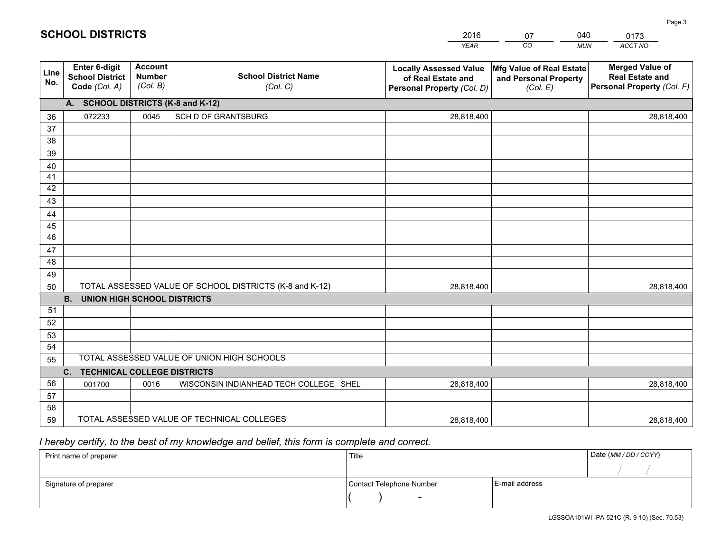|             |                                                          |                                             |                                                         | <b>YEAR</b>                                                                       | CO<br><b>MUN</b>                                              | ACCT NO                                                                        |
|-------------|----------------------------------------------------------|---------------------------------------------|---------------------------------------------------------|-----------------------------------------------------------------------------------|---------------------------------------------------------------|--------------------------------------------------------------------------------|
| Line<br>No. | Enter 6-digit<br><b>School District</b><br>Code (Col. A) | <b>Account</b><br><b>Number</b><br>(Col. B) | <b>School District Name</b><br>(Col. C)                 | <b>Locally Assessed Value</b><br>of Real Estate and<br>Personal Property (Col. D) | Mfg Value of Real Estate<br>and Personal Property<br>(Col. E) | <b>Merged Value of</b><br><b>Real Estate and</b><br>Personal Property (Col. F) |
|             | A. SCHOOL DISTRICTS (K-8 and K-12)                       |                                             |                                                         |                                                                                   |                                                               |                                                                                |
| 36          | 072233                                                   | 0045                                        | SCH D OF GRANTSBURG                                     | 28,818,400                                                                        |                                                               | 28,818,400                                                                     |
| 37          |                                                          |                                             |                                                         |                                                                                   |                                                               |                                                                                |
| 38          |                                                          |                                             |                                                         |                                                                                   |                                                               |                                                                                |
| 39          |                                                          |                                             |                                                         |                                                                                   |                                                               |                                                                                |
| 40          |                                                          |                                             |                                                         |                                                                                   |                                                               |                                                                                |
| 41          |                                                          |                                             |                                                         |                                                                                   |                                                               |                                                                                |
| 42          |                                                          |                                             |                                                         |                                                                                   |                                                               |                                                                                |
| 43          |                                                          |                                             |                                                         |                                                                                   |                                                               |                                                                                |
| 44<br>45    |                                                          |                                             |                                                         |                                                                                   |                                                               |                                                                                |
| 46          |                                                          |                                             |                                                         |                                                                                   |                                                               |                                                                                |
| 47          |                                                          |                                             |                                                         |                                                                                   |                                                               |                                                                                |
| 48          |                                                          |                                             |                                                         |                                                                                   |                                                               |                                                                                |
| 49          |                                                          |                                             |                                                         |                                                                                   |                                                               |                                                                                |
| 50          |                                                          |                                             | TOTAL ASSESSED VALUE OF SCHOOL DISTRICTS (K-8 and K-12) | 28,818,400                                                                        |                                                               | 28,818,400                                                                     |
|             | <b>B.</b><br><b>UNION HIGH SCHOOL DISTRICTS</b>          |                                             |                                                         |                                                                                   |                                                               |                                                                                |
| 51          |                                                          |                                             |                                                         |                                                                                   |                                                               |                                                                                |
| 52          |                                                          |                                             |                                                         |                                                                                   |                                                               |                                                                                |
| 53          |                                                          |                                             |                                                         |                                                                                   |                                                               |                                                                                |
| 54          |                                                          |                                             |                                                         |                                                                                   |                                                               |                                                                                |
| 55          |                                                          |                                             | TOTAL ASSESSED VALUE OF UNION HIGH SCHOOLS              |                                                                                   |                                                               |                                                                                |
|             | <b>TECHNICAL COLLEGE DISTRICTS</b><br>C.                 |                                             |                                                         |                                                                                   |                                                               |                                                                                |
| 56          | 001700                                                   | 0016                                        | WISCONSIN INDIANHEAD TECH COLLEGE SHEL                  | 28,818,400                                                                        |                                                               | 28,818,400                                                                     |
| 57          |                                                          |                                             |                                                         |                                                                                   |                                                               |                                                                                |
| 58          |                                                          |                                             |                                                         |                                                                                   |                                                               |                                                                                |
| 59          |                                                          |                                             | TOTAL ASSESSED VALUE OF TECHNICAL COLLEGES              | 28,818,400                                                                        |                                                               | 28,818,400                                                                     |

07

040

## *I hereby certify, to the best of my knowledge and belief, this form is complete and correct.*

**SCHOOL DISTRICTS**

| Print name of preparer | Title                    | Date (MM / DD / CCYY) |  |
|------------------------|--------------------------|-----------------------|--|
|                        |                          |                       |  |
| Signature of preparer  | Contact Telephone Number | E-mail address        |  |
|                        | $\overline{\phantom{0}}$ |                       |  |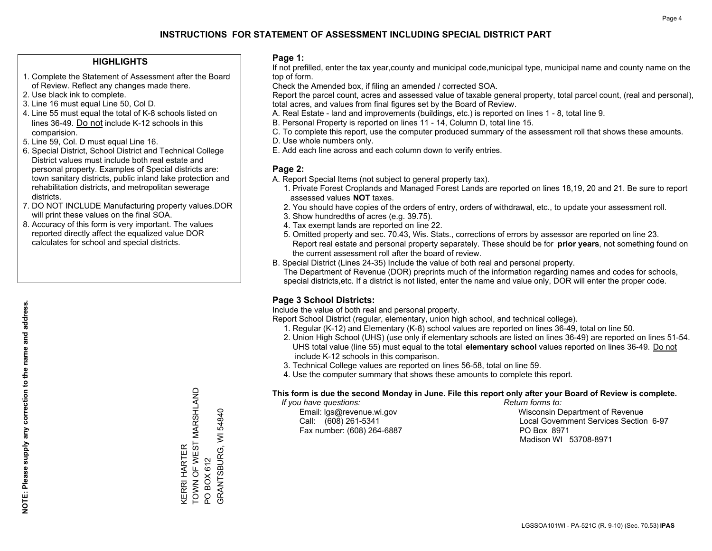### **HIGHLIGHTS**

- 1. Complete the Statement of Assessment after the Board of Review. Reflect any changes made there.
- 2. Use black ink to complete.
- 3. Line 16 must equal Line 50, Col D.
- 4. Line 55 must equal the total of K-8 schools listed on lines 36-49. Do not include K-12 schools in this comparision.
- 5. Line 59, Col. D must equal Line 16.
- 6. Special District, School District and Technical College District values must include both real estate and personal property. Examples of Special districts are: town sanitary districts, public inland lake protection and rehabilitation districts, and metropolitan sewerage districts.
- 7. DO NOT INCLUDE Manufacturing property values.DOR will print these values on the final SOA.

KERRI HARTER

TOWN OF WEST MARSHLAND

KERRI HARTER<br>TOWN OF WEST MARSHLAND

PO BOX 612

PO BOX 612

GRANTSBURG, WI 54840

GRANTSBURG, WI 54840

 8. Accuracy of this form is very important. The values reported directly affect the equalized value DOR calculates for school and special districts.

### **Page 1:**

 If not prefilled, enter the tax year,county and municipal code,municipal type, municipal name and county name on the top of form.

Check the Amended box, if filing an amended / corrected SOA.

 Report the parcel count, acres and assessed value of taxable general property, total parcel count, (real and personal), total acres, and values from final figures set by the Board of Review.

- A. Real Estate land and improvements (buildings, etc.) is reported on lines 1 8, total line 9.
- B. Personal Property is reported on lines 11 14, Column D, total line 15.
- C. To complete this report, use the computer produced summary of the assessment roll that shows these amounts.
- D. Use whole numbers only.
- E. Add each line across and each column down to verify entries.

### **Page 2:**

- A. Report Special Items (not subject to general property tax).
- 1. Private Forest Croplands and Managed Forest Lands are reported on lines 18,19, 20 and 21. Be sure to report assessed values **NOT** taxes.
- 2. You should have copies of the orders of entry, orders of withdrawal, etc., to update your assessment roll.
	- 3. Show hundredths of acres (e.g. 39.75).
- 4. Tax exempt lands are reported on line 22.
- 5. Omitted property and sec. 70.43, Wis. Stats., corrections of errors by assessor are reported on line 23. Report real estate and personal property separately. These should be for **prior years**, not something found on the current assessment roll after the board of review.
- B. Special District (Lines 24-35) Include the value of both real and personal property.
- The Department of Revenue (DOR) preprints much of the information regarding names and codes for schools, special districts,etc. If a district is not listed, enter the name and value only, DOR will enter the proper code.

### **Page 3 School Districts:**

Include the value of both real and personal property.

Report School District (regular, elementary, union high school, and technical college).

- 1. Regular (K-12) and Elementary (K-8) school values are reported on lines 36-49, total on line 50.
- 2. Union High School (UHS) (use only if elementary schools are listed on lines 36-49) are reported on lines 51-54. UHS total value (line 55) must equal to the total **elementary school** values reported on lines 36-49. Do notinclude K-12 schools in this comparison.
- 3. Technical College values are reported on lines 56-58, total on line 59.
- 4. Use the computer summary that shows these amounts to complete this report.

#### **This form is due the second Monday in June. File this report only after your Board of Review is complete.**

 *If you have questions: Return forms to:*

Fax number: (608) 264-6887 PO Box 8971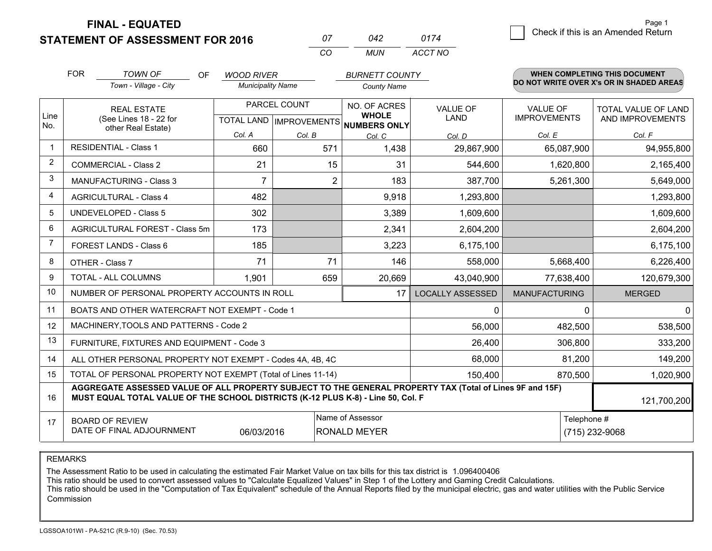**FINAL - EQUATED**

| 07 | N42 | 0174    |
|----|-----|---------|
|    | MUN | ACCT NO |

|                         | <b>FOR</b><br><b>TOWN OF</b><br>OF<br><b>WOOD RIVER</b><br><b>BURNETT COUNTY</b><br>Town - Village - City |                                                                                                                                                                                              |                | <b>WHEN COMPLETING THIS DOCUMENT</b><br>DO NOT WRITE OVER X's OR IN SHADED AREAS |                                     |                         |                      |                            |  |
|-------------------------|-----------------------------------------------------------------------------------------------------------|----------------------------------------------------------------------------------------------------------------------------------------------------------------------------------------------|----------------|----------------------------------------------------------------------------------|-------------------------------------|-------------------------|----------------------|----------------------------|--|
|                         |                                                                                                           | <b>Municipality Name</b>                                                                                                                                                                     |                | <b>County Name</b>                                                               |                                     |                         |                      |                            |  |
| Line                    |                                                                                                           | <b>REAL ESTATE</b>                                                                                                                                                                           |                | PARCEL COUNT                                                                     | NO. OF ACRES<br><b>WHOLE</b>        | <b>VALUE OF</b>         | <b>VALUE OF</b>      | <b>TOTAL VALUE OF LAND</b> |  |
| No.                     | (See Lines 18 - 22 for                                                                                    | other Real Estate)                                                                                                                                                                           |                |                                                                                  | TOTAL LAND MPROVEMENTS NUMBERS ONLY | LAND                    | <b>IMPROVEMENTS</b>  | AND IMPROVEMENTS           |  |
|                         |                                                                                                           |                                                                                                                                                                                              | Col. A         | Col. B                                                                           | Col. C                              | Col. D                  | Col. E               | Col. F                     |  |
| $\mathbf 1$             |                                                                                                           | <b>RESIDENTIAL - Class 1</b>                                                                                                                                                                 | 660            | 571                                                                              | 1,438                               | 29,867,900              | 65,087,900           | 94,955,800                 |  |
| $\overline{2}$          |                                                                                                           | <b>COMMERCIAL - Class 2</b>                                                                                                                                                                  | 21             | 15                                                                               | 31                                  | 544,600                 | 1,620,800            | 2,165,400                  |  |
| 3                       |                                                                                                           | <b>MANUFACTURING - Class 3</b>                                                                                                                                                               | $\overline{7}$ | 2                                                                                | 183                                 | 387,700                 | 5,261,300            | 5,649,000                  |  |
| $\overline{\mathbf{4}}$ |                                                                                                           | <b>AGRICULTURAL - Class 4</b>                                                                                                                                                                | 482            |                                                                                  | 9,918                               | 1,293,800               |                      | 1,293,800                  |  |
| 5                       |                                                                                                           | <b>UNDEVELOPED - Class 5</b>                                                                                                                                                                 | 302            |                                                                                  | 3,389                               | 1,609,600               |                      | 1,609,600                  |  |
| 6                       | AGRICULTURAL FOREST - Class 5m                                                                            |                                                                                                                                                                                              | 173            |                                                                                  | 2,341                               | 2,604,200               |                      | 2,604,200                  |  |
| 7                       |                                                                                                           | FOREST LANDS - Class 6                                                                                                                                                                       | 185            |                                                                                  | 3,223                               | 6,175,100               |                      | 6,175,100                  |  |
| 8                       |                                                                                                           | OTHER - Class 7                                                                                                                                                                              | 71             | 71                                                                               | 146                                 | 558,000                 | 5,668,400            | 6,226,400                  |  |
| 9                       |                                                                                                           | TOTAL - ALL COLUMNS                                                                                                                                                                          | 1,901          | 659                                                                              | 20,669                              | 43,040,900              | 77,638,400           | 120,679,300                |  |
| 10                      |                                                                                                           | NUMBER OF PERSONAL PROPERTY ACCOUNTS IN ROLL                                                                                                                                                 |                |                                                                                  | 17                                  | <b>LOCALLY ASSESSED</b> | <b>MANUFACTURING</b> | <b>MERGED</b>              |  |
| 11                      |                                                                                                           | BOATS AND OTHER WATERCRAFT NOT EXEMPT - Code 1                                                                                                                                               |                |                                                                                  |                                     | 0                       | 0                    | $\mathbf 0$                |  |
| 12                      |                                                                                                           | MACHINERY, TOOLS AND PATTERNS - Code 2                                                                                                                                                       |                |                                                                                  |                                     | 56,000                  | 482,500              | 538,500                    |  |
| 13                      |                                                                                                           | FURNITURE, FIXTURES AND EQUIPMENT - Code 3                                                                                                                                                   |                |                                                                                  |                                     | 26,400                  | 306,800              | 333,200                    |  |
| 14                      |                                                                                                           | ALL OTHER PERSONAL PROPERTY NOT EXEMPT - Codes 4A, 4B, 4C                                                                                                                                    |                |                                                                                  |                                     | 68,000                  | 81,200               | 149,200                    |  |
| 15                      |                                                                                                           | TOTAL OF PERSONAL PROPERTY NOT EXEMPT (Total of Lines 11-14)                                                                                                                                 |                |                                                                                  |                                     | 150,400                 | 870,500              | 1,020,900                  |  |
| 16                      |                                                                                                           | AGGREGATE ASSESSED VALUE OF ALL PROPERTY SUBJECT TO THE GENERAL PROPERTY TAX (Total of Lines 9F and 15F)<br>MUST EQUAL TOTAL VALUE OF THE SCHOOL DISTRICTS (K-12 PLUS K-8) - Line 50, Col. F |                |                                                                                  |                                     |                         |                      | 121,700,200                |  |
| 17                      |                                                                                                           | <b>BOARD OF REVIEW</b>                                                                                                                                                                       |                |                                                                                  | Name of Assessor                    |                         |                      | Telephone #                |  |
|                         |                                                                                                           | DATE OF FINAL ADJOURNMENT                                                                                                                                                                    | 06/03/2016     |                                                                                  | <b>RONALD MEYER</b>                 |                         |                      | (715) 232-9068             |  |

REMARKS

The Assessment Ratio to be used in calculating the estimated Fair Market Value on tax bills for this tax district is 1.096400406

This ratio should be used to convert assessed values to "Calculate Equalized Values" in Step 1 of the Lottery and Gaming Credit Calculations.<br>This ratio should be used in the "Computation of Tax Equivalent" schedule of the Commission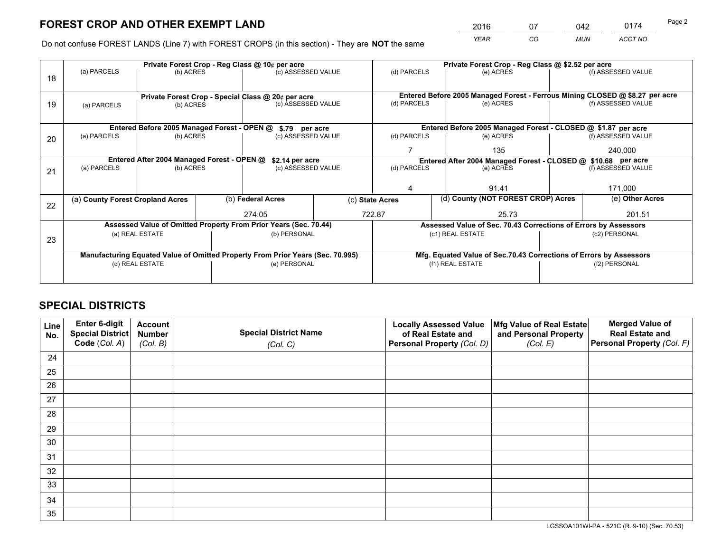*YEAR CO MUN ACCT NO* 2016 07 042 0174 Page 2

Do not confuse FOREST LANDS (Line 7) with FOREST CROPS (in this section) - They are **NOT** the same

|    |                                                               |                                             |  | Private Forest Crop - Reg Class @ 10¢ per acre                                 |     | Private Forest Crop - Reg Class @ \$2.52 per acre     |                                                                              |         |                    |  |
|----|---------------------------------------------------------------|---------------------------------------------|--|--------------------------------------------------------------------------------|-----|-------------------------------------------------------|------------------------------------------------------------------------------|---------|--------------------|--|
| 18 | (a) PARCELS                                                   | (b) ACRES                                   |  | (c) ASSESSED VALUE                                                             |     | (d) PARCELS                                           | (e) ACRES                                                                    |         | (f) ASSESSED VALUE |  |
|    |                                                               |                                             |  |                                                                                |     |                                                       |                                                                              |         |                    |  |
|    |                                                               |                                             |  | Private Forest Crop - Special Class @ 20¢ per acre                             |     |                                                       | Entered Before 2005 Managed Forest - Ferrous Mining CLOSED @ \$8.27 per acre |         |                    |  |
| 19 | (a) PARCELS                                                   | (b) ACRES                                   |  | (c) ASSESSED VALUE                                                             |     | (d) PARCELS                                           | (e) ACRES                                                                    |         | (f) ASSESSED VALUE |  |
|    |                                                               |                                             |  |                                                                                |     |                                                       |                                                                              |         |                    |  |
|    |                                                               | Entered Before 2005 Managed Forest - OPEN @ |  | \$.79 per acre                                                                 |     |                                                       | Entered Before 2005 Managed Forest - CLOSED @ \$1.87 per acre                |         |                    |  |
| 20 | (a) PARCELS                                                   | (b) ACRES                                   |  | (c) ASSESSED VALUE                                                             |     | (d) PARCELS                                           | (e) ACRES                                                                    |         | (f) ASSESSED VALUE |  |
|    |                                                               |                                             |  |                                                                                | 135 |                                                       |                                                                              | 240,000 |                    |  |
|    | Entered After 2004 Managed Forest - OPEN @<br>\$2.14 per acre |                                             |  |                                                                                |     |                                                       | Entered After 2004 Managed Forest - CLOSED @ \$10.68 per acre                |         |                    |  |
| 21 | (a) PARCELS                                                   | (b) ACRES                                   |  | (c) ASSESSED VALUE                                                             |     | (d) PARCELS                                           | (e) ACRES                                                                    |         |                    |  |
|    |                                                               |                                             |  |                                                                                |     |                                                       |                                                                              |         |                    |  |
|    |                                                               |                                             |  |                                                                                |     |                                                       | 91.41                                                                        |         |                    |  |
| 22 | (a) County Forest Cropland Acres                              |                                             |  | (b) Federal Acres                                                              |     | (d) County (NOT FOREST CROP) Acres<br>(c) State Acres |                                                                              |         | (e) Other Acres    |  |
|    |                                                               |                                             |  | 274.05                                                                         |     | 722.87                                                | 25.73                                                                        |         | 201.51             |  |
|    |                                                               |                                             |  | Assessed Value of Omitted Property From Prior Years (Sec. 70.44)               |     |                                                       | Assessed Value of Sec. 70.43 Corrections of Errors by Assessors              |         |                    |  |
|    |                                                               | (a) REAL ESTATE                             |  | (b) PERSONAL                                                                   |     |                                                       | (c1) REAL ESTATE                                                             |         | (c2) PERSONAL      |  |
| 23 |                                                               |                                             |  |                                                                                |     |                                                       |                                                                              |         |                    |  |
|    |                                                               |                                             |  | Manufacturing Equated Value of Omitted Property From Prior Years (Sec. 70.995) |     |                                                       | Mfg. Equated Value of Sec.70.43 Corrections of Errors by Assessors           |         |                    |  |
|    |                                                               | (d) REAL ESTATE                             |  | (e) PERSONAL                                                                   |     | (f1) REAL ESTATE                                      |                                                                              |         | (f2) PERSONAL      |  |
|    |                                                               |                                             |  |                                                                                |     |                                                       |                                                                              |         |                    |  |

## **SPECIAL DISTRICTS**

| Line<br>No. | Enter 6-digit<br>Special District<br>Code (Col. A) | <b>Account</b><br><b>Number</b> | <b>Special District Name</b> | <b>Locally Assessed Value</b><br>of Real Estate and | Mfg Value of Real Estate<br>and Personal Property | <b>Merged Value of</b><br><b>Real Estate and</b><br>Personal Property (Col. F) |
|-------------|----------------------------------------------------|---------------------------------|------------------------------|-----------------------------------------------------|---------------------------------------------------|--------------------------------------------------------------------------------|
|             |                                                    | (Col. B)                        | (Col. C)                     | Personal Property (Col. D)                          | (Col. E)                                          |                                                                                |
| 24          |                                                    |                                 |                              |                                                     |                                                   |                                                                                |
| 25          |                                                    |                                 |                              |                                                     |                                                   |                                                                                |
| 26          |                                                    |                                 |                              |                                                     |                                                   |                                                                                |
| 27          |                                                    |                                 |                              |                                                     |                                                   |                                                                                |
| 28          |                                                    |                                 |                              |                                                     |                                                   |                                                                                |
| 29          |                                                    |                                 |                              |                                                     |                                                   |                                                                                |
| 30          |                                                    |                                 |                              |                                                     |                                                   |                                                                                |
| 31          |                                                    |                                 |                              |                                                     |                                                   |                                                                                |
| 32          |                                                    |                                 |                              |                                                     |                                                   |                                                                                |
| 33          |                                                    |                                 |                              |                                                     |                                                   |                                                                                |
| 34          |                                                    |                                 |                              |                                                     |                                                   |                                                                                |
| 35          |                                                    |                                 |                              |                                                     |                                                   |                                                                                |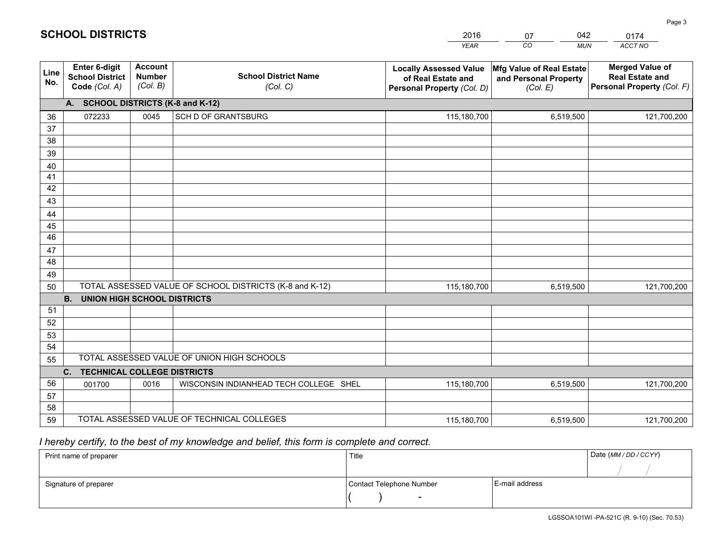| <b>Account</b><br>Enter 6-digit<br><b>Merged Value of</b><br>Mfg Value of Real Estate<br><b>Locally Assessed Value</b><br>Line<br><b>School District Name</b><br><b>Number</b><br><b>School District</b><br><b>Real Estate and</b><br>of Real Estate and<br>and Personal Property<br>No.<br>(Col. B)<br>Personal Property (Col. F)<br>Code (Col. A)<br>(Col. C)<br>(Col. E)<br>Personal Property (Col. D)<br>A. SCHOOL DISTRICTS (K-8 and K-12)<br>SCH D OF GRANTSBURG<br>072233<br>0045<br>115,180,700<br>6,519,500<br>121,700,200<br>36<br>37<br>38<br>39<br>40<br>41<br>42<br>43<br>44<br>45<br>46<br>47<br>48<br>49<br>TOTAL ASSESSED VALUE OF SCHOOL DISTRICTS (K-8 and K-12)<br>50<br>115,180,700<br>6,519,500<br>121,700,200<br><b>B.</b><br><b>UNION HIGH SCHOOL DISTRICTS</b><br>51<br>52<br>53<br>54<br>TOTAL ASSESSED VALUE OF UNION HIGH SCHOOLS<br>55<br>C.<br><b>TECHNICAL COLLEGE DISTRICTS</b><br>56<br>WISCONSIN INDIANHEAD TECH COLLEGE SHEL<br>0016<br>115,180,700<br>6,519,500<br>001700<br>121,700,200 |    |  | <b>YEAR</b> | $\overline{co}$<br><b>MUN</b> | ACCT NO |
|-----------------------------------------------------------------------------------------------------------------------------------------------------------------------------------------------------------------------------------------------------------------------------------------------------------------------------------------------------------------------------------------------------------------------------------------------------------------------------------------------------------------------------------------------------------------------------------------------------------------------------------------------------------------------------------------------------------------------------------------------------------------------------------------------------------------------------------------------------------------------------------------------------------------------------------------------------------------------------------------------------------------------------|----|--|-------------|-------------------------------|---------|
|                                                                                                                                                                                                                                                                                                                                                                                                                                                                                                                                                                                                                                                                                                                                                                                                                                                                                                                                                                                                                             |    |  |             |                               |         |
|                                                                                                                                                                                                                                                                                                                                                                                                                                                                                                                                                                                                                                                                                                                                                                                                                                                                                                                                                                                                                             |    |  |             |                               |         |
|                                                                                                                                                                                                                                                                                                                                                                                                                                                                                                                                                                                                                                                                                                                                                                                                                                                                                                                                                                                                                             |    |  |             |                               |         |
|                                                                                                                                                                                                                                                                                                                                                                                                                                                                                                                                                                                                                                                                                                                                                                                                                                                                                                                                                                                                                             |    |  |             |                               |         |
|                                                                                                                                                                                                                                                                                                                                                                                                                                                                                                                                                                                                                                                                                                                                                                                                                                                                                                                                                                                                                             |    |  |             |                               |         |
|                                                                                                                                                                                                                                                                                                                                                                                                                                                                                                                                                                                                                                                                                                                                                                                                                                                                                                                                                                                                                             |    |  |             |                               |         |
|                                                                                                                                                                                                                                                                                                                                                                                                                                                                                                                                                                                                                                                                                                                                                                                                                                                                                                                                                                                                                             |    |  |             |                               |         |
|                                                                                                                                                                                                                                                                                                                                                                                                                                                                                                                                                                                                                                                                                                                                                                                                                                                                                                                                                                                                                             |    |  |             |                               |         |
|                                                                                                                                                                                                                                                                                                                                                                                                                                                                                                                                                                                                                                                                                                                                                                                                                                                                                                                                                                                                                             |    |  |             |                               |         |
|                                                                                                                                                                                                                                                                                                                                                                                                                                                                                                                                                                                                                                                                                                                                                                                                                                                                                                                                                                                                                             |    |  |             |                               |         |
|                                                                                                                                                                                                                                                                                                                                                                                                                                                                                                                                                                                                                                                                                                                                                                                                                                                                                                                                                                                                                             |    |  |             |                               |         |
|                                                                                                                                                                                                                                                                                                                                                                                                                                                                                                                                                                                                                                                                                                                                                                                                                                                                                                                                                                                                                             |    |  |             |                               |         |
|                                                                                                                                                                                                                                                                                                                                                                                                                                                                                                                                                                                                                                                                                                                                                                                                                                                                                                                                                                                                                             |    |  |             |                               |         |
|                                                                                                                                                                                                                                                                                                                                                                                                                                                                                                                                                                                                                                                                                                                                                                                                                                                                                                                                                                                                                             |    |  |             |                               |         |
|                                                                                                                                                                                                                                                                                                                                                                                                                                                                                                                                                                                                                                                                                                                                                                                                                                                                                                                                                                                                                             |    |  |             |                               |         |
|                                                                                                                                                                                                                                                                                                                                                                                                                                                                                                                                                                                                                                                                                                                                                                                                                                                                                                                                                                                                                             |    |  |             |                               |         |
|                                                                                                                                                                                                                                                                                                                                                                                                                                                                                                                                                                                                                                                                                                                                                                                                                                                                                                                                                                                                                             |    |  |             |                               |         |
|                                                                                                                                                                                                                                                                                                                                                                                                                                                                                                                                                                                                                                                                                                                                                                                                                                                                                                                                                                                                                             |    |  |             |                               |         |
|                                                                                                                                                                                                                                                                                                                                                                                                                                                                                                                                                                                                                                                                                                                                                                                                                                                                                                                                                                                                                             |    |  |             |                               |         |
|                                                                                                                                                                                                                                                                                                                                                                                                                                                                                                                                                                                                                                                                                                                                                                                                                                                                                                                                                                                                                             |    |  |             |                               |         |
|                                                                                                                                                                                                                                                                                                                                                                                                                                                                                                                                                                                                                                                                                                                                                                                                                                                                                                                                                                                                                             |    |  |             |                               |         |
|                                                                                                                                                                                                                                                                                                                                                                                                                                                                                                                                                                                                                                                                                                                                                                                                                                                                                                                                                                                                                             |    |  |             |                               |         |
|                                                                                                                                                                                                                                                                                                                                                                                                                                                                                                                                                                                                                                                                                                                                                                                                                                                                                                                                                                                                                             |    |  |             |                               |         |
|                                                                                                                                                                                                                                                                                                                                                                                                                                                                                                                                                                                                                                                                                                                                                                                                                                                                                                                                                                                                                             | 57 |  |             |                               |         |
| 58                                                                                                                                                                                                                                                                                                                                                                                                                                                                                                                                                                                                                                                                                                                                                                                                                                                                                                                                                                                                                          |    |  |             |                               |         |
| TOTAL ASSESSED VALUE OF TECHNICAL COLLEGES<br>59<br>121,700,200<br>115,180,700<br>6,519,500                                                                                                                                                                                                                                                                                                                                                                                                                                                                                                                                                                                                                                                                                                                                                                                                                                                                                                                                 |    |  |             |                               |         |

07

042

 *I hereby certify, to the best of my knowledge and belief, this form is complete and correct.*

**SCHOOL DISTRICTS**

| Print name of preparer | Title                    |                | Date (MM / DD / CCYY) |
|------------------------|--------------------------|----------------|-----------------------|
|                        |                          |                |                       |
| Signature of preparer  | Contact Telephone Number | E-mail address |                       |
|                        | $\sim$                   |                |                       |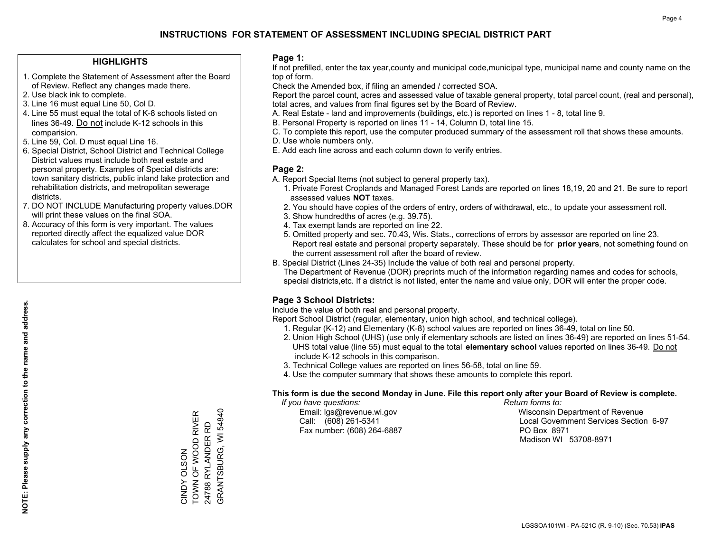### **HIGHLIGHTS**

- 1. Complete the Statement of Assessment after the Board of Review. Reflect any changes made there.
- 2. Use black ink to complete.
- 3. Line 16 must equal Line 50, Col D.
- 4. Line 55 must equal the total of K-8 schools listed on lines 36-49. Do not include K-12 schools in this comparision.
- 5. Line 59, Col. D must equal Line 16.
- 6. Special District, School District and Technical College District values must include both real estate and personal property. Examples of Special districts are: town sanitary districts, public inland lake protection and rehabilitation districts, and metropolitan sewerage districts.
- 7. DO NOT INCLUDE Manufacturing property values.DOR will print these values on the final SOA.

CINDY OLSON

TOWN OF WOOD RIVER 24788 RYLANDER RD GRANTSBURG, WI 54840

CINDY OLSON<br>TOWN OF WOOD RIVER 24788 RYLANDER RD GRANTSBURG, WI 54840

 8. Accuracy of this form is very important. The values reported directly affect the equalized value DOR calculates for school and special districts.

### **Page 1:**

 If not prefilled, enter the tax year,county and municipal code,municipal type, municipal name and county name on the top of form.

Check the Amended box, if filing an amended / corrected SOA.

 Report the parcel count, acres and assessed value of taxable general property, total parcel count, (real and personal), total acres, and values from final figures set by the Board of Review.

- A. Real Estate land and improvements (buildings, etc.) is reported on lines 1 8, total line 9.
- B. Personal Property is reported on lines 11 14, Column D, total line 15.
- C. To complete this report, use the computer produced summary of the assessment roll that shows these amounts.
- D. Use whole numbers only.
- E. Add each line across and each column down to verify entries.

### **Page 2:**

- A. Report Special Items (not subject to general property tax).
- 1. Private Forest Croplands and Managed Forest Lands are reported on lines 18,19, 20 and 21. Be sure to report assessed values **NOT** taxes.
- 2. You should have copies of the orders of entry, orders of withdrawal, etc., to update your assessment roll.
	- 3. Show hundredths of acres (e.g. 39.75).
- 4. Tax exempt lands are reported on line 22.
- 5. Omitted property and sec. 70.43, Wis. Stats., corrections of errors by assessor are reported on line 23. Report real estate and personal property separately. These should be for **prior years**, not something found on the current assessment roll after the board of review.
- B. Special District (Lines 24-35) Include the value of both real and personal property.

 The Department of Revenue (DOR) preprints much of the information regarding names and codes for schools, special districts,etc. If a district is not listed, enter the name and value only, DOR will enter the proper code.

### **Page 3 School Districts:**

Include the value of both real and personal property.

Report School District (regular, elementary, union high school, and technical college).

- 1. Regular (K-12) and Elementary (K-8) school values are reported on lines 36-49, total on line 50.
- 2. Union High School (UHS) (use only if elementary schools are listed on lines 36-49) are reported on lines 51-54. UHS total value (line 55) must equal to the total **elementary school** values reported on lines 36-49. Do notinclude K-12 schools in this comparison.
- 3. Technical College values are reported on lines 56-58, total on line 59.
- 4. Use the computer summary that shows these amounts to complete this report.

#### **This form is due the second Monday in June. File this report only after your Board of Review is complete.**

 *If you have questions: Return forms to:*

Fax number: (608) 264-6887 PO Box 8971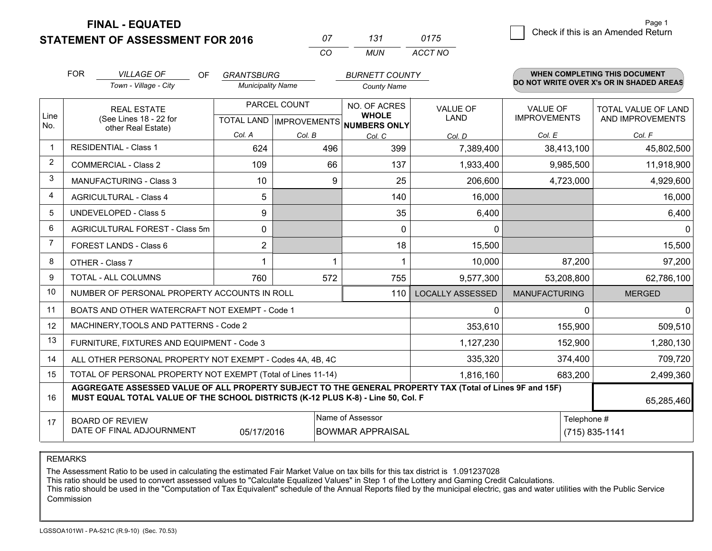**FINAL - EQUATED**

| $^{\prime\prime}$ | 737   | 0175    |
|-------------------|-------|---------|
| $\cdots$          | MI IN | ACCT NO |

|                | <b>FOR</b>                                                                                                                                                                                   | <b>VILLAGE OF</b><br>OF.                                                                                                                          | <b>GRANTSBURG</b>                         |        | <b>BURNETT COUNTY</b>         |                                |                                        | <b>WHEN COMPLETING THIS DOCUMENT</b>     |
|----------------|----------------------------------------------------------------------------------------------------------------------------------------------------------------------------------------------|---------------------------------------------------------------------------------------------------------------------------------------------------|-------------------------------------------|--------|-------------------------------|--------------------------------|----------------------------------------|------------------------------------------|
|                |                                                                                                                                                                                              | Town - Village - City                                                                                                                             | <b>Municipality Name</b>                  |        | <b>County Name</b>            |                                |                                        | DO NOT WRITE OVER X's OR IN SHADED AREAS |
| Line           |                                                                                                                                                                                              | <b>REAL ESTATE</b><br>(See Lines 18 - 22 for                                                                                                      | PARCEL COUNT<br>TOTAL LAND   IMPROVEMENTS |        | NO. OF ACRES<br><b>WHOLE</b>  | <b>VALUE OF</b><br><b>LAND</b> | <b>VALUE OF</b><br><b>IMPROVEMENTS</b> | TOTAL VALUE OF LAND<br>AND IMPROVEMENTS  |
| No.            |                                                                                                                                                                                              | other Real Estate)                                                                                                                                | Col. A                                    | Col. B | <b>NUMBERS ONLY</b><br>Col. C | Col. D                         | Col. E                                 | Col. F                                   |
| -1             | <b>RESIDENTIAL - Class 1</b>                                                                                                                                                                 |                                                                                                                                                   | 624                                       | 496    | 399                           | 7,389,400                      | 38,413,100                             | 45,802,500                               |
| 2              |                                                                                                                                                                                              | <b>COMMERCIAL - Class 2</b>                                                                                                                       | 109                                       | 66     | 137                           | 1,933,400                      | 9,985,500                              | 11,918,900                               |
| 3              |                                                                                                                                                                                              | <b>MANUFACTURING - Class 3</b>                                                                                                                    | 10                                        | 9      | 25                            | 206,600                        | 4,723,000                              | 4,929,600                                |
| 4              |                                                                                                                                                                                              | <b>AGRICULTURAL - Class 4</b>                                                                                                                     | 5                                         |        | 140                           | 16,000                         |                                        | 16,000                                   |
| 5              |                                                                                                                                                                                              | <b>UNDEVELOPED - Class 5</b>                                                                                                                      | 9                                         |        | 35                            | 6,400                          |                                        | 6,400                                    |
| 6              | AGRICULTURAL FOREST - Class 5m                                                                                                                                                               |                                                                                                                                                   | 0                                         |        | $\Omega$                      | 0                              |                                        | $\mathbf{0}$                             |
| $\overline{7}$ | FOREST LANDS - Class 6                                                                                                                                                                       |                                                                                                                                                   | $\overline{2}$                            |        | 18                            | 15,500                         |                                        | 15,500                                   |
| 8              |                                                                                                                                                                                              | OTHER - Class 7                                                                                                                                   | 1                                         | 1      |                               | 10,000                         | 87,200                                 | 97,200                                   |
| 9              |                                                                                                                                                                                              | TOTAL - ALL COLUMNS                                                                                                                               | 760                                       | 572    | 755                           | 9,577,300                      | 53,208,800                             | 62,786,100                               |
| 10             |                                                                                                                                                                                              | NUMBER OF PERSONAL PROPERTY ACCOUNTS IN ROLL                                                                                                      |                                           |        | 110                           | <b>LOCALLY ASSESSED</b>        | <b>MANUFACTURING</b>                   | <b>MERGED</b>                            |
| 11             |                                                                                                                                                                                              | BOATS AND OTHER WATERCRAFT NOT EXEMPT - Code 1                                                                                                    |                                           |        |                               | 0                              | 0                                      | 0                                        |
| 12             |                                                                                                                                                                                              | MACHINERY, TOOLS AND PATTERNS - Code 2                                                                                                            |                                           |        |                               | 353,610                        | 155,900                                | 509,510                                  |
| 13             |                                                                                                                                                                                              | FURNITURE, FIXTURES AND EQUIPMENT - Code 3                                                                                                        |                                           |        |                               | 1,127,230                      | 152,900                                | 1,280,130                                |
| 14             |                                                                                                                                                                                              | ALL OTHER PERSONAL PROPERTY NOT EXEMPT - Codes 4A, 4B, 4C                                                                                         |                                           |        |                               | 335,320                        | 374,400                                | 709,720                                  |
| 15             |                                                                                                                                                                                              | TOTAL OF PERSONAL PROPERTY NOT EXEMPT (Total of Lines 11-14)                                                                                      |                                           |        |                               | 1,816,160                      | 683,200                                | 2,499,360                                |
| 16             | AGGREGATE ASSESSED VALUE OF ALL PROPERTY SUBJECT TO THE GENERAL PROPERTY TAX (Total of Lines 9F and 15F)<br>MUST EQUAL TOTAL VALUE OF THE SCHOOL DISTRICTS (K-12 PLUS K-8) - Line 50, Col. F |                                                                                                                                                   |                                           |        |                               |                                |                                        | 65,285,460                               |
| 17             |                                                                                                                                                                                              | Name of Assessor<br>Telephone #<br><b>BOARD OF REVIEW</b><br>DATE OF FINAL ADJOURNMENT<br>05/17/2016<br><b>BOWMAR APPRAISAL</b><br>(715) 835-1141 |                                           |        |                               |                                |                                        |                                          |

REMARKS

The Assessment Ratio to be used in calculating the estimated Fair Market Value on tax bills for this tax district is 1.091237028<br>This ratio should be used to convert assessed values to "Calculate Equalized Values" in Step Commission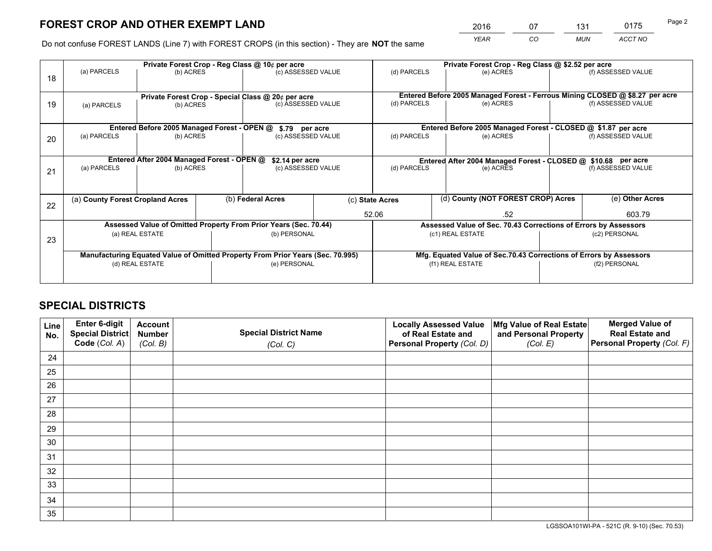*YEAR CO MUN ACCT NO* <sup>2016</sup> <sup>07</sup> <sup>131</sup> <sup>0175</sup> Page 2

Do not confuse FOREST LANDS (Line 7) with FOREST CROPS (in this section) - They are **NOT** the same

|    |                                                               |                                             | Private Forest Crop - Reg Class @ 10¢ per acre |                                                                                | Private Forest Crop - Reg Class @ \$2.52 per acre |                          |  |                                                                    |               |                                                                              |
|----|---------------------------------------------------------------|---------------------------------------------|------------------------------------------------|--------------------------------------------------------------------------------|---------------------------------------------------|--------------------------|--|--------------------------------------------------------------------|---------------|------------------------------------------------------------------------------|
| 18 | (a) PARCELS                                                   | (b) ACRES                                   |                                                | (c) ASSESSED VALUE                                                             |                                                   | (d) PARCELS              |  | (e) ACRES                                                          |               | (f) ASSESSED VALUE                                                           |
|    |                                                               |                                             |                                                | Private Forest Crop - Special Class @ 20¢ per acre                             |                                                   |                          |  |                                                                    |               | Entered Before 2005 Managed Forest - Ferrous Mining CLOSED @ \$8.27 per acre |
| 19 | (a) PARCELS                                                   | (b) ACRES                                   |                                                | (c) ASSESSED VALUE                                                             |                                                   | (d) PARCELS              |  | (e) ACRES                                                          |               | (f) ASSESSED VALUE                                                           |
|    |                                                               | Entered Before 2005 Managed Forest - OPEN @ |                                                | \$.79 per acre                                                                 |                                                   |                          |  | Entered Before 2005 Managed Forest - CLOSED @ \$1.87 per acre      |               |                                                                              |
|    | (a) PARCELS                                                   | (b) ACRES                                   |                                                | (c) ASSESSED VALUE                                                             |                                                   | (d) PARCELS              |  | (e) ACRES                                                          |               | (f) ASSESSED VALUE                                                           |
| 20 |                                                               |                                             |                                                |                                                                                |                                                   |                          |  |                                                                    |               |                                                                              |
|    | Entered After 2004 Managed Forest - OPEN @<br>\$2.14 per acre |                                             |                                                |                                                                                |                                                   |                          |  | Entered After 2004 Managed Forest - CLOSED @ \$10.68 per acre      |               |                                                                              |
| 21 | (a) PARCELS                                                   | (b) ACRES                                   |                                                | (c) ASSESSED VALUE                                                             |                                                   | (d) PARCELS<br>(e) ACRES |  | (f) ASSESSED VALUE                                                 |               |                                                                              |
|    |                                                               |                                             |                                                |                                                                                |                                                   |                          |  |                                                                    |               |                                                                              |
| 22 |                                                               | (a) County Forest Cropland Acres            |                                                | (b) Federal Acres                                                              | (c) State Acres                                   |                          |  | (d) County (NOT FOREST CROP) Acres                                 |               | (e) Other Acres                                                              |
|    |                                                               |                                             |                                                |                                                                                |                                                   | 52.06<br>.52             |  |                                                                    |               | 603.79                                                                       |
|    |                                                               |                                             |                                                | Assessed Value of Omitted Property From Prior Years (Sec. 70.44)               |                                                   |                          |  | Assessed Value of Sec. 70.43 Corrections of Errors by Assessors    |               |                                                                              |
|    |                                                               | (a) REAL ESTATE                             |                                                | (b) PERSONAL                                                                   |                                                   |                          |  | (c1) REAL ESTATE                                                   |               | (c2) PERSONAL                                                                |
| 23 |                                                               |                                             |                                                |                                                                                |                                                   |                          |  |                                                                    |               |                                                                              |
|    |                                                               |                                             |                                                | Manufacturing Equated Value of Omitted Property From Prior Years (Sec. 70.995) |                                                   |                          |  | Mfg. Equated Value of Sec.70.43 Corrections of Errors by Assessors |               |                                                                              |
|    |                                                               | (d) REAL ESTATE                             |                                                | (e) PERSONAL                                                                   |                                                   | (f1) REAL ESTATE         |  |                                                                    | (f2) PERSONAL |                                                                              |
|    |                                                               |                                             |                                                |                                                                                |                                                   |                          |  |                                                                    |               |                                                                              |

## **SPECIAL DISTRICTS**

| Line<br>No. | Enter 6-digit<br>Special District<br>Code (Col. A) | <b>Account</b><br><b>Number</b> | <b>Special District Name</b> | <b>Locally Assessed Value</b><br>of Real Estate and | Mfg Value of Real Estate<br>and Personal Property | <b>Merged Value of</b><br><b>Real Estate and</b><br>Personal Property (Col. F) |
|-------------|----------------------------------------------------|---------------------------------|------------------------------|-----------------------------------------------------|---------------------------------------------------|--------------------------------------------------------------------------------|
|             |                                                    | (Col. B)                        | (Col. C)                     | Personal Property (Col. D)                          | (Col. E)                                          |                                                                                |
| 24          |                                                    |                                 |                              |                                                     |                                                   |                                                                                |
| 25          |                                                    |                                 |                              |                                                     |                                                   |                                                                                |
| 26          |                                                    |                                 |                              |                                                     |                                                   |                                                                                |
| 27          |                                                    |                                 |                              |                                                     |                                                   |                                                                                |
| 28          |                                                    |                                 |                              |                                                     |                                                   |                                                                                |
| 29          |                                                    |                                 |                              |                                                     |                                                   |                                                                                |
| 30          |                                                    |                                 |                              |                                                     |                                                   |                                                                                |
| 31          |                                                    |                                 |                              |                                                     |                                                   |                                                                                |
| 32          |                                                    |                                 |                              |                                                     |                                                   |                                                                                |
| 33          |                                                    |                                 |                              |                                                     |                                                   |                                                                                |
| 34          |                                                    |                                 |                              |                                                     |                                                   |                                                                                |
| 35          |                                                    |                                 |                              |                                                     |                                                   |                                                                                |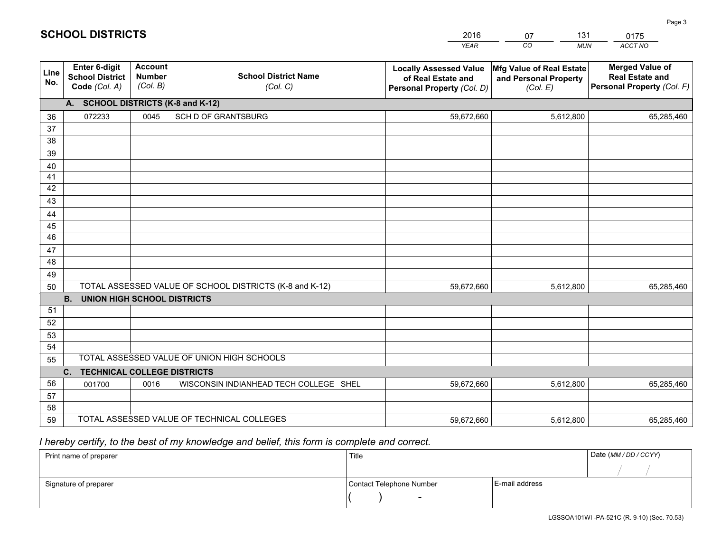|             |                                                                 |                                             |                                                         | <b>YEAR</b>                                                                       | CO<br><b>MUN</b>                                              | <b>ACCT NO</b>                                                                 |
|-------------|-----------------------------------------------------------------|---------------------------------------------|---------------------------------------------------------|-----------------------------------------------------------------------------------|---------------------------------------------------------------|--------------------------------------------------------------------------------|
| Line<br>No. | <b>Enter 6-digit</b><br><b>School District</b><br>Code (Col. A) | <b>Account</b><br><b>Number</b><br>(Col. B) | <b>School District Name</b><br>(Col. C)                 | <b>Locally Assessed Value</b><br>of Real Estate and<br>Personal Property (Col. D) | Mfg Value of Real Estate<br>and Personal Property<br>(Col. E) | <b>Merged Value of</b><br><b>Real Estate and</b><br>Personal Property (Col. F) |
|             | A. SCHOOL DISTRICTS (K-8 and K-12)                              |                                             |                                                         |                                                                                   |                                                               |                                                                                |
| 36          | 072233                                                          | 0045                                        | SCH D OF GRANTSBURG                                     | 59,672,660                                                                        | 5,612,800                                                     | 65,285,460                                                                     |
| 37          |                                                                 |                                             |                                                         |                                                                                   |                                                               |                                                                                |
| 38          |                                                                 |                                             |                                                         |                                                                                   |                                                               |                                                                                |
| 39          |                                                                 |                                             |                                                         |                                                                                   |                                                               |                                                                                |
| 40          |                                                                 |                                             |                                                         |                                                                                   |                                                               |                                                                                |
| 41<br>42    |                                                                 |                                             |                                                         |                                                                                   |                                                               |                                                                                |
| 43          |                                                                 |                                             |                                                         |                                                                                   |                                                               |                                                                                |
| 44          |                                                                 |                                             |                                                         |                                                                                   |                                                               |                                                                                |
| 45          |                                                                 |                                             |                                                         |                                                                                   |                                                               |                                                                                |
| 46          |                                                                 |                                             |                                                         |                                                                                   |                                                               |                                                                                |
| 47          |                                                                 |                                             |                                                         |                                                                                   |                                                               |                                                                                |
| 48          |                                                                 |                                             |                                                         |                                                                                   |                                                               |                                                                                |
| 49          |                                                                 |                                             |                                                         |                                                                                   |                                                               |                                                                                |
| 50          |                                                                 |                                             | TOTAL ASSESSED VALUE OF SCHOOL DISTRICTS (K-8 and K-12) | 59,672,660                                                                        | 5,612,800                                                     | 65,285,460                                                                     |
|             | <b>B.</b><br><b>UNION HIGH SCHOOL DISTRICTS</b>                 |                                             |                                                         |                                                                                   |                                                               |                                                                                |
| 51          |                                                                 |                                             |                                                         |                                                                                   |                                                               |                                                                                |
| 52          |                                                                 |                                             |                                                         |                                                                                   |                                                               |                                                                                |
| 53          |                                                                 |                                             |                                                         |                                                                                   |                                                               |                                                                                |
| 54          |                                                                 |                                             | TOTAL ASSESSED VALUE OF UNION HIGH SCHOOLS              |                                                                                   |                                                               |                                                                                |
| 55          |                                                                 |                                             |                                                         |                                                                                   |                                                               |                                                                                |
| 56          | C.<br><b>TECHNICAL COLLEGE DISTRICTS</b><br>001700              | 0016                                        | WISCONSIN INDIANHEAD TECH COLLEGE SHEL                  | 59,672,660                                                                        | 5,612,800                                                     | 65,285,460                                                                     |
| 57          |                                                                 |                                             |                                                         |                                                                                   |                                                               |                                                                                |
| 58          |                                                                 |                                             |                                                         |                                                                                   |                                                               |                                                                                |
| 59          |                                                                 |                                             | TOTAL ASSESSED VALUE OF TECHNICAL COLLEGES              | 59,672,660                                                                        | 5,612,800                                                     | 65,285,460                                                                     |

07

131

 *I hereby certify, to the best of my knowledge and belief, this form is complete and correct.*

**SCHOOL DISTRICTS**

| Print name of preparer | Title                    |                | Date (MM / DD / CCYY) |
|------------------------|--------------------------|----------------|-----------------------|
|                        |                          |                |                       |
| Signature of preparer  | Contact Telephone Number | E-mail address |                       |
|                        | $\sim$                   |                |                       |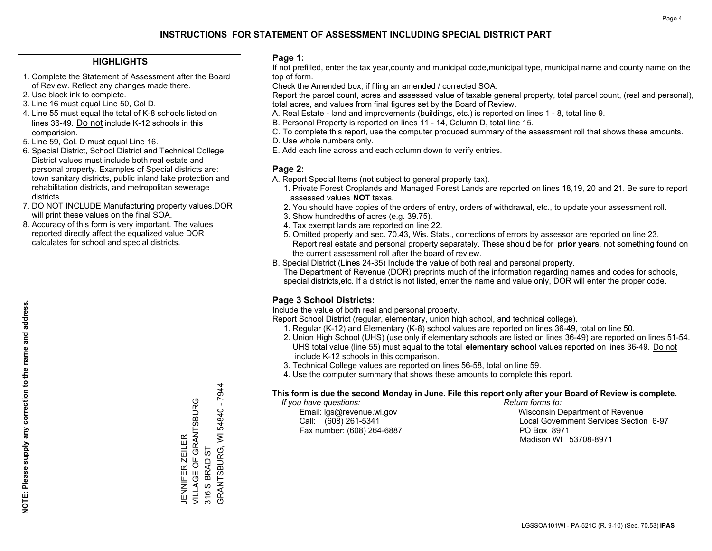### **HIGHLIGHTS**

- 1. Complete the Statement of Assessment after the Board of Review. Reflect any changes made there.
- 2. Use black ink to complete.
- 3. Line 16 must equal Line 50, Col D.
- 4. Line 55 must equal the total of K-8 schools listed on lines 36-49. Do not include K-12 schools in this comparision.
- 5. Line 59, Col. D must equal Line 16.
- 6. Special District, School District and Technical College District values must include both real estate and personal property. Examples of Special districts are: town sanitary districts, public inland lake protection and rehabilitation districts, and metropolitan sewerage districts.
- 7. DO NOT INCLUDE Manufacturing property values.DOR will print these values on the final SOA.

JENNIFER ZEILER

VILLAGE OF GRANTSBURG

JENNIFER ZEILER<br>VILLAGE OF GRANTSBURG

316 S BRAD ST

GRANTSBURG, WI 54840 - 7944

GRANTSBURG, WI 316 S BRAD ST

54840 - 7944

 8. Accuracy of this form is very important. The values reported directly affect the equalized value DOR calculates for school and special districts.

### **Page 1:**

 If not prefilled, enter the tax year,county and municipal code,municipal type, municipal name and county name on the top of form.

Check the Amended box, if filing an amended / corrected SOA.

 Report the parcel count, acres and assessed value of taxable general property, total parcel count, (real and personal), total acres, and values from final figures set by the Board of Review.

- A. Real Estate land and improvements (buildings, etc.) is reported on lines 1 8, total line 9.
- B. Personal Property is reported on lines 11 14, Column D, total line 15.
- C. To complete this report, use the computer produced summary of the assessment roll that shows these amounts.
- D. Use whole numbers only.
- E. Add each line across and each column down to verify entries.

### **Page 2:**

- A. Report Special Items (not subject to general property tax).
- 1. Private Forest Croplands and Managed Forest Lands are reported on lines 18,19, 20 and 21. Be sure to report assessed values **NOT** taxes.
- 2. You should have copies of the orders of entry, orders of withdrawal, etc., to update your assessment roll.
	- 3. Show hundredths of acres (e.g. 39.75).
- 4. Tax exempt lands are reported on line 22.
- 5. Omitted property and sec. 70.43, Wis. Stats., corrections of errors by assessor are reported on line 23. Report real estate and personal property separately. These should be for **prior years**, not something found on the current assessment roll after the board of review.
- B. Special District (Lines 24-35) Include the value of both real and personal property.
- The Department of Revenue (DOR) preprints much of the information regarding names and codes for schools, special districts,etc. If a district is not listed, enter the name and value only, DOR will enter the proper code.

### **Page 3 School Districts:**

Include the value of both real and personal property.

Report School District (regular, elementary, union high school, and technical college).

- 1. Regular (K-12) and Elementary (K-8) school values are reported on lines 36-49, total on line 50.
- 2. Union High School (UHS) (use only if elementary schools are listed on lines 36-49) are reported on lines 51-54. UHS total value (line 55) must equal to the total **elementary school** values reported on lines 36-49. Do notinclude K-12 schools in this comparison.
- 3. Technical College values are reported on lines 56-58, total on line 59.
- 4. Use the computer summary that shows these amounts to complete this report.

#### **This form is due the second Monday in June. File this report only after your Board of Review is complete.**

 *If you have questions: Return forms to:*

Fax number: (608) 264-6887 PO Box 8971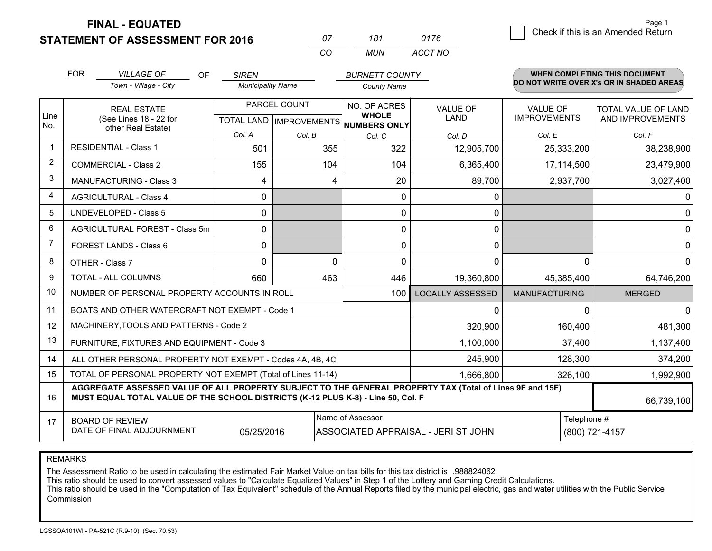**FINAL - EQUATED**

| 07 | 181 | 0176    |
|----|-----|---------|
| (  | MUN | ACCT NO |

|             | <b>FOR</b>                                                                                                                                                    | <b>VILLAGE OF</b><br><b>OF</b>                                                                                                                                                               | <b>SIREN</b>             |                                                  | <b>BURNETT COUNTY</b>                        |                         |                                        | <b>WHEN COMPLETING THIS DOCUMENT</b>     |
|-------------|---------------------------------------------------------------------------------------------------------------------------------------------------------------|----------------------------------------------------------------------------------------------------------------------------------------------------------------------------------------------|--------------------------|--------------------------------------------------|----------------------------------------------|-------------------------|----------------------------------------|------------------------------------------|
|             |                                                                                                                                                               | Town - Village - City                                                                                                                                                                        | <b>Municipality Name</b> |                                                  | <b>County Name</b>                           |                         |                                        | DO NOT WRITE OVER X's OR IN SHADED AREAS |
| Line<br>No. |                                                                                                                                                               | <b>REAL ESTATE</b><br>(See Lines 18 - 22 for                                                                                                                                                 |                          | PARCEL COUNT<br><b>TOTAL LAND   IMPROVEMENTS</b> | NO. OF ACRES<br><b>WHOLE</b><br>NUMBERS ONLY | VALUE OF<br><b>LAND</b> | <b>VALUE OF</b><br><b>IMPROVEMENTS</b> | TOTAL VALUE OF LAND<br>AND IMPROVEMENTS  |
|             |                                                                                                                                                               | other Real Estate)                                                                                                                                                                           | Col. A                   | Col. B                                           | Col. C                                       | Col. D                  | Col. E                                 | Col. F                                   |
|             |                                                                                                                                                               | <b>RESIDENTIAL - Class 1</b>                                                                                                                                                                 | 501                      | 355                                              | 322                                          | 12,905,700              | 25,333,200                             | 38,238,900                               |
| 2           |                                                                                                                                                               | <b>COMMERCIAL - Class 2</b>                                                                                                                                                                  | 155                      | 104                                              | 104                                          | 6,365,400               | 17,114,500                             | 23,479,900                               |
| 3           |                                                                                                                                                               | <b>MANUFACTURING - Class 3</b>                                                                                                                                                               | 4                        | 4                                                | 20                                           | 89,700                  | 2,937,700                              | 3,027,400                                |
| 4           |                                                                                                                                                               | <b>AGRICULTURAL - Class 4</b>                                                                                                                                                                | 0                        |                                                  | $\Omega$                                     | 0                       |                                        |                                          |
| 5           |                                                                                                                                                               | UNDEVELOPED - Class 5                                                                                                                                                                        | 0                        |                                                  | 0                                            | 0                       |                                        |                                          |
| 6           |                                                                                                                                                               | AGRICULTURAL FOREST - Class 5m                                                                                                                                                               | $\mathbf{0}$             |                                                  | $\mathbf{0}$                                 | 0                       |                                        |                                          |
|             |                                                                                                                                                               | FOREST LANDS - Class 6                                                                                                                                                                       | 0                        |                                                  | $\Omega$                                     | 0                       |                                        |                                          |
| 8           |                                                                                                                                                               | OTHER - Class 7                                                                                                                                                                              | $\Omega$                 | 0                                                | $\Omega$                                     | $\mathbf 0$             | $\Omega$                               |                                          |
| 9           |                                                                                                                                                               | TOTAL - ALL COLUMNS                                                                                                                                                                          | 660                      | 463                                              | 446                                          | 19,360,800              | 45,385,400                             | 64,746,200                               |
| 10          |                                                                                                                                                               | NUMBER OF PERSONAL PROPERTY ACCOUNTS IN ROLL                                                                                                                                                 |                          |                                                  | 100                                          | <b>LOCALLY ASSESSED</b> | <b>MANUFACTURING</b>                   | <b>MERGED</b>                            |
| 11          |                                                                                                                                                               | BOATS AND OTHER WATERCRAFT NOT EXEMPT - Code 1                                                                                                                                               |                          |                                                  |                                              | 0                       | n                                      |                                          |
| 12          |                                                                                                                                                               | MACHINERY, TOOLS AND PATTERNS - Code 2                                                                                                                                                       |                          |                                                  |                                              | 320,900                 | 160,400                                | 481,300                                  |
| 13          |                                                                                                                                                               | FURNITURE, FIXTURES AND EQUIPMENT - Code 3                                                                                                                                                   |                          |                                                  |                                              | 1,100,000               | 37,400                                 | 1,137,400                                |
| 14          | ALL OTHER PERSONAL PROPERTY NOT EXEMPT - Codes 4A, 4B, 4C                                                                                                     | 128,300                                                                                                                                                                                      | 374,200                  |                                                  |                                              |                         |                                        |                                          |
| 15          | TOTAL OF PERSONAL PROPERTY NOT EXEMPT (Total of Lines 11-14)<br>1,666,800<br>326,100                                                                          |                                                                                                                                                                                              |                          |                                                  |                                              |                         |                                        | 1,992,900                                |
| 16          |                                                                                                                                                               | AGGREGATE ASSESSED VALUE OF ALL PROPERTY SUBJECT TO THE GENERAL PROPERTY TAX (Total of Lines 9F and 15F)<br>MUST EQUAL TOTAL VALUE OF THE SCHOOL DISTRICTS (K-12 PLUS K-8) - Line 50, Col. F |                          |                                                  |                                              |                         |                                        | 66,739,100                               |
| 17          | Name of Assessor<br>Telephone #<br><b>BOARD OF REVIEW</b><br>DATE OF FINAL ADJOURNMENT<br>05/25/2016<br>ASSOCIATED APPRAISAL - JERI ST JOHN<br>(800) 721-4157 |                                                                                                                                                                                              |                          |                                                  |                                              |                         |                                        |                                          |

REMARKS

The Assessment Ratio to be used in calculating the estimated Fair Market Value on tax bills for this tax district is .988824062<br>This ratio should be used to convert assessed values to "Calculate Equalized Values" in Step 1 Commission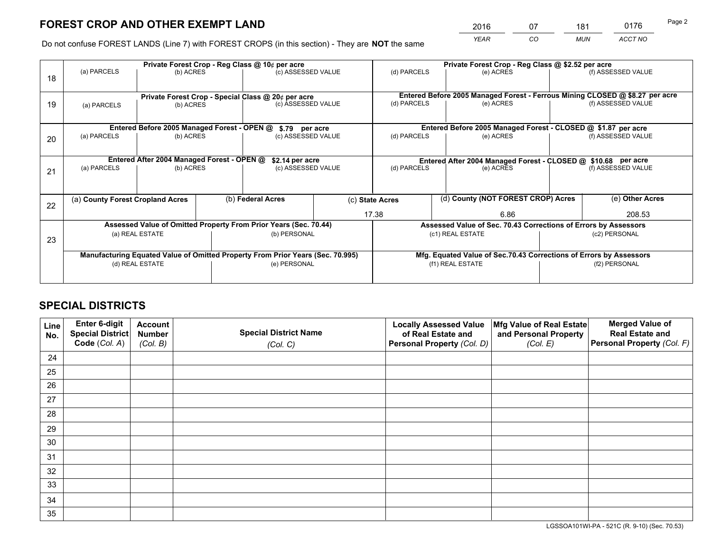*YEAR CO MUN ACCT NO* <sup>2016</sup> <sup>07</sup> <sup>181</sup> <sup>0176</sup>

Do not confuse FOREST LANDS (Line 7) with FOREST CROPS (in this section) - They are **NOT** the same

|    |                                                                                |                                                               |  | Private Forest Crop - Reg Class @ 10¢ per acre                           |  | Private Forest Crop - Reg Class @ \$2.52 per acre |                                                                              |  |                    |  |
|----|--------------------------------------------------------------------------------|---------------------------------------------------------------|--|--------------------------------------------------------------------------|--|---------------------------------------------------|------------------------------------------------------------------------------|--|--------------------|--|
| 18 | (a) PARCELS                                                                    | (b) ACRES                                                     |  | (c) ASSESSED VALUE                                                       |  | (d) PARCELS                                       | (e) ACRES                                                                    |  | (f) ASSESSED VALUE |  |
|    |                                                                                |                                                               |  |                                                                          |  |                                                   | Entered Before 2005 Managed Forest - Ferrous Mining CLOSED @ \$8.27 per acre |  |                    |  |
| 19 | (a) PARCELS                                                                    | (b) ACRES                                                     |  | Private Forest Crop - Special Class @ 20¢ per acre<br>(c) ASSESSED VALUE |  | (d) PARCELS                                       | (e) ACRES                                                                    |  | (f) ASSESSED VALUE |  |
|    |                                                                                |                                                               |  | \$.79 per acre                                                           |  |                                                   | Entered Before 2005 Managed Forest - CLOSED @ \$1.87 per acre                |  |                    |  |
| 20 | Entered Before 2005 Managed Forest - OPEN @<br>(a) PARCELS<br>(b) ACRES        |                                                               |  | (c) ASSESSED VALUE                                                       |  | (d) PARCELS                                       | (e) ACRES                                                                    |  | (f) ASSESSED VALUE |  |
|    |                                                                                | Entered After 2004 Managed Forest - OPEN @<br>\$2.14 per acre |  | Entered After 2004 Managed Forest - CLOSED @ \$10.68 per acre            |  |                                                   |                                                                              |  |                    |  |
| 21 | (a) PARCELS<br>(b) ACRES                                                       |                                                               |  | (c) ASSESSED VALUE                                                       |  | (d) PARCELS                                       | (e) ACRES                                                                    |  | (f) ASSESSED VALUE |  |
|    | (a) County Forest Cropland Acres                                               |                                                               |  | (b) Federal Acres                                                        |  | (c) State Acres                                   | (d) County (NOT FOREST CROP) Acres                                           |  | (e) Other Acres    |  |
|    | 22                                                                             |                                                               |  |                                                                          |  | 17.38<br>6.86                                     |                                                                              |  | 208.53             |  |
|    |                                                                                |                                                               |  | Assessed Value of Omitted Property From Prior Years (Sec. 70.44)         |  |                                                   | Assessed Value of Sec. 70.43 Corrections of Errors by Assessors              |  |                    |  |
| 23 | (a) REAL ESTATE                                                                |                                                               |  | (b) PERSONAL                                                             |  | (c1) REAL ESTATE                                  |                                                                              |  | (c2) PERSONAL      |  |
|    | Manufacturing Equated Value of Omitted Property From Prior Years (Sec. 70.995) |                                                               |  |                                                                          |  |                                                   | Mfg. Equated Value of Sec.70.43 Corrections of Errors by Assessors           |  |                    |  |
|    |                                                                                | (d) REAL ESTATE                                               |  | (e) PERSONAL                                                             |  |                                                   | (f1) REAL ESTATE                                                             |  | (f2) PERSONAL      |  |
|    |                                                                                |                                                               |  |                                                                          |  |                                                   |                                                                              |  |                    |  |

## **SPECIAL DISTRICTS**

| Line<br>No. | Enter 6-digit<br><b>Special District</b> | <b>Account</b><br><b>Number</b> | <b>Special District Name</b> | <b>Locally Assessed Value</b><br>of Real Estate and | Mfg Value of Real Estate<br>and Personal Property | <b>Merged Value of</b><br><b>Real Estate and</b> |
|-------------|------------------------------------------|---------------------------------|------------------------------|-----------------------------------------------------|---------------------------------------------------|--------------------------------------------------|
|             | Code (Col. A)                            | (Col. B)                        | (Col. C)                     | Personal Property (Col. D)                          | (Col. E)                                          | Personal Property (Col. F)                       |
| 24          |                                          |                                 |                              |                                                     |                                                   |                                                  |
| 25          |                                          |                                 |                              |                                                     |                                                   |                                                  |
| 26          |                                          |                                 |                              |                                                     |                                                   |                                                  |
| 27          |                                          |                                 |                              |                                                     |                                                   |                                                  |
| 28          |                                          |                                 |                              |                                                     |                                                   |                                                  |
| 29          |                                          |                                 |                              |                                                     |                                                   |                                                  |
| 30          |                                          |                                 |                              |                                                     |                                                   |                                                  |
| 31          |                                          |                                 |                              |                                                     |                                                   |                                                  |
| 32          |                                          |                                 |                              |                                                     |                                                   |                                                  |
| 33          |                                          |                                 |                              |                                                     |                                                   |                                                  |
| 34          |                                          |                                 |                              |                                                     |                                                   |                                                  |
| 35          |                                          |                                 |                              |                                                     |                                                   |                                                  |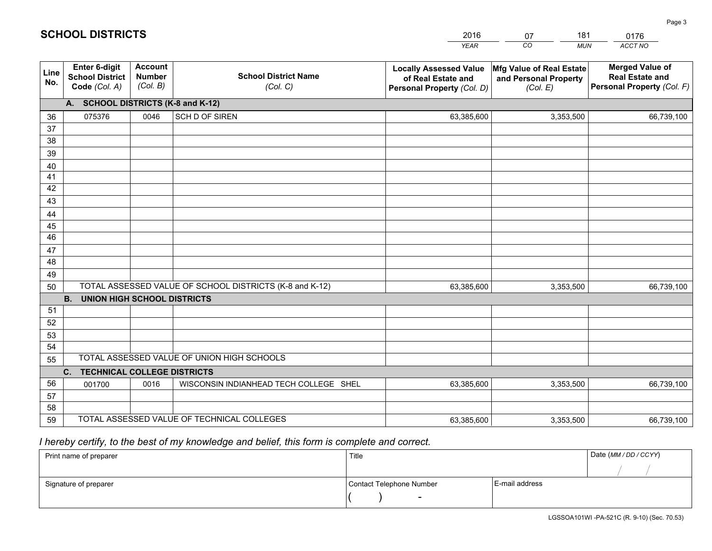| <b>Account</b><br><b>Merged Value of</b><br>Enter 6-digit<br>Mfg Value of Real Estate<br><b>Locally Assessed Value</b><br>Line<br><b>School District Name</b><br><b>Number</b><br><b>School District</b><br><b>Real Estate and</b><br>of Real Estate and<br>and Personal Property<br>No.<br>(Col. B)<br>Personal Property (Col. F)<br>Code (Col. A)<br>(Col. C)<br>Personal Property (Col. D)<br>(Col. E)<br>A. SCHOOL DISTRICTS (K-8 and K-12)<br>075376<br>0046<br>SCH D OF SIREN<br>3,353,500<br>63,385,600<br>66,739,100<br>36<br>37<br>38<br>39<br>40<br>41<br>42<br>43<br>44<br>45<br>46<br>47<br>48<br>49<br>TOTAL ASSESSED VALUE OF SCHOOL DISTRICTS (K-8 and K-12)<br>50<br>63,385,600<br>3,353,500<br>66,739,100<br><b>B.</b><br><b>UNION HIGH SCHOOL DISTRICTS</b><br>51<br>52 |
|-------------------------------------------------------------------------------------------------------------------------------------------------------------------------------------------------------------------------------------------------------------------------------------------------------------------------------------------------------------------------------------------------------------------------------------------------------------------------------------------------------------------------------------------------------------------------------------------------------------------------------------------------------------------------------------------------------------------------------------------------------------------------------------------|
|                                                                                                                                                                                                                                                                                                                                                                                                                                                                                                                                                                                                                                                                                                                                                                                           |
|                                                                                                                                                                                                                                                                                                                                                                                                                                                                                                                                                                                                                                                                                                                                                                                           |
|                                                                                                                                                                                                                                                                                                                                                                                                                                                                                                                                                                                                                                                                                                                                                                                           |
|                                                                                                                                                                                                                                                                                                                                                                                                                                                                                                                                                                                                                                                                                                                                                                                           |
|                                                                                                                                                                                                                                                                                                                                                                                                                                                                                                                                                                                                                                                                                                                                                                                           |
|                                                                                                                                                                                                                                                                                                                                                                                                                                                                                                                                                                                                                                                                                                                                                                                           |
|                                                                                                                                                                                                                                                                                                                                                                                                                                                                                                                                                                                                                                                                                                                                                                                           |
|                                                                                                                                                                                                                                                                                                                                                                                                                                                                                                                                                                                                                                                                                                                                                                                           |
|                                                                                                                                                                                                                                                                                                                                                                                                                                                                                                                                                                                                                                                                                                                                                                                           |
|                                                                                                                                                                                                                                                                                                                                                                                                                                                                                                                                                                                                                                                                                                                                                                                           |
|                                                                                                                                                                                                                                                                                                                                                                                                                                                                                                                                                                                                                                                                                                                                                                                           |
|                                                                                                                                                                                                                                                                                                                                                                                                                                                                                                                                                                                                                                                                                                                                                                                           |
|                                                                                                                                                                                                                                                                                                                                                                                                                                                                                                                                                                                                                                                                                                                                                                                           |
|                                                                                                                                                                                                                                                                                                                                                                                                                                                                                                                                                                                                                                                                                                                                                                                           |
|                                                                                                                                                                                                                                                                                                                                                                                                                                                                                                                                                                                                                                                                                                                                                                                           |
|                                                                                                                                                                                                                                                                                                                                                                                                                                                                                                                                                                                                                                                                                                                                                                                           |
|                                                                                                                                                                                                                                                                                                                                                                                                                                                                                                                                                                                                                                                                                                                                                                                           |
|                                                                                                                                                                                                                                                                                                                                                                                                                                                                                                                                                                                                                                                                                                                                                                                           |
|                                                                                                                                                                                                                                                                                                                                                                                                                                                                                                                                                                                                                                                                                                                                                                                           |
| 53                                                                                                                                                                                                                                                                                                                                                                                                                                                                                                                                                                                                                                                                                                                                                                                        |
| 54                                                                                                                                                                                                                                                                                                                                                                                                                                                                                                                                                                                                                                                                                                                                                                                        |
| TOTAL ASSESSED VALUE OF UNION HIGH SCHOOLS<br>55                                                                                                                                                                                                                                                                                                                                                                                                                                                                                                                                                                                                                                                                                                                                          |
| C.<br><b>TECHNICAL COLLEGE DISTRICTS</b>                                                                                                                                                                                                                                                                                                                                                                                                                                                                                                                                                                                                                                                                                                                                                  |
| 56<br>WISCONSIN INDIANHEAD TECH COLLEGE SHEL<br>001700<br>0016<br>63,385,600<br>3,353,500<br>66,739,100<br>57                                                                                                                                                                                                                                                                                                                                                                                                                                                                                                                                                                                                                                                                             |
| 58                                                                                                                                                                                                                                                                                                                                                                                                                                                                                                                                                                                                                                                                                                                                                                                        |
| TOTAL ASSESSED VALUE OF TECHNICAL COLLEGES<br>59<br>3,353,500<br>63,385,600<br>66,739,100                                                                                                                                                                                                                                                                                                                                                                                                                                                                                                                                                                                                                                                                                                 |

07

181

0176

 *I hereby certify, to the best of my knowledge and belief, this form is complete and correct.*

**SCHOOL DISTRICTS**

| Print name of preparer | Title                    |                | Date (MM / DD / CCYY) |
|------------------------|--------------------------|----------------|-----------------------|
|                        |                          |                |                       |
| Signature of preparer  | Contact Telephone Number | E-mail address |                       |
|                        | $\sim$                   |                |                       |

Page 3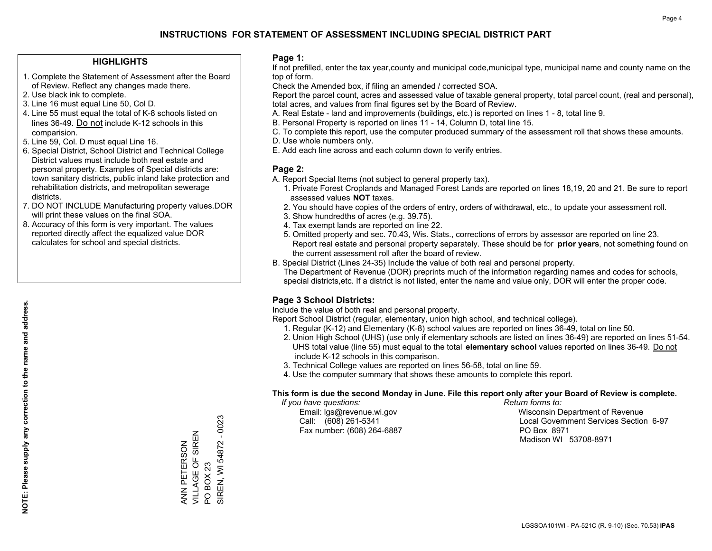### **HIGHLIGHTS**

- 1. Complete the Statement of Assessment after the Board of Review. Reflect any changes made there.
- 2. Use black ink to complete.
- 3. Line 16 must equal Line 50, Col D.
- 4. Line 55 must equal the total of K-8 schools listed on lines 36-49. Do not include K-12 schools in this comparision.
- 5. Line 59, Col. D must equal Line 16.
- 6. Special District, School District and Technical College District values must include both real estate and personal property. Examples of Special districts are: town sanitary districts, public inland lake protection and rehabilitation districts, and metropolitan sewerage districts.
- 7. DO NOT INCLUDE Manufacturing property values.DOR will print these values on the final SOA.

ANN PETERSON VILLAGE OF SIREN

ANN PETERSON

VILLAGE OF SIREN

PO BOX 23

 $\overline{S}$ 

**BOX 23** 

SIREN, WI 54872 - 0023

SIREN, WI 54872

 $-0023$ 

 8. Accuracy of this form is very important. The values reported directly affect the equalized value DOR calculates for school and special districts.

### **Page 1:**

 If not prefilled, enter the tax year,county and municipal code,municipal type, municipal name and county name on the top of form.

Check the Amended box, if filing an amended / corrected SOA.

 Report the parcel count, acres and assessed value of taxable general property, total parcel count, (real and personal), total acres, and values from final figures set by the Board of Review.

- A. Real Estate land and improvements (buildings, etc.) is reported on lines 1 8, total line 9.
- B. Personal Property is reported on lines 11 14, Column D, total line 15.
- C. To complete this report, use the computer produced summary of the assessment roll that shows these amounts.
- D. Use whole numbers only.
- E. Add each line across and each column down to verify entries.

### **Page 2:**

- A. Report Special Items (not subject to general property tax).
- 1. Private Forest Croplands and Managed Forest Lands are reported on lines 18,19, 20 and 21. Be sure to report assessed values **NOT** taxes.
- 2. You should have copies of the orders of entry, orders of withdrawal, etc., to update your assessment roll.
	- 3. Show hundredths of acres (e.g. 39.75).
- 4. Tax exempt lands are reported on line 22.
- 5. Omitted property and sec. 70.43, Wis. Stats., corrections of errors by assessor are reported on line 23. Report real estate and personal property separately. These should be for **prior years**, not something found on the current assessment roll after the board of review.
- B. Special District (Lines 24-35) Include the value of both real and personal property.
- The Department of Revenue (DOR) preprints much of the information regarding names and codes for schools, special districts,etc. If a district is not listed, enter the name and value only, DOR will enter the proper code.

### **Page 3 School Districts:**

Include the value of both real and personal property.

Report School District (regular, elementary, union high school, and technical college).

- 1. Regular (K-12) and Elementary (K-8) school values are reported on lines 36-49, total on line 50.
- 2. Union High School (UHS) (use only if elementary schools are listed on lines 36-49) are reported on lines 51-54. UHS total value (line 55) must equal to the total **elementary school** values reported on lines 36-49. Do notinclude K-12 schools in this comparison.
- 3. Technical College values are reported on lines 56-58, total on line 59.
- 4. Use the computer summary that shows these amounts to complete this report.

#### **This form is due the second Monday in June. File this report only after your Board of Review is complete.**

 *If you have questions: Return forms to:*

Fax number: (608) 264-6887 PO Box 8971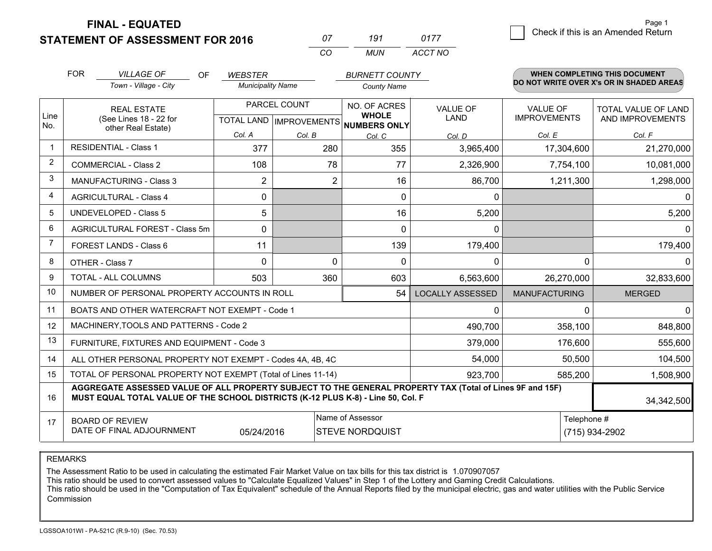**FINAL - EQUATED**

| Ω7       | 191   | 0177    |
|----------|-------|---------|
| $\cdots$ | MI IN | ACCT NO |

|                | <b>FOR</b>                                                                                                                                                                                   | <b>VILLAGE OF</b><br>OF<br>Town - Village - City             | <b>WEBSTER</b><br><b>Municipality Name</b> |                                | <b>BURNETT COUNTY</b><br><b>County Name</b> |                                                   |                      | WHEN COMPLETING THIS DOCUMENT<br>DO NOT WRITE OVER X's OR IN SHADED AREAS |
|----------------|----------------------------------------------------------------------------------------------------------------------------------------------------------------------------------------------|--------------------------------------------------------------|--------------------------------------------|--------------------------------|---------------------------------------------|---------------------------------------------------|----------------------|---------------------------------------------------------------------------|
| Line<br>No.    | PARCEL COUNT<br><b>REAL ESTATE</b><br>(See Lines 18 - 22 for<br>TOTAL LAND IMPROVEMENTS NUMBERS ONLY<br>other Real Estate)<br>Col. A                                                         |                                                              | NO. OF ACRES<br><b>WHOLE</b>               | <b>VALUE OF</b><br><b>LAND</b> | VALUE OF<br><b>IMPROVEMENTS</b><br>Col. E   | TOTAL VALUE OF LAND<br>AND IMPROVEMENTS<br>Col. F |                      |                                                                           |
|                |                                                                                                                                                                                              | <b>RESIDENTIAL - Class 1</b>                                 | 377                                        | Col. B<br>280                  | Col. C<br>355                               | Col. D<br>3,965,400                               | 17,304,600           | 21,270,000                                                                |
| $\overline{2}$ |                                                                                                                                                                                              | <b>COMMERCIAL - Class 2</b>                                  | 108                                        | 78                             | 77                                          | 2,326,900                                         | 7,754,100            | 10,081,000                                                                |
| 3              |                                                                                                                                                                                              | MANUFACTURING - Class 3                                      | $\overline{2}$                             | 2                              | 16                                          | 86,700                                            | 1,211,300            | 1,298,000                                                                 |
| 4              |                                                                                                                                                                                              | <b>AGRICULTURAL - Class 4</b>                                | 0                                          |                                | $\mathbf{0}$                                | 0                                                 |                      | $\Omega$                                                                  |
| 5              |                                                                                                                                                                                              | <b>UNDEVELOPED - Class 5</b>                                 | 5                                          |                                | 16                                          | 5,200                                             |                      | 5,200                                                                     |
| 6              |                                                                                                                                                                                              | AGRICULTURAL FOREST - Class 5m                               | $\Omega$                                   |                                | $\Omega$                                    | $\mathbf{0}$                                      |                      | $\Omega$                                                                  |
| 7              |                                                                                                                                                                                              | FOREST LANDS - Class 6                                       | 11                                         |                                | 139                                         | 179,400                                           |                      | 179,400                                                                   |
| 8              |                                                                                                                                                                                              | OTHER - Class 7                                              | $\Omega$                                   | $\Omega$                       | $\mathbf{0}$                                | 0                                                 | $\Omega$             | $\mathbf{0}$                                                              |
| 9              |                                                                                                                                                                                              | TOTAL - ALL COLUMNS                                          | 503                                        | 360                            | 603                                         | 6,563,600                                         | 26,270,000           | 32,833,600                                                                |
| 10             |                                                                                                                                                                                              | NUMBER OF PERSONAL PROPERTY ACCOUNTS IN ROLL                 |                                            |                                | 54                                          | <b>LOCALLY ASSESSED</b>                           | <b>MANUFACTURING</b> | <b>MERGED</b>                                                             |
| 11             |                                                                                                                                                                                              | BOATS AND OTHER WATERCRAFT NOT EXEMPT - Code 1               |                                            |                                |                                             | 0                                                 | ∩                    | $\Omega$                                                                  |
| 12             |                                                                                                                                                                                              | MACHINERY, TOOLS AND PATTERNS - Code 2                       |                                            |                                |                                             | 490,700                                           | 358,100              | 848,800                                                                   |
| 13             |                                                                                                                                                                                              | FURNITURE, FIXTURES AND EQUIPMENT - Code 3                   |                                            |                                |                                             | 379,000                                           | 176,600              | 555,600                                                                   |
| 14             |                                                                                                                                                                                              | ALL OTHER PERSONAL PROPERTY NOT EXEMPT - Codes 4A, 4B, 4C    |                                            |                                | 54,000                                      | 50,500                                            | 104,500              |                                                                           |
| 15             |                                                                                                                                                                                              | TOTAL OF PERSONAL PROPERTY NOT EXEMPT (Total of Lines 11-14) |                                            |                                | 923,700                                     | 585,200                                           | 1,508,900            |                                                                           |
| 16             | AGGREGATE ASSESSED VALUE OF ALL PROPERTY SUBJECT TO THE GENERAL PROPERTY TAX (Total of Lines 9F and 15F)<br>MUST EQUAL TOTAL VALUE OF THE SCHOOL DISTRICTS (K-12 PLUS K-8) - Line 50, Col. F |                                                              |                                            |                                |                                             |                                                   |                      | 34, 342, 500                                                              |
| 17             | Name of Assessor<br>Telephone #<br><b>BOARD OF REVIEW</b><br>DATE OF FINAL ADJOURNMENT<br><b>STEVE NORDQUIST</b><br>05/24/2016                                                               |                                                              |                                            |                                |                                             |                                                   |                      | (715) 934-2902                                                            |

REMARKS

The Assessment Ratio to be used in calculating the estimated Fair Market Value on tax bills for this tax district is 1.070907057

This ratio should be used to convert assessed values to "Calculate Equalized Values" in Step 1 of the Lottery and Gaming Credit Calculations.<br>This ratio should be used in the "Computation of Tax Equivalent" schedule of the Commission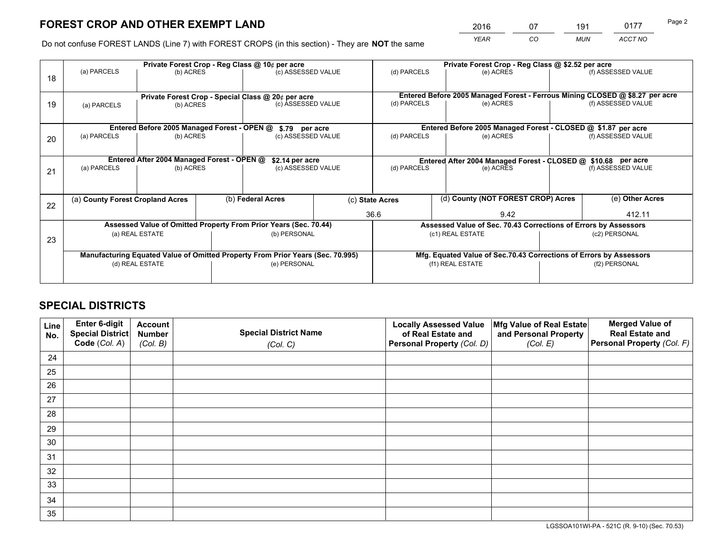*YEAR CO MUN ACCT NO* <sup>2016</sup> <sup>07</sup> <sup>191</sup> <sup>0177</sup> Page 2

Do not confuse FOREST LANDS (Line 7) with FOREST CROPS (in this section) - They are **NOT** the same

|    | Private Forest Crop - Reg Class @ 10¢ per acre                                 |                                             |  |                                                    |              | Private Forest Crop - Reg Class @ \$2.52 per acre             |                                                                              |               |                    |  |
|----|--------------------------------------------------------------------------------|---------------------------------------------|--|----------------------------------------------------|--------------|---------------------------------------------------------------|------------------------------------------------------------------------------|---------------|--------------------|--|
| 18 | (a) PARCELS                                                                    | (b) ACRES                                   |  | (c) ASSESSED VALUE                                 |              | (d) PARCELS                                                   | (e) ACRES                                                                    |               | (f) ASSESSED VALUE |  |
|    |                                                                                |                                             |  | Private Forest Crop - Special Class @ 20¢ per acre |              |                                                               | Entered Before 2005 Managed Forest - Ferrous Mining CLOSED @ \$8.27 per acre |               |                    |  |
| 19 | (a) PARCELS                                                                    | (b) ACRES                                   |  | (c) ASSESSED VALUE                                 |              | (d) PARCELS                                                   | (e) ACRES                                                                    |               | (f) ASSESSED VALUE |  |
|    |                                                                                | Entered Before 2005 Managed Forest - OPEN @ |  | \$.79 per acre                                     |              |                                                               | Entered Before 2005 Managed Forest - CLOSED @ \$1.87 per acre                |               |                    |  |
| 20 | (a) PARCELS<br>(b) ACRES                                                       |                                             |  | (c) ASSESSED VALUE                                 |              | (d) PARCELS                                                   | (e) ACRES                                                                    |               | (f) ASSESSED VALUE |  |
|    | Entered After 2004 Managed Forest - OPEN @<br>\$2.14 per acre                  |                                             |  |                                                    |              | Entered After 2004 Managed Forest - CLOSED @ \$10.68 per acre |                                                                              |               |                    |  |
| 21 | (a) PARCELS<br>(b) ACRES                                                       |                                             |  | (c) ASSESSED VALUE                                 |              | (d) PARCELS                                                   | (e) ACRES                                                                    |               | (f) ASSESSED VALUE |  |
|    |                                                                                |                                             |  |                                                    |              |                                                               |                                                                              |               |                    |  |
| 22 | (a) County Forest Cropland Acres                                               |                                             |  | (b) Federal Acres                                  |              | (c) State Acres                                               | (d) County (NOT FOREST CROP) Acres                                           |               | (e) Other Acres    |  |
|    |                                                                                |                                             |  |                                                    | 36.6<br>9.42 |                                                               |                                                                              |               | 412.11             |  |
|    | Assessed Value of Omitted Property From Prior Years (Sec. 70.44)               |                                             |  |                                                    |              |                                                               | Assessed Value of Sec. 70.43 Corrections of Errors by Assessors              |               |                    |  |
| 23 | (a) REAL ESTATE                                                                |                                             |  | (b) PERSONAL                                       |              | (c1) REAL ESTATE                                              |                                                                              |               | (c2) PERSONAL      |  |
|    | Manufacturing Equated Value of Omitted Property From Prior Years (Sec. 70.995) |                                             |  |                                                    |              |                                                               | Mfg. Equated Value of Sec.70.43 Corrections of Errors by Assessors           |               |                    |  |
|    |                                                                                | (d) REAL ESTATE                             |  | (e) PERSONAL                                       |              |                                                               | (f1) REAL ESTATE                                                             | (f2) PERSONAL |                    |  |
|    |                                                                                |                                             |  |                                                    |              |                                                               |                                                                              |               |                    |  |

## **SPECIAL DISTRICTS**

| Line<br>No. | Enter 6-digit<br><b>Special District</b> | <b>Account</b><br><b>Number</b> | <b>Special District Name</b> | <b>Locally Assessed Value</b><br>of Real Estate and | Mfg Value of Real Estate<br>and Personal Property | <b>Merged Value of</b><br><b>Real Estate and</b> |
|-------------|------------------------------------------|---------------------------------|------------------------------|-----------------------------------------------------|---------------------------------------------------|--------------------------------------------------|
|             | Code (Col. A)                            | (Col. B)                        | (Col. C)                     | Personal Property (Col. D)                          | (Col. E)                                          | Personal Property (Col. F)                       |
| 24          |                                          |                                 |                              |                                                     |                                                   |                                                  |
| 25          |                                          |                                 |                              |                                                     |                                                   |                                                  |
| 26          |                                          |                                 |                              |                                                     |                                                   |                                                  |
| 27          |                                          |                                 |                              |                                                     |                                                   |                                                  |
| 28          |                                          |                                 |                              |                                                     |                                                   |                                                  |
| 29          |                                          |                                 |                              |                                                     |                                                   |                                                  |
| 30          |                                          |                                 |                              |                                                     |                                                   |                                                  |
| 31          |                                          |                                 |                              |                                                     |                                                   |                                                  |
| 32          |                                          |                                 |                              |                                                     |                                                   |                                                  |
| 33          |                                          |                                 |                              |                                                     |                                                   |                                                  |
| 34          |                                          |                                 |                              |                                                     |                                                   |                                                  |
| 35          |                                          |                                 |                              |                                                     |                                                   |                                                  |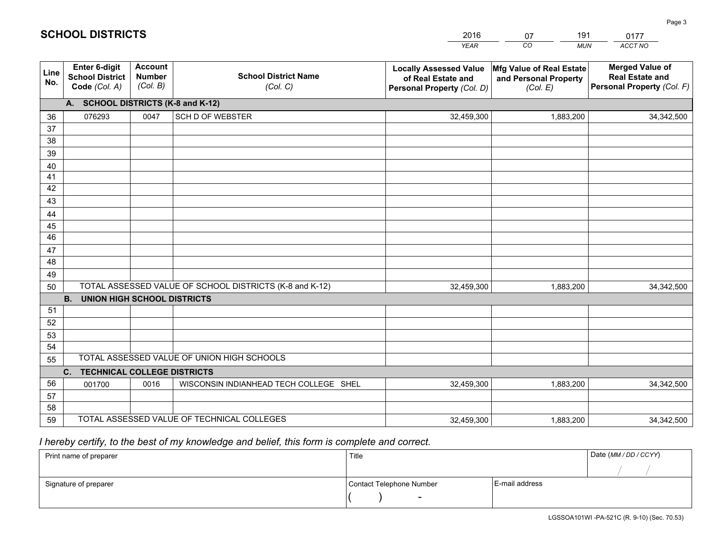|             |                                                                 |                                             |                                                         | <b>YEAR</b>                                                                       | CO<br><b>MUN</b>                                              | ACCT NO                                                                        |
|-------------|-----------------------------------------------------------------|---------------------------------------------|---------------------------------------------------------|-----------------------------------------------------------------------------------|---------------------------------------------------------------|--------------------------------------------------------------------------------|
| Line<br>No. | <b>Enter 6-digit</b><br><b>School District</b><br>Code (Col. A) | <b>Account</b><br><b>Number</b><br>(Col. B) | <b>School District Name</b><br>(Col. C)                 | <b>Locally Assessed Value</b><br>of Real Estate and<br>Personal Property (Col. D) | Mfg Value of Real Estate<br>and Personal Property<br>(Col. E) | <b>Merged Value of</b><br><b>Real Estate and</b><br>Personal Property (Col. F) |
|             | A. SCHOOL DISTRICTS (K-8 and K-12)                              |                                             |                                                         |                                                                                   |                                                               |                                                                                |
| 36          | 076293                                                          | 0047                                        | <b>SCH D OF WEBSTER</b>                                 | 32,459,300                                                                        | 1,883,200                                                     | 34, 342, 500                                                                   |
| 37          |                                                                 |                                             |                                                         |                                                                                   |                                                               |                                                                                |
| 38          |                                                                 |                                             |                                                         |                                                                                   |                                                               |                                                                                |
| 39          |                                                                 |                                             |                                                         |                                                                                   |                                                               |                                                                                |
| 40          |                                                                 |                                             |                                                         |                                                                                   |                                                               |                                                                                |
| 41<br>42    |                                                                 |                                             |                                                         |                                                                                   |                                                               |                                                                                |
| 43          |                                                                 |                                             |                                                         |                                                                                   |                                                               |                                                                                |
| 44          |                                                                 |                                             |                                                         |                                                                                   |                                                               |                                                                                |
| 45          |                                                                 |                                             |                                                         |                                                                                   |                                                               |                                                                                |
| 46          |                                                                 |                                             |                                                         |                                                                                   |                                                               |                                                                                |
| 47          |                                                                 |                                             |                                                         |                                                                                   |                                                               |                                                                                |
| 48          |                                                                 |                                             |                                                         |                                                                                   |                                                               |                                                                                |
| 49          |                                                                 |                                             |                                                         |                                                                                   |                                                               |                                                                                |
| 50          |                                                                 |                                             | TOTAL ASSESSED VALUE OF SCHOOL DISTRICTS (K-8 and K-12) | 32,459,300                                                                        | 1,883,200                                                     | 34,342,500                                                                     |
|             | <b>B. UNION HIGH SCHOOL DISTRICTS</b>                           |                                             |                                                         |                                                                                   |                                                               |                                                                                |
| 51<br>52    |                                                                 |                                             |                                                         |                                                                                   |                                                               |                                                                                |
| 53          |                                                                 |                                             |                                                         |                                                                                   |                                                               |                                                                                |
| 54          |                                                                 |                                             |                                                         |                                                                                   |                                                               |                                                                                |
| 55          |                                                                 |                                             | TOTAL ASSESSED VALUE OF UNION HIGH SCHOOLS              |                                                                                   |                                                               |                                                                                |
|             | C.<br><b>TECHNICAL COLLEGE DISTRICTS</b>                        |                                             |                                                         |                                                                                   |                                                               |                                                                                |
| 56          | 001700                                                          | 0016                                        | WISCONSIN INDIANHEAD TECH COLLEGE SHEL                  | 32,459,300                                                                        | 1,883,200                                                     | 34,342,500                                                                     |
| 57          |                                                                 |                                             |                                                         |                                                                                   |                                                               |                                                                                |
| 58          |                                                                 |                                             |                                                         |                                                                                   |                                                               |                                                                                |
| 59          |                                                                 |                                             | TOTAL ASSESSED VALUE OF TECHNICAL COLLEGES              | 32,459,300                                                                        | 1,883,200                                                     | 34,342,500                                                                     |

07

191

 *I hereby certify, to the best of my knowledge and belief, this form is complete and correct.*

**SCHOOL DISTRICTS**

| Print name of preparer | Title                    |                | Date (MM/DD/CCYY) |
|------------------------|--------------------------|----------------|-------------------|
|                        |                          |                |                   |
| Signature of preparer  | Contact Telephone Number | E-mail address |                   |
|                        | $\overline{\phantom{a}}$ |                |                   |